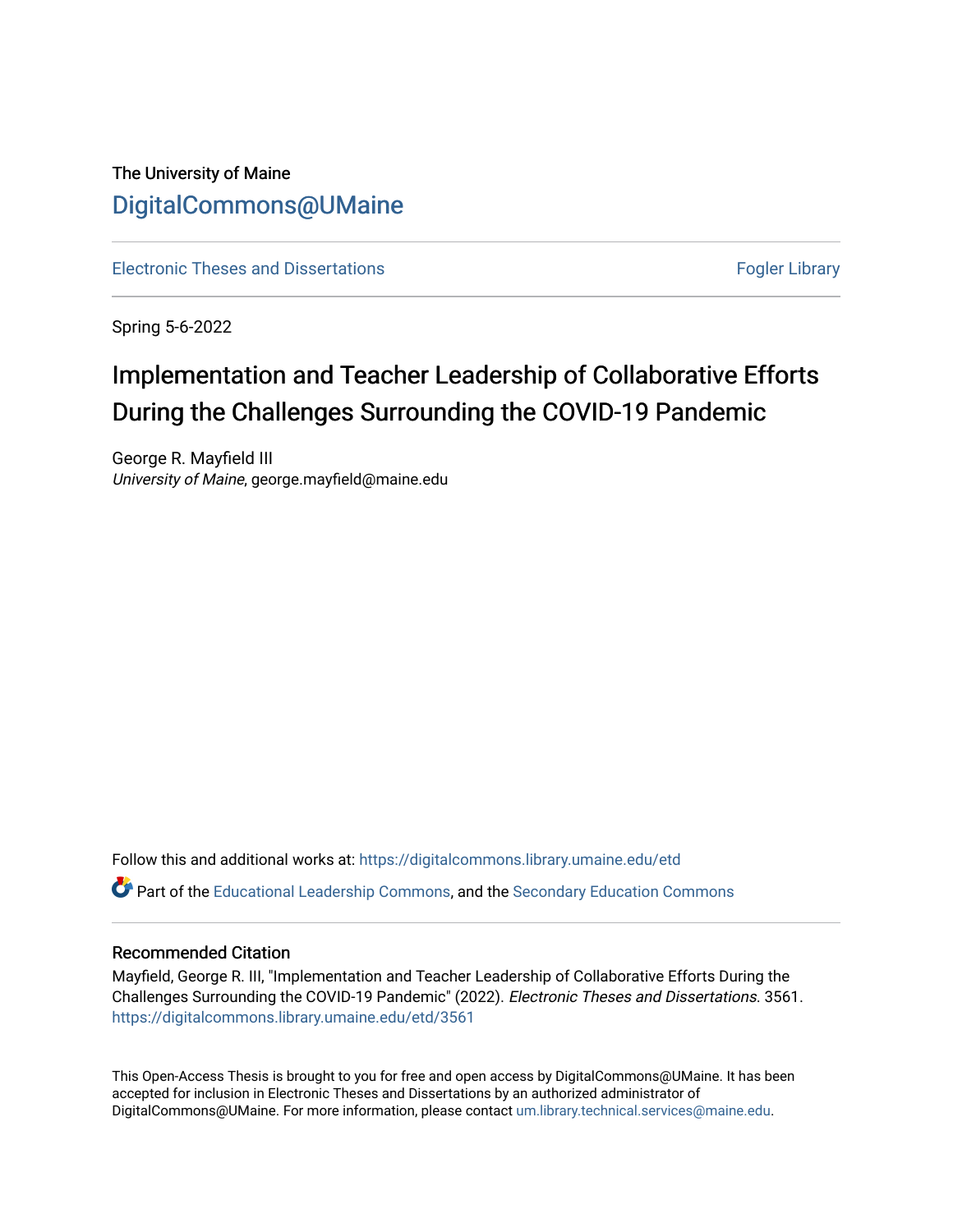# The University of Maine [DigitalCommons@UMaine](https://digitalcommons.library.umaine.edu/)

[Electronic Theses and Dissertations](https://digitalcommons.library.umaine.edu/etd) **Fogler Library** Fogler Library

Spring 5-6-2022

# Implementation and Teacher Leadership of Collaborative Efforts During the Challenges Surrounding the COVID-19 Pandemic

George R. Mayfield III University of Maine, george.mayfield@maine.edu

Follow this and additional works at: [https://digitalcommons.library.umaine.edu/etd](https://digitalcommons.library.umaine.edu/etd?utm_source=digitalcommons.library.umaine.edu%2Fetd%2F3561&utm_medium=PDF&utm_campaign=PDFCoverPages)  **C** Part of the [Educational Leadership Commons,](https://network.bepress.com/hgg/discipline/1230?utm_source=digitalcommons.library.umaine.edu%2Fetd%2F3561&utm_medium=PDF&utm_campaign=PDFCoverPages) and the Secondary Education Commons

# Recommended Citation

Mayfield, George R. III, "Implementation and Teacher Leadership of Collaborative Efforts During the Challenges Surrounding the COVID-19 Pandemic" (2022). Electronic Theses and Dissertations. 3561. [https://digitalcommons.library.umaine.edu/etd/3561](https://digitalcommons.library.umaine.edu/etd/3561?utm_source=digitalcommons.library.umaine.edu%2Fetd%2F3561&utm_medium=PDF&utm_campaign=PDFCoverPages)

This Open-Access Thesis is brought to you for free and open access by DigitalCommons@UMaine. It has been accepted for inclusion in Electronic Theses and Dissertations by an authorized administrator of DigitalCommons@UMaine. For more information, please contact [um.library.technical.services@maine.edu](mailto:um.library.technical.services@maine.edu).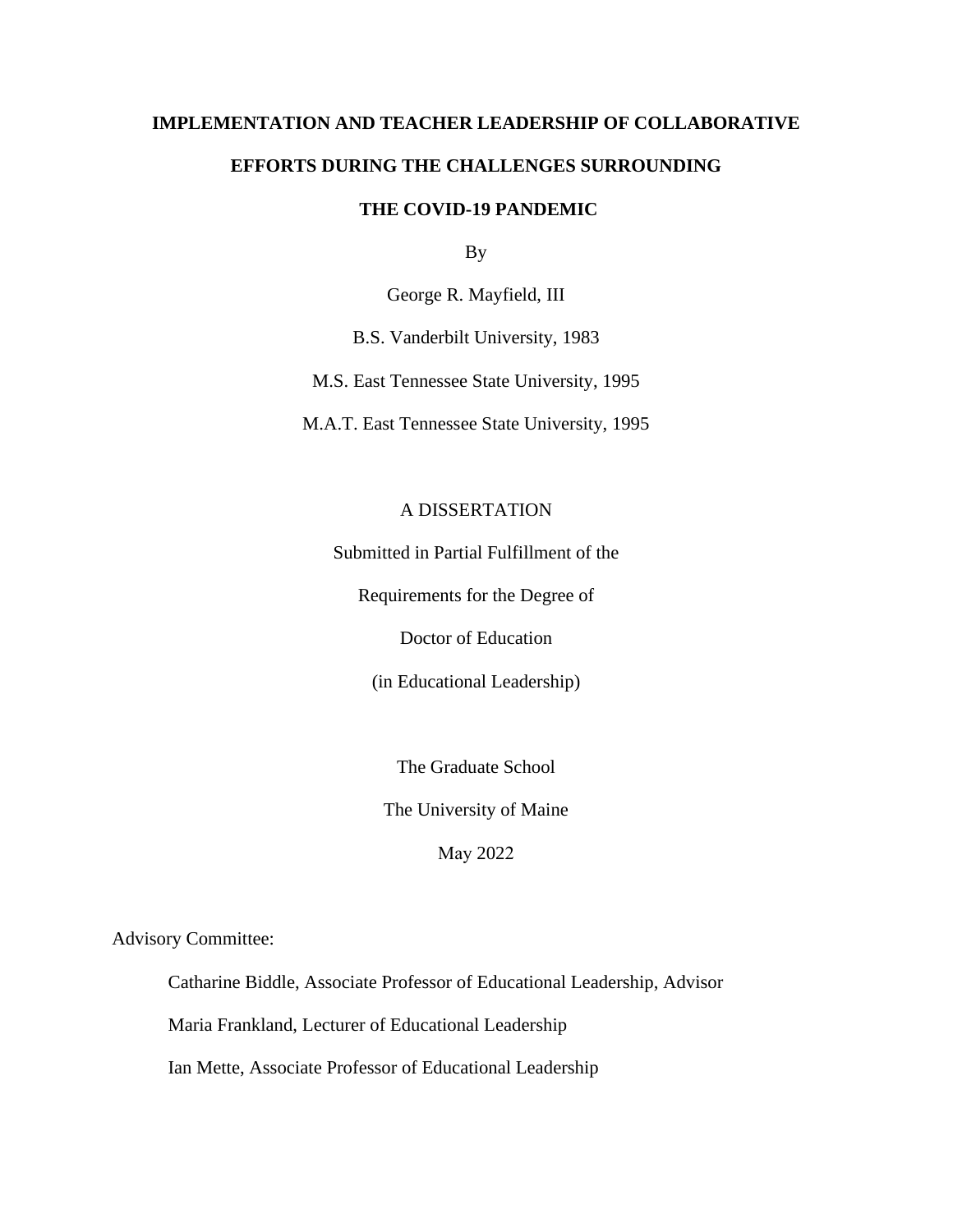# **IMPLEMENTATION AND TEACHER LEADERSHIP OF COLLABORATIVE EFFORTS DURING THE CHALLENGES SURROUNDING**

# **THE COVID-19 PANDEMIC**

By

George R. Mayfield, III

B.S. Vanderbilt University, 1983

M.S. East Tennessee State University, 1995

M.A.T. East Tennessee State University, 1995

# A DISSERTATION

Submitted in Partial Fulfillment of the

Requirements for the Degree of

Doctor of Education

(in Educational Leadership)

The Graduate School

The University of Maine

May 2022

Advisory Committee:

Catharine Biddle, Associate Professor of Educational Leadership, Advisor

Maria Frankland, Lecturer of Educational Leadership

Ian Mette, Associate Professor of Educational Leadership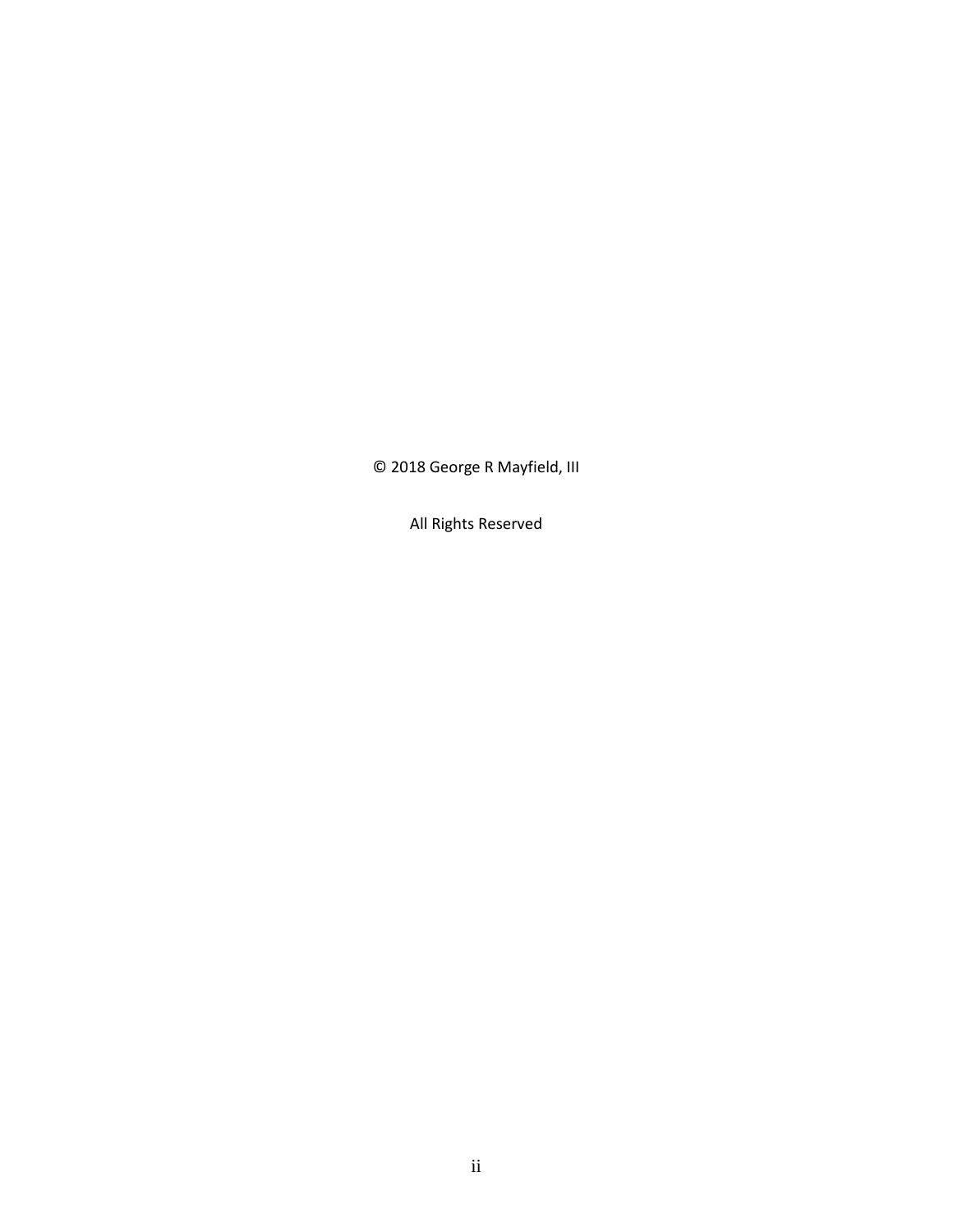© 2018 George R Mayfield, III

All Rights Reserved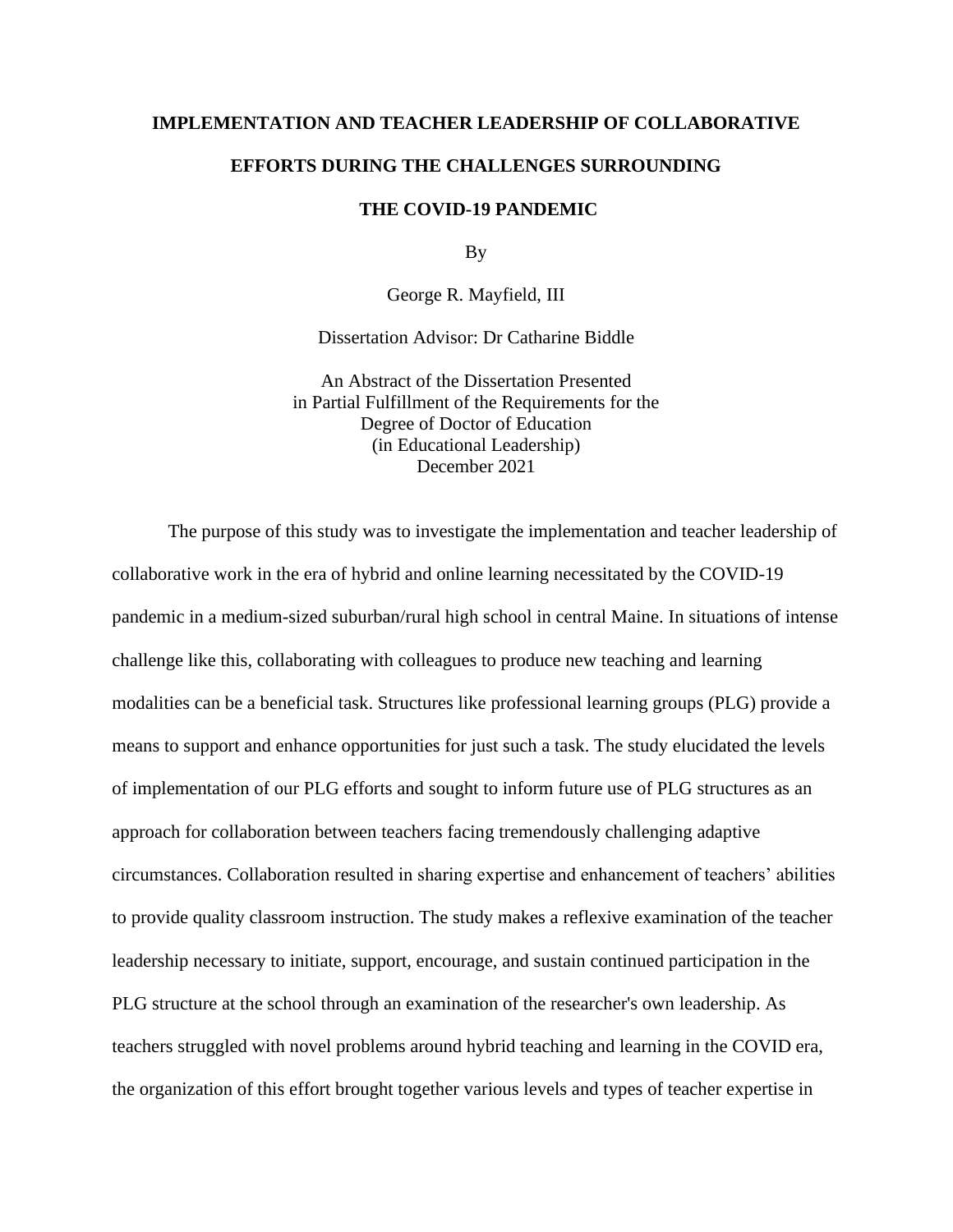# **IMPLEMENTATION AND TEACHER LEADERSHIP OF COLLABORATIVE**

# **EFFORTS DURING THE CHALLENGES SURROUNDING**

# **THE COVID-19 PANDEMIC**

By

George R. Mayfield, III

Dissertation Advisor: Dr Catharine Biddle

An Abstract of the Dissertation Presented in Partial Fulfillment of the Requirements for the Degree of Doctor of Education (in Educational Leadership) December 2021

The purpose of this study was to investigate the implementation and teacher leadership of collaborative work in the era of hybrid and online learning necessitated by the COVID-19 pandemic in a medium-sized suburban/rural high school in central Maine. In situations of intense challenge like this, collaborating with colleagues to produce new teaching and learning modalities can be a beneficial task. Structures like professional learning groups (PLG) provide a means to support and enhance opportunities for just such a task. The study elucidated the levels of implementation of our PLG efforts and sought to inform future use of PLG structures as an approach for collaboration between teachers facing tremendously challenging adaptive circumstances. Collaboration resulted in sharing expertise and enhancement of teachers' abilities to provide quality classroom instruction. The study makes a reflexive examination of the teacher leadership necessary to initiate, support, encourage, and sustain continued participation in the PLG structure at the school through an examination of the researcher's own leadership. As teachers struggled with novel problems around hybrid teaching and learning in the COVID era, the organization of this effort brought together various levels and types of teacher expertise in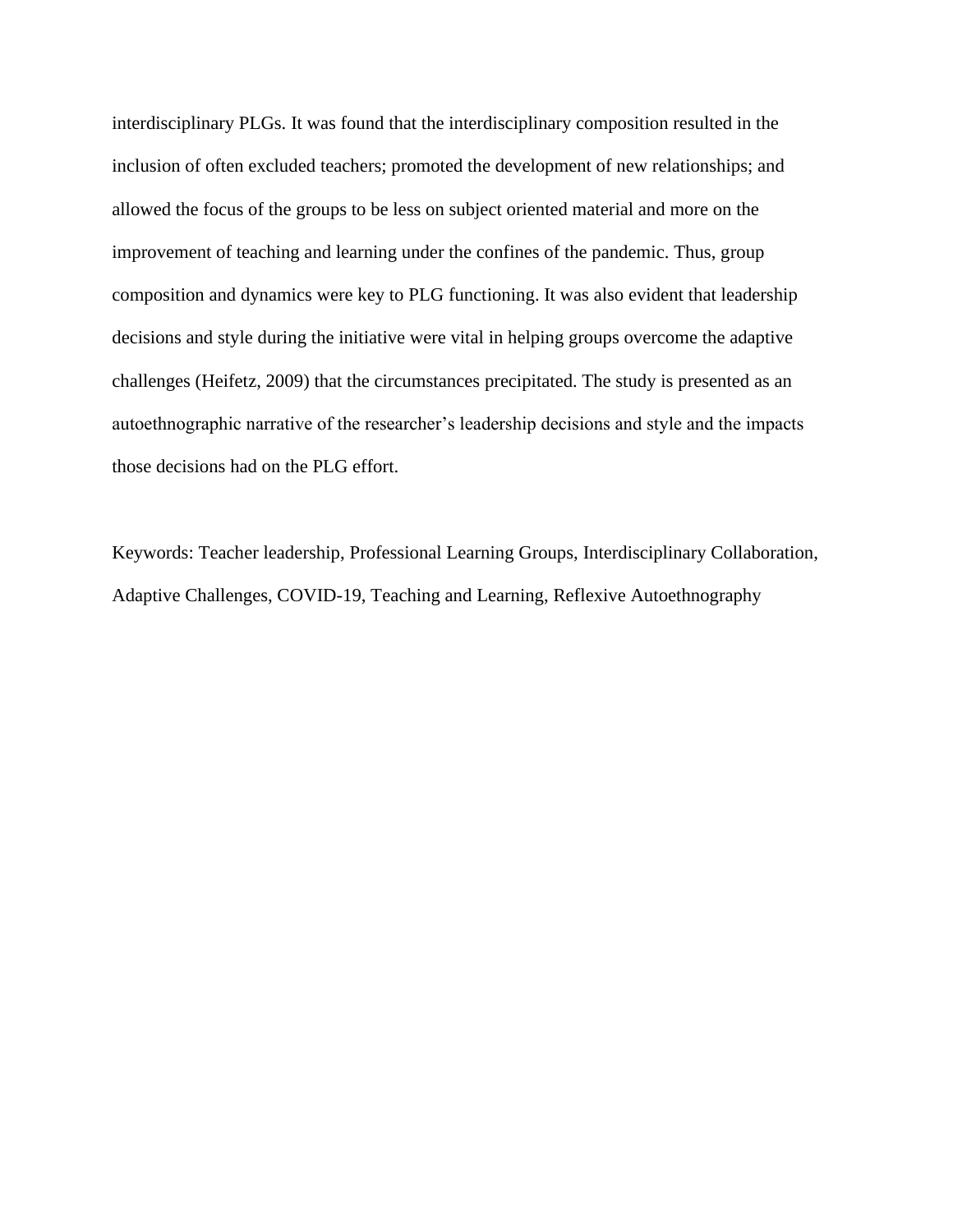interdisciplinary PLGs. It was found that the interdisciplinary composition resulted in the inclusion of often excluded teachers; promoted the development of new relationships; and allowed the focus of the groups to be less on subject oriented material and more on the improvement of teaching and learning under the confines of the pandemic. Thus, group composition and dynamics were key to PLG functioning. It was also evident that leadership decisions and style during the initiative were vital in helping groups overcome the adaptive challenges (Heifetz, 2009) that the circumstances precipitated. The study is presented as an autoethnographic narrative of the researcher's leadership decisions and style and the impacts those decisions had on the PLG effort.

Keywords: Teacher leadership, Professional Learning Groups, Interdisciplinary Collaboration, Adaptive Challenges, COVID-19, Teaching and Learning, Reflexive Autoethnography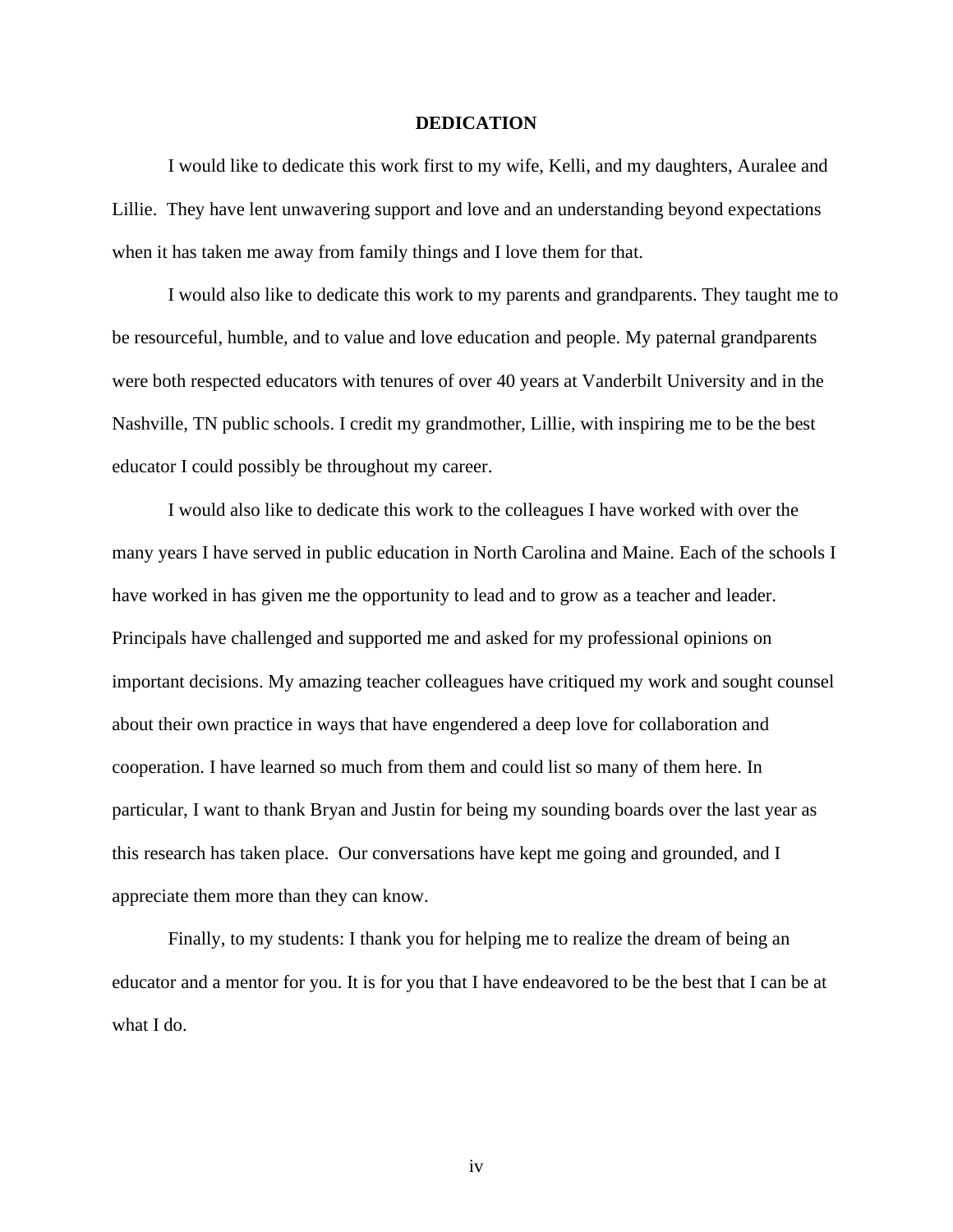# **DEDICATION**

<span id="page-5-0"></span>I would like to dedicate this work first to my wife, Kelli, and my daughters, Auralee and Lillie. They have lent unwavering support and love and an understanding beyond expectations when it has taken me away from family things and I love them for that.

I would also like to dedicate this work to my parents and grandparents. They taught me to be resourceful, humble, and to value and love education and people. My paternal grandparents were both respected educators with tenures of over 40 years at Vanderbilt University and in the Nashville, TN public schools. I credit my grandmother, Lillie, with inspiring me to be the best educator I could possibly be throughout my career.

I would also like to dedicate this work to the colleagues I have worked with over the many years I have served in public education in North Carolina and Maine. Each of the schools I have worked in has given me the opportunity to lead and to grow as a teacher and leader. Principals have challenged and supported me and asked for my professional opinions on important decisions. My amazing teacher colleagues have critiqued my work and sought counsel about their own practice in ways that have engendered a deep love for collaboration and cooperation. I have learned so much from them and could list so many of them here. In particular, I want to thank Bryan and Justin for being my sounding boards over the last year as this research has taken place. Our conversations have kept me going and grounded, and I appreciate them more than they can know.

Finally, to my students: I thank you for helping me to realize the dream of being an educator and a mentor for you. It is for you that I have endeavored to be the best that I can be at what I do.

iv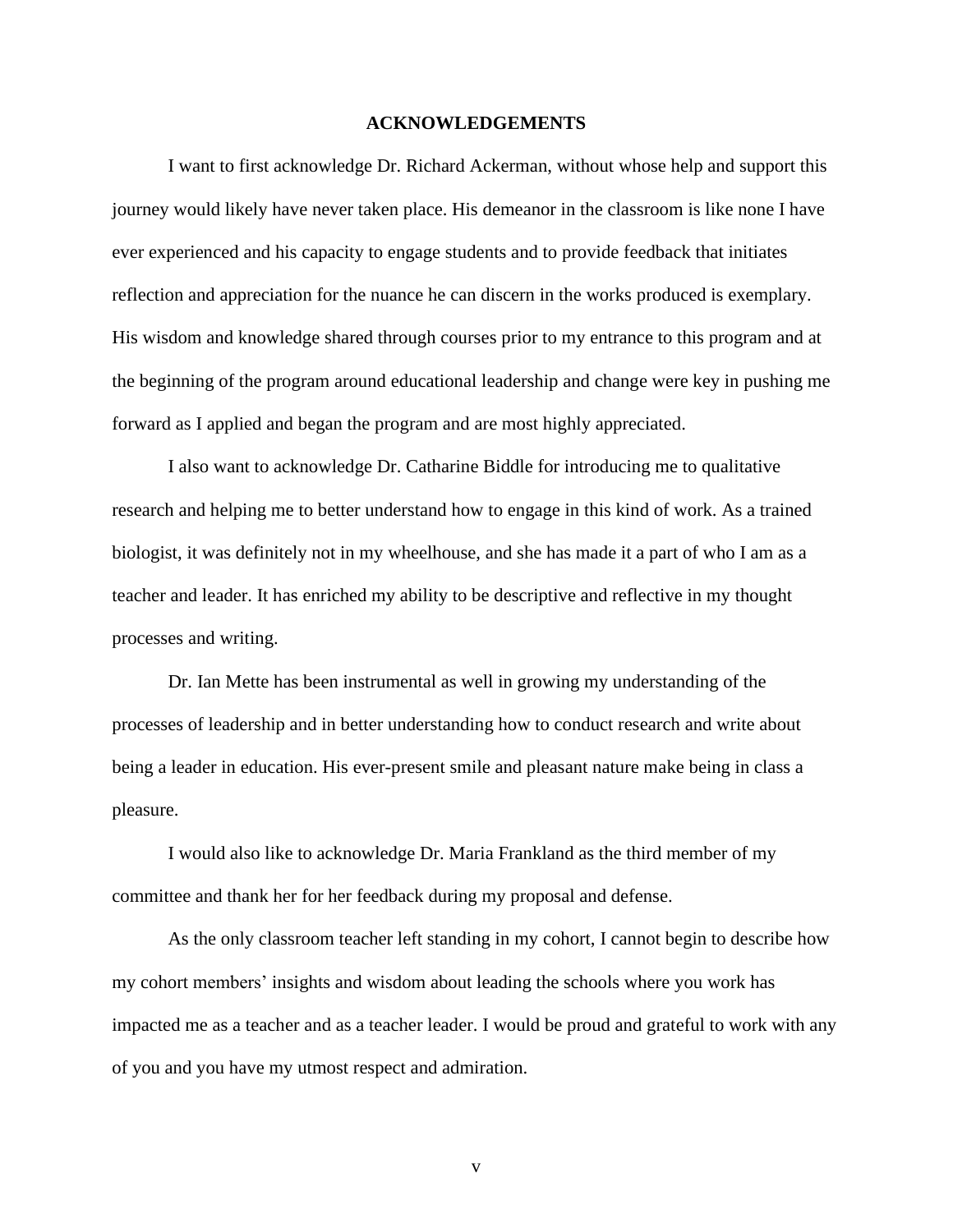# **ACKNOWLEDGEMENTS**

<span id="page-6-0"></span>I want to first acknowledge Dr. Richard Ackerman, without whose help and support this journey would likely have never taken place. His demeanor in the classroom is like none I have ever experienced and his capacity to engage students and to provide feedback that initiates reflection and appreciation for the nuance he can discern in the works produced is exemplary. His wisdom and knowledge shared through courses prior to my entrance to this program and at the beginning of the program around educational leadership and change were key in pushing me forward as I applied and began the program and are most highly appreciated.

I also want to acknowledge Dr. Catharine Biddle for introducing me to qualitative research and helping me to better understand how to engage in this kind of work. As a trained biologist, it was definitely not in my wheelhouse, and she has made it a part of who I am as a teacher and leader. It has enriched my ability to be descriptive and reflective in my thought processes and writing.

Dr. Ian Mette has been instrumental as well in growing my understanding of the processes of leadership and in better understanding how to conduct research and write about being a leader in education. His ever-present smile and pleasant nature make being in class a pleasure.

I would also like to acknowledge Dr. Maria Frankland as the third member of my committee and thank her for her feedback during my proposal and defense.

As the only classroom teacher left standing in my cohort, I cannot begin to describe how my cohort members' insights and wisdom about leading the schools where you work has impacted me as a teacher and as a teacher leader. I would be proud and grateful to work with any of you and you have my utmost respect and admiration.

v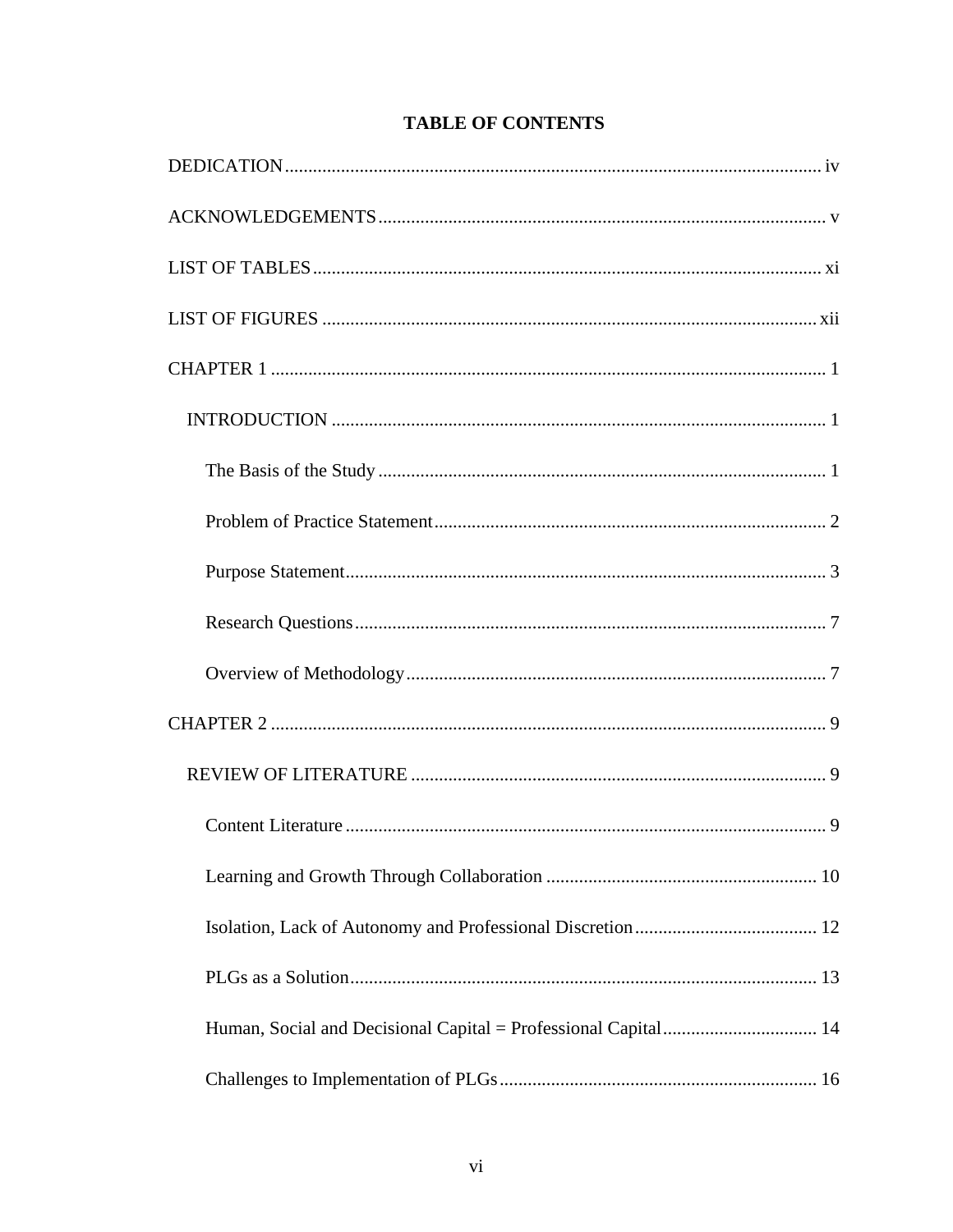# **TABLE OF CONTENTS**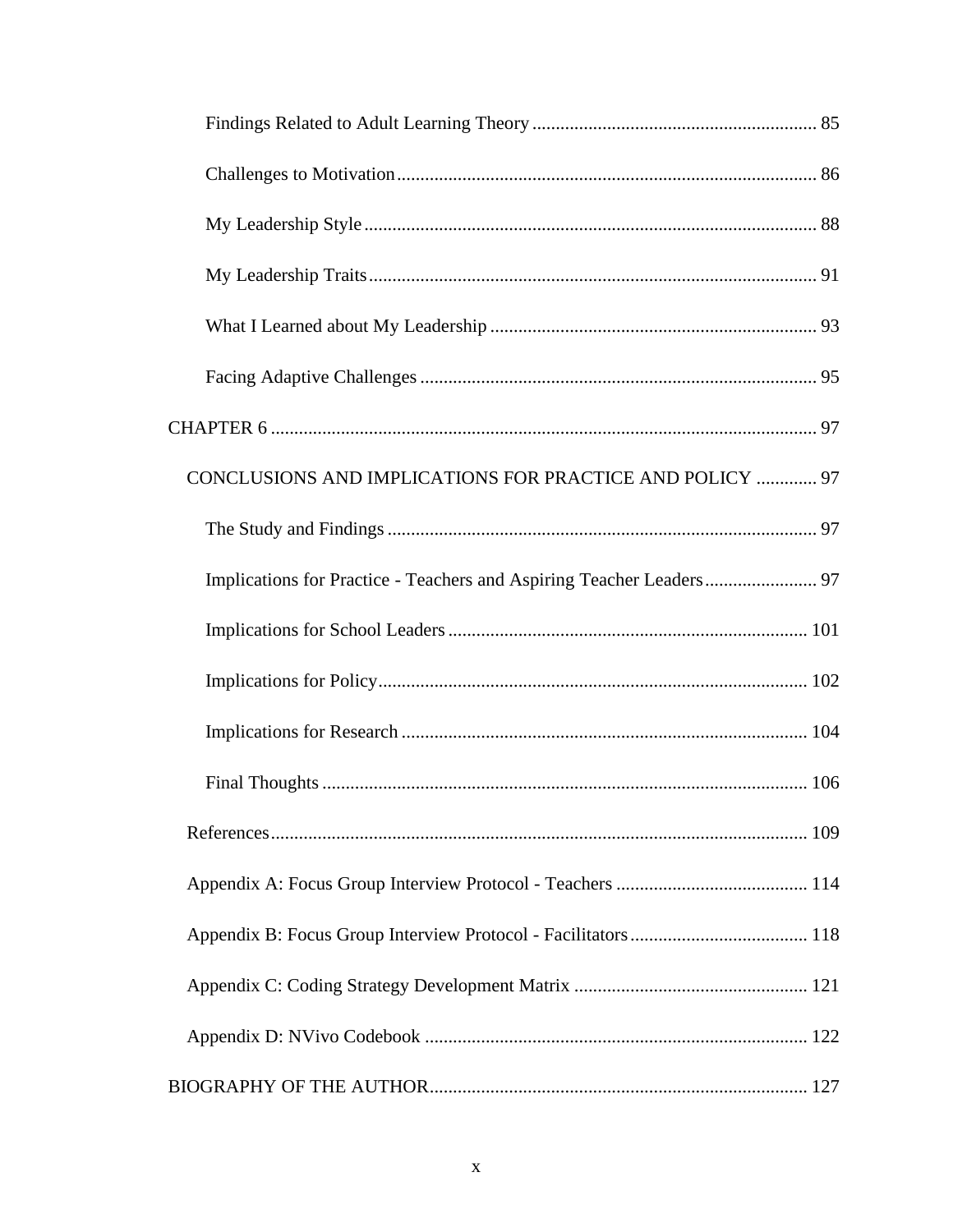| CONCLUSIONS AND IMPLICATIONS FOR PRACTICE AND POLICY  97             |  |
|----------------------------------------------------------------------|--|
|                                                                      |  |
| Implications for Practice - Teachers and Aspiring Teacher Leaders 97 |  |
|                                                                      |  |
|                                                                      |  |
|                                                                      |  |
|                                                                      |  |
|                                                                      |  |
|                                                                      |  |
|                                                                      |  |
|                                                                      |  |
|                                                                      |  |
|                                                                      |  |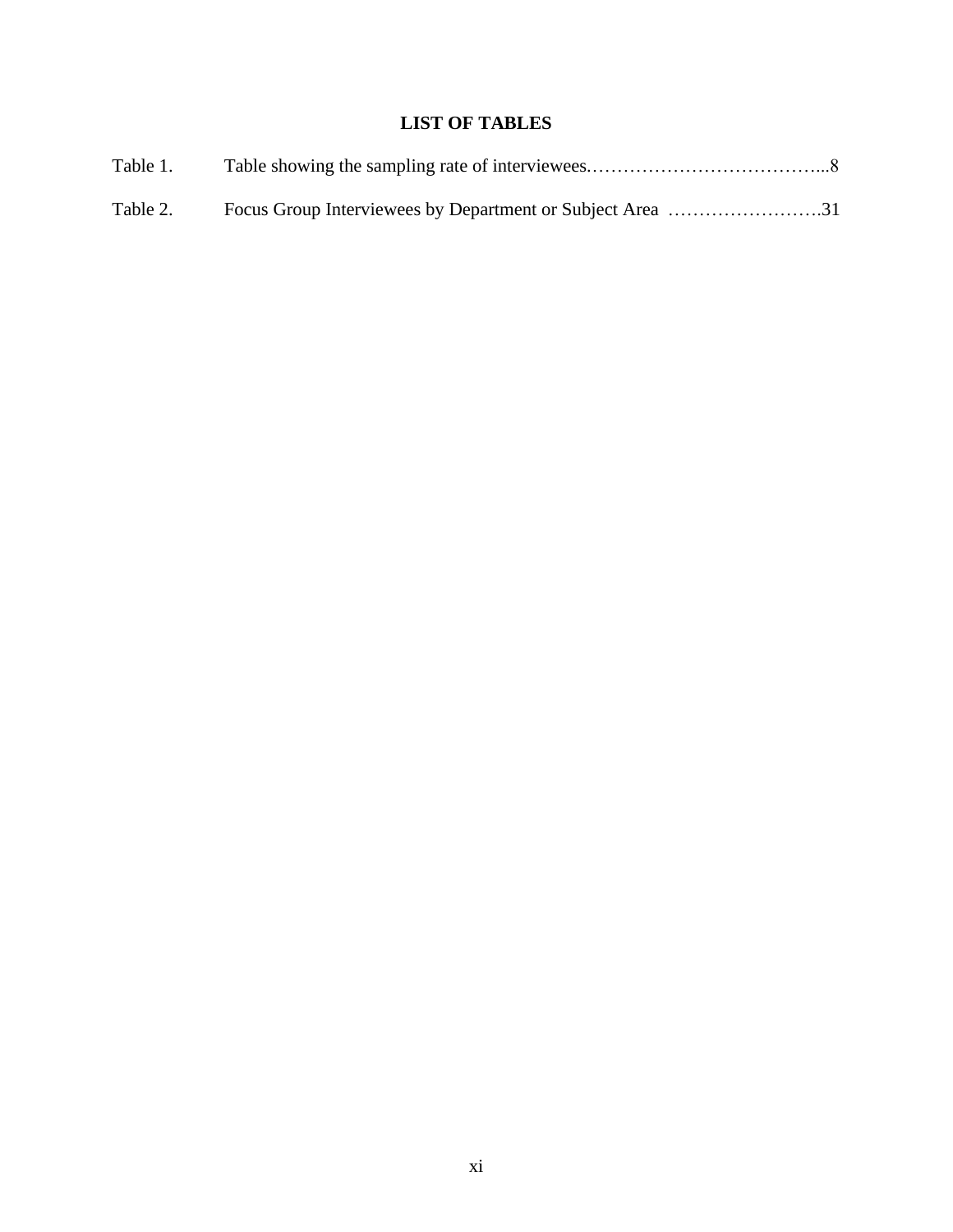# <span id="page-12-0"></span>**LIST OF TABLES**

| Table 1. |                                                           |  |
|----------|-----------------------------------------------------------|--|
| Table 2. | Focus Group Interviewees by Department or Subject Area 31 |  |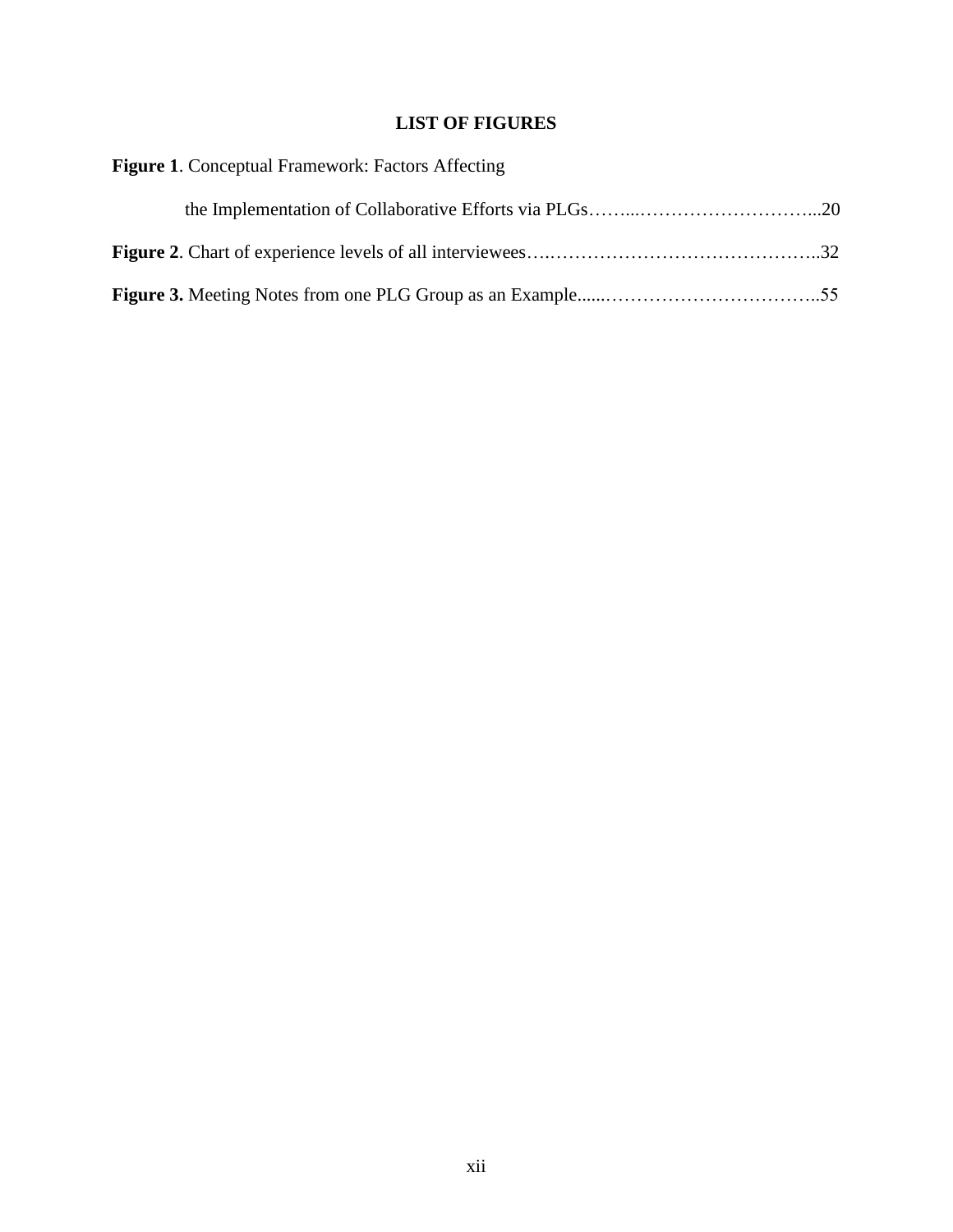# **LIST OF FIGURES**

<span id="page-13-0"></span>

| <b>Figure 1.</b> Conceptual Framework: Factors Affecting |  |
|----------------------------------------------------------|--|
|                                                          |  |
|                                                          |  |
|                                                          |  |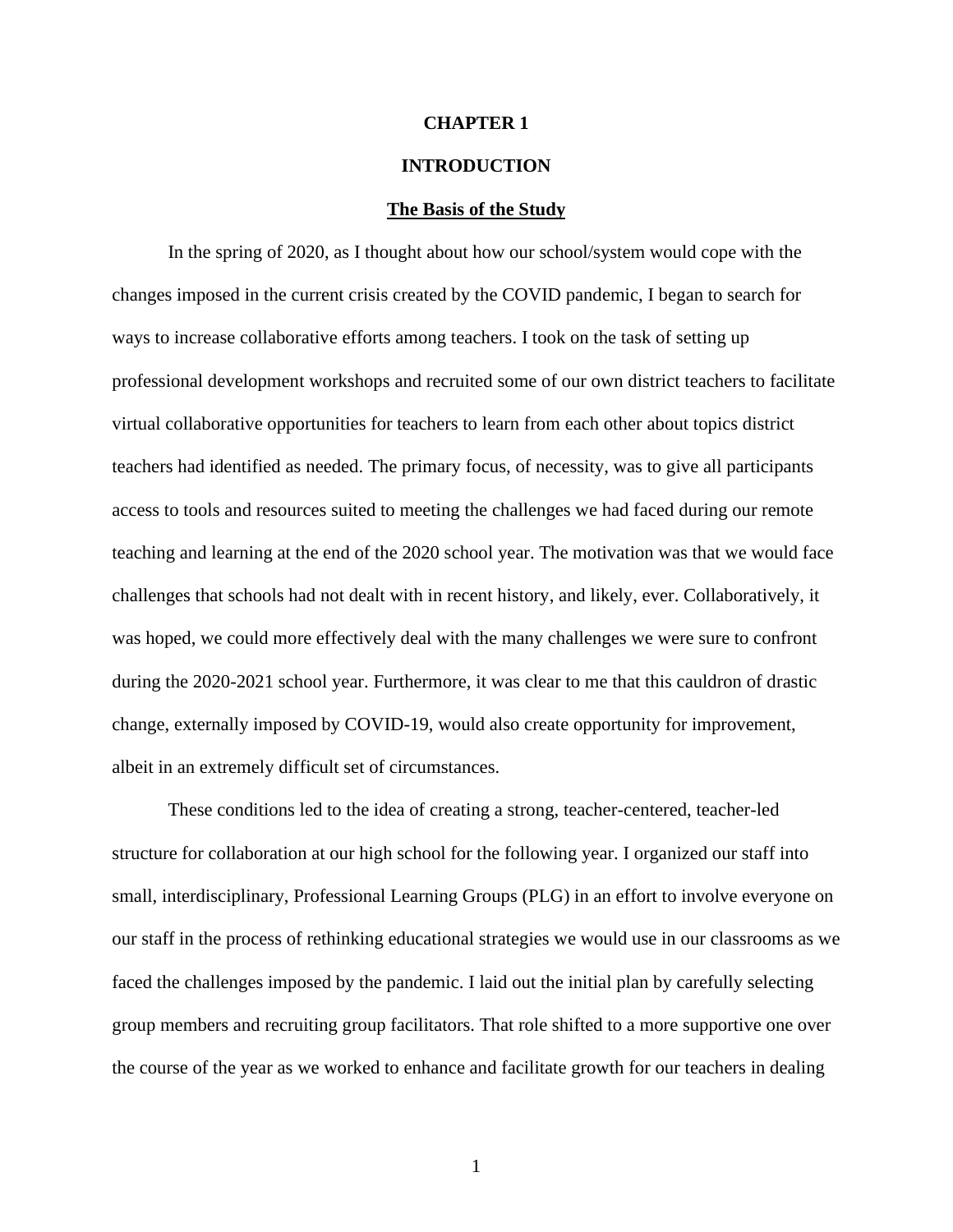# **CHAPTER 1**

# **INTRODUCTION**

# **The Basis of the Study**

<span id="page-14-2"></span><span id="page-14-1"></span><span id="page-14-0"></span>In the spring of 2020, as I thought about how our school/system would cope with the changes imposed in the current crisis created by the COVID pandemic, I began to search for ways to increase collaborative efforts among teachers. I took on the task of setting up professional development workshops and recruited some of our own district teachers to facilitate virtual collaborative opportunities for teachers to learn from each other about topics district teachers had identified as needed. The primary focus, of necessity, was to give all participants access to tools and resources suited to meeting the challenges we had faced during our remote teaching and learning at the end of the 2020 school year. The motivation was that we would face challenges that schools had not dealt with in recent history, and likely, ever. Collaboratively, it was hoped, we could more effectively deal with the many challenges we were sure to confront during the 2020-2021 school year. Furthermore, it was clear to me that this cauldron of drastic change, externally imposed by COVID-19, would also create opportunity for improvement, albeit in an extremely difficult set of circumstances.

These conditions led to the idea of creating a strong, teacher-centered, teacher-led structure for collaboration at our high school for the following year. I organized our staff into small, interdisciplinary, Professional Learning Groups (PLG) in an effort to involve everyone on our staff in the process of rethinking educational strategies we would use in our classrooms as we faced the challenges imposed by the pandemic. I laid out the initial plan by carefully selecting group members and recruiting group facilitators. That role shifted to a more supportive one over the course of the year as we worked to enhance and facilitate growth for our teachers in dealing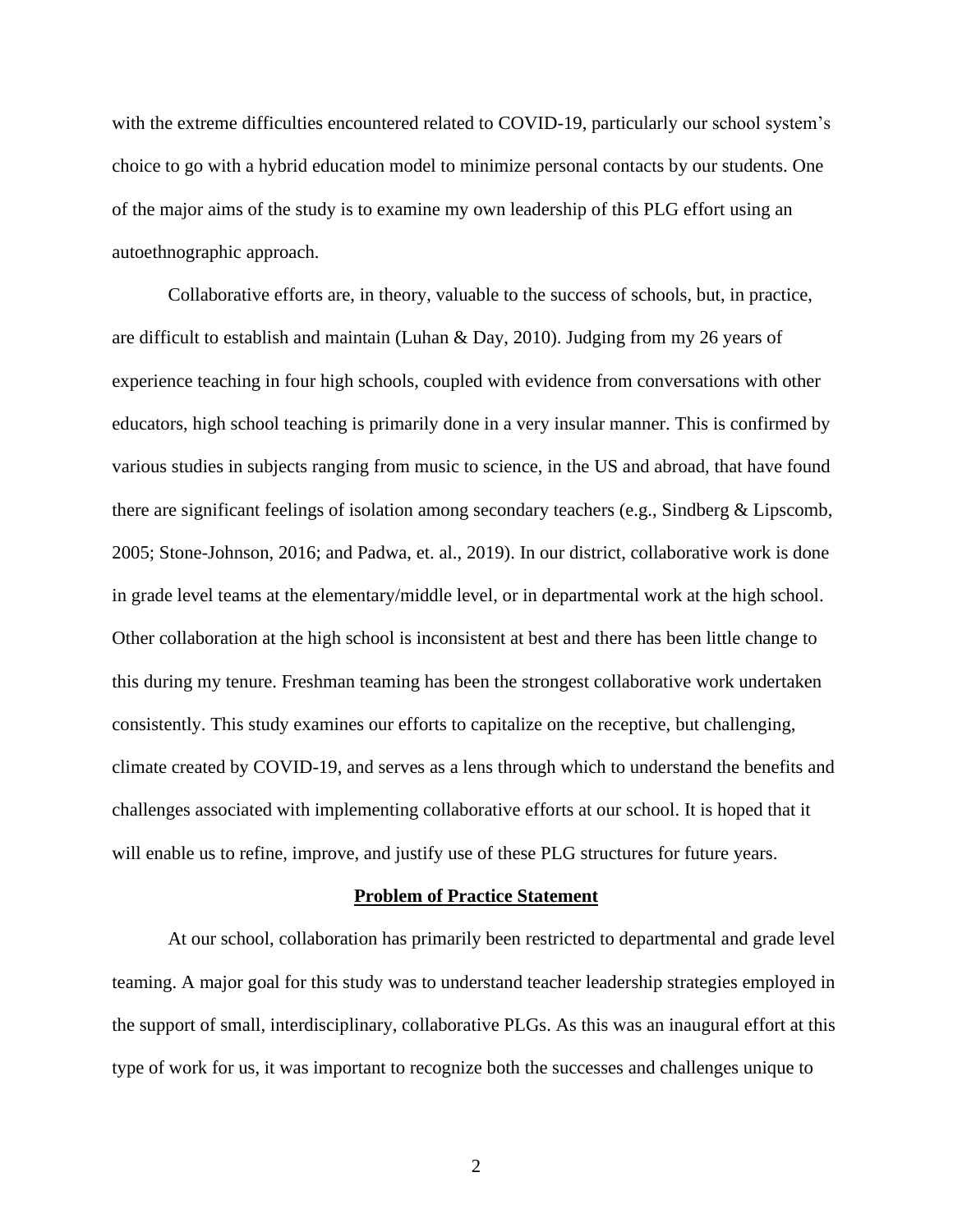with the extreme difficulties encountered related to COVID-19, particularly our school system's choice to go with a hybrid education model to minimize personal contacts by our students. One of the major aims of the study is to examine my own leadership of this PLG effort using an autoethnographic approach.

Collaborative efforts are, in theory, valuable to the success of schools, but, in practice, are difficult to establish and maintain (Luhan & Day, 2010). Judging from my 26 years of experience teaching in four high schools, coupled with evidence from conversations with other educators, high school teaching is primarily done in a very insular manner. This is confirmed by various studies in subjects ranging from music to science, in the US and abroad, that have found there are significant feelings of isolation among secondary teachers (e.g., Sindberg & Lipscomb, 2005; Stone-Johnson, 2016; and Padwa, et. al., 2019). In our district, collaborative work is done in grade level teams at the elementary/middle level, or in departmental work at the high school. Other collaboration at the high school is inconsistent at best and there has been little change to this during my tenure. Freshman teaming has been the strongest collaborative work undertaken consistently. This study examines our efforts to capitalize on the receptive, but challenging, climate created by COVID-19, and serves as a lens through which to understand the benefits and challenges associated with implementing collaborative efforts at our school. It is hoped that it will enable us to refine, improve, and justify use of these PLG structures for future years.

#### **Problem of Practice Statement**

<span id="page-15-0"></span>At our school, collaboration has primarily been restricted to departmental and grade level teaming. A major goal for this study was to understand teacher leadership strategies employed in the support of small, interdisciplinary, collaborative PLGs. As this was an inaugural effort at this type of work for us, it was important to recognize both the successes and challenges unique to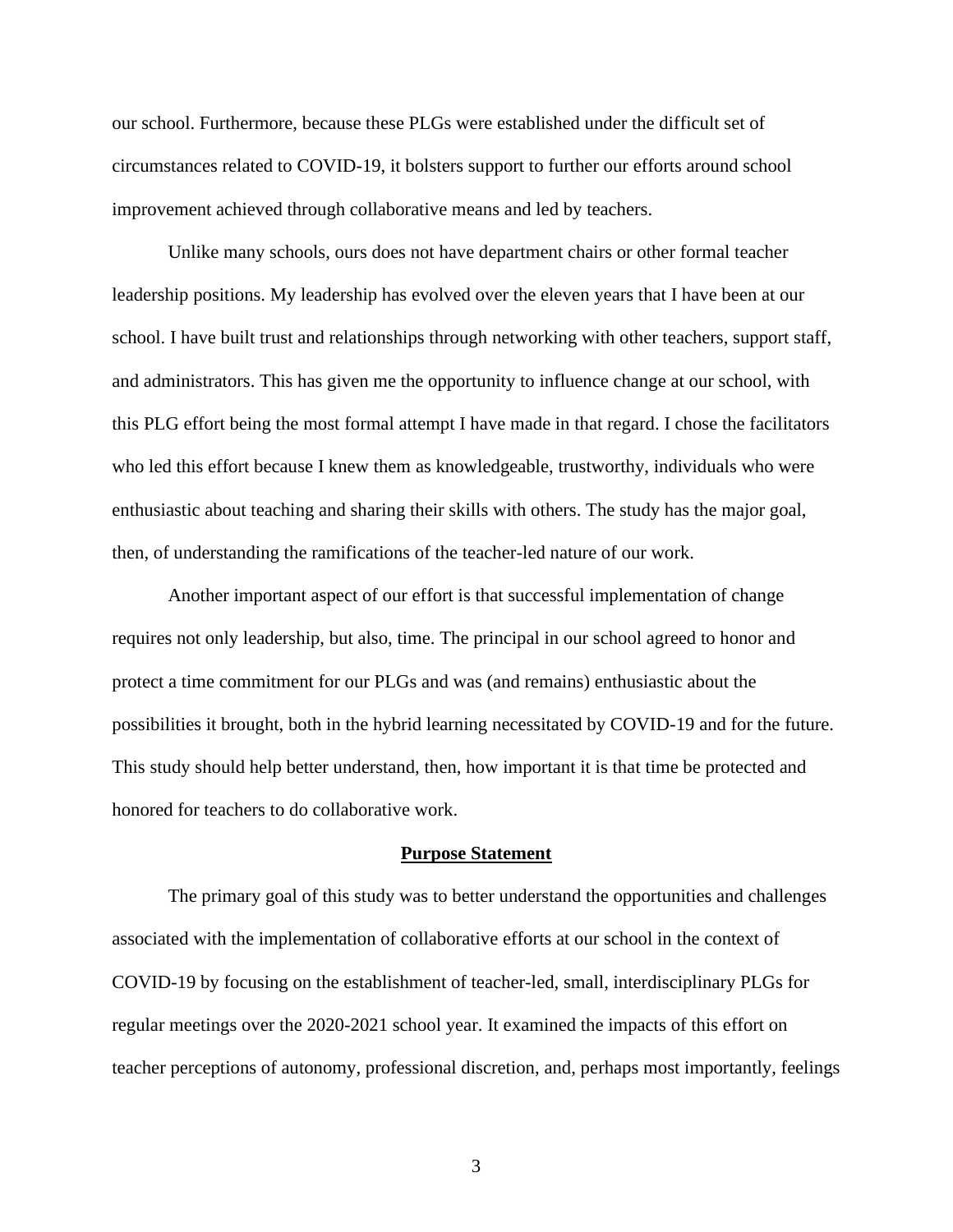our school. Furthermore, because these PLGs were established under the difficult set of circumstances related to COVID-19, it bolsters support to further our efforts around school improvement achieved through collaborative means and led by teachers.

Unlike many schools, ours does not have department chairs or other formal teacher leadership positions. My leadership has evolved over the eleven years that I have been at our school. I have built trust and relationships through networking with other teachers, support staff, and administrators. This has given me the opportunity to influence change at our school, with this PLG effort being the most formal attempt I have made in that regard. I chose the facilitators who led this effort because I knew them as knowledgeable, trustworthy, individuals who were enthusiastic about teaching and sharing their skills with others. The study has the major goal, then, of understanding the ramifications of the teacher-led nature of our work.

Another important aspect of our effort is that successful implementation of change requires not only leadership, but also, time. The principal in our school agreed to honor and protect a time commitment for our PLGs and was (and remains) enthusiastic about the possibilities it brought, both in the hybrid learning necessitated by COVID-19 and for the future. This study should help better understand, then, how important it is that time be protected and honored for teachers to do collaborative work.

#### **Purpose Statement**

<span id="page-16-0"></span>The primary goal of this study was to better understand the opportunities and challenges associated with the implementation of collaborative efforts at our school in the context of COVID-19 by focusing on the establishment of teacher-led, small, interdisciplinary PLGs for regular meetings over the 2020-2021 school year. It examined the impacts of this effort on teacher perceptions of autonomy, professional discretion, and, perhaps most importantly, feelings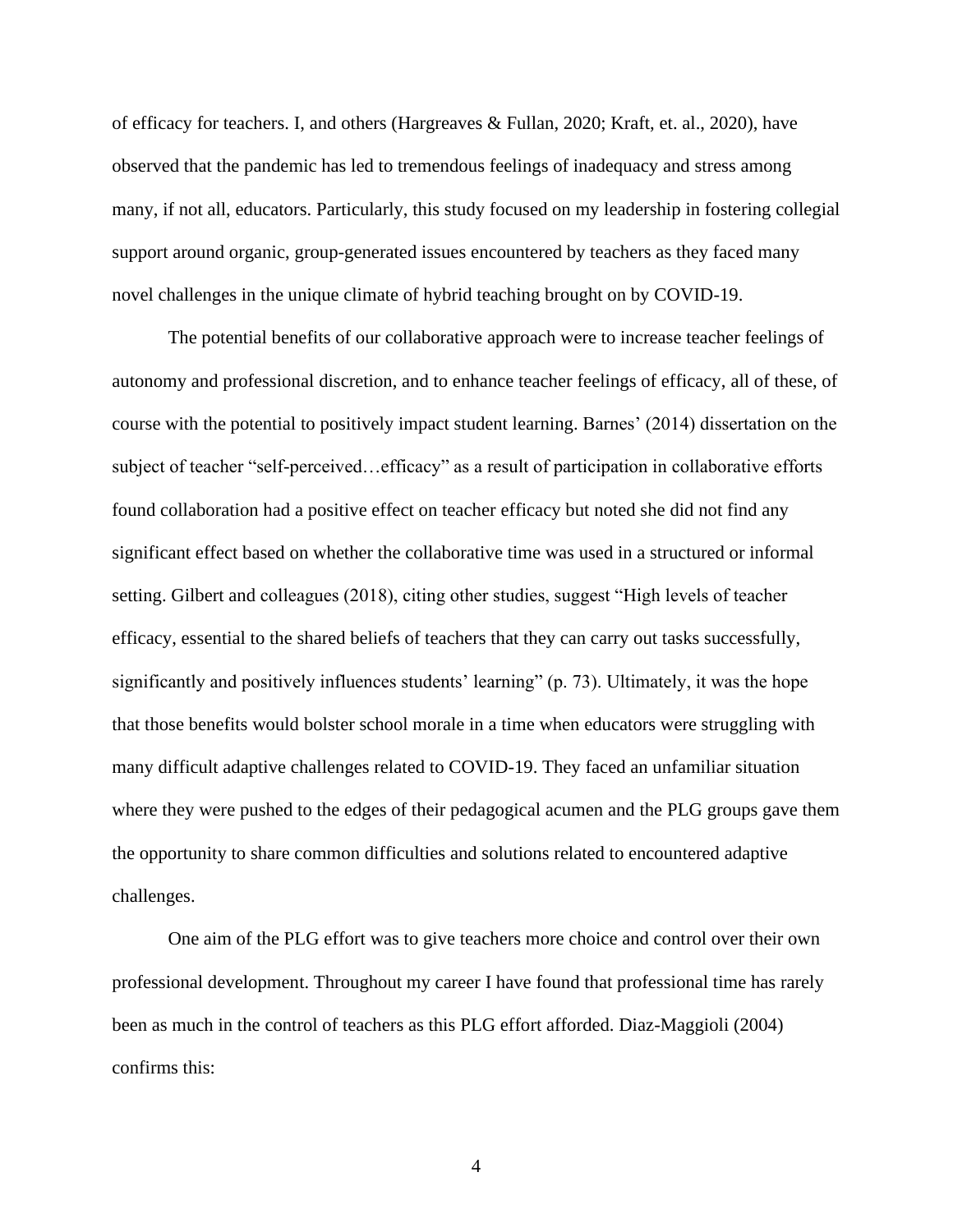of efficacy for teachers. I, and others (Hargreaves & Fullan, 2020; Kraft, et. al., 2020), have observed that the pandemic has led to tremendous feelings of inadequacy and stress among many, if not all, educators. Particularly, this study focused on my leadership in fostering collegial support around organic, group-generated issues encountered by teachers as they faced many novel challenges in the unique climate of hybrid teaching brought on by COVID-19.

The potential benefits of our collaborative approach were to increase teacher feelings of autonomy and professional discretion, and to enhance teacher feelings of efficacy, all of these, of course with the potential to positively impact student learning. Barnes' (2014) dissertation on the subject of teacher "self-perceived…efficacy" as a result of participation in collaborative efforts found collaboration had a positive effect on teacher efficacy but noted she did not find any significant effect based on whether the collaborative time was used in a structured or informal setting. Gilbert and colleagues (2018), citing other studies, suggest "High levels of teacher efficacy, essential to the shared beliefs of teachers that they can carry out tasks successfully, significantly and positively influences students' learning" (p. 73). Ultimately, it was the hope that those benefits would bolster school morale in a time when educators were struggling with many difficult adaptive challenges related to COVID-19. They faced an unfamiliar situation where they were pushed to the edges of their pedagogical acumen and the PLG groups gave them the opportunity to share common difficulties and solutions related to encountered adaptive challenges.

One aim of the PLG effort was to give teachers more choice and control over their own professional development. Throughout my career I have found that professional time has rarely been as much in the control of teachers as this PLG effort afforded. Diaz-Maggioli (2004) confirms this: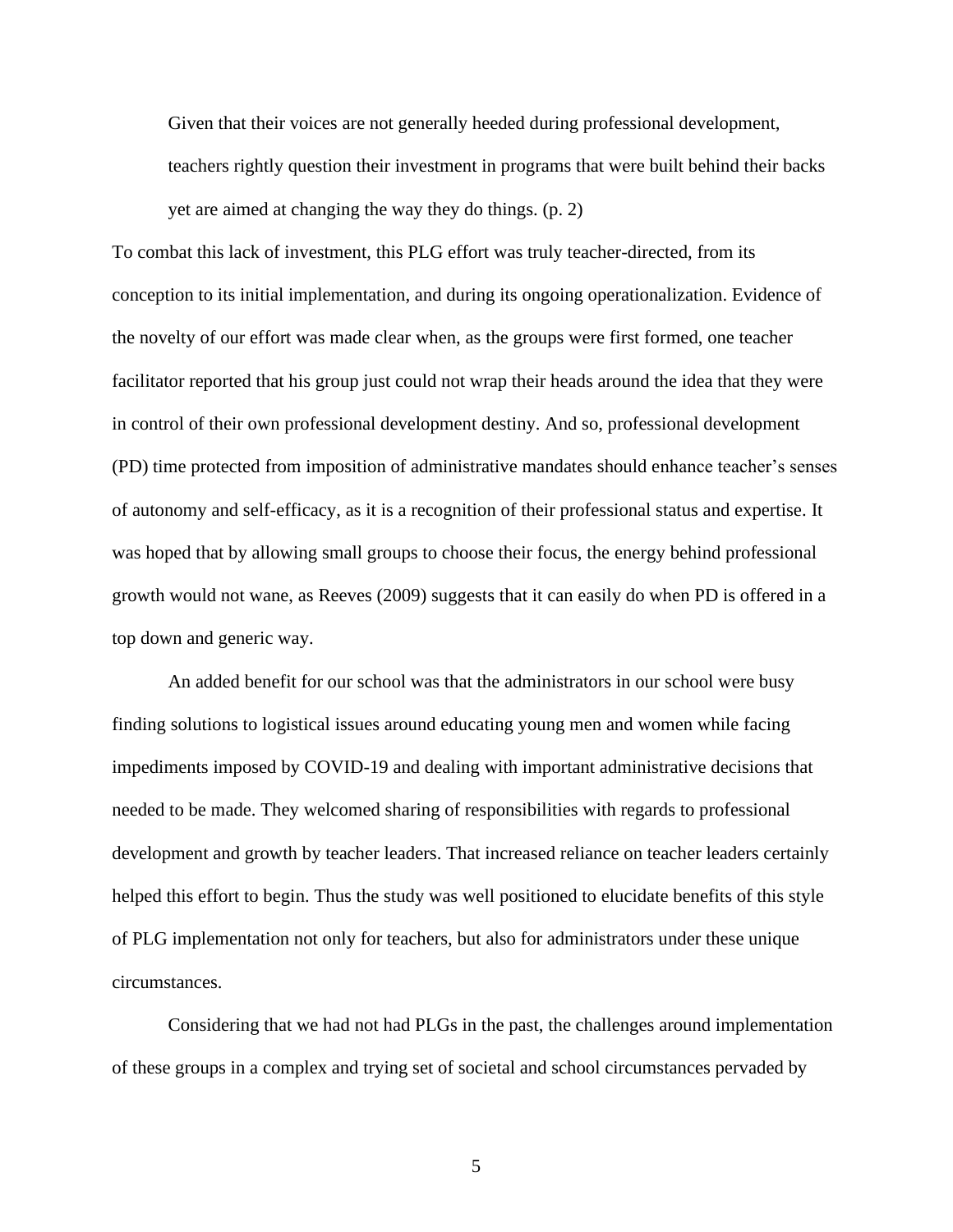Given that their voices are not generally heeded during professional development,

teachers rightly question their investment in programs that were built behind their backs

yet are aimed at changing the way they do things. (p. 2)

To combat this lack of investment, this PLG effort was truly teacher-directed, from its conception to its initial implementation, and during its ongoing operationalization. Evidence of the novelty of our effort was made clear when, as the groups were first formed, one teacher facilitator reported that his group just could not wrap their heads around the idea that they were in control of their own professional development destiny. And so, professional development (PD) time protected from imposition of administrative mandates should enhance teacher's senses of autonomy and self-efficacy, as it is a recognition of their professional status and expertise. It was hoped that by allowing small groups to choose their focus, the energy behind professional growth would not wane, as Reeves (2009) suggests that it can easily do when PD is offered in a top down and generic way.

An added benefit for our school was that the administrators in our school were busy finding solutions to logistical issues around educating young men and women while facing impediments imposed by COVID-19 and dealing with important administrative decisions that needed to be made. They welcomed sharing of responsibilities with regards to professional development and growth by teacher leaders. That increased reliance on teacher leaders certainly helped this effort to begin. Thus the study was well positioned to elucidate benefits of this style of PLG implementation not only for teachers, but also for administrators under these unique circumstances.

Considering that we had not had PLGs in the past, the challenges around implementation of these groups in a complex and trying set of societal and school circumstances pervaded by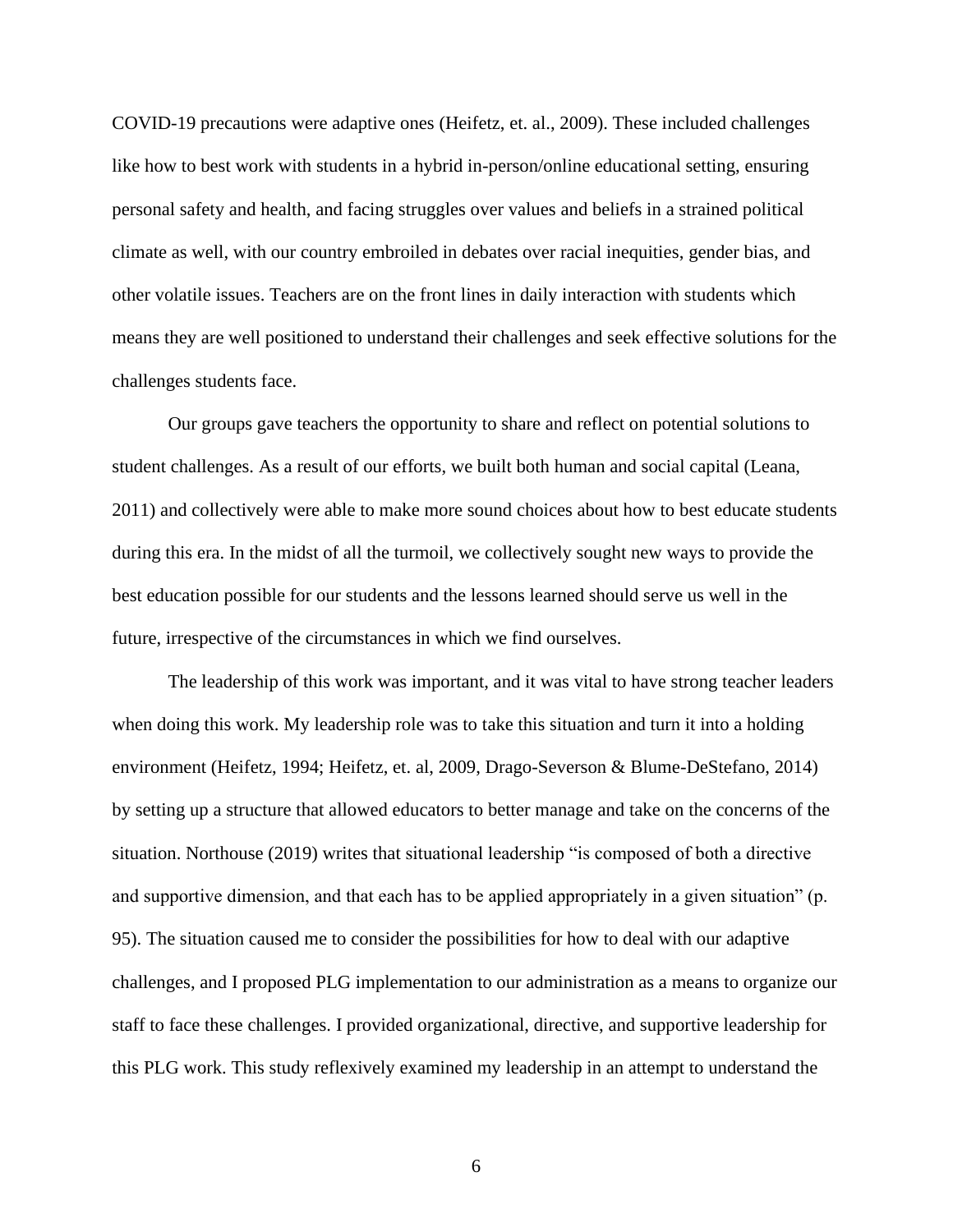COVID-19 precautions were adaptive ones (Heifetz, et. al., 2009). These included challenges like how to best work with students in a hybrid in-person/online educational setting, ensuring personal safety and health, and facing struggles over values and beliefs in a strained political climate as well, with our country embroiled in debates over racial inequities, gender bias, and other volatile issues. Teachers are on the front lines in daily interaction with students which means they are well positioned to understand their challenges and seek effective solutions for the challenges students face.

Our groups gave teachers the opportunity to share and reflect on potential solutions to student challenges. As a result of our efforts, we built both human and social capital (Leana, 2011) and collectively were able to make more sound choices about how to best educate students during this era. In the midst of all the turmoil, we collectively sought new ways to provide the best education possible for our students and the lessons learned should serve us well in the future, irrespective of the circumstances in which we find ourselves.

The leadership of this work was important, and it was vital to have strong teacher leaders when doing this work. My leadership role was to take this situation and turn it into a holding environment (Heifetz, 1994; Heifetz, et. al, 2009, Drago-Severson & Blume-DeStefano, 2014) by setting up a structure that allowed educators to better manage and take on the concerns of the situation. Northouse (2019) writes that situational leadership "is composed of both a directive and supportive dimension, and that each has to be applied appropriately in a given situation" (p. 95). The situation caused me to consider the possibilities for how to deal with our adaptive challenges, and I proposed PLG implementation to our administration as a means to organize our staff to face these challenges. I provided organizational, directive, and supportive leadership for this PLG work. This study reflexively examined my leadership in an attempt to understand the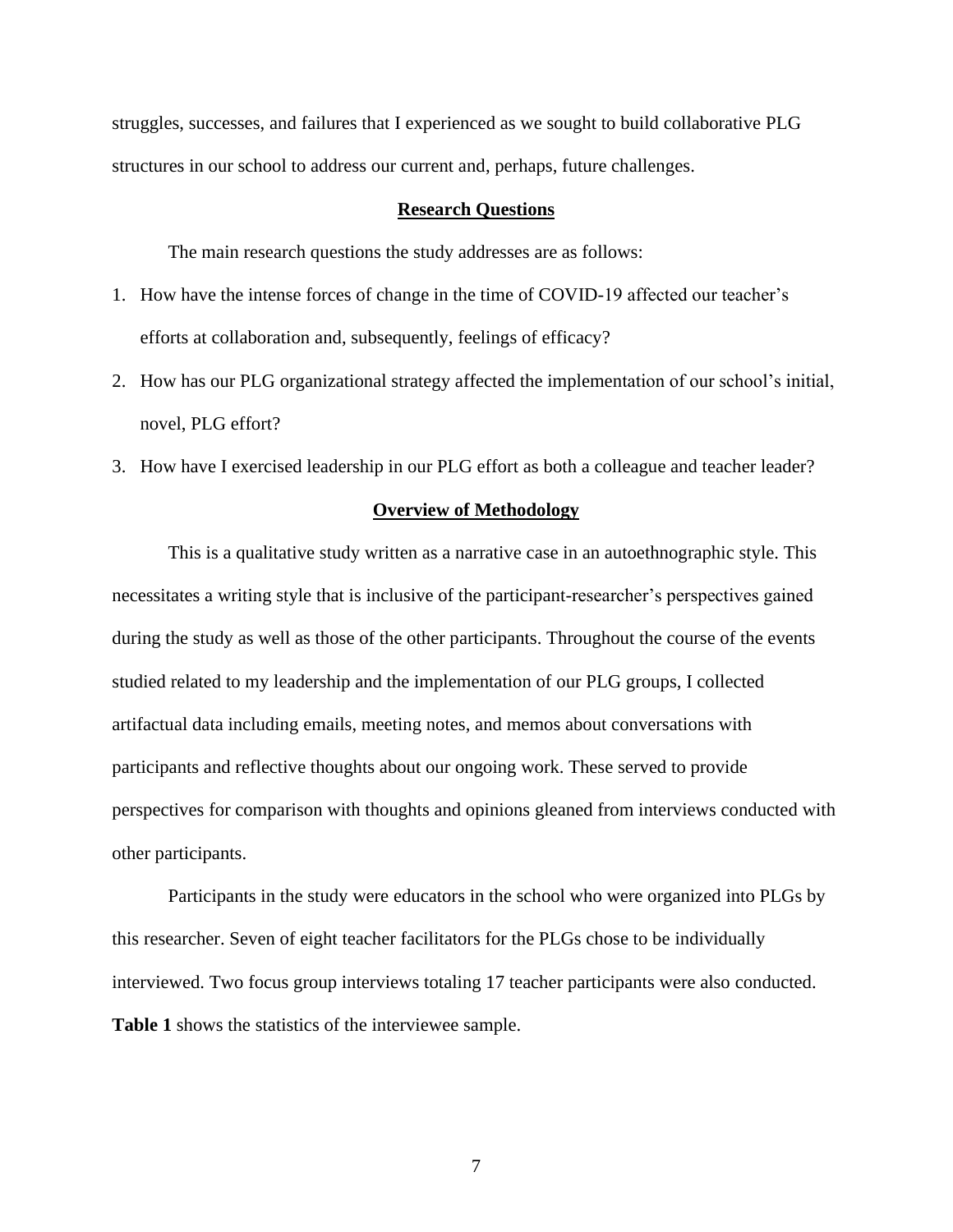struggles, successes, and failures that I experienced as we sought to build collaborative PLG structures in our school to address our current and, perhaps, future challenges.

# **Research Questions**

<span id="page-20-0"></span>The main research questions the study addresses are as follows:

- 1. How have the intense forces of change in the time of COVID-19 affected our teacher's efforts at collaboration and, subsequently, feelings of efficacy?
- 2. How has our PLG organizational strategy affected the implementation of our school's initial, novel, PLG effort?
- <span id="page-20-1"></span>3. How have I exercised leadership in our PLG effort as both a colleague and teacher leader?

#### **Overview of Methodology**

This is a qualitative study written as a narrative case in an autoethnographic style. This necessitates a writing style that is inclusive of the participant-researcher's perspectives gained during the study as well as those of the other participants. Throughout the course of the events studied related to my leadership and the implementation of our PLG groups, I collected artifactual data including emails, meeting notes, and memos about conversations with participants and reflective thoughts about our ongoing work. These served to provide perspectives for comparison with thoughts and opinions gleaned from interviews conducted with other participants.

Participants in the study were educators in the school who were organized into PLGs by this researcher. Seven of eight teacher facilitators for the PLGs chose to be individually interviewed. Two focus group interviews totaling 17 teacher participants were also conducted. **Table 1** shows the statistics of the interviewee sample.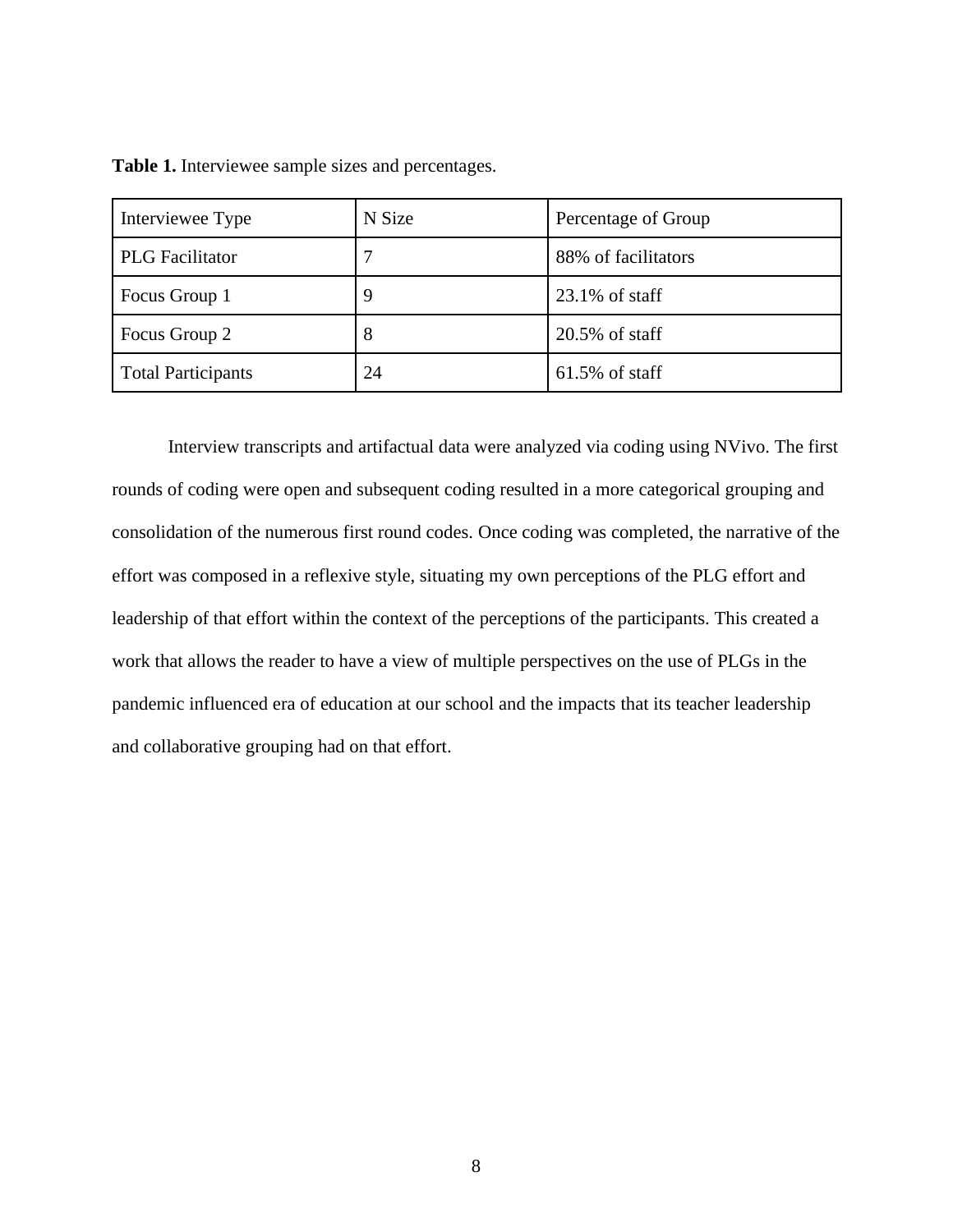**Table 1.** Interviewee sample sizes and percentages.

| Interviewee Type          | N Size | Percentage of Group |
|---------------------------|--------|---------------------|
| <b>PLG</b> Facilitator    |        | 88% of facilitators |
| Focus Group 1             | 9      | $23.1\%$ of staff   |
| Focus Group 2             | 8      | $20.5\%$ of staff   |
| <b>Total Participants</b> | 24     | $61.5\%$ of staff   |

Interview transcripts and artifactual data were analyzed via coding using NVivo. The first rounds of coding were open and subsequent coding resulted in a more categorical grouping and consolidation of the numerous first round codes. Once coding was completed, the narrative of the effort was composed in a reflexive style, situating my own perceptions of the PLG effort and leadership of that effort within the context of the perceptions of the participants. This created a work that allows the reader to have a view of multiple perspectives on the use of PLGs in the pandemic influenced era of education at our school and the impacts that its teacher leadership and collaborative grouping had on that effort.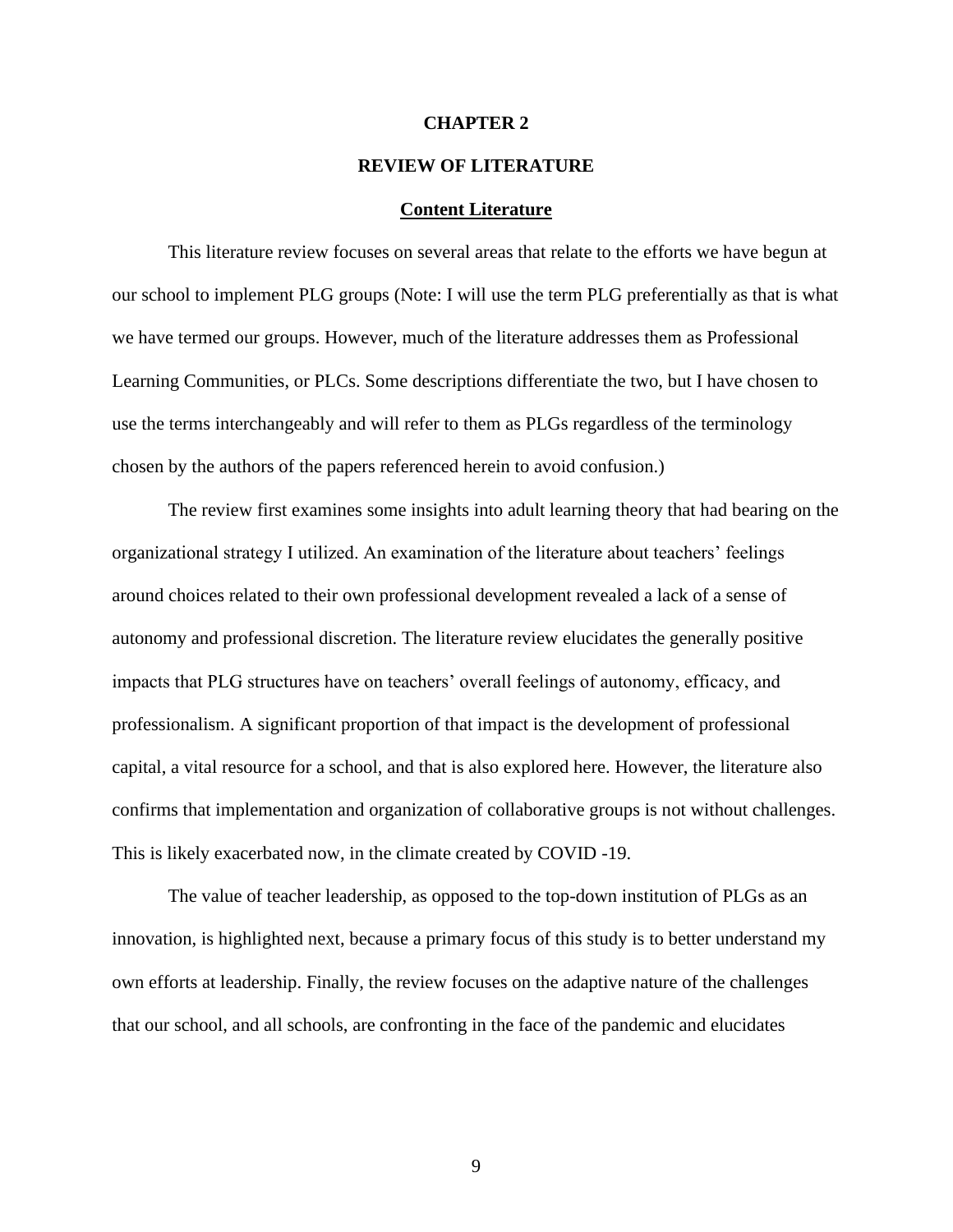#### **CHAPTER 2**

# **REVIEW OF LITERATURE**

# **Content Literature**

<span id="page-22-2"></span><span id="page-22-1"></span><span id="page-22-0"></span>This literature review focuses on several areas that relate to the efforts we have begun at our school to implement PLG groups (Note: I will use the term PLG preferentially as that is what we have termed our groups. However, much of the literature addresses them as Professional Learning Communities, or PLCs. Some descriptions differentiate the two, but I have chosen to use the terms interchangeably and will refer to them as PLGs regardless of the terminology chosen by the authors of the papers referenced herein to avoid confusion.)

The review first examines some insights into adult learning theory that had bearing on the organizational strategy I utilized. An examination of the literature about teachers' feelings around choices related to their own professional development revealed a lack of a sense of autonomy and professional discretion. The literature review elucidates the generally positive impacts that PLG structures have on teachers' overall feelings of autonomy, efficacy, and professionalism. A significant proportion of that impact is the development of professional capital, a vital resource for a school, and that is also explored here. However, the literature also confirms that implementation and organization of collaborative groups is not without challenges. This is likely exacerbated now, in the climate created by COVID -19.

The value of teacher leadership, as opposed to the top-down institution of PLGs as an innovation, is highlighted next, because a primary focus of this study is to better understand my own efforts at leadership. Finally, the review focuses on the adaptive nature of the challenges that our school, and all schools, are confronting in the face of the pandemic and elucidates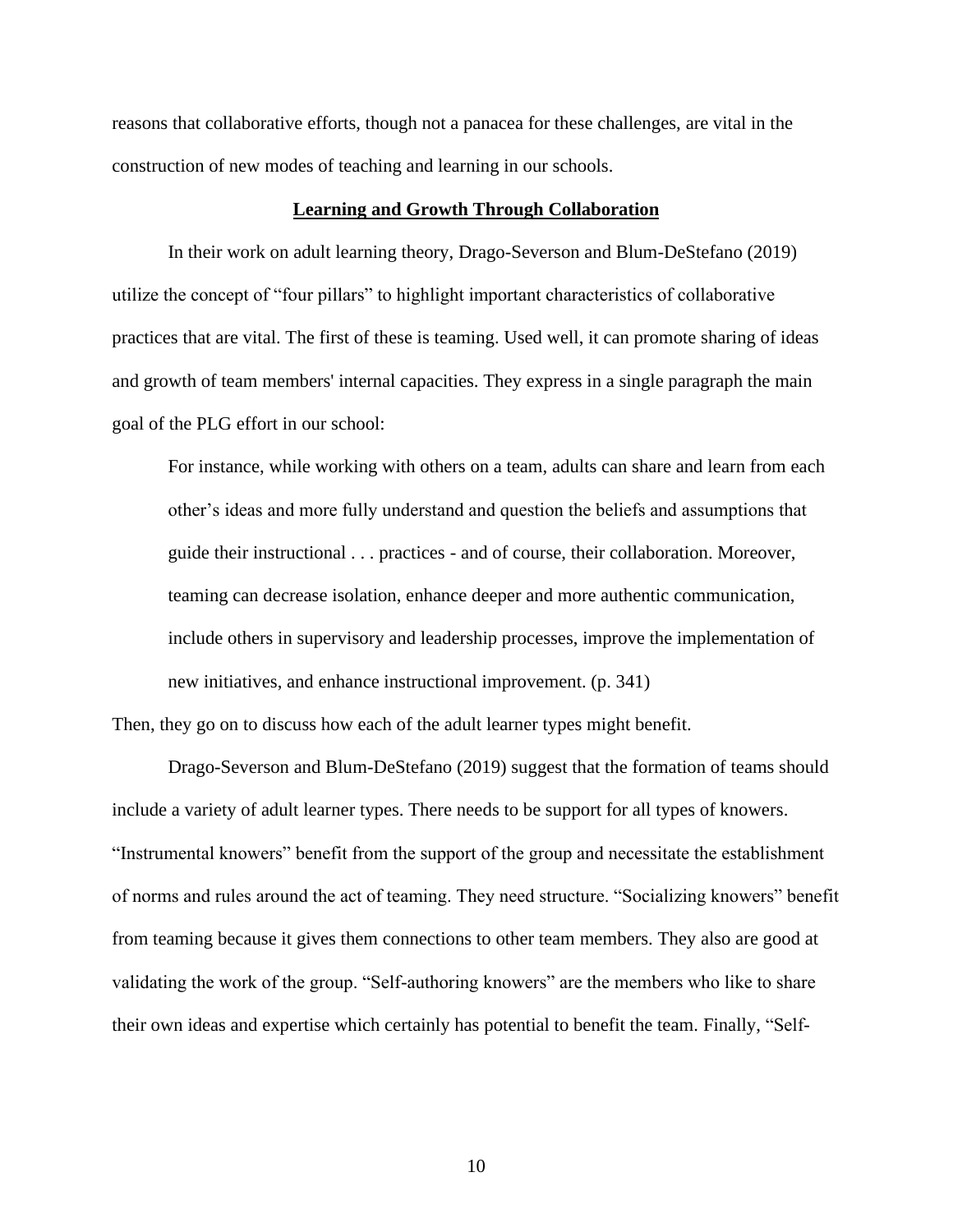reasons that collaborative efforts, though not a panacea for these challenges, are vital in the construction of new modes of teaching and learning in our schools.

# **Learning and Growth Through Collaboration**

<span id="page-23-0"></span>In their work on adult learning theory, Drago-Severson and Blum-DeStefano (2019) utilize the concept of "four pillars" to highlight important characteristics of collaborative practices that are vital. The first of these is teaming. Used well, it can promote sharing of ideas and growth of team members' internal capacities. They express in a single paragraph the main goal of the PLG effort in our school:

For instance, while working with others on a team, adults can share and learn from each other's ideas and more fully understand and question the beliefs and assumptions that guide their instructional . . . practices - and of course, their collaboration. Moreover, teaming can decrease isolation, enhance deeper and more authentic communication, include others in supervisory and leadership processes, improve the implementation of new initiatives, and enhance instructional improvement. (p. 341)

Then, they go on to discuss how each of the adult learner types might benefit.

Drago-Severson and Blum-DeStefano (2019) suggest that the formation of teams should include a variety of adult learner types. There needs to be support for all types of knowers. "Instrumental knowers" benefit from the support of the group and necessitate the establishment of norms and rules around the act of teaming. They need structure. "Socializing knowers" benefit from teaming because it gives them connections to other team members. They also are good at validating the work of the group. "Self-authoring knowers" are the members who like to share their own ideas and expertise which certainly has potential to benefit the team. Finally, "Self-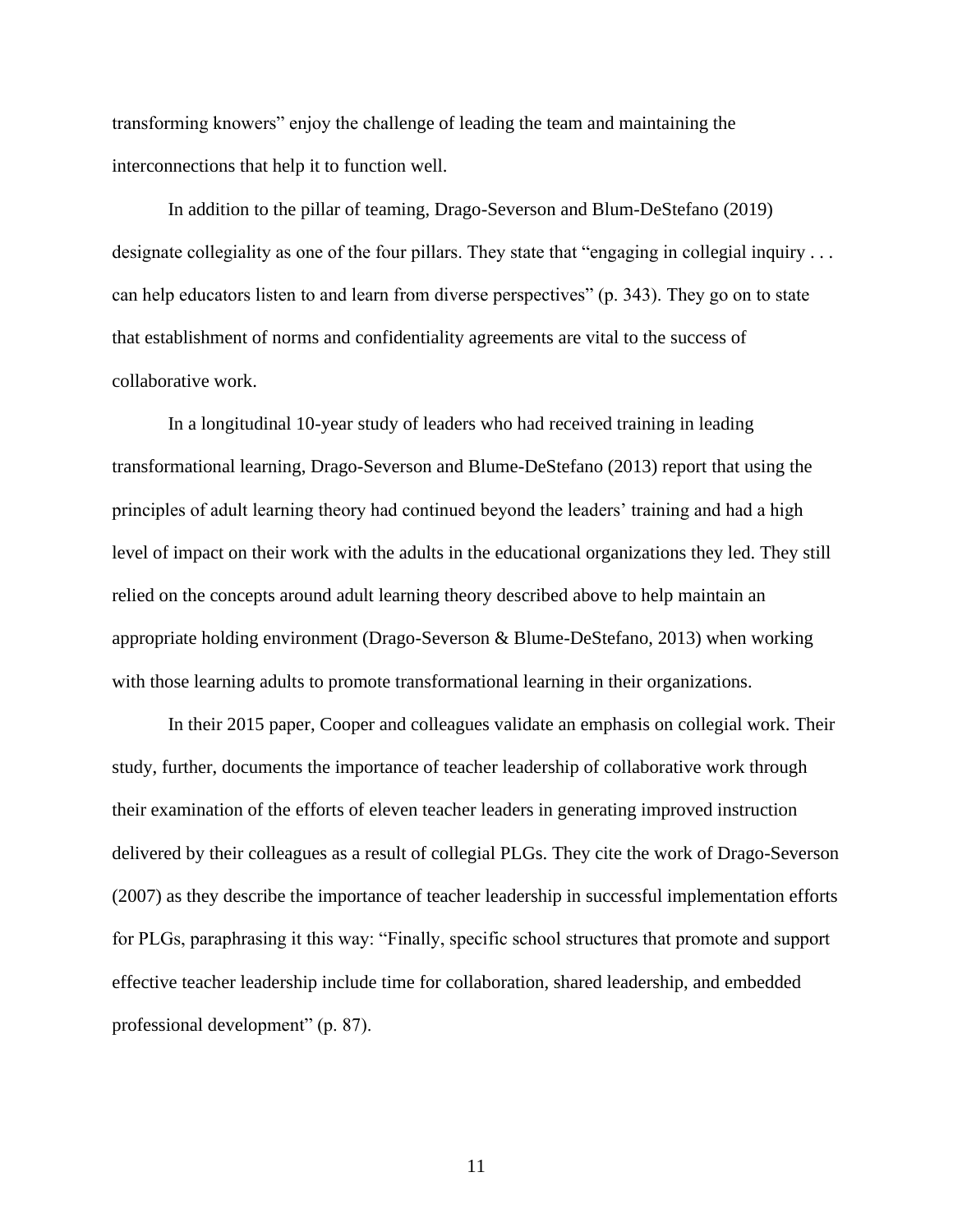transforming knowers" enjoy the challenge of leading the team and maintaining the interconnections that help it to function well.

In addition to the pillar of teaming, Drago-Severson and Blum-DeStefano (2019) designate collegiality as one of the four pillars. They state that "engaging in collegial inquiry ... can help educators listen to and learn from diverse perspectives" (p. 343). They go on to state that establishment of norms and confidentiality agreements are vital to the success of collaborative work.

In a longitudinal 10-year study of leaders who had received training in leading transformational learning, Drago-Severson and Blume-DeStefano (2013) report that using the principles of adult learning theory had continued beyond the leaders' training and had a high level of impact on their work with the adults in the educational organizations they led. They still relied on the concepts around adult learning theory described above to help maintain an appropriate holding environment (Drago-Severson & Blume-DeStefano, 2013) when working with those learning adults to promote transformational learning in their organizations.

In their 2015 paper, Cooper and colleagues validate an emphasis on collegial work. Their study, further, documents the importance of teacher leadership of collaborative work through their examination of the efforts of eleven teacher leaders in generating improved instruction delivered by their colleagues as a result of collegial PLGs. They cite the work of Drago-Severson (2007) as they describe the importance of teacher leadership in successful implementation efforts for PLGs, paraphrasing it this way: "Finally, specific school structures that promote and support effective teacher leadership include time for collaboration, shared leadership, and embedded professional development" (p. 87).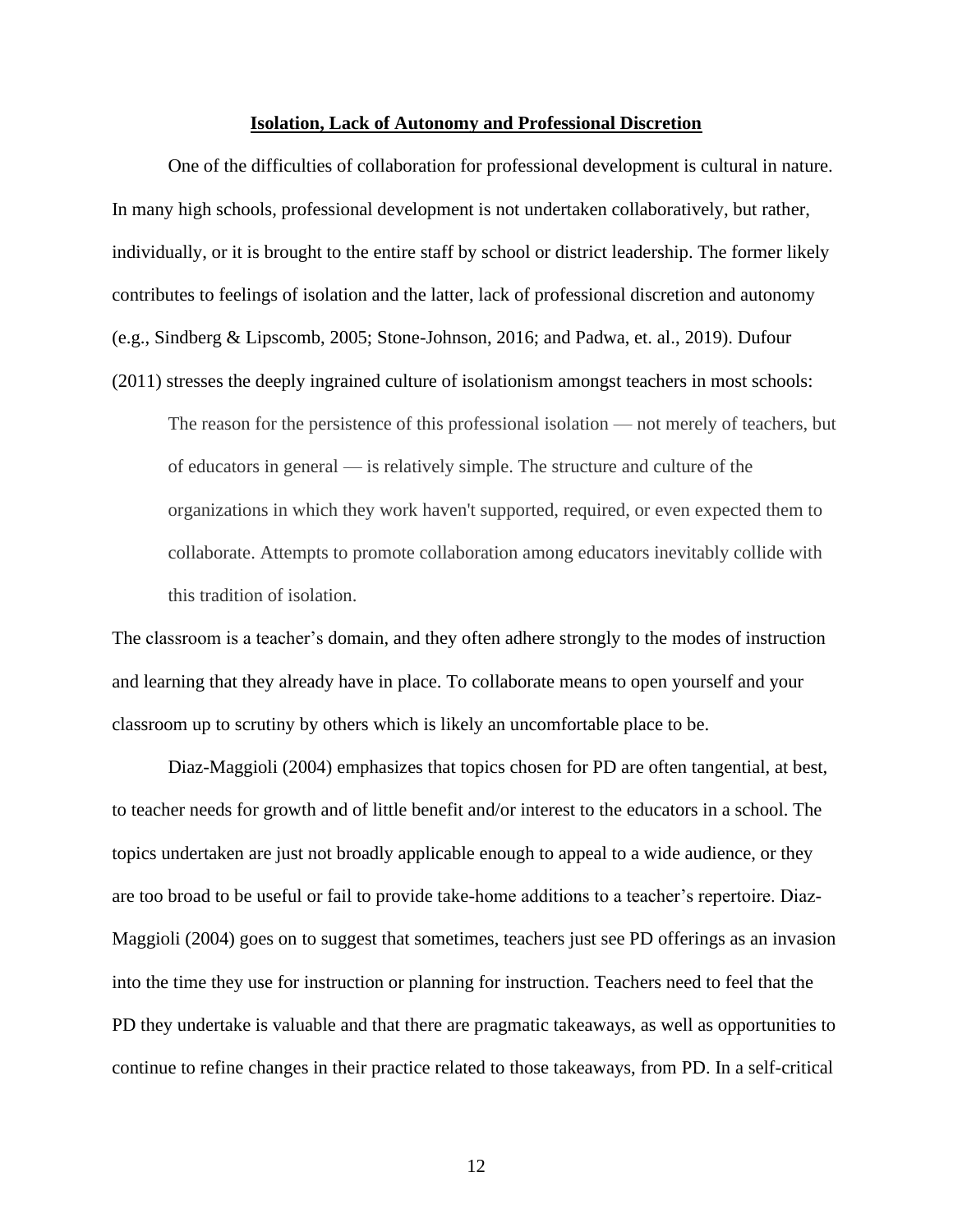#### **Isolation, Lack of Autonomy and Professional Discretion**

<span id="page-25-0"></span>One of the difficulties of collaboration for professional development is cultural in nature. In many high schools, professional development is not undertaken collaboratively, but rather, individually, or it is brought to the entire staff by school or district leadership. The former likely contributes to feelings of isolation and the latter, lack of professional discretion and autonomy (e.g., Sindberg & Lipscomb, 2005; Stone-Johnson, 2016; and Padwa, et. al., 2019). Dufour (2011) stresses the deeply ingrained culture of isolationism amongst teachers in most schools:

The reason for the persistence of this professional isolation — not merely of teachers, but of educators in general — is relatively simple. The structure and culture of the organizations in which they work haven't supported, required, or even expected them to collaborate. Attempts to promote collaboration among educators inevitably collide with this tradition of isolation.

The classroom is a teacher's domain, and they often adhere strongly to the modes of instruction and learning that they already have in place. To collaborate means to open yourself and your classroom up to scrutiny by others which is likely an uncomfortable place to be.

Diaz-Maggioli (2004) emphasizes that topics chosen for PD are often tangential, at best, to teacher needs for growth and of little benefit and/or interest to the educators in a school. The topics undertaken are just not broadly applicable enough to appeal to a wide audience, or they are too broad to be useful or fail to provide take-home additions to a teacher's repertoire. Diaz-Maggioli (2004) goes on to suggest that sometimes, teachers just see PD offerings as an invasion into the time they use for instruction or planning for instruction. Teachers need to feel that the PD they undertake is valuable and that there are pragmatic takeaways, as well as opportunities to continue to refine changes in their practice related to those takeaways, from PD. In a self-critical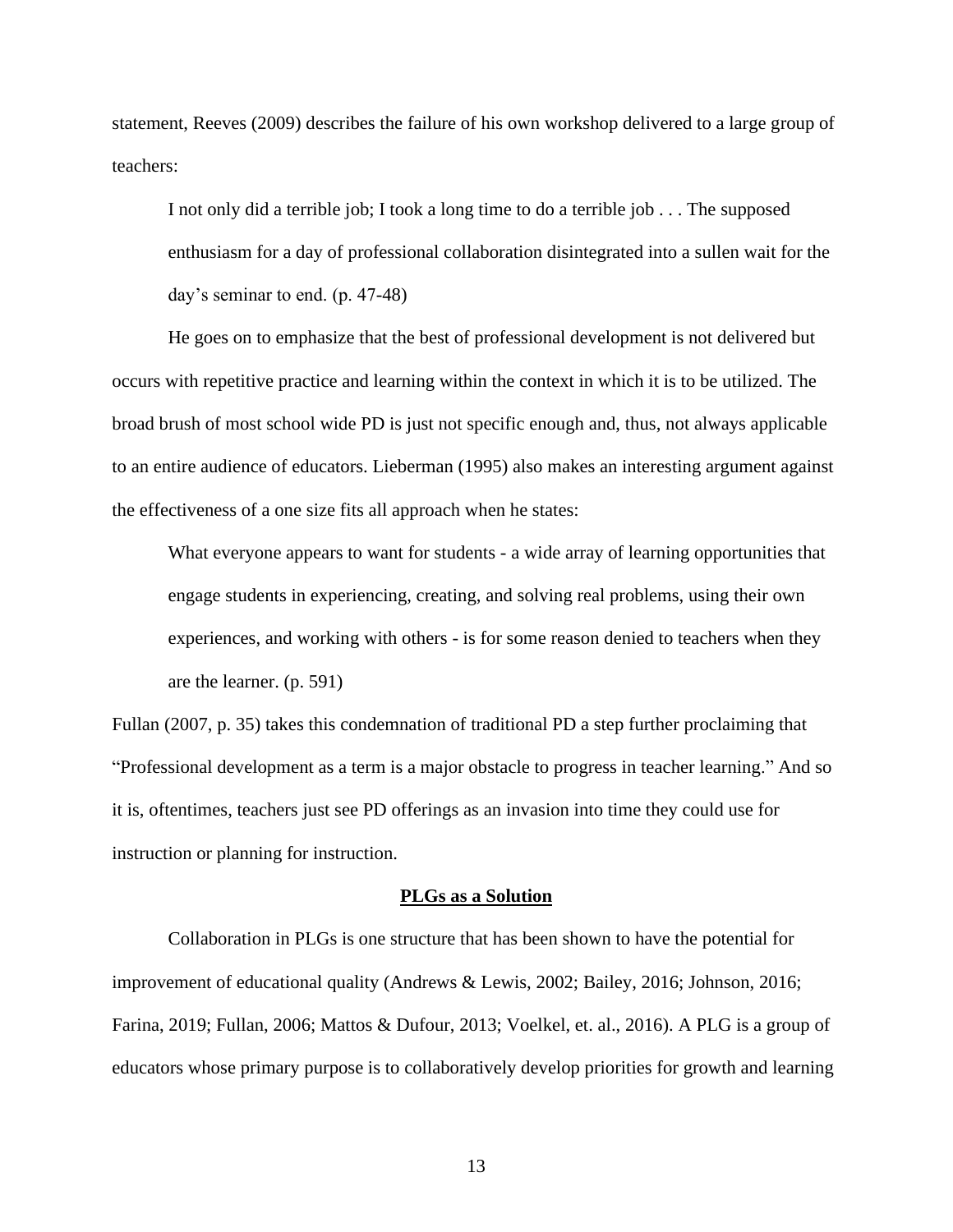statement, Reeves (2009) describes the failure of his own workshop delivered to a large group of teachers:

I not only did a terrible job; I took a long time to do a terrible job . . . The supposed enthusiasm for a day of professional collaboration disintegrated into a sullen wait for the day's seminar to end. (p. 47-48)

He goes on to emphasize that the best of professional development is not delivered but occurs with repetitive practice and learning within the context in which it is to be utilized. The broad brush of most school wide PD is just not specific enough and, thus, not always applicable to an entire audience of educators. Lieberman (1995) also makes an interesting argument against the effectiveness of a one size fits all approach when he states:

What everyone appears to want for students - a wide array of learning opportunities that engage students in experiencing, creating, and solving real problems, using their own experiences, and working with others - is for some reason denied to teachers when they are the learner. (p. 591)

Fullan (2007, p. 35) takes this condemnation of traditional PD a step further proclaiming that "Professional development as a term is a major obstacle to progress in teacher learning." And so it is, oftentimes, teachers just see PD offerings as an invasion into time they could use for instruction or planning for instruction.

## **PLGs as a Solution**

<span id="page-26-0"></span>Collaboration in PLGs is one structure that has been shown to have the potential for improvement of educational quality (Andrews & Lewis, 2002; Bailey, 2016; Johnson, 2016; Farina, 2019; Fullan, 2006; Mattos & Dufour, 2013; Voelkel, et. al., 2016). A PLG is a group of educators whose primary purpose is to collaboratively develop priorities for growth and learning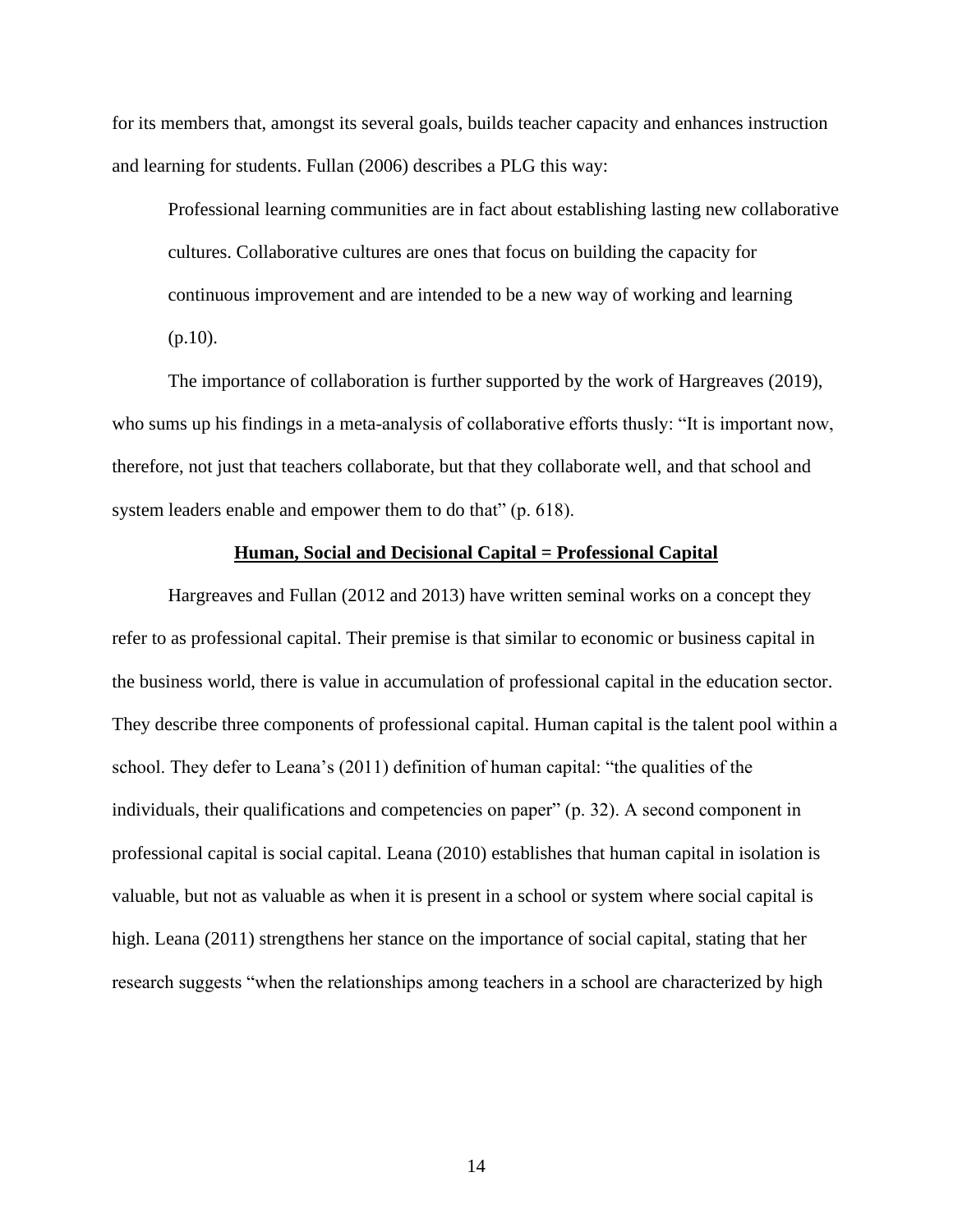for its members that, amongst its several goals, builds teacher capacity and enhances instruction and learning for students. Fullan (2006) describes a PLG this way:

Professional learning communities are in fact about establishing lasting new collaborative cultures. Collaborative cultures are ones that focus on building the capacity for continuous improvement and are intended to be a new way of working and learning  $(p.10)$ .

The importance of collaboration is further supported by the work of Hargreaves (2019), who sums up his findings in a meta-analysis of collaborative efforts thusly: "It is important now, therefore, not just that teachers collaborate, but that they collaborate well, and that school and system leaders enable and empower them to do that" (p. 618).

# **Human, Social and Decisional Capital = Professional Capital**

<span id="page-27-0"></span>Hargreaves and Fullan (2012 and 2013) have written seminal works on a concept they refer to as professional capital. Their premise is that similar to economic or business capital in the business world, there is value in accumulation of professional capital in the education sector. They describe three components of professional capital. Human capital is the talent pool within a school. They defer to Leana's (2011) definition of human capital: "the qualities of the individuals, their qualifications and competencies on paper" (p. 32). A second component in professional capital is social capital. Leana (2010) establishes that human capital in isolation is valuable, but not as valuable as when it is present in a school or system where social capital is high. Leana (2011) strengthens her stance on the importance of social capital, stating that her research suggests "when the relationships among teachers in a school are characterized by high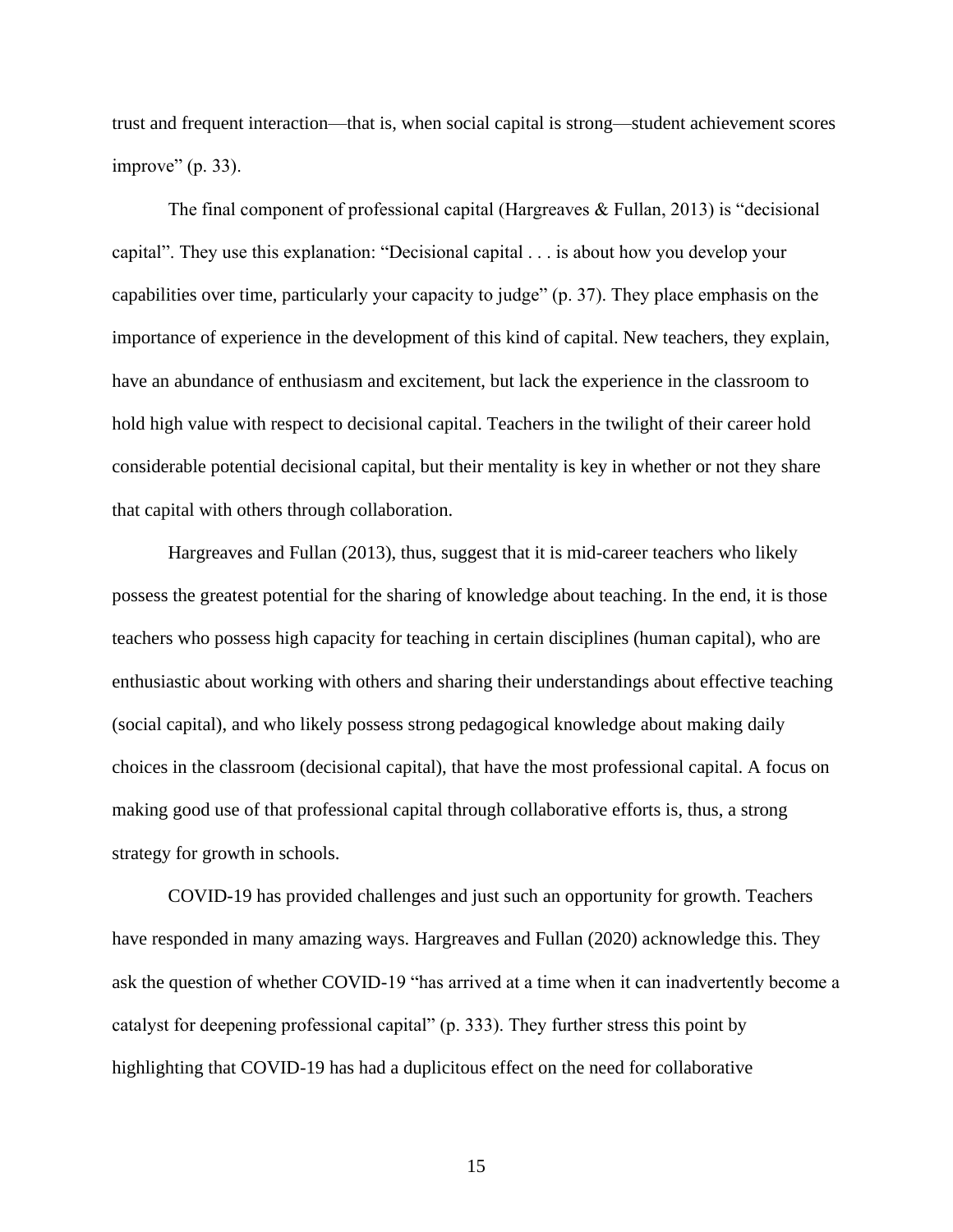trust and frequent interaction—that is, when social capital is strong—student achievement scores improve" (p. 33).

The final component of professional capital (Hargreaves & Fullan, 2013) is "decisional capital". They use this explanation: "Decisional capital . . . is about how you develop your capabilities over time, particularly your capacity to judge" (p. 37). They place emphasis on the importance of experience in the development of this kind of capital. New teachers, they explain, have an abundance of enthusiasm and excitement, but lack the experience in the classroom to hold high value with respect to decisional capital. Teachers in the twilight of their career hold considerable potential decisional capital, but their mentality is key in whether or not they share that capital with others through collaboration.

Hargreaves and Fullan (2013), thus, suggest that it is mid-career teachers who likely possess the greatest potential for the sharing of knowledge about teaching. In the end, it is those teachers who possess high capacity for teaching in certain disciplines (human capital), who are enthusiastic about working with others and sharing their understandings about effective teaching (social capital), and who likely possess strong pedagogical knowledge about making daily choices in the classroom (decisional capital), that have the most professional capital. A focus on making good use of that professional capital through collaborative efforts is, thus, a strong strategy for growth in schools.

COVID-19 has provided challenges and just such an opportunity for growth. Teachers have responded in many amazing ways. Hargreaves and Fullan (2020) acknowledge this. They ask the question of whether COVID-19 "has arrived at a time when it can inadvertently become a catalyst for deepening professional capital" (p. 333). They further stress this point by highlighting that COVID-19 has had a duplicitous effect on the need for collaborative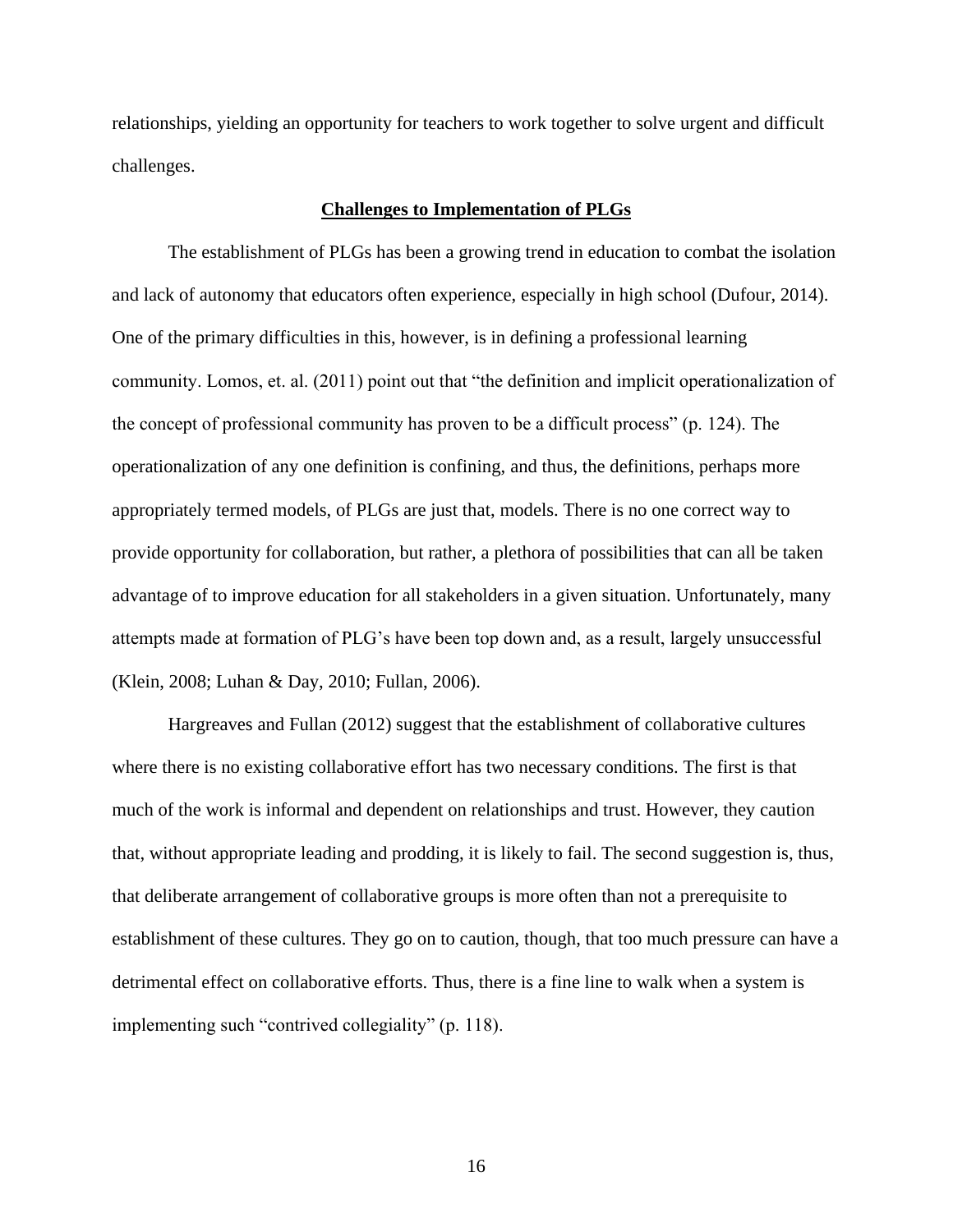relationships, yielding an opportunity for teachers to work together to solve urgent and difficult challenges.

# **Challenges to Implementation of PLGs**

<span id="page-29-0"></span>The establishment of PLGs has been a growing trend in education to combat the isolation and lack of autonomy that educators often experience, especially in high school (Dufour, 2014). One of the primary difficulties in this, however, is in defining a professional learning community. Lomos, et. al. (2011) point out that "the definition and implicit operationalization of the concept of professional community has proven to be a difficult process" (p. 124). The operationalization of any one definition is confining, and thus, the definitions, perhaps more appropriately termed models, of PLGs are just that, models. There is no one correct way to provide opportunity for collaboration, but rather, a plethora of possibilities that can all be taken advantage of to improve education for all stakeholders in a given situation. Unfortunately, many attempts made at formation of PLG's have been top down and, as a result, largely unsuccessful (Klein, 2008; Luhan & Day, 2010; Fullan, 2006).

Hargreaves and Fullan (2012) suggest that the establishment of collaborative cultures where there is no existing collaborative effort has two necessary conditions. The first is that much of the work is informal and dependent on relationships and trust. However, they caution that, without appropriate leading and prodding, it is likely to fail. The second suggestion is, thus, that deliberate arrangement of collaborative groups is more often than not a prerequisite to establishment of these cultures. They go on to caution, though, that too much pressure can have a detrimental effect on collaborative efforts. Thus, there is a fine line to walk when a system is implementing such "contrived collegiality" (p. 118).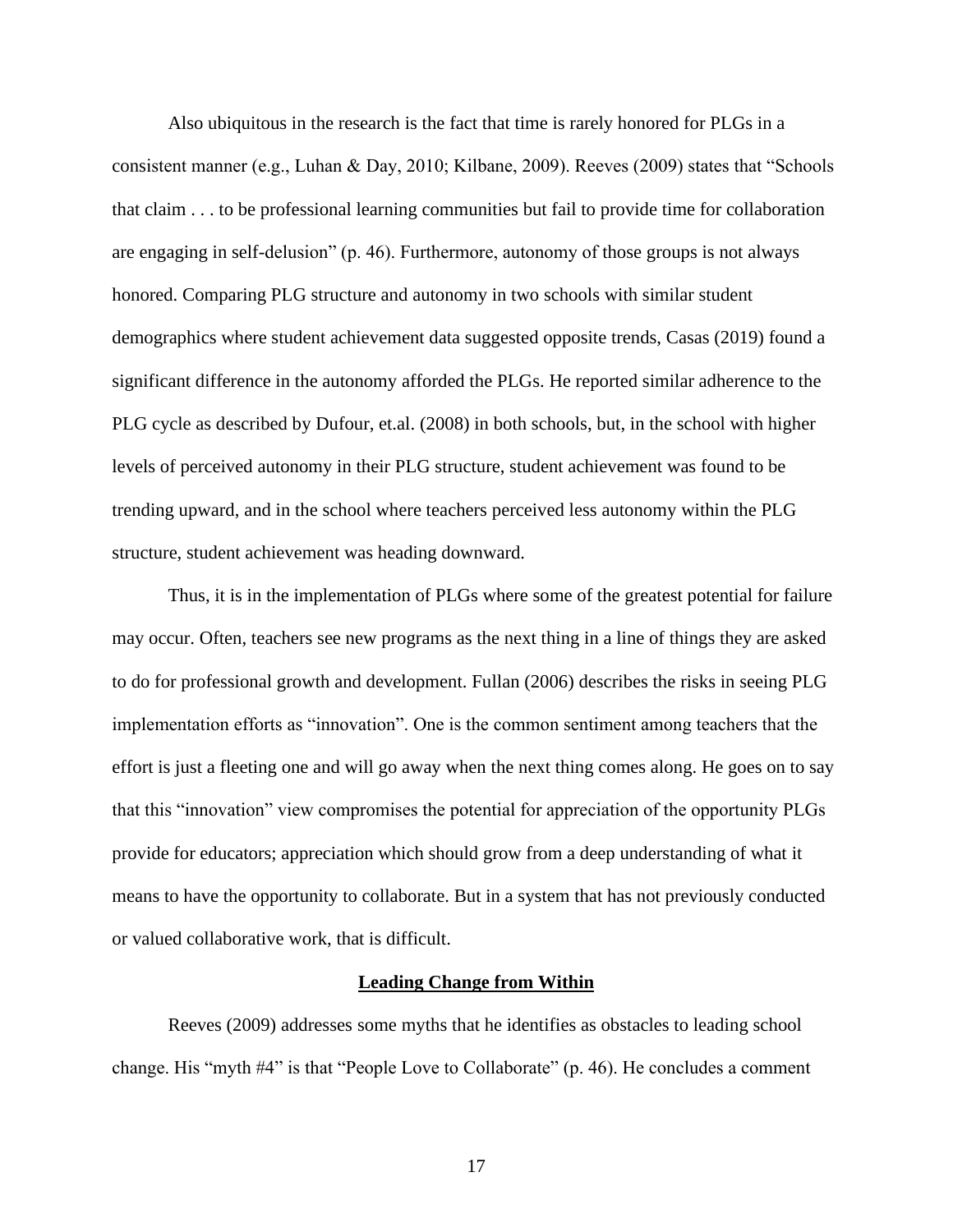Also ubiquitous in the research is the fact that time is rarely honored for PLGs in a consistent manner (e.g., Luhan & Day, 2010; Kilbane, 2009). Reeves (2009) states that "Schools that claim . . . to be professional learning communities but fail to provide time for collaboration are engaging in self-delusion" (p. 46). Furthermore, autonomy of those groups is not always honored. Comparing PLG structure and autonomy in two schools with similar student demographics where student achievement data suggested opposite trends, Casas (2019) found a significant difference in the autonomy afforded the PLGs. He reported similar adherence to the PLG cycle as described by Dufour, et.al. (2008) in both schools, but, in the school with higher levels of perceived autonomy in their PLG structure, student achievement was found to be trending upward, and in the school where teachers perceived less autonomy within the PLG structure, student achievement was heading downward.

Thus, it is in the implementation of PLGs where some of the greatest potential for failure may occur. Often, teachers see new programs as the next thing in a line of things they are asked to do for professional growth and development. Fullan (2006) describes the risks in seeing PLG implementation efforts as "innovation". One is the common sentiment among teachers that the effort is just a fleeting one and will go away when the next thing comes along. He goes on to say that this "innovation" view compromises the potential for appreciation of the opportunity PLGs provide for educators; appreciation which should grow from a deep understanding of what it means to have the opportunity to collaborate. But in a system that has not previously conducted or valued collaborative work, that is difficult.

#### **Leading Change from Within**

<span id="page-30-0"></span>Reeves (2009) addresses some myths that he identifies as obstacles to leading school change. His "myth #4" is that "People Love to Collaborate" (p. 46). He concludes a comment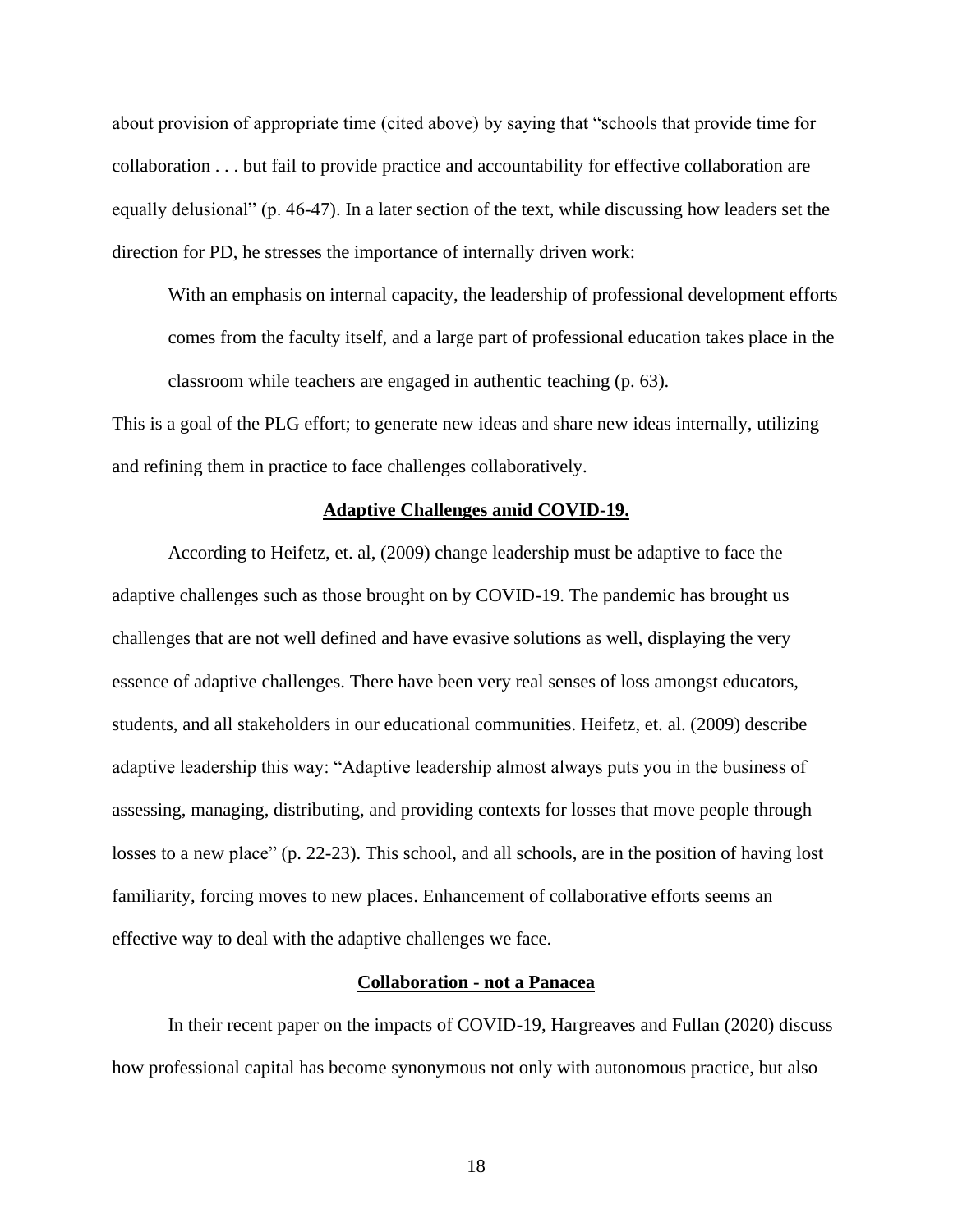about provision of appropriate time (cited above) by saying that "schools that provide time for collaboration . . . but fail to provide practice and accountability for effective collaboration are equally delusional" (p. 46-47). In a later section of the text, while discussing how leaders set the direction for PD, he stresses the importance of internally driven work:

With an emphasis on internal capacity, the leadership of professional development efforts comes from the faculty itself, and a large part of professional education takes place in the classroom while teachers are engaged in authentic teaching (p. 63).

This is a goal of the PLG effort; to generate new ideas and share new ideas internally, utilizing and refining them in practice to face challenges collaboratively.

#### **Adaptive Challenges amid COVID-19.**

<span id="page-31-0"></span>According to Heifetz, et. al, (2009) change leadership must be adaptive to face the adaptive challenges such as those brought on by COVID-19. The pandemic has brought us challenges that are not well defined and have evasive solutions as well, displaying the very essence of adaptive challenges. There have been very real senses of loss amongst educators, students, and all stakeholders in our educational communities. Heifetz, et. al. (2009) describe adaptive leadership this way: "Adaptive leadership almost always puts you in the business of assessing, managing, distributing, and providing contexts for losses that move people through losses to a new place" (p. 22-23). This school, and all schools, are in the position of having lost familiarity, forcing moves to new places. Enhancement of collaborative efforts seems an effective way to deal with the adaptive challenges we face.

#### **Collaboration - not a Panacea**

<span id="page-31-1"></span>In their recent paper on the impacts of COVID-19, Hargreaves and Fullan (2020) discuss how professional capital has become synonymous not only with autonomous practice, but also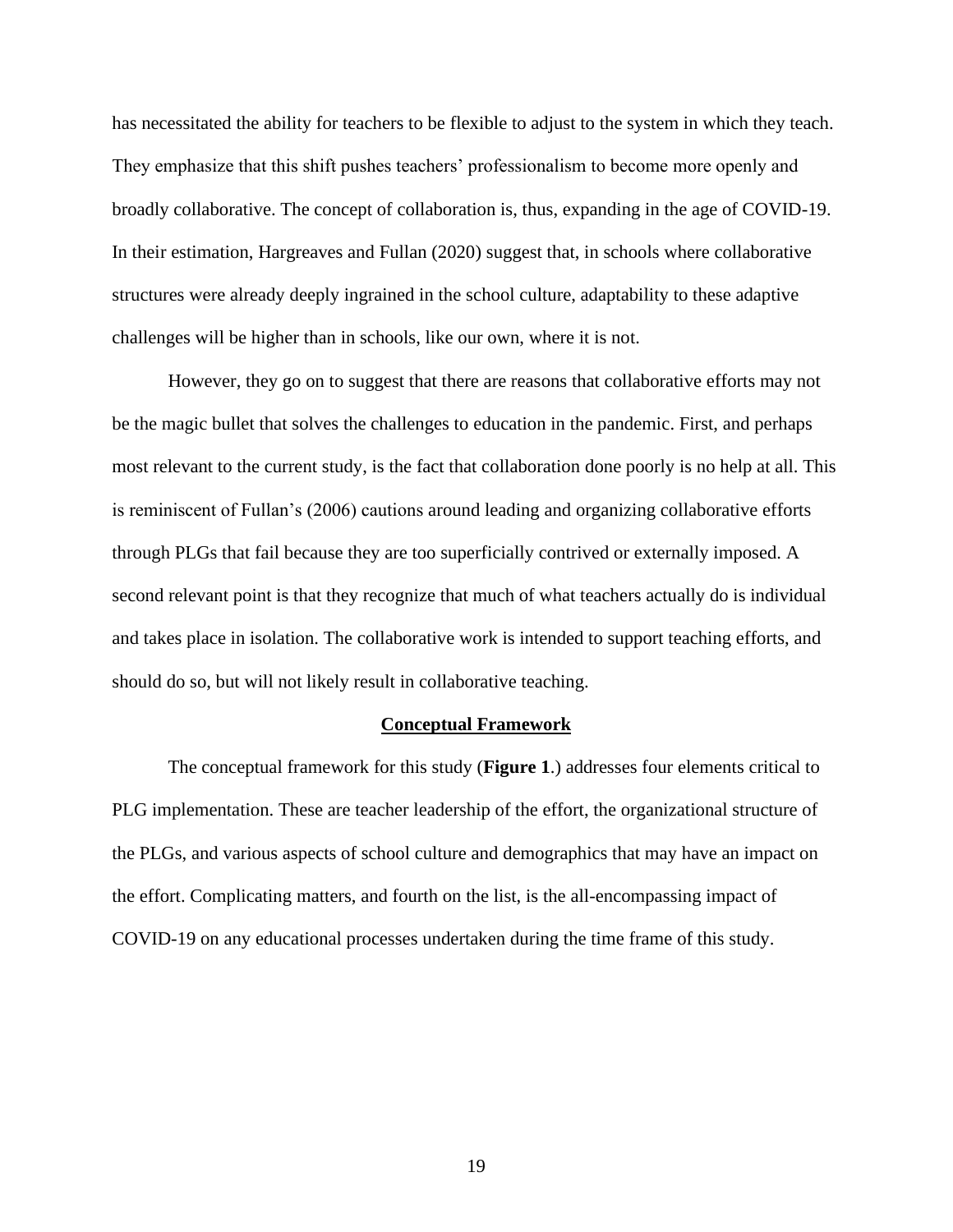has necessitated the ability for teachers to be flexible to adjust to the system in which they teach. They emphasize that this shift pushes teachers' professionalism to become more openly and broadly collaborative. The concept of collaboration is, thus, expanding in the age of COVID-19. In their estimation, Hargreaves and Fullan (2020) suggest that, in schools where collaborative structures were already deeply ingrained in the school culture, adaptability to these adaptive challenges will be higher than in schools, like our own, where it is not.

However, they go on to suggest that there are reasons that collaborative efforts may not be the magic bullet that solves the challenges to education in the pandemic. First, and perhaps most relevant to the current study, is the fact that collaboration done poorly is no help at all. This is reminiscent of Fullan's (2006) cautions around leading and organizing collaborative efforts through PLGs that fail because they are too superficially contrived or externally imposed. A second relevant point is that they recognize that much of what teachers actually do is individual and takes place in isolation. The collaborative work is intended to support teaching efforts, and should do so, but will not likely result in collaborative teaching.

#### **Conceptual Framework**

<span id="page-32-0"></span>The conceptual framework for this study (**Figure 1**.) addresses four elements critical to PLG implementation. These are teacher leadership of the effort, the organizational structure of the PLGs, and various aspects of school culture and demographics that may have an impact on the effort. Complicating matters, and fourth on the list, is the all-encompassing impact of COVID-19 on any educational processes undertaken during the time frame of this study.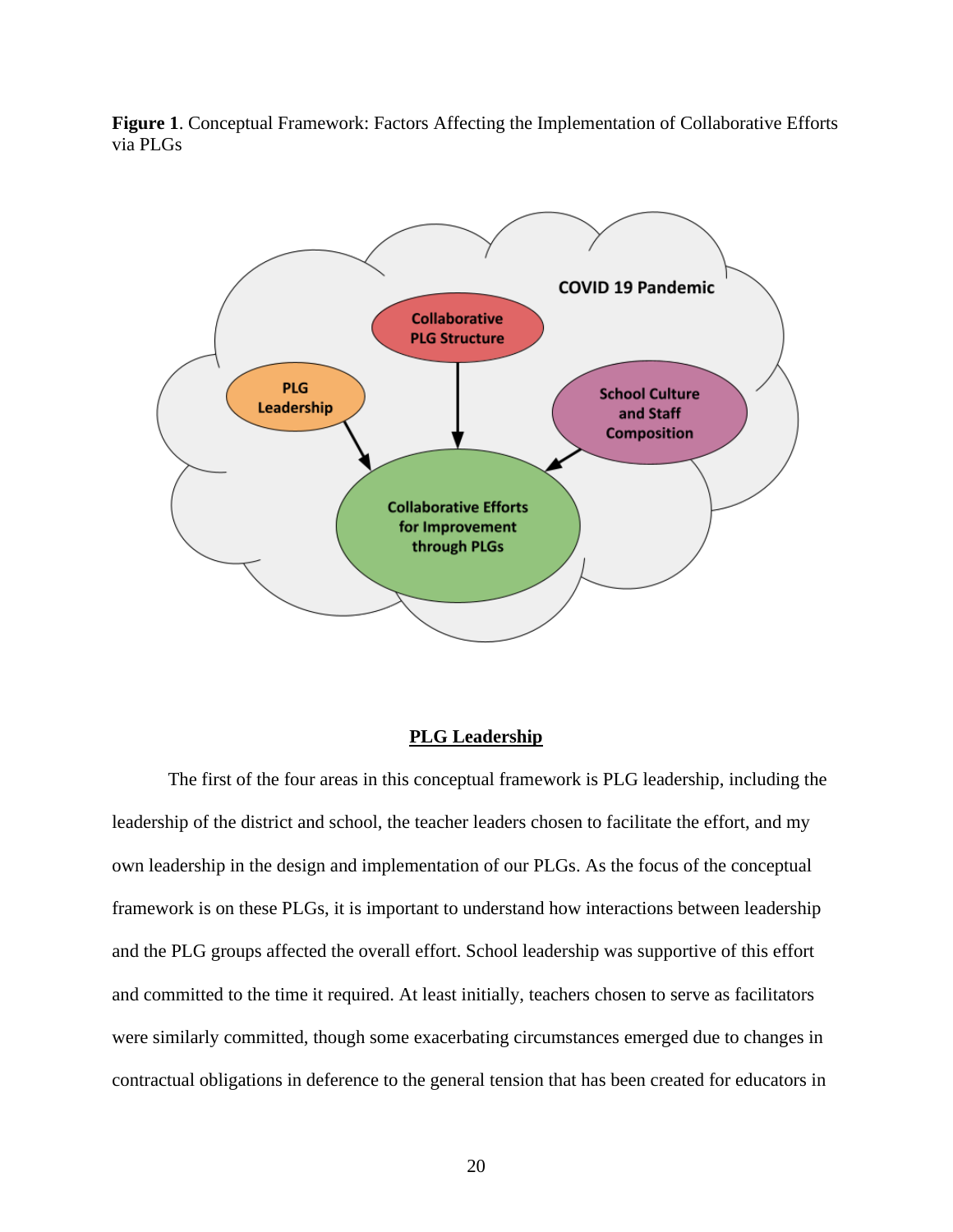**Figure 1**. Conceptual Framework: Factors Affecting the Implementation of Collaborative Efforts via PLGs



# **PLG Leadership**

<span id="page-33-0"></span>The first of the four areas in this conceptual framework is PLG leadership, including the leadership of the district and school, the teacher leaders chosen to facilitate the effort, and my own leadership in the design and implementation of our PLGs. As the focus of the conceptual framework is on these PLGs, it is important to understand how interactions between leadership and the PLG groups affected the overall effort. School leadership was supportive of this effort and committed to the time it required. At least initially, teachers chosen to serve as facilitators were similarly committed, though some exacerbating circumstances emerged due to changes in contractual obligations in deference to the general tension that has been created for educators in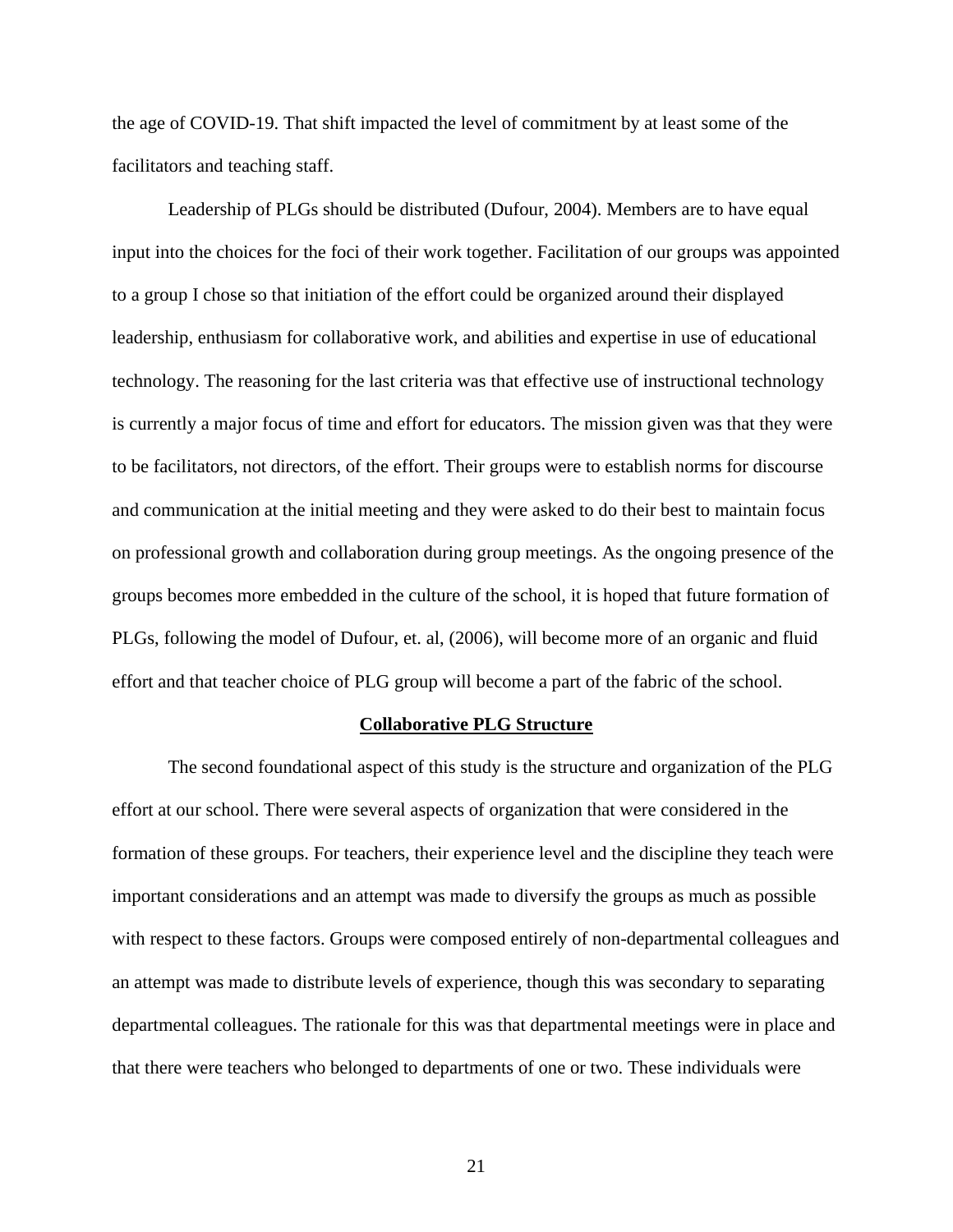the age of COVID-19. That shift impacted the level of commitment by at least some of the facilitators and teaching staff.

Leadership of PLGs should be distributed (Dufour, 2004). Members are to have equal input into the choices for the foci of their work together. Facilitation of our groups was appointed to a group I chose so that initiation of the effort could be organized around their displayed leadership, enthusiasm for collaborative work, and abilities and expertise in use of educational technology. The reasoning for the last criteria was that effective use of instructional technology is currently a major focus of time and effort for educators. The mission given was that they were to be facilitators, not directors, of the effort. Their groups were to establish norms for discourse and communication at the initial meeting and they were asked to do their best to maintain focus on professional growth and collaboration during group meetings. As the ongoing presence of the groups becomes more embedded in the culture of the school, it is hoped that future formation of PLGs, following the model of Dufour, et. al, (2006), will become more of an organic and fluid effort and that teacher choice of PLG group will become a part of the fabric of the school.

#### **Collaborative PLG Structure**

<span id="page-34-0"></span>The second foundational aspect of this study is the structure and organization of the PLG effort at our school. There were several aspects of organization that were considered in the formation of these groups. For teachers, their experience level and the discipline they teach were important considerations and an attempt was made to diversify the groups as much as possible with respect to these factors. Groups were composed entirely of non-departmental colleagues and an attempt was made to distribute levels of experience, though this was secondary to separating departmental colleagues. The rationale for this was that departmental meetings were in place and that there were teachers who belonged to departments of one or two. These individuals were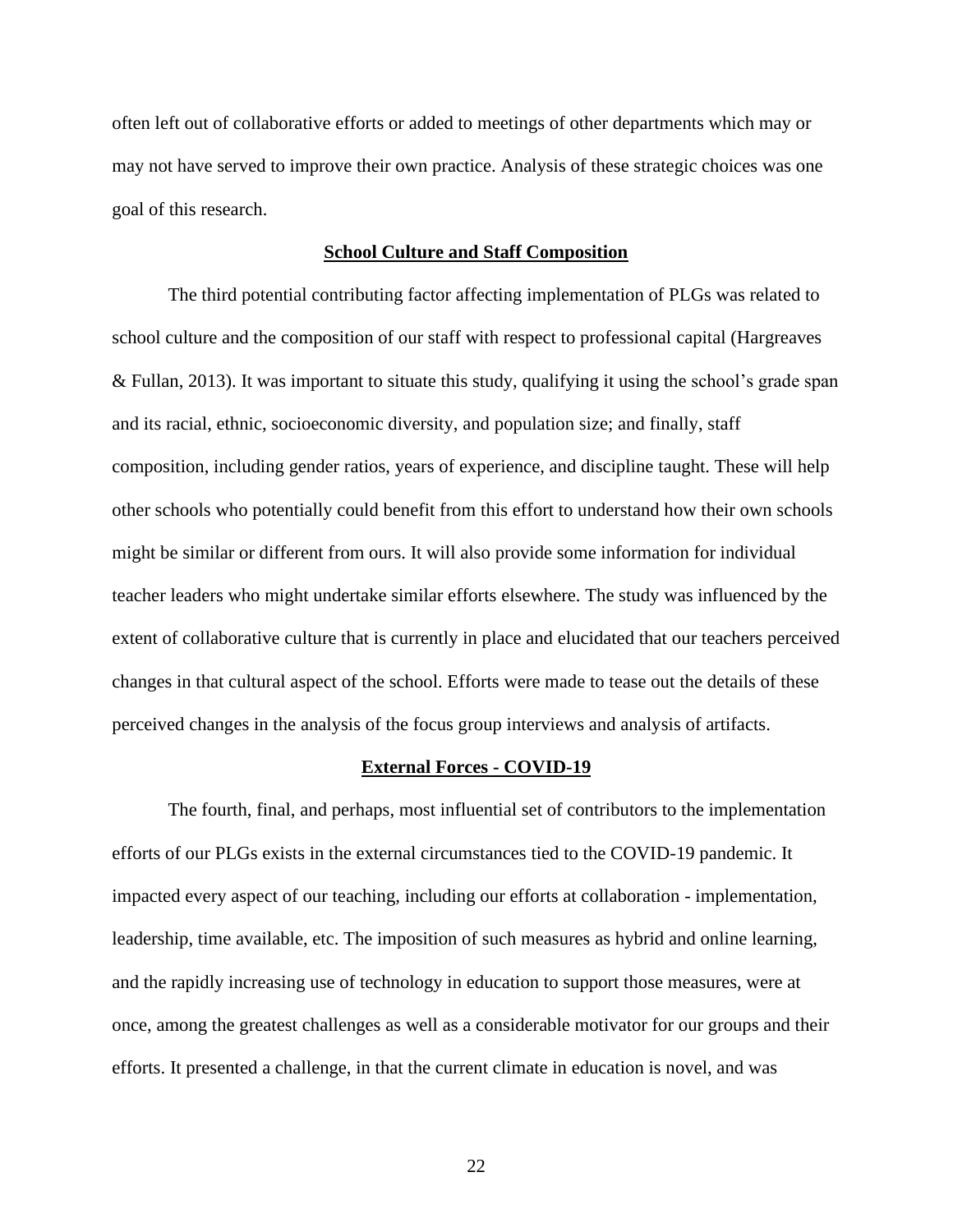often left out of collaborative efforts or added to meetings of other departments which may or may not have served to improve their own practice. Analysis of these strategic choices was one goal of this research.

#### **School Culture and Staff Composition**

<span id="page-35-0"></span>The third potential contributing factor affecting implementation of PLGs was related to school culture and the composition of our staff with respect to professional capital (Hargreaves & Fullan, 2013). It was important to situate this study, qualifying it using the school's grade span and its racial, ethnic, socioeconomic diversity, and population size; and finally, staff composition, including gender ratios, years of experience, and discipline taught. These will help other schools who potentially could benefit from this effort to understand how their own schools might be similar or different from ours. It will also provide some information for individual teacher leaders who might undertake similar efforts elsewhere. The study was influenced by the extent of collaborative culture that is currently in place and elucidated that our teachers perceived changes in that cultural aspect of the school. Efforts were made to tease out the details of these perceived changes in the analysis of the focus group interviews and analysis of artifacts.

#### **External Forces - COVID-19**

<span id="page-35-1"></span>The fourth, final, and perhaps, most influential set of contributors to the implementation efforts of our PLGs exists in the external circumstances tied to the COVID-19 pandemic. It impacted every aspect of our teaching, including our efforts at collaboration - implementation, leadership, time available, etc. The imposition of such measures as hybrid and online learning, and the rapidly increasing use of technology in education to support those measures, were at once, among the greatest challenges as well as a considerable motivator for our groups and their efforts. It presented a challenge, in that the current climate in education is novel, and was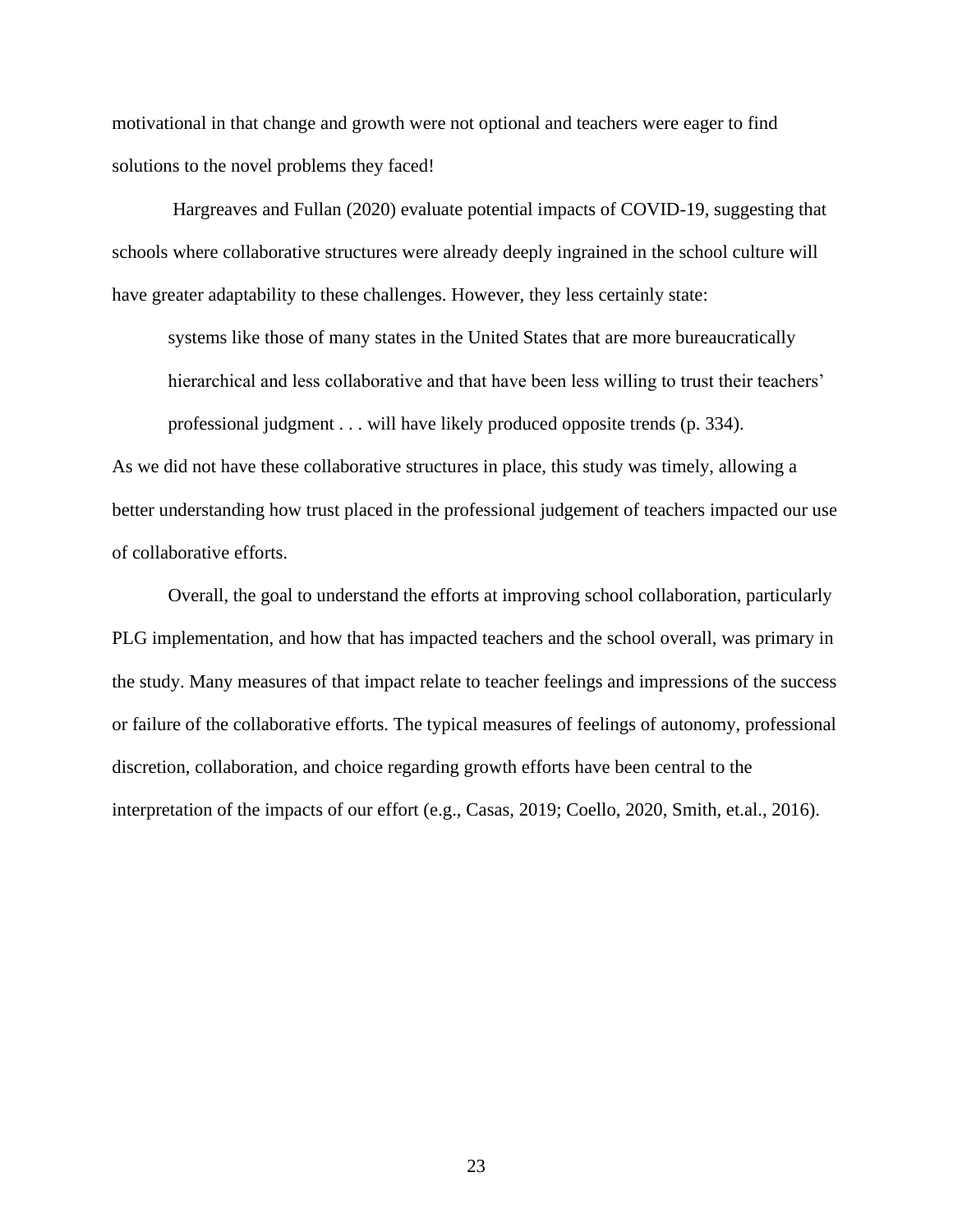motivational in that change and growth were not optional and teachers were eager to find solutions to the novel problems they faced!

Hargreaves and Fullan (2020) evaluate potential impacts of COVID-19, suggesting that schools where collaborative structures were already deeply ingrained in the school culture will have greater adaptability to these challenges. However, they less certainly state:

systems like those of many states in the United States that are more bureaucratically hierarchical and less collaborative and that have been less willing to trust their teachers' professional judgment . . . will have likely produced opposite trends (p. 334).

As we did not have these collaborative structures in place, this study was timely, allowing a better understanding how trust placed in the professional judgement of teachers impacted our use of collaborative efforts.

Overall, the goal to understand the efforts at improving school collaboration, particularly PLG implementation, and how that has impacted teachers and the school overall, was primary in the study. Many measures of that impact relate to teacher feelings and impressions of the success or failure of the collaborative efforts. The typical measures of feelings of autonomy, professional discretion, collaboration, and choice regarding growth efforts have been central to the interpretation of the impacts of our effort (e.g., Casas, 2019; Coello, 2020, Smith, et.al., 2016).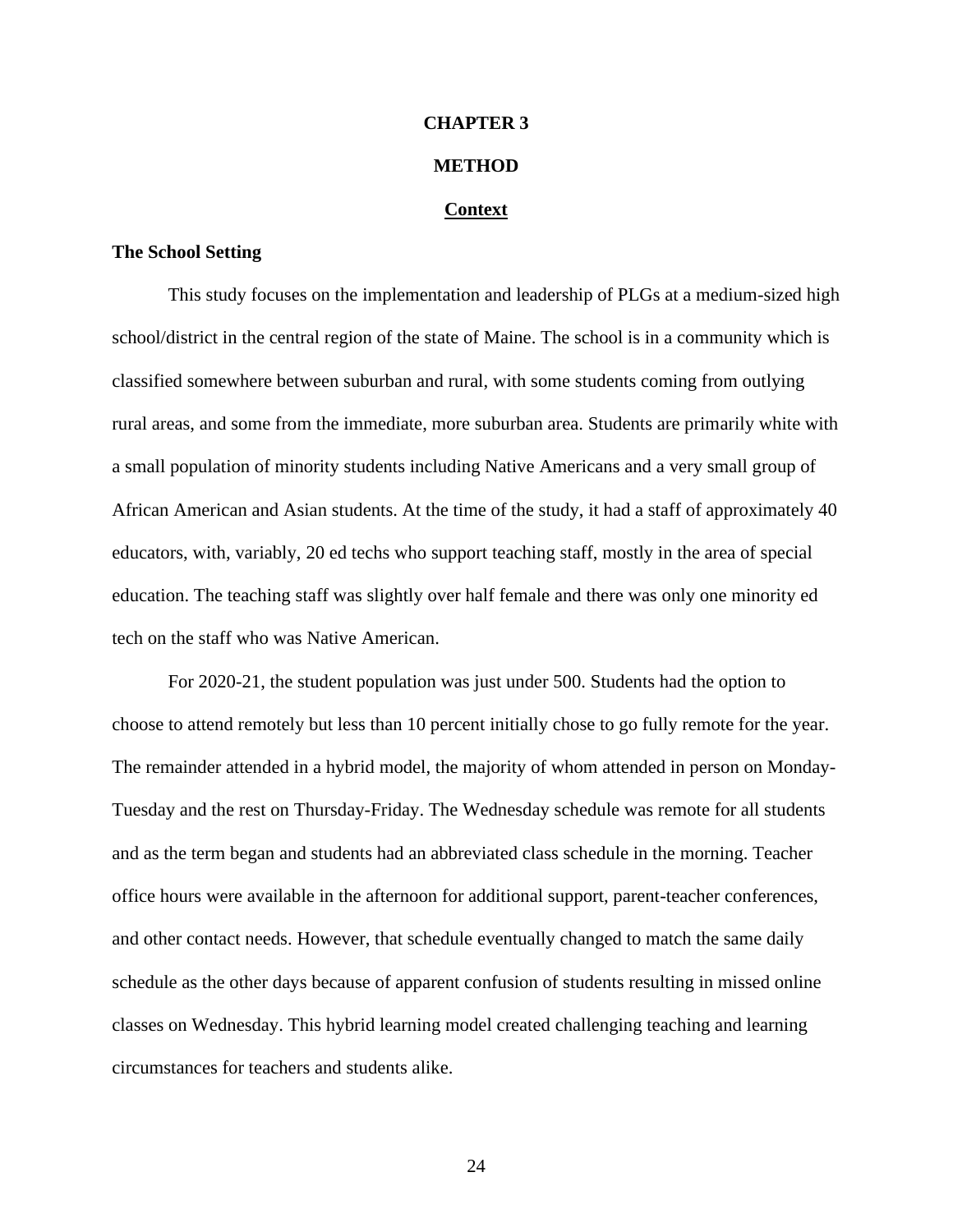# **CHAPTER 3 METHOD**

# **Context**

# **The School Setting**

This study focuses on the implementation and leadership of PLGs at a medium-sized high school/district in the central region of the state of Maine. The school is in a community which is classified somewhere between suburban and rural, with some students coming from outlying rural areas, and some from the immediate, more suburban area. Students are primarily white with a small population of minority students including Native Americans and a very small group of African American and Asian students. At the time of the study, it had a staff of approximately 40 educators, with, variably, 20 ed techs who support teaching staff, mostly in the area of special education. The teaching staff was slightly over half female and there was only one minority ed tech on the staff who was Native American.

For 2020-21, the student population was just under 500. Students had the option to choose to attend remotely but less than 10 percent initially chose to go fully remote for the year. The remainder attended in a hybrid model, the majority of whom attended in person on Monday-Tuesday and the rest on Thursday-Friday. The Wednesday schedule was remote for all students and as the term began and students had an abbreviated class schedule in the morning. Teacher office hours were available in the afternoon for additional support, parent-teacher conferences, and other contact needs. However, that schedule eventually changed to match the same daily schedule as the other days because of apparent confusion of students resulting in missed online classes on Wednesday. This hybrid learning model created challenging teaching and learning circumstances for teachers and students alike.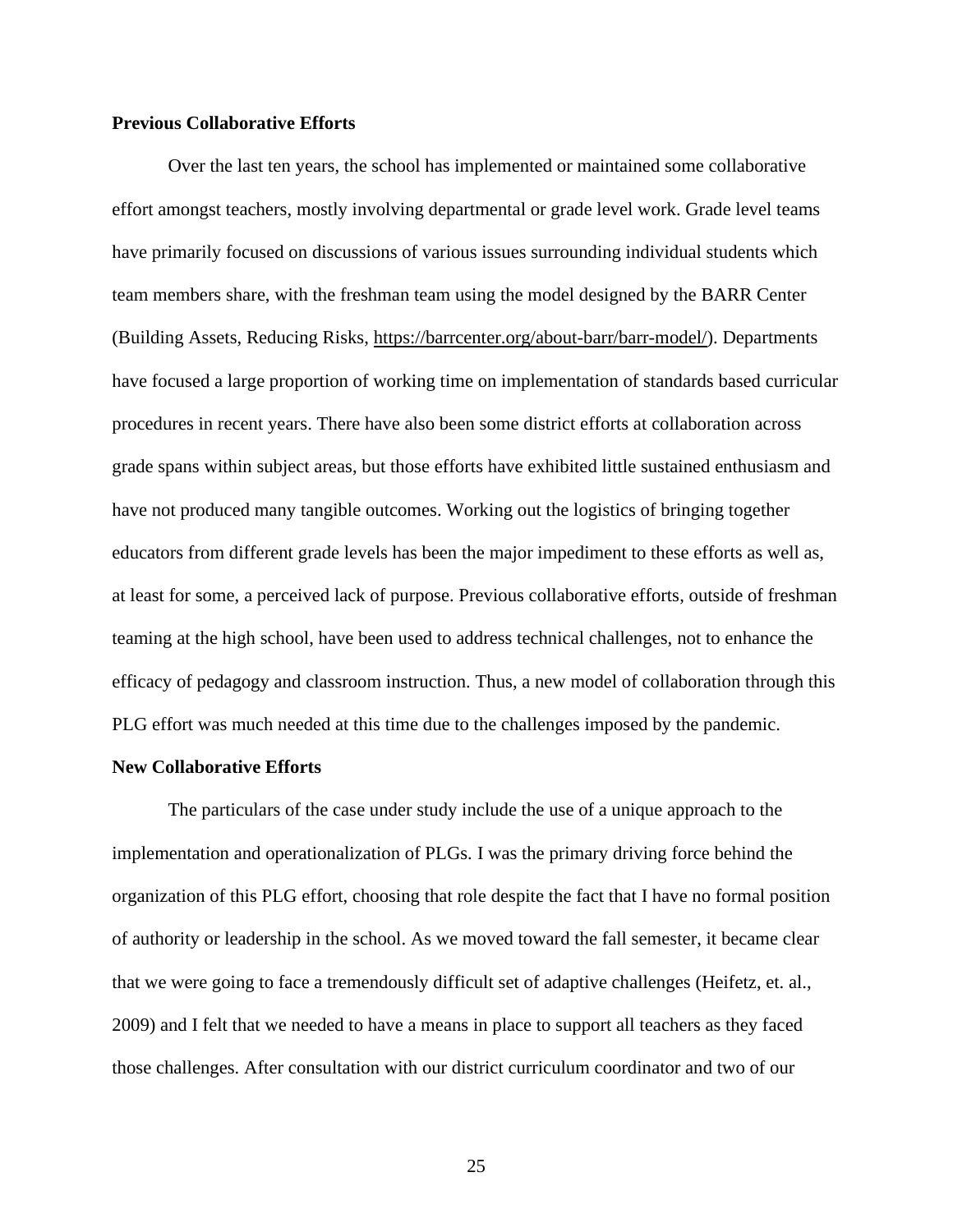# **Previous Collaborative Efforts**

Over the last ten years, the school has implemented or maintained some collaborative effort amongst teachers, mostly involving departmental or grade level work. Grade level teams have primarily focused on discussions of various issues surrounding individual students which team members share, with the freshman team using the model designed by the BARR Center (Building Assets, Reducing Risks[,](https://barrcenter.org/about-barr/barr-model/) https://barrcenter.org/about-barr/barr-model/). Departments have focused a large proportion of working time on implementation of standards based curricular procedures in recent years. There have also been some district efforts at collaboration across grade spans within subject areas, but those efforts have exhibited little sustained enthusiasm and have not produced many tangible outcomes. Working out the logistics of bringing together educators from different grade levels has been the major impediment to these efforts as well as, at least for some, a perceived lack of purpose. Previous collaborative efforts, outside of freshman teaming at the high school, have been used to address technical challenges, not to enhance the efficacy of pedagogy and classroom instruction. Thus, a new model of collaboration through this PLG effort was much needed at this time due to the challenges imposed by the pandemic.

# **New Collaborative Efforts**

The particulars of the case under study include the use of a unique approach to the implementation and operationalization of PLGs. I was the primary driving force behind the organization of this PLG effort, choosing that role despite the fact that I have no formal position of authority or leadership in the school. As we moved toward the fall semester, it became clear that we were going to face a tremendously difficult set of adaptive challenges (Heifetz, et. al., 2009) and I felt that we needed to have a means in place to support all teachers as they faced those challenges. After consultation with our district curriculum coordinator and two of our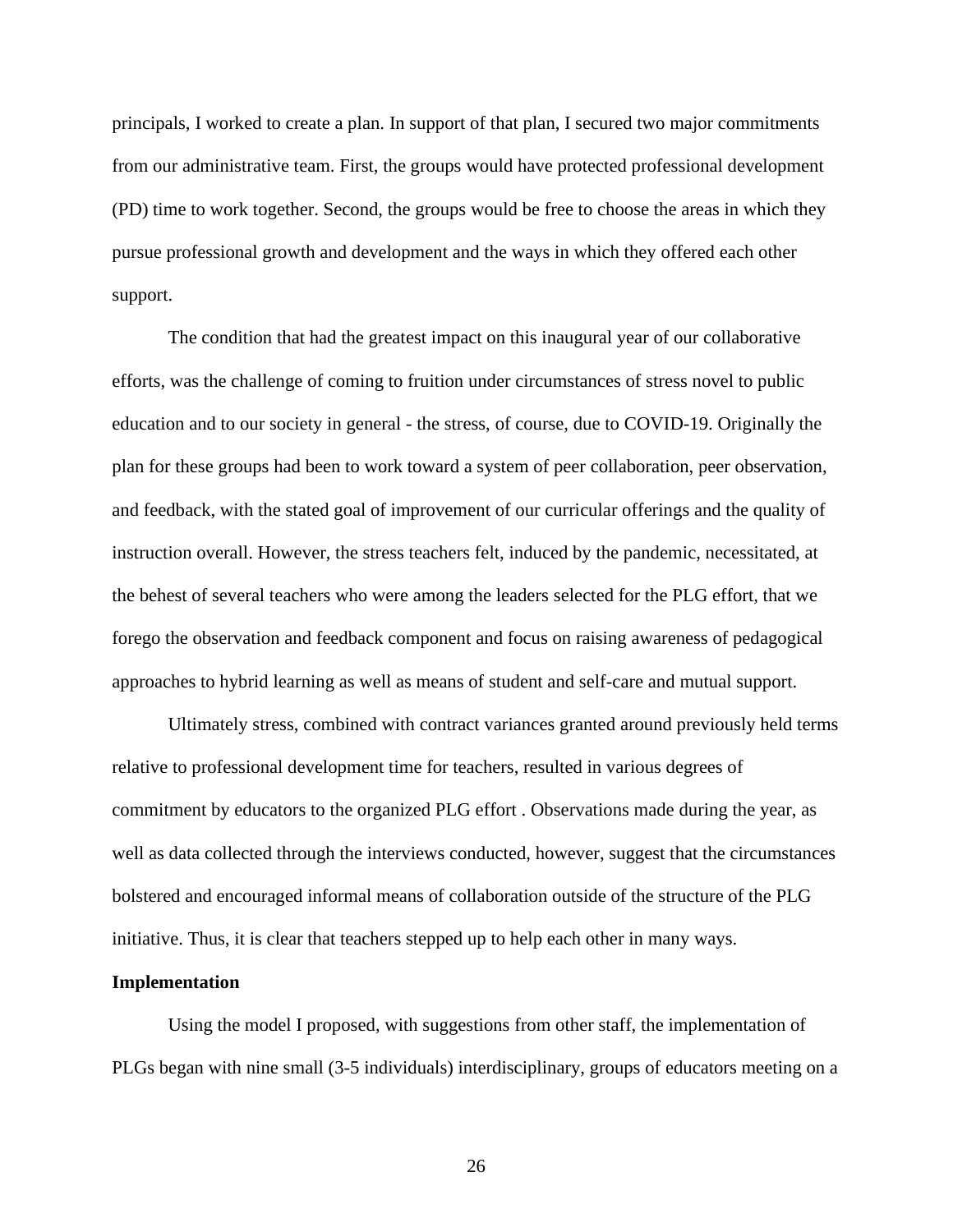principals, I worked to create a plan. In support of that plan, I secured two major commitments from our administrative team. First, the groups would have protected professional development (PD) time to work together. Second, the groups would be free to choose the areas in which they pursue professional growth and development and the ways in which they offered each other support.

The condition that had the greatest impact on this inaugural year of our collaborative efforts, was the challenge of coming to fruition under circumstances of stress novel to public education and to our society in general - the stress, of course, due to COVID-19. Originally the plan for these groups had been to work toward a system of peer collaboration, peer observation, and feedback, with the stated goal of improvement of our curricular offerings and the quality of instruction overall. However, the stress teachers felt, induced by the pandemic, necessitated, at the behest of several teachers who were among the leaders selected for the PLG effort, that we forego the observation and feedback component and focus on raising awareness of pedagogical approaches to hybrid learning as well as means of student and self-care and mutual support.

Ultimately stress, combined with contract variances granted around previously held terms relative to professional development time for teachers, resulted in various degrees of commitment by educators to the organized PLG effort . Observations made during the year, as well as data collected through the interviews conducted, however, suggest that the circumstances bolstered and encouraged informal means of collaboration outside of the structure of the PLG initiative. Thus, it is clear that teachers stepped up to help each other in many ways.

# **Implementation**

Using the model I proposed, with suggestions from other staff, the implementation of PLGs began with nine small (3-5 individuals) interdisciplinary, groups of educators meeting on a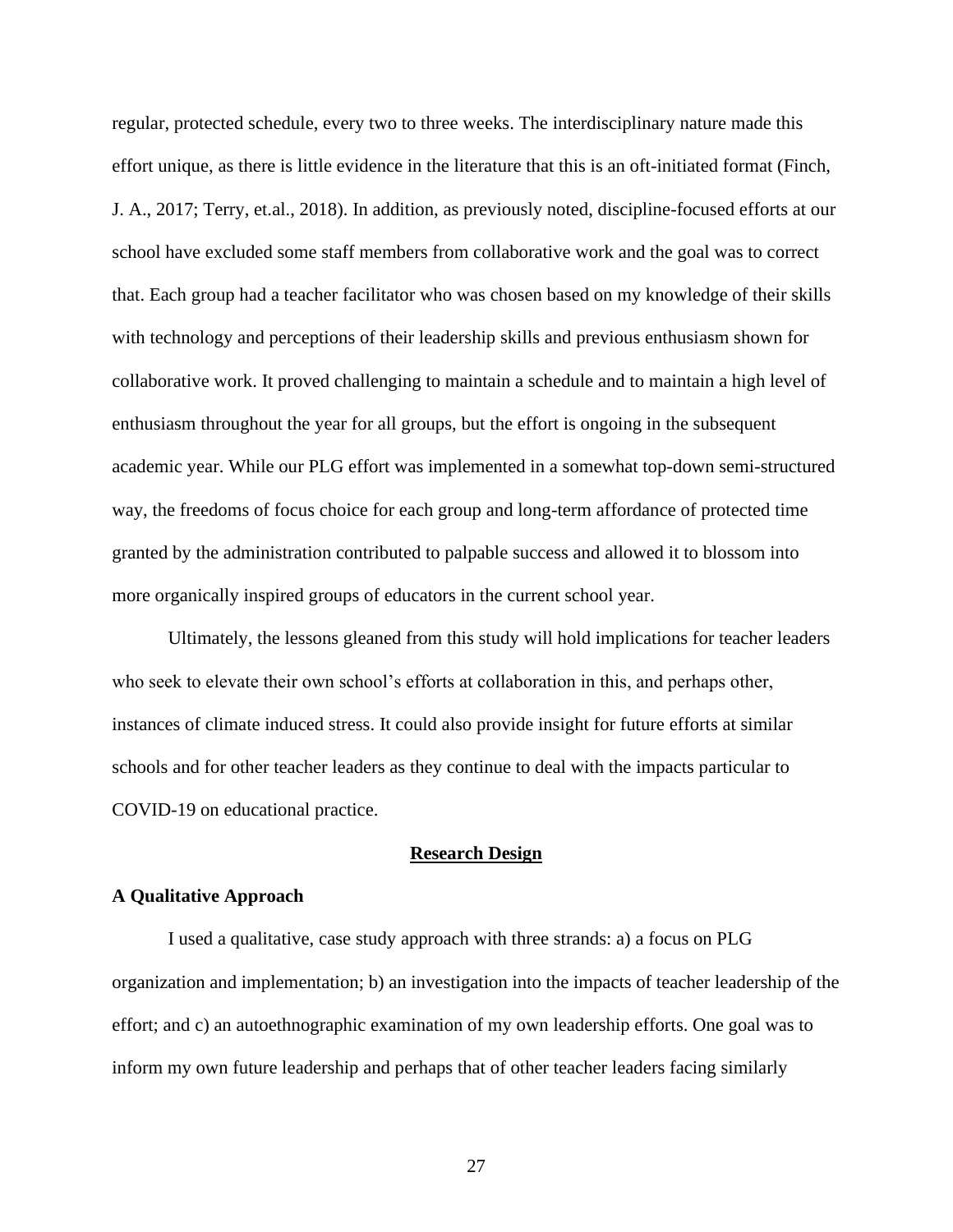regular, protected schedule, every two to three weeks. The interdisciplinary nature made this effort unique, as there is little evidence in the literature that this is an oft-initiated format (Finch, J. A., 2017; Terry, et.al., 2018). In addition, as previously noted, discipline-focused efforts at our school have excluded some staff members from collaborative work and the goal was to correct that. Each group had a teacher facilitator who was chosen based on my knowledge of their skills with technology and perceptions of their leadership skills and previous enthusiasm shown for collaborative work. It proved challenging to maintain a schedule and to maintain a high level of enthusiasm throughout the year for all groups, but the effort is ongoing in the subsequent academic year. While our PLG effort was implemented in a somewhat top-down semi-structured way, the freedoms of focus choice for each group and long-term affordance of protected time granted by the administration contributed to palpable success and allowed it to blossom into more organically inspired groups of educators in the current school year.

Ultimately, the lessons gleaned from this study will hold implications for teacher leaders who seek to elevate their own school's efforts at collaboration in this, and perhaps other, instances of climate induced stress. It could also provide insight for future efforts at similar schools and for other teacher leaders as they continue to deal with the impacts particular to COVID-19 on educational practice.

#### **Research Design**

# **A Qualitative Approach**

I used a qualitative, case study approach with three strands: a) a focus on PLG organization and implementation; b) an investigation into the impacts of teacher leadership of the effort; and c) an autoethnographic examination of my own leadership efforts. One goal was to inform my own future leadership and perhaps that of other teacher leaders facing similarly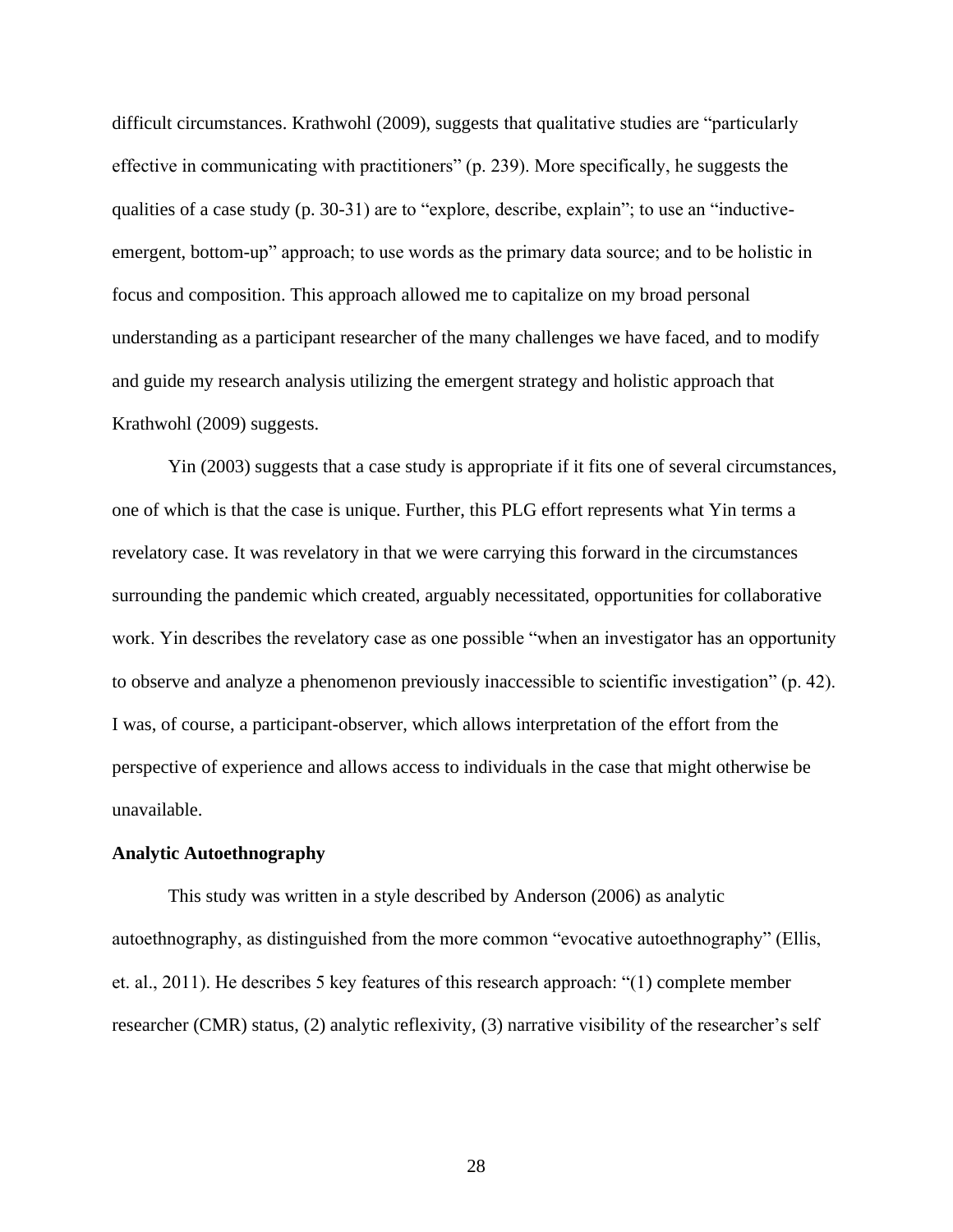difficult circumstances. Krathwohl (2009), suggests that qualitative studies are "particularly effective in communicating with practitioners" (p. 239). More specifically, he suggests the qualities of a case study (p. 30-31) are to "explore, describe, explain"; to use an "inductiveemergent, bottom-up" approach; to use words as the primary data source; and to be holistic in focus and composition. This approach allowed me to capitalize on my broad personal understanding as a participant researcher of the many challenges we have faced, and to modify and guide my research analysis utilizing the emergent strategy and holistic approach that Krathwohl (2009) suggests.

Yin (2003) suggests that a case study is appropriate if it fits one of several circumstances, one of which is that the case is unique. Further, this PLG effort represents what Yin terms a revelatory case. It was revelatory in that we were carrying this forward in the circumstances surrounding the pandemic which created, arguably necessitated, opportunities for collaborative work. Yin describes the revelatory case as one possible "when an investigator has an opportunity to observe and analyze a phenomenon previously inaccessible to scientific investigation" (p. 42). I was, of course, a participant-observer, which allows interpretation of the effort from the perspective of experience and allows access to individuals in the case that might otherwise be unavailable.

#### **Analytic Autoethnography**

This study was written in a style described by Anderson (2006) as analytic autoethnography, as distinguished from the more common "evocative autoethnography" (Ellis, et. al., 2011). He describes 5 key features of this research approach: "(1) complete member researcher (CMR) status, (2) analytic reflexivity, (3) narrative visibility of the researcher's self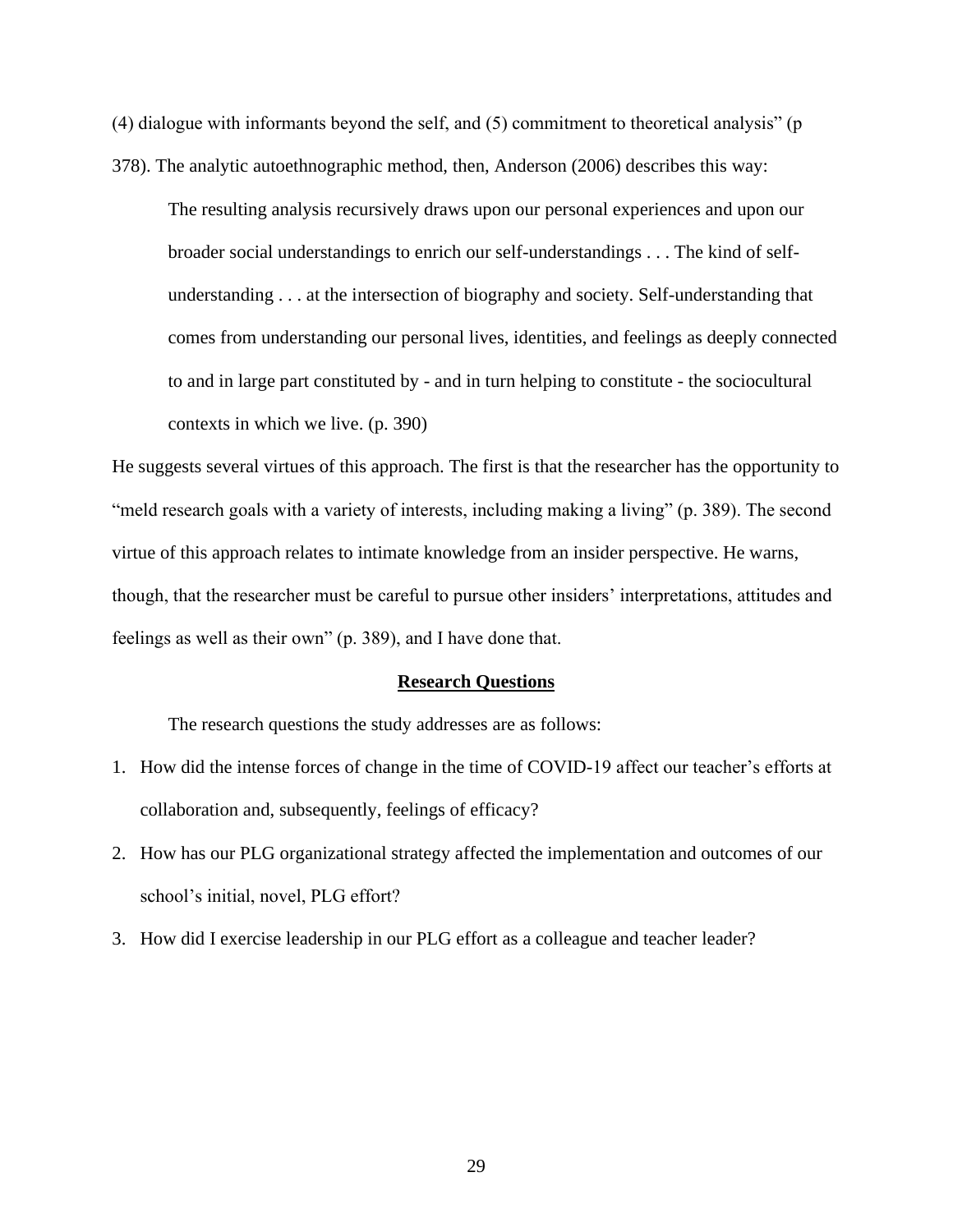(4) dialogue with informants beyond the self, and (5) commitment to theoretical analysis" (p 378). The analytic autoethnographic method, then, Anderson (2006) describes this way:

The resulting analysis recursively draws upon our personal experiences and upon our broader social understandings to enrich our self-understandings . . . The kind of selfunderstanding . . . at the intersection of biography and society. Self-understanding that comes from understanding our personal lives, identities, and feelings as deeply connected to and in large part constituted by - and in turn helping to constitute - the sociocultural contexts in which we live. (p. 390)

He suggests several virtues of this approach. The first is that the researcher has the opportunity to "meld research goals with a variety of interests, including making a living" (p. 389). The second virtue of this approach relates to intimate knowledge from an insider perspective. He warns, though, that the researcher must be careful to pursue other insiders' interpretations, attitudes and feelings as well as their own" (p. 389), and I have done that.

#### **Research Questions**

The research questions the study addresses are as follows:

- 1. How did the intense forces of change in the time of COVID-19 affect our teacher's efforts at collaboration and, subsequently, feelings of efficacy?
- 2. How has our PLG organizational strategy affected the implementation and outcomes of our school's initial, novel, PLG effort?
- 3. How did I exercise leadership in our PLG effort as a colleague and teacher leader?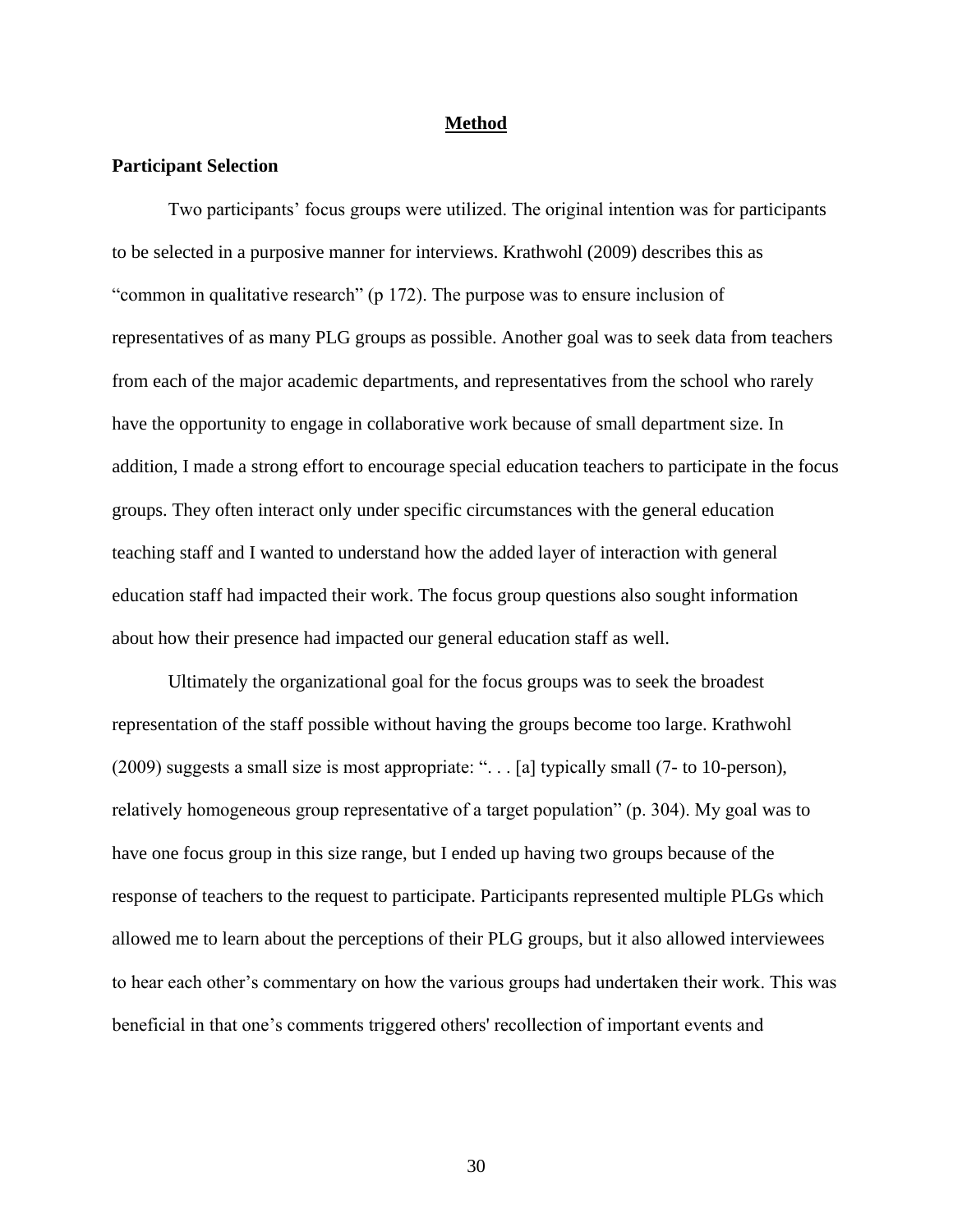# **Method**

# **Participant Selection**

Two participants' focus groups were utilized. The original intention was for participants to be selected in a purposive manner for interviews. Krathwohl (2009) describes this as "common in qualitative research" (p 172). The purpose was to ensure inclusion of representatives of as many PLG groups as possible. Another goal was to seek data from teachers from each of the major academic departments, and representatives from the school who rarely have the opportunity to engage in collaborative work because of small department size. In addition, I made a strong effort to encourage special education teachers to participate in the focus groups. They often interact only under specific circumstances with the general education teaching staff and I wanted to understand how the added layer of interaction with general education staff had impacted their work. The focus group questions also sought information about how their presence had impacted our general education staff as well.

Ultimately the organizational goal for the focus groups was to seek the broadest representation of the staff possible without having the groups become too large. Krathwohl (2009) suggests a small size is most appropriate: ". . . [a] typically small (7- to 10-person), relatively homogeneous group representative of a target population" (p. 304). My goal was to have one focus group in this size range, but I ended up having two groups because of the response of teachers to the request to participate. Participants represented multiple PLGs which allowed me to learn about the perceptions of their PLG groups, but it also allowed interviewees to hear each other's commentary on how the various groups had undertaken their work. This was beneficial in that one's comments triggered others' recollection of important events and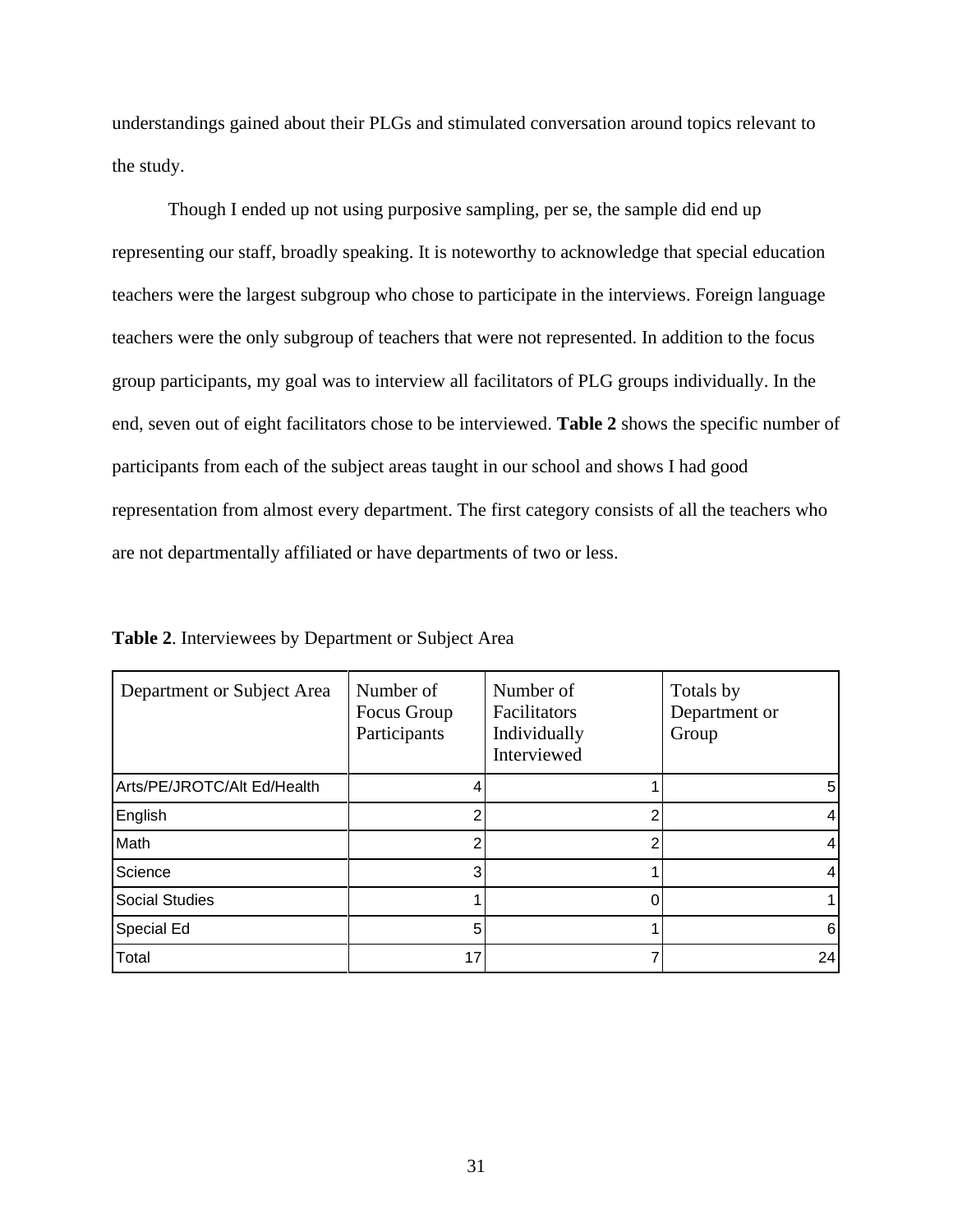understandings gained about their PLGs and stimulated conversation around topics relevant to the study.

Though I ended up not using purposive sampling, per se, the sample did end up representing our staff, broadly speaking. It is noteworthy to acknowledge that special education teachers were the largest subgroup who chose to participate in the interviews. Foreign language teachers were the only subgroup of teachers that were not represented. In addition to the focus group participants, my goal was to interview all facilitators of PLG groups individually. In the end, seven out of eight facilitators chose to be interviewed. **Table 2** shows the specific number of participants from each of the subject areas taught in our school and shows I had good representation from almost every department. The first category consists of all the teachers who are not departmentally affiliated or have departments of two or less.

| Department or Subject Area  | Number of<br>Focus Group<br>Participants | Number of<br>Facilitators<br>Individually<br>Interviewed | Totals by<br>Department or<br>Group |
|-----------------------------|------------------------------------------|----------------------------------------------------------|-------------------------------------|
| Arts/PE/JROTC/Alt Ed/Health |                                          |                                                          | 5                                   |
| English                     | c                                        | ◠                                                        | 4                                   |
| Math                        | 2                                        | 2                                                        | 4                                   |
| Science                     | 3                                        |                                                          |                                     |
| <b>Social Studies</b>       |                                          | 0                                                        |                                     |
| Special Ed                  | 5                                        |                                                          | 6                                   |
| Total                       | 17                                       |                                                          | 24                                  |

**Table 2**. Interviewees by Department or Subject Area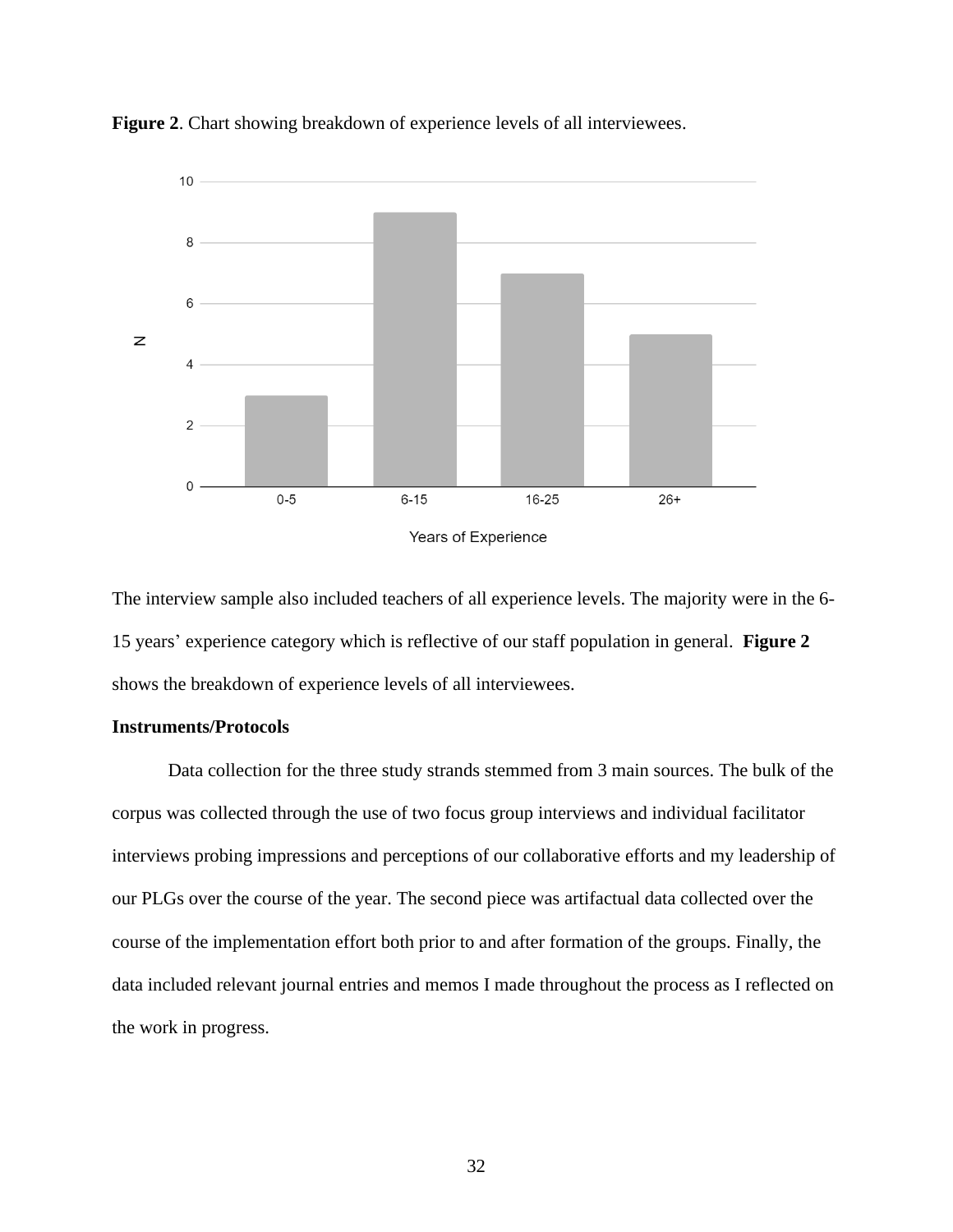

Figure 2. Chart showing breakdown of experience levels of all interviewees.

The interview sample also included teachers of all experience levels. The majority were in the 6- 15 years' experience category which is reflective of our staff population in general. **Figure 2** shows the breakdown of experience levels of all interviewees.

# **Instruments/Protocols**

Data collection for the three study strands stemmed from 3 main sources. The bulk of the corpus was collected through the use of two focus group interviews and individual facilitator interviews probing impressions and perceptions of our collaborative efforts and my leadership of our PLGs over the course of the year. The second piece was artifactual data collected over the course of the implementation effort both prior to and after formation of the groups. Finally, the data included relevant journal entries and memos I made throughout the process as I reflected on the work in progress.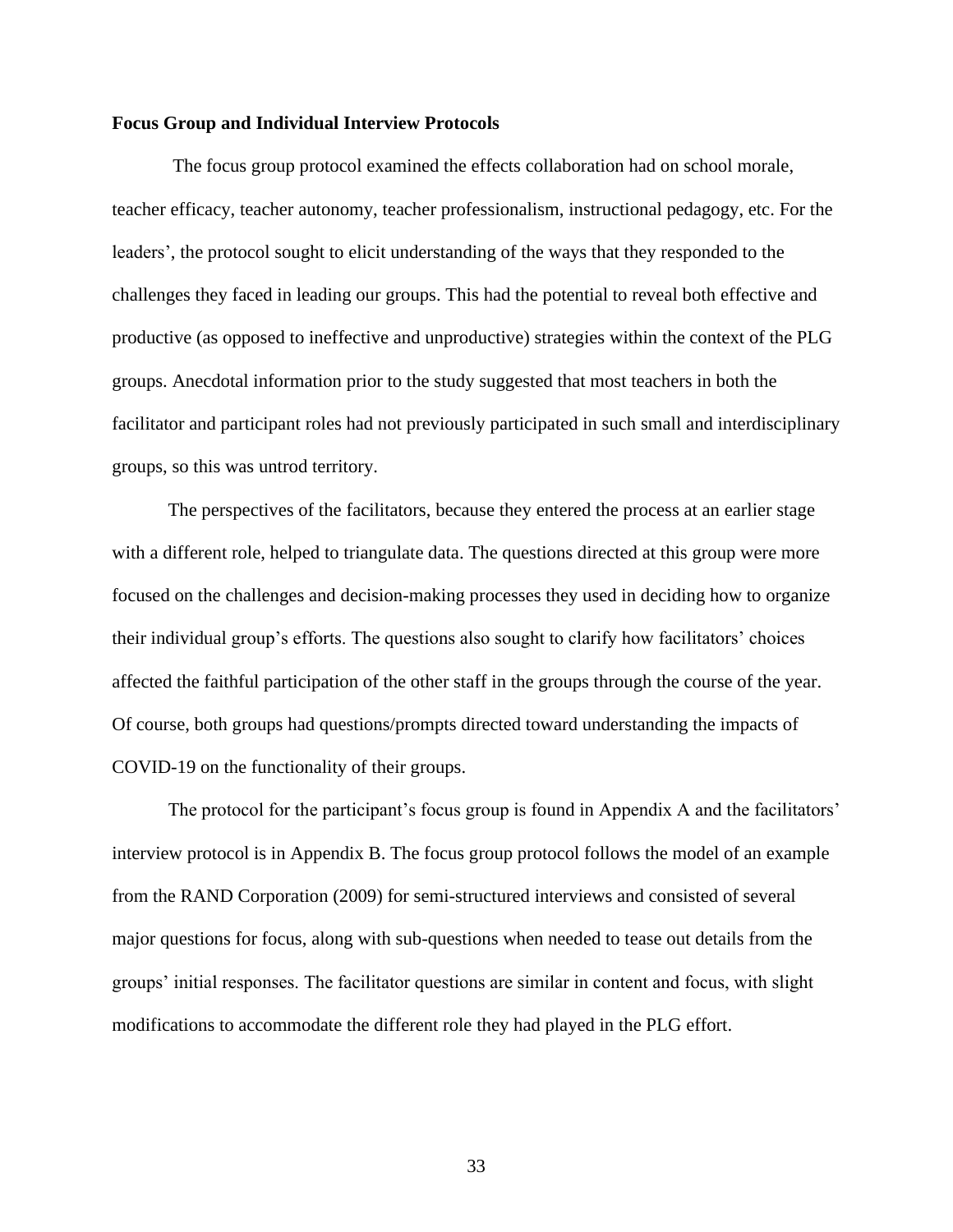# **Focus Group and Individual Interview Protocols**

The focus group protocol examined the effects collaboration had on school morale, teacher efficacy, teacher autonomy, teacher professionalism, instructional pedagogy, etc. For the leaders', the protocol sought to elicit understanding of the ways that they responded to the challenges they faced in leading our groups. This had the potential to reveal both effective and productive (as opposed to ineffective and unproductive) strategies within the context of the PLG groups. Anecdotal information prior to the study suggested that most teachers in both the facilitator and participant roles had not previously participated in such small and interdisciplinary groups, so this was untrod territory.

The perspectives of the facilitators, because they entered the process at an earlier stage with a different role, helped to triangulate data. The questions directed at this group were more focused on the challenges and decision-making processes they used in deciding how to organize their individual group's efforts. The questions also sought to clarify how facilitators' choices affected the faithful participation of the other staff in the groups through the course of the year. Of course, both groups had questions/prompts directed toward understanding the impacts of COVID-19 on the functionality of their groups.

The protocol for the participant's focus group is found in Appendix A and the facilitators' interview protocol is in Appendix B. The focus group protocol follows the model of an example from the RAND Corporation (2009) for semi-structured interviews and consisted of several major questions for focus, along with sub-questions when needed to tease out details from the groups' initial responses. The facilitator questions are similar in content and focus, with slight modifications to accommodate the different role they had played in the PLG effort.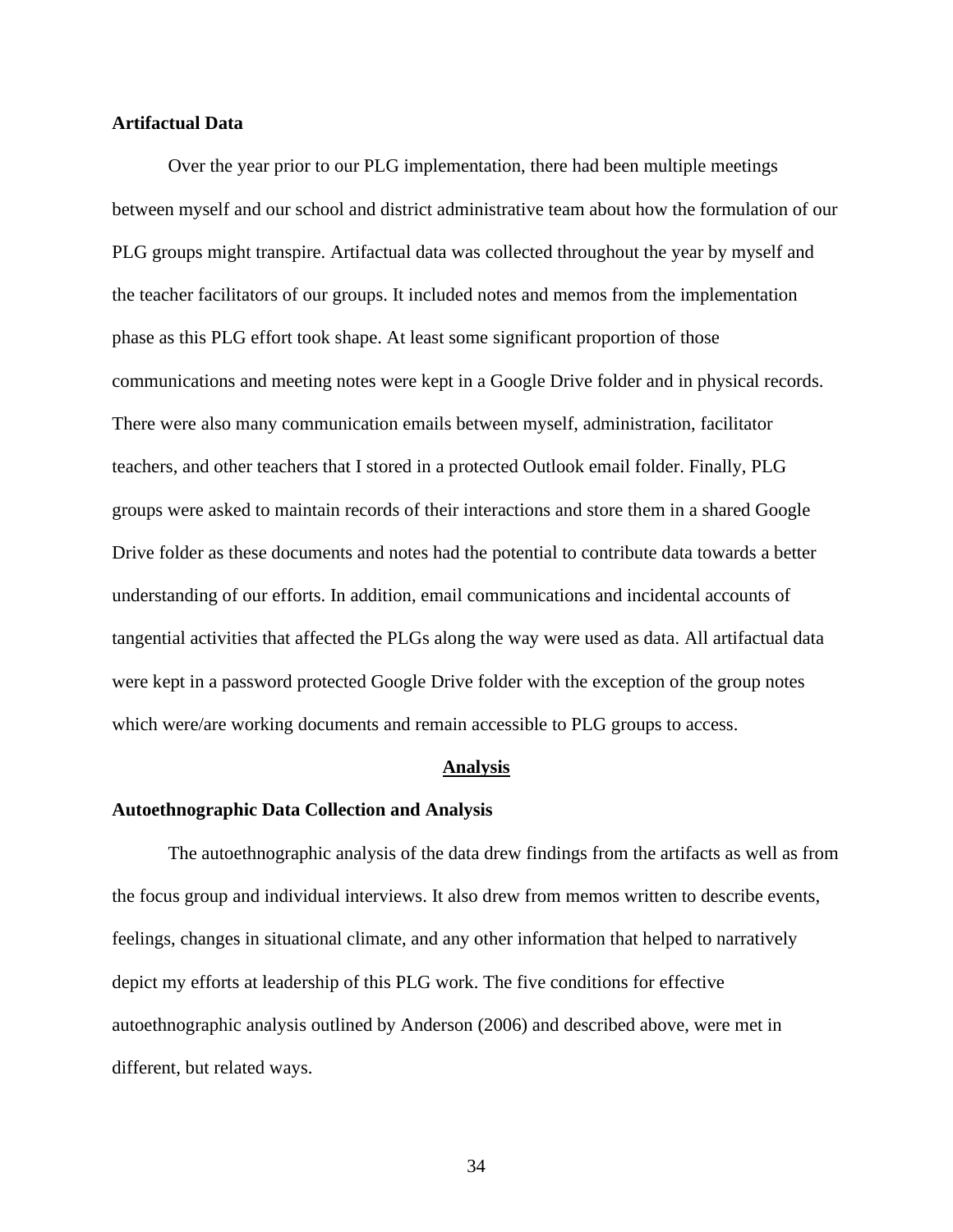# **Artifactual Data**

Over the year prior to our PLG implementation, there had been multiple meetings between myself and our school and district administrative team about how the formulation of our PLG groups might transpire. Artifactual data was collected throughout the year by myself and the teacher facilitators of our groups. It included notes and memos from the implementation phase as this PLG effort took shape. At least some significant proportion of those communications and meeting notes were kept in a Google Drive folder and in physical records. There were also many communication emails between myself, administration, facilitator teachers, and other teachers that I stored in a protected Outlook email folder. Finally, PLG groups were asked to maintain records of their interactions and store them in a shared Google Drive folder as these documents and notes had the potential to contribute data towards a better understanding of our efforts. In addition, email communications and incidental accounts of tangential activities that affected the PLGs along the way were used as data. All artifactual data were kept in a password protected Google Drive folder with the exception of the group notes which were/are working documents and remain accessible to PLG groups to access.

#### **Analysis**

# **Autoethnographic Data Collection and Analysis**

The autoethnographic analysis of the data drew findings from the artifacts as well as from the focus group and individual interviews. It also drew from memos written to describe events, feelings, changes in situational climate, and any other information that helped to narratively depict my efforts at leadership of this PLG work. The five conditions for effective autoethnographic analysis outlined by Anderson (2006) and described above, were met in different, but related ways.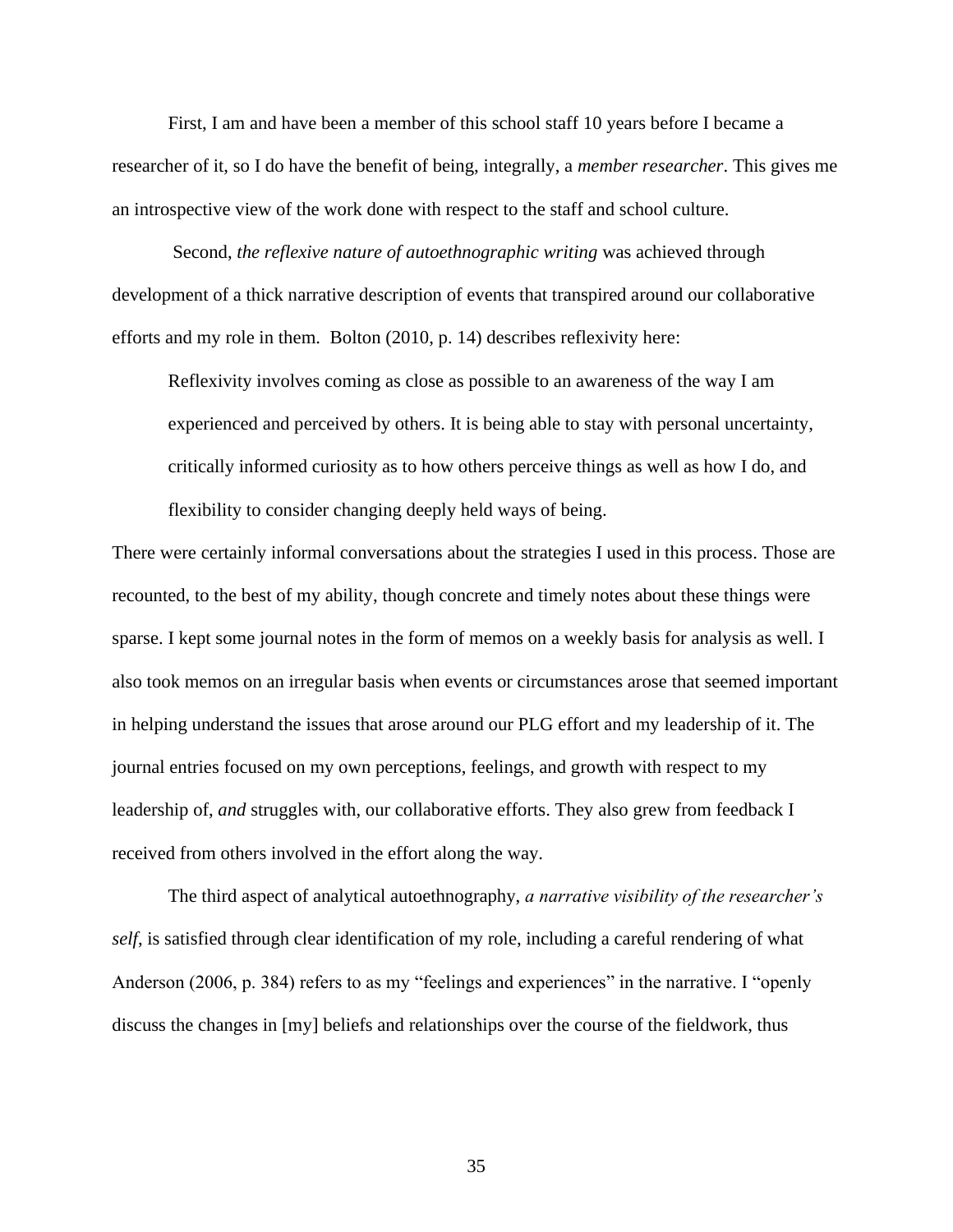First, I am and have been a member of this school staff 10 years before I became a researcher of it, so I do have the benefit of being, integrally, a *member researcher*. This gives me an introspective view of the work done with respect to the staff and school culture.

Second, *the reflexive nature of autoethnographic writing* was achieved through development of a thick narrative description of events that transpired around our collaborative efforts and my role in them. Bolton (2010, p. 14) describes reflexivity here:

Reflexivity involves coming as close as possible to an awareness of the way I am experienced and perceived by others. It is being able to stay with personal uncertainty, critically informed curiosity as to how others perceive things as well as how I do, and flexibility to consider changing deeply held ways of being.

There were certainly informal conversations about the strategies I used in this process. Those are recounted, to the best of my ability, though concrete and timely notes about these things were sparse. I kept some journal notes in the form of memos on a weekly basis for analysis as well. I also took memos on an irregular basis when events or circumstances arose that seemed important in helping understand the issues that arose around our PLG effort and my leadership of it. The journal entries focused on my own perceptions, feelings, and growth with respect to my leadership of, *and* struggles with, our collaborative efforts. They also grew from feedback I received from others involved in the effort along the way.

The third aspect of analytical autoethnography, *a narrative visibility of the researcher's self*, is satisfied through clear identification of my role, including a careful rendering of what Anderson (2006, p. 384) refers to as my "feelings and experiences" in the narrative. I "openly discuss the changes in [my] beliefs and relationships over the course of the fieldwork, thus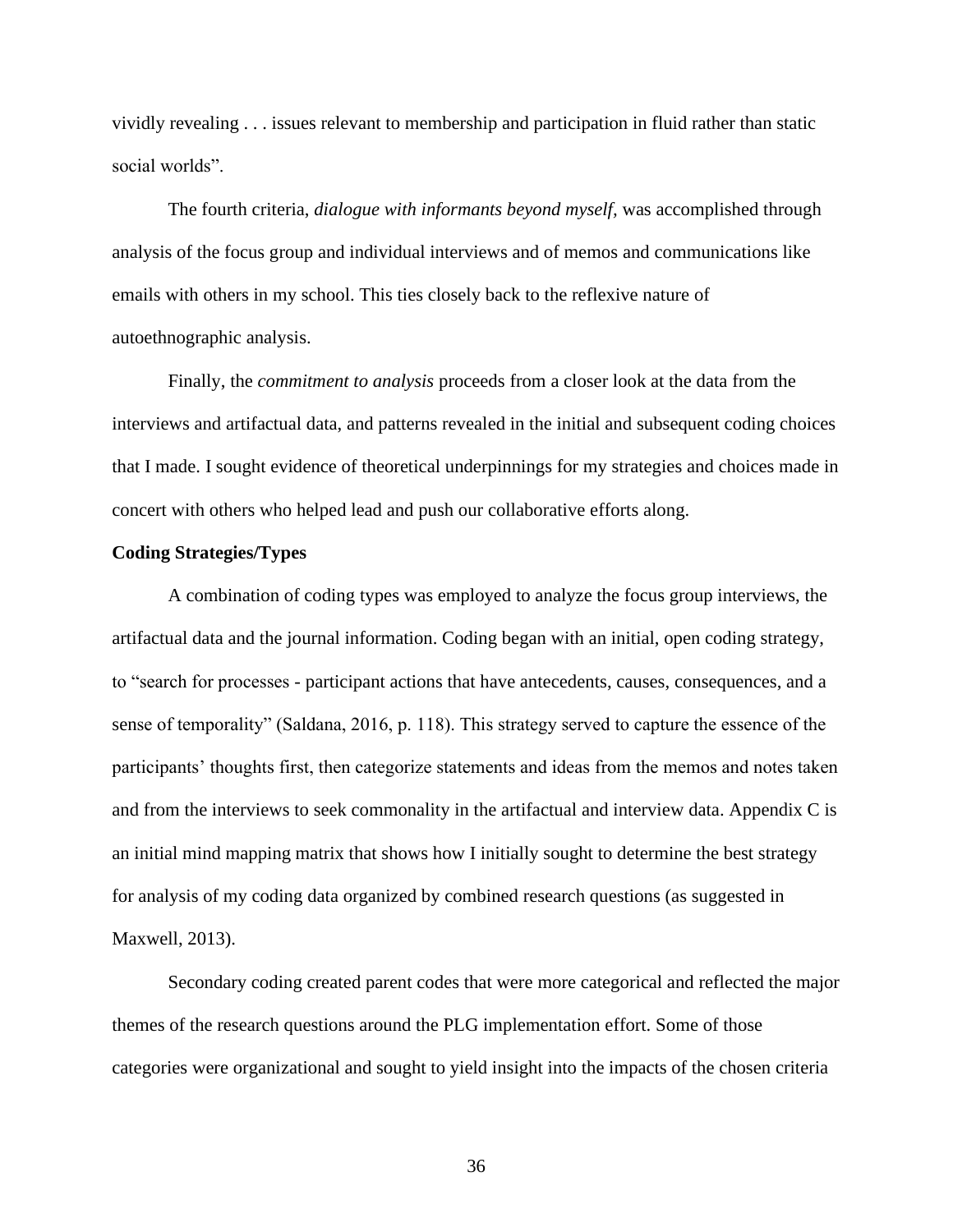vividly revealing . . . issues relevant to membership and participation in fluid rather than static social worlds".

The fourth criteria, *dialogue with informants beyond myself,* was accomplished through analysis of the focus group and individual interviews and of memos and communications like emails with others in my school. This ties closely back to the reflexive nature of autoethnographic analysis.

Finally, the *commitment to analysis* proceeds from a closer look at the data from the interviews and artifactual data, and patterns revealed in the initial and subsequent coding choices that I made. I sought evidence of theoretical underpinnings for my strategies and choices made in concert with others who helped lead and push our collaborative efforts along.

# **Coding Strategies/Types**

A combination of coding types was employed to analyze the focus group interviews, the artifactual data and the journal information. Coding began with an initial, open coding strategy, to "search for processes - participant actions that have antecedents, causes, consequences, and a sense of temporality" (Saldana, 2016, p. 118). This strategy served to capture the essence of the participants' thoughts first, then categorize statements and ideas from the memos and notes taken and from the interviews to seek commonality in the artifactual and interview data. Appendix C is an initial mind mapping matrix that shows how I initially sought to determine the best strategy for analysis of my coding data organized by combined research questions (as suggested in Maxwell, 2013).

Secondary coding created parent codes that were more categorical and reflected the major themes of the research questions around the PLG implementation effort. Some of those categories were organizational and sought to yield insight into the impacts of the chosen criteria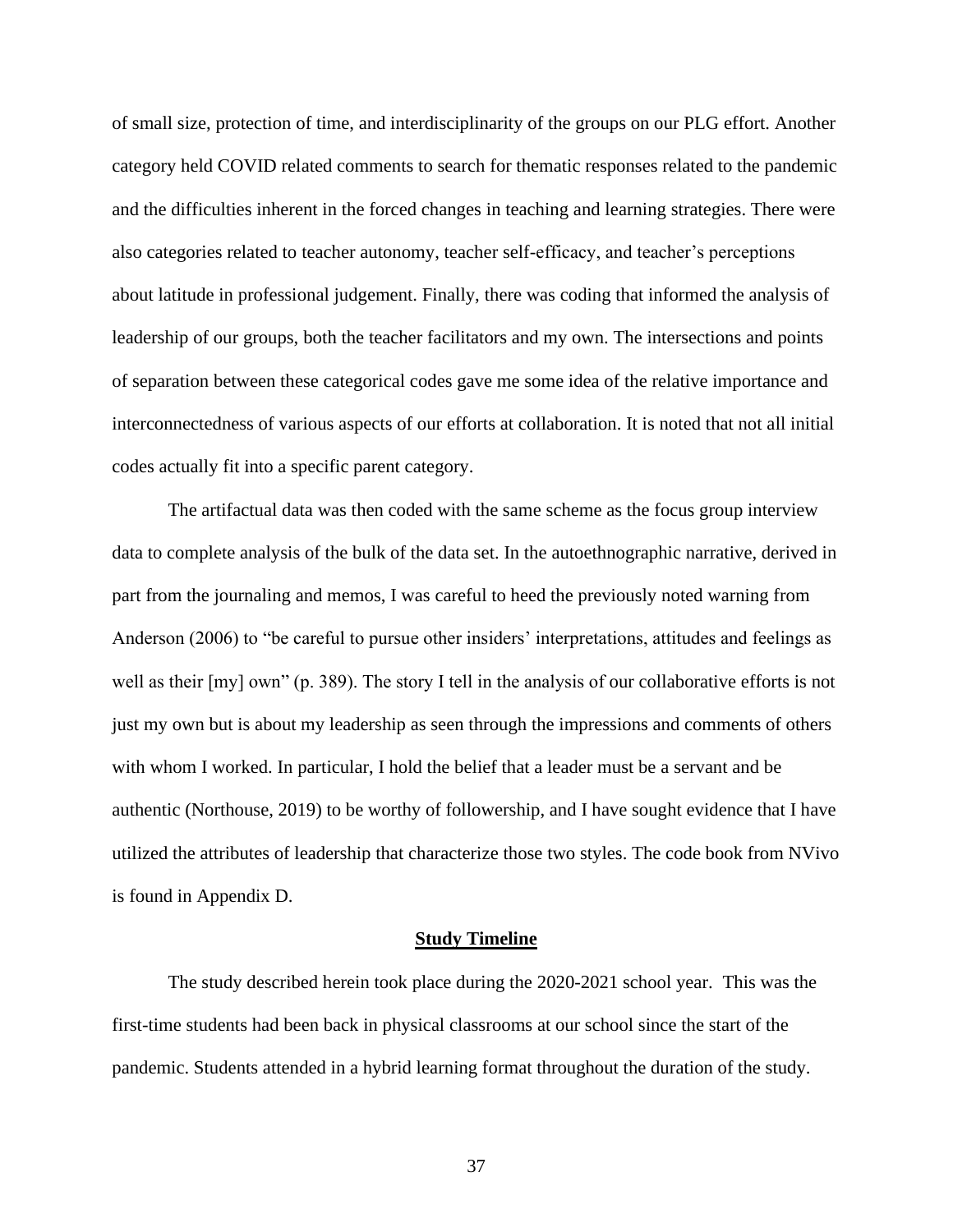of small size, protection of time, and interdisciplinarity of the groups on our PLG effort. Another category held COVID related comments to search for thematic responses related to the pandemic and the difficulties inherent in the forced changes in teaching and learning strategies. There were also categories related to teacher autonomy, teacher self-efficacy, and teacher's perceptions about latitude in professional judgement. Finally, there was coding that informed the analysis of leadership of our groups, both the teacher facilitators and my own. The intersections and points of separation between these categorical codes gave me some idea of the relative importance and interconnectedness of various aspects of our efforts at collaboration. It is noted that not all initial codes actually fit into a specific parent category.

The artifactual data was then coded with the same scheme as the focus group interview data to complete analysis of the bulk of the data set. In the autoethnographic narrative, derived in part from the journaling and memos, I was careful to heed the previously noted warning from Anderson (2006) to "be careful to pursue other insiders' interpretations, attitudes and feelings as well as their [my] own" (p. 389). The story I tell in the analysis of our collaborative efforts is not just my own but is about my leadership as seen through the impressions and comments of others with whom I worked. In particular, I hold the belief that a leader must be a servant and be authentic (Northouse, 2019) to be worthy of followership, and I have sought evidence that I have utilized the attributes of leadership that characterize those two styles. The code book from NVivo is found in Appendix D.

#### **Study Timeline**

The study described herein took place during the 2020-2021 school year. This was the first-time students had been back in physical classrooms at our school since the start of the pandemic. Students attended in a hybrid learning format throughout the duration of the study.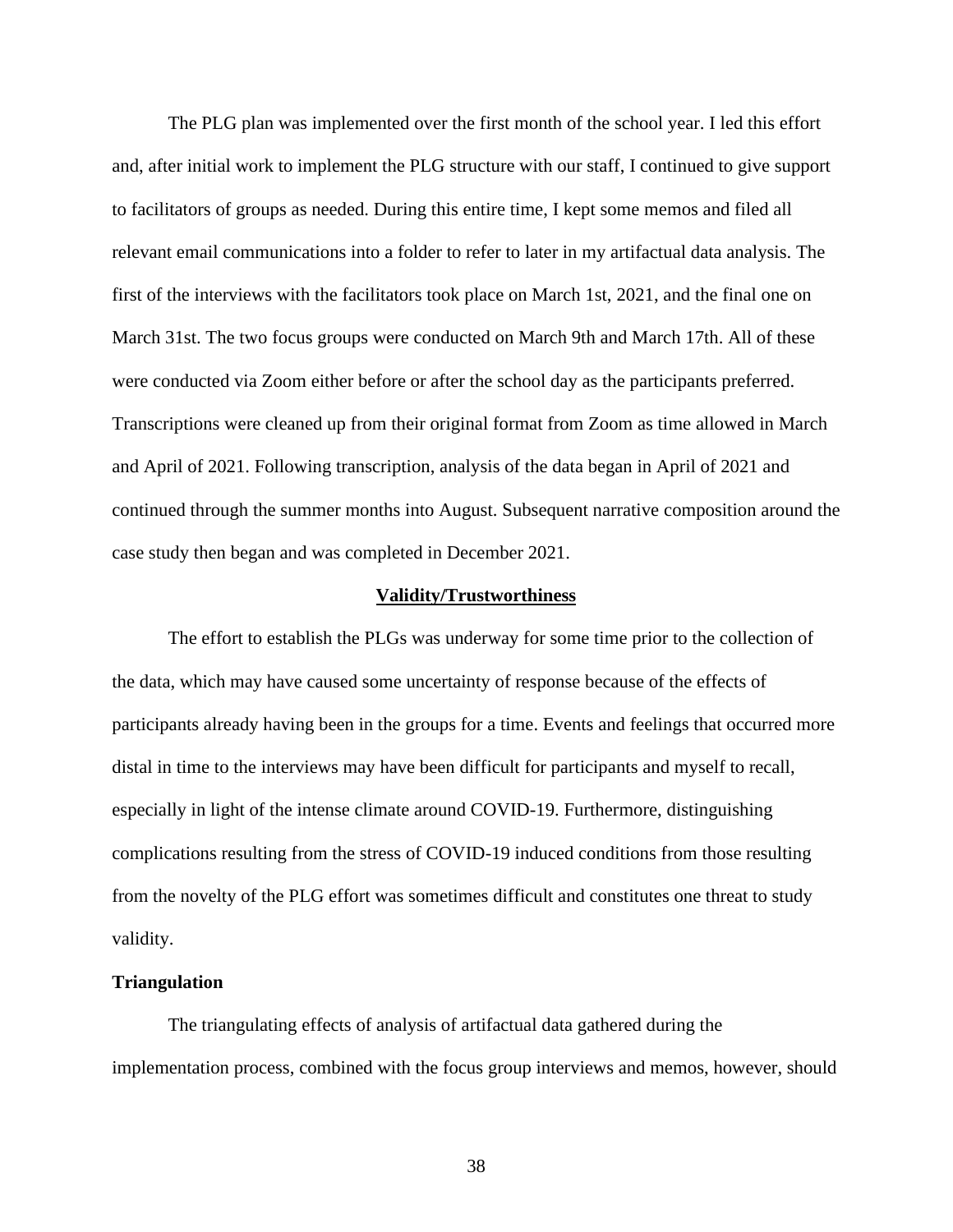The PLG plan was implemented over the first month of the school year. I led this effort and, after initial work to implement the PLG structure with our staff, I continued to give support to facilitators of groups as needed. During this entire time, I kept some memos and filed all relevant email communications into a folder to refer to later in my artifactual data analysis. The first of the interviews with the facilitators took place on March 1st, 2021, and the final one on March 31st. The two focus groups were conducted on March 9th and March 17th. All of these were conducted via Zoom either before or after the school day as the participants preferred. Transcriptions were cleaned up from their original format from Zoom as time allowed in March and April of 2021. Following transcription, analysis of the data began in April of 2021 and continued through the summer months into August. Subsequent narrative composition around the case study then began and was completed in December 2021.

# **Validity/Trustworthiness**

The effort to establish the PLGs was underway for some time prior to the collection of the data, which may have caused some uncertainty of response because of the effects of participants already having been in the groups for a time. Events and feelings that occurred more distal in time to the interviews may have been difficult for participants and myself to recall, especially in light of the intense climate around COVID-19. Furthermore, distinguishing complications resulting from the stress of COVID-19 induced conditions from those resulting from the novelty of the PLG effort was sometimes difficult and constitutes one threat to study validity.

#### **Triangulation**

The triangulating effects of analysis of artifactual data gathered during the implementation process, combined with the focus group interviews and memos, however, should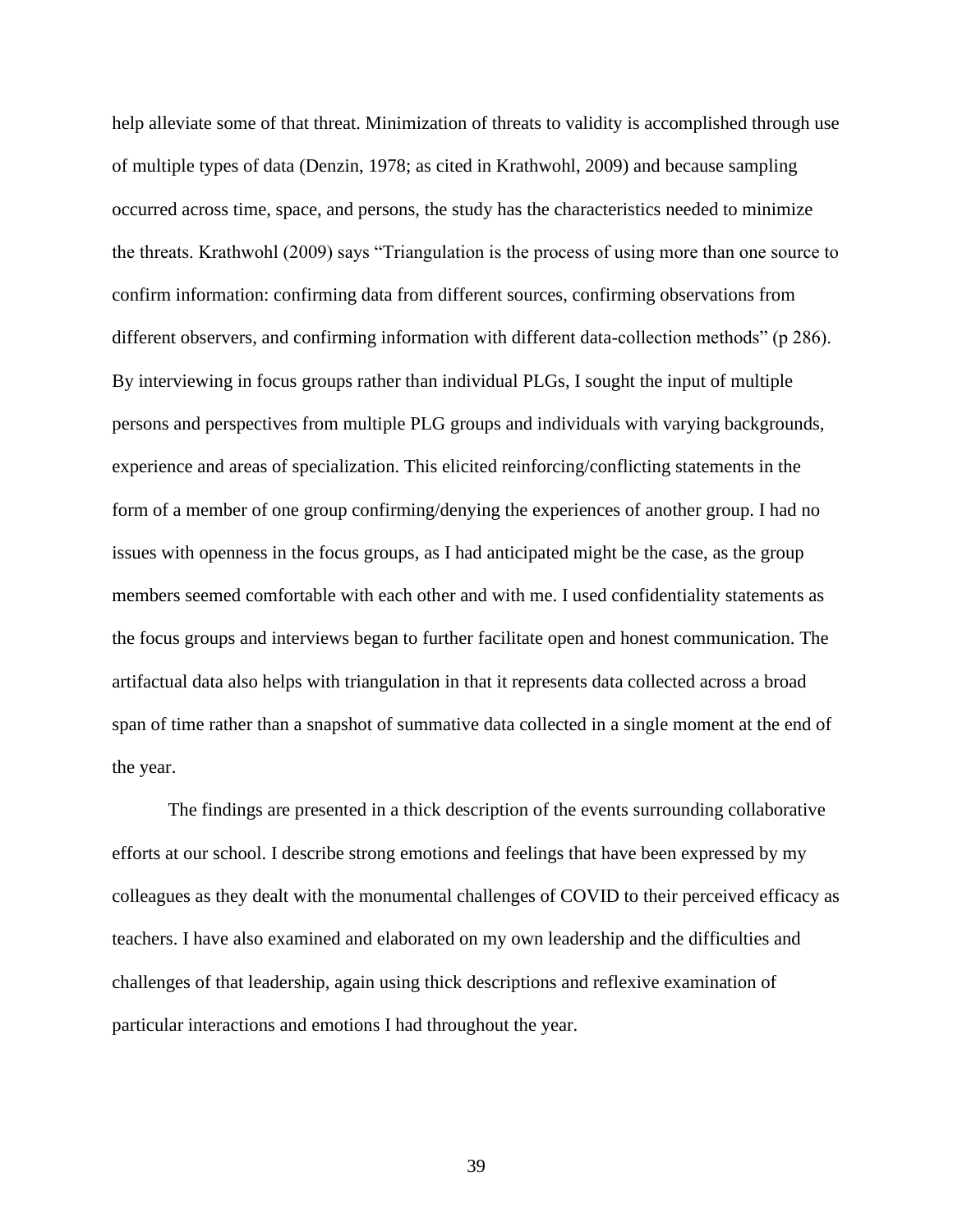help alleviate some of that threat. Minimization of threats to validity is accomplished through use of multiple types of data (Denzin, 1978; as cited in Krathwohl, 2009) and because sampling occurred across time, space, and persons, the study has the characteristics needed to minimize the threats. Krathwohl (2009) says "Triangulation is the process of using more than one source to confirm information: confirming data from different sources, confirming observations from different observers, and confirming information with different data-collection methods" (p 286). By interviewing in focus groups rather than individual PLGs, I sought the input of multiple persons and perspectives from multiple PLG groups and individuals with varying backgrounds, experience and areas of specialization. This elicited reinforcing/conflicting statements in the form of a member of one group confirming/denying the experiences of another group. I had no issues with openness in the focus groups, as I had anticipated might be the case, as the group members seemed comfortable with each other and with me. I used confidentiality statements as the focus groups and interviews began to further facilitate open and honest communication. The artifactual data also helps with triangulation in that it represents data collected across a broad span of time rather than a snapshot of summative data collected in a single moment at the end of the year.

The findings are presented in a thick description of the events surrounding collaborative efforts at our school. I describe strong emotions and feelings that have been expressed by my colleagues as they dealt with the monumental challenges of COVID to their perceived efficacy as teachers. I have also examined and elaborated on my own leadership and the difficulties and challenges of that leadership, again using thick descriptions and reflexive examination of particular interactions and emotions I had throughout the year.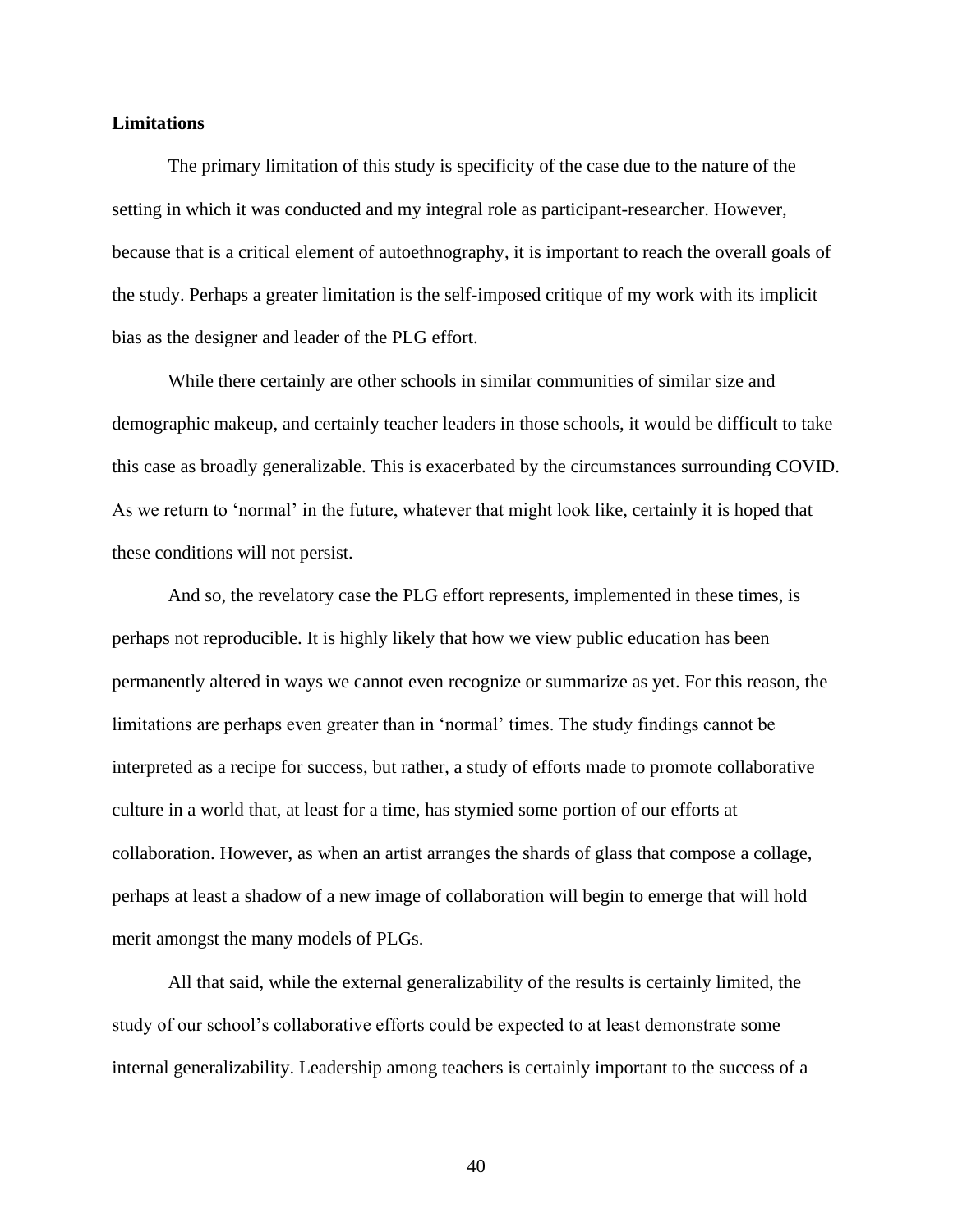# **Limitations**

The primary limitation of this study is specificity of the case due to the nature of the setting in which it was conducted and my integral role as participant-researcher. However, because that is a critical element of autoethnography, it is important to reach the overall goals of the study. Perhaps a greater limitation is the self-imposed critique of my work with its implicit bias as the designer and leader of the PLG effort.

While there certainly are other schools in similar communities of similar size and demographic makeup, and certainly teacher leaders in those schools, it would be difficult to take this case as broadly generalizable. This is exacerbated by the circumstances surrounding COVID. As we return to 'normal' in the future, whatever that might look like, certainly it is hoped that these conditions will not persist.

And so, the revelatory case the PLG effort represents, implemented in these times, is perhaps not reproducible. It is highly likely that how we view public education has been permanently altered in ways we cannot even recognize or summarize as yet. For this reason, the limitations are perhaps even greater than in 'normal' times. The study findings cannot be interpreted as a recipe for success, but rather, a study of efforts made to promote collaborative culture in a world that, at least for a time, has stymied some portion of our efforts at collaboration. However, as when an artist arranges the shards of glass that compose a collage, perhaps at least a shadow of a new image of collaboration will begin to emerge that will hold merit amongst the many models of PLGs.

All that said, while the external generalizability of the results is certainly limited, the study of our school's collaborative efforts could be expected to at least demonstrate some internal generalizability. Leadership among teachers is certainly important to the success of a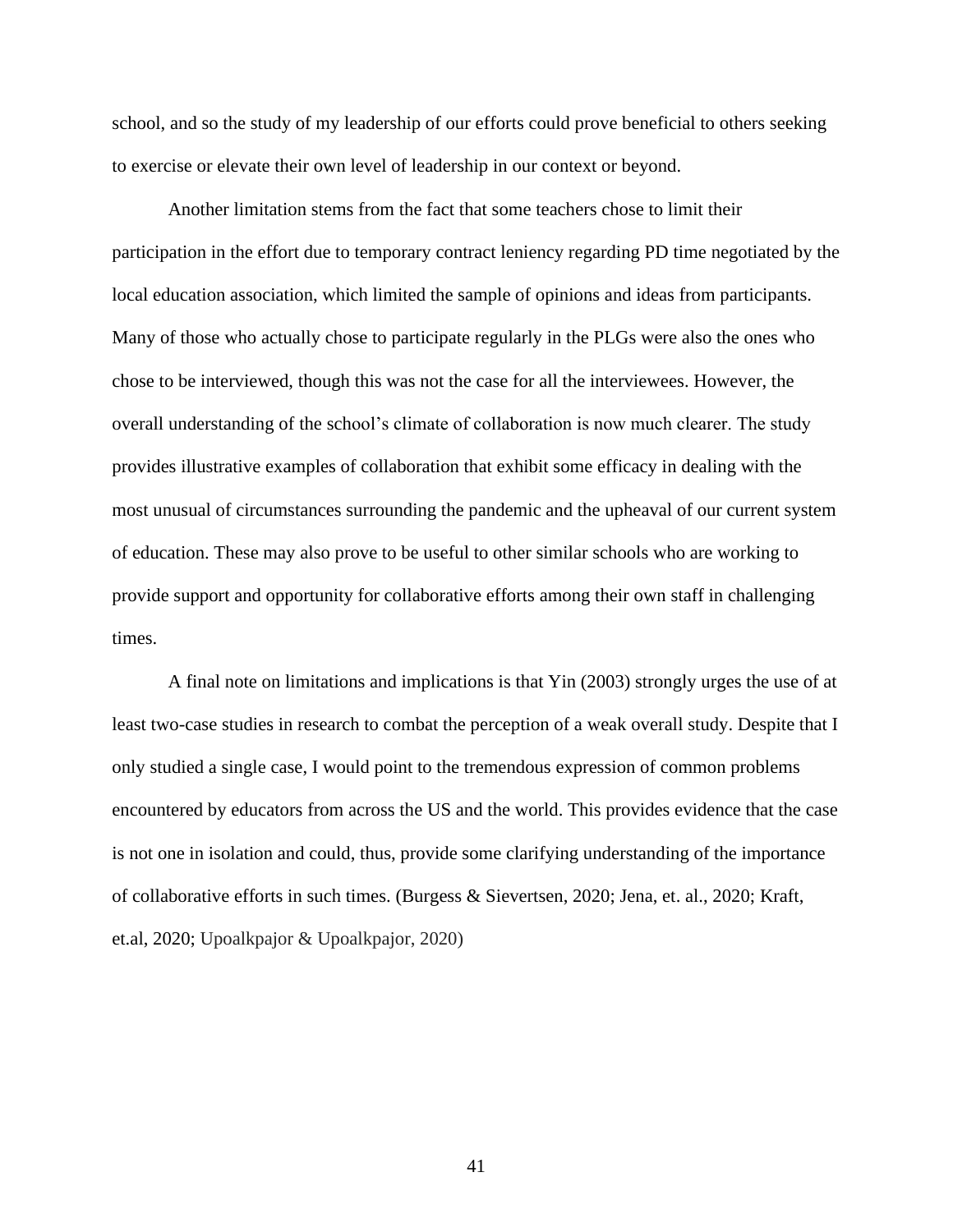school, and so the study of my leadership of our efforts could prove beneficial to others seeking to exercise or elevate their own level of leadership in our context or beyond.

Another limitation stems from the fact that some teachers chose to limit their participation in the effort due to temporary contract leniency regarding PD time negotiated by the local education association, which limited the sample of opinions and ideas from participants. Many of those who actually chose to participate regularly in the PLGs were also the ones who chose to be interviewed, though this was not the case for all the interviewees. However, the overall understanding of the school's climate of collaboration is now much clearer. The study provides illustrative examples of collaboration that exhibit some efficacy in dealing with the most unusual of circumstances surrounding the pandemic and the upheaval of our current system of education. These may also prove to be useful to other similar schools who are working to provide support and opportunity for collaborative efforts among their own staff in challenging times.

A final note on limitations and implications is that Yin (2003) strongly urges the use of at least two-case studies in research to combat the perception of a weak overall study. Despite that I only studied a single case, I would point to the tremendous expression of common problems encountered by educators from across the US and the world. This provides evidence that the case is not one in isolation and could, thus, provide some clarifying understanding of the importance of collaborative efforts in such times. (Burgess & Sievertsen, 2020; Jena, et. al., 2020; Kraft, et.al, 2020; Upoalkpajor & Upoalkpajor, 2020)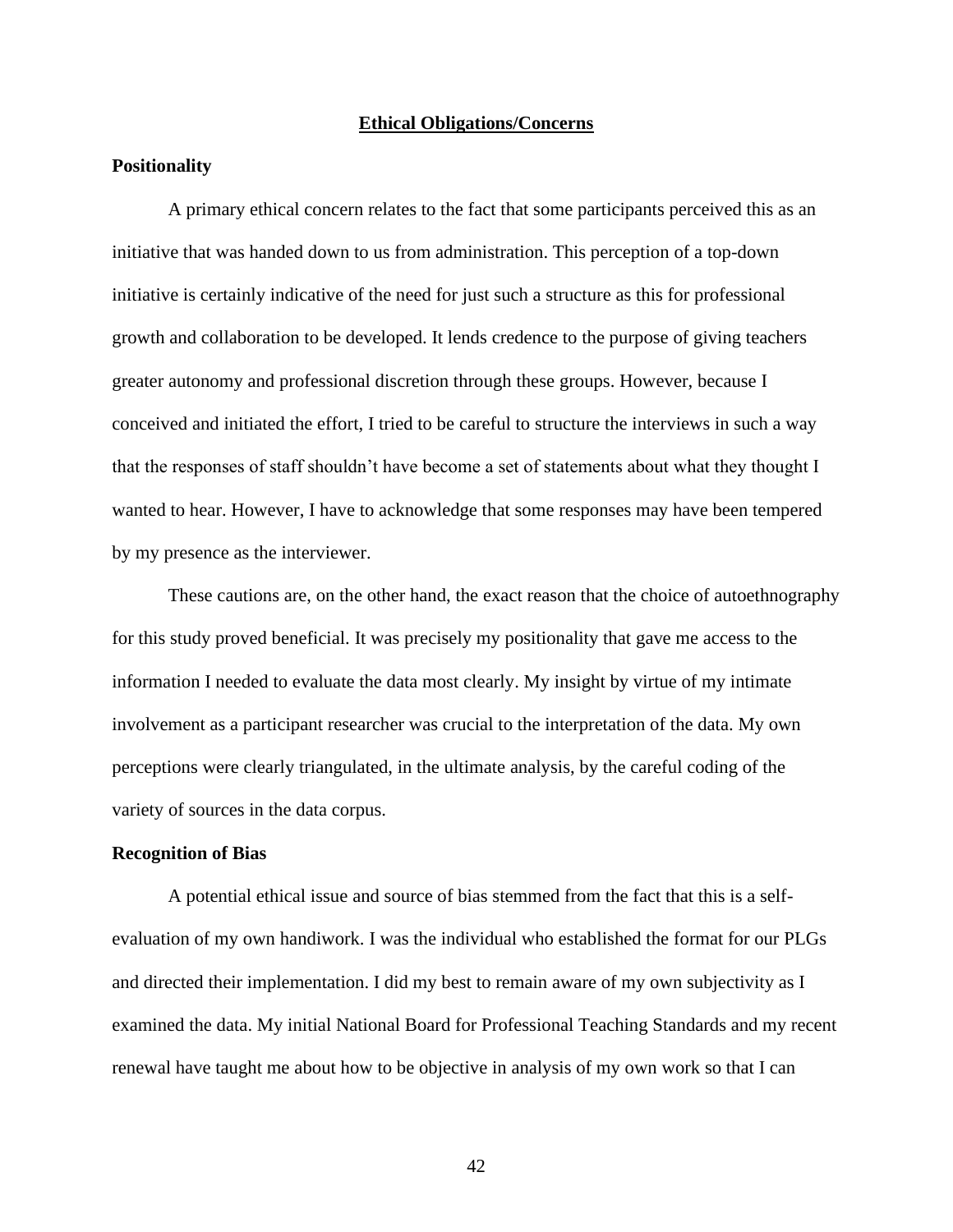# **Ethical Obligations/Concerns**

# **Positionality**

A primary ethical concern relates to the fact that some participants perceived this as an initiative that was handed down to us from administration. This perception of a top-down initiative is certainly indicative of the need for just such a structure as this for professional growth and collaboration to be developed. It lends credence to the purpose of giving teachers greater autonomy and professional discretion through these groups. However, because I conceived and initiated the effort, I tried to be careful to structure the interviews in such a way that the responses of staff shouldn't have become a set of statements about what they thought I wanted to hear. However, I have to acknowledge that some responses may have been tempered by my presence as the interviewer.

These cautions are, on the other hand, the exact reason that the choice of autoethnography for this study proved beneficial. It was precisely my positionality that gave me access to the information I needed to evaluate the data most clearly. My insight by virtue of my intimate involvement as a participant researcher was crucial to the interpretation of the data. My own perceptions were clearly triangulated, in the ultimate analysis, by the careful coding of the variety of sources in the data corpus.

#### **Recognition of Bias**

A potential ethical issue and source of bias stemmed from the fact that this is a selfevaluation of my own handiwork. I was the individual who established the format for our PLGs and directed their implementation. I did my best to remain aware of my own subjectivity as I examined the data. My initial National Board for Professional Teaching Standards and my recent renewal have taught me about how to be objective in analysis of my own work so that I can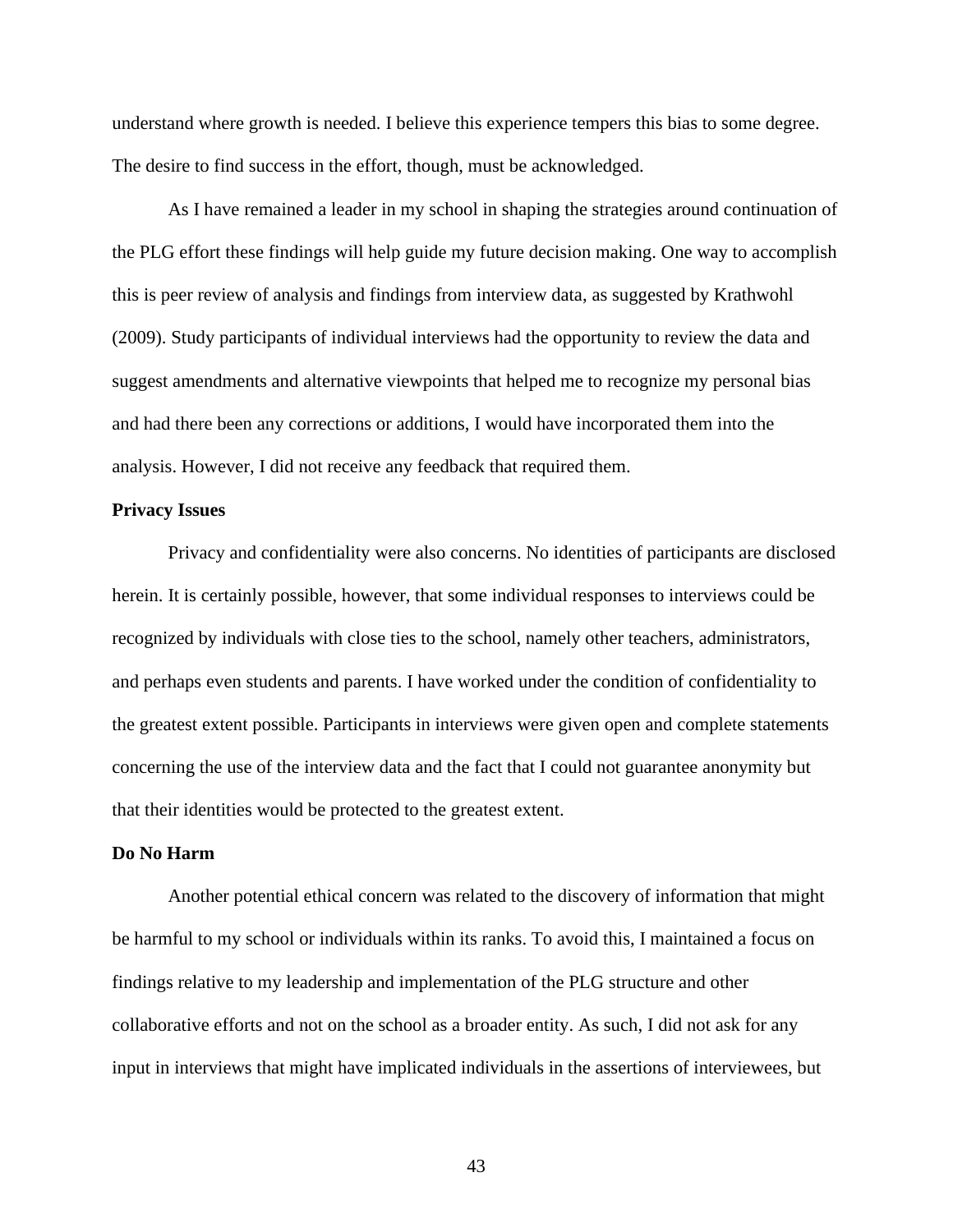understand where growth is needed. I believe this experience tempers this bias to some degree. The desire to find success in the effort, though, must be acknowledged.

As I have remained a leader in my school in shaping the strategies around continuation of the PLG effort these findings will help guide my future decision making. One way to accomplish this is peer review of analysis and findings from interview data, as suggested by Krathwohl (2009). Study participants of individual interviews had the opportunity to review the data and suggest amendments and alternative viewpoints that helped me to recognize my personal bias and had there been any corrections or additions, I would have incorporated them into the analysis. However, I did not receive any feedback that required them.

# **Privacy Issues**

Privacy and confidentiality were also concerns. No identities of participants are disclosed herein. It is certainly possible, however, that some individual responses to interviews could be recognized by individuals with close ties to the school, namely other teachers, administrators, and perhaps even students and parents. I have worked under the condition of confidentiality to the greatest extent possible. Participants in interviews were given open and complete statements concerning the use of the interview data and the fact that I could not guarantee anonymity but that their identities would be protected to the greatest extent.

# **Do No Harm**

Another potential ethical concern was related to the discovery of information that might be harmful to my school or individuals within its ranks. To avoid this, I maintained a focus on findings relative to my leadership and implementation of the PLG structure and other collaborative efforts and not on the school as a broader entity. As such, I did not ask for any input in interviews that might have implicated individuals in the assertions of interviewees, but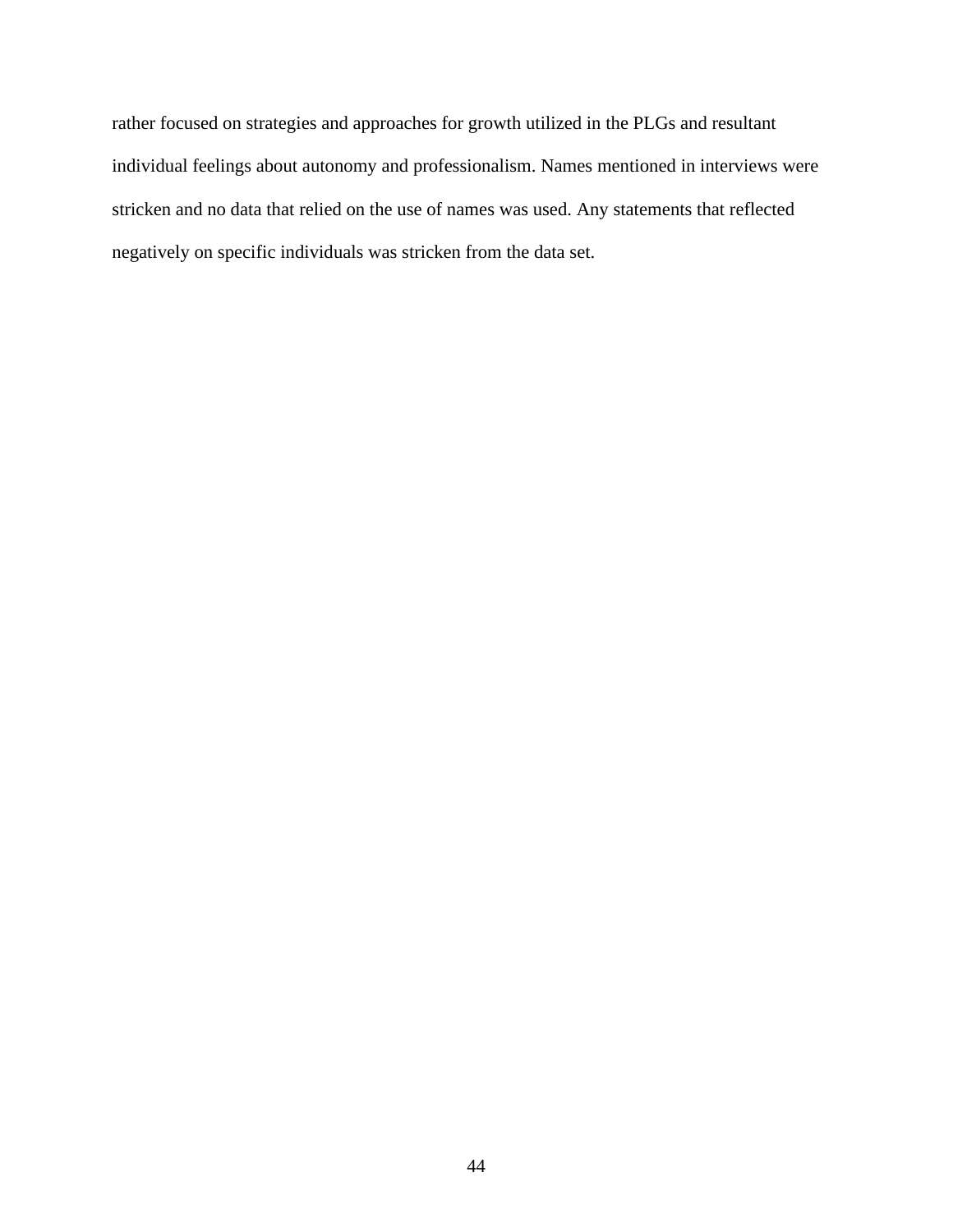rather focused on strategies and approaches for growth utilized in the PLGs and resultant individual feelings about autonomy and professionalism. Names mentioned in interviews were stricken and no data that relied on the use of names was used. Any statements that reflected negatively on specific individuals was stricken from the data set.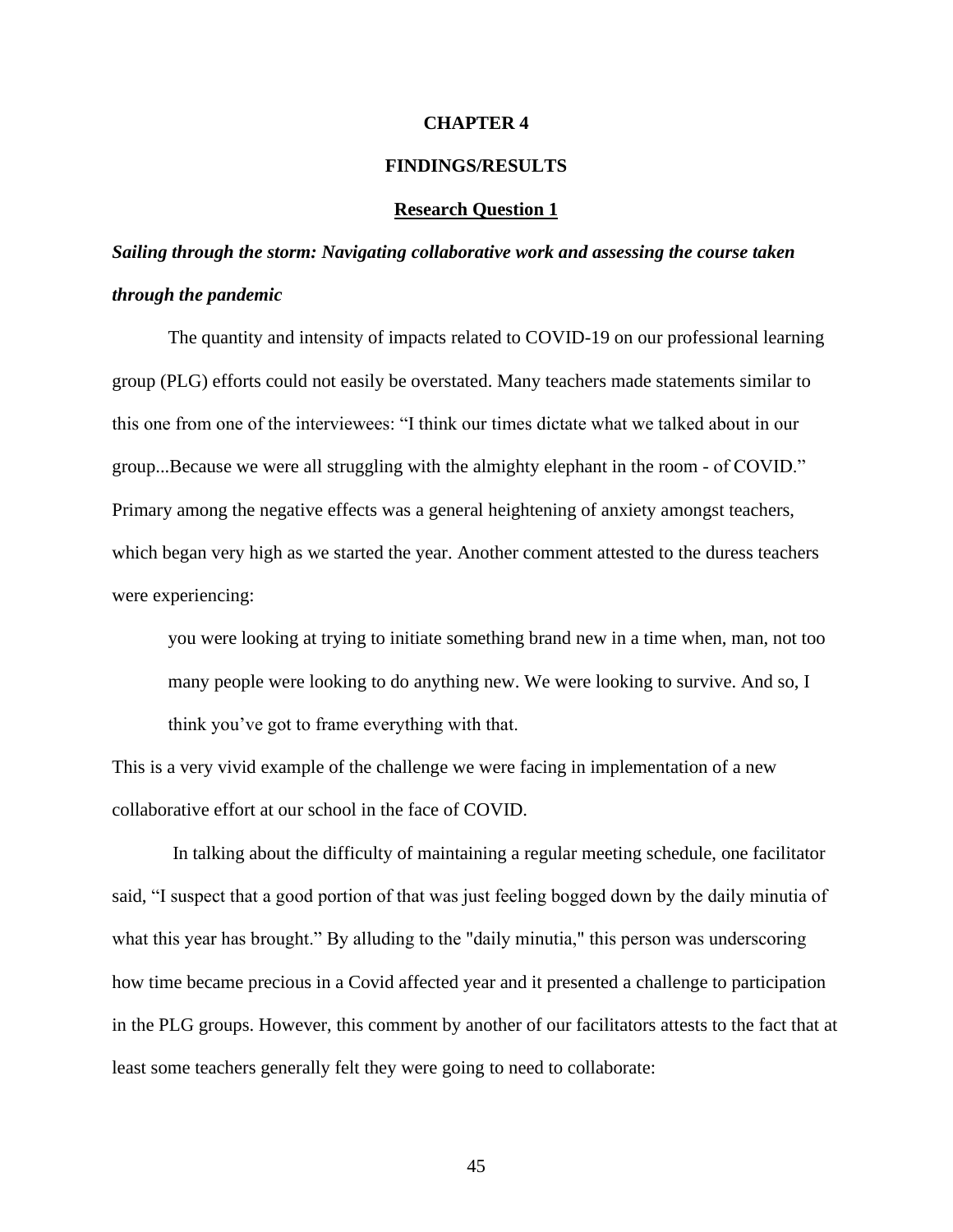### **CHAPTER 4**

# **FINDINGS/RESULTS**

# **Research Question 1**

*Sailing through the storm: Navigating collaborative work and assessing the course taken through the pandemic*

The quantity and intensity of impacts related to COVID-19 on our professional learning group (PLG) efforts could not easily be overstated. Many teachers made statements similar to this one from one of the interviewees: "I think our times dictate what we talked about in our group...Because we were all struggling with the almighty elephant in the room - of COVID." Primary among the negative effects was a general heightening of anxiety amongst teachers, which began very high as we started the year. Another comment attested to the duress teachers were experiencing:

you were looking at trying to initiate something brand new in a time when, man, not too many people were looking to do anything new. We were looking to survive. And so, I think you've got to frame everything with that.

This is a very vivid example of the challenge we were facing in implementation of a new collaborative effort at our school in the face of COVID.

In talking about the difficulty of maintaining a regular meeting schedule, one facilitator said, "I suspect that a good portion of that was just feeling bogged down by the daily minutia of what this year has brought." By alluding to the "daily minutia," this person was underscoring how time became precious in a Covid affected year and it presented a challenge to participation in the PLG groups. However, this comment by another of our facilitators attests to the fact that at least some teachers generally felt they were going to need to collaborate: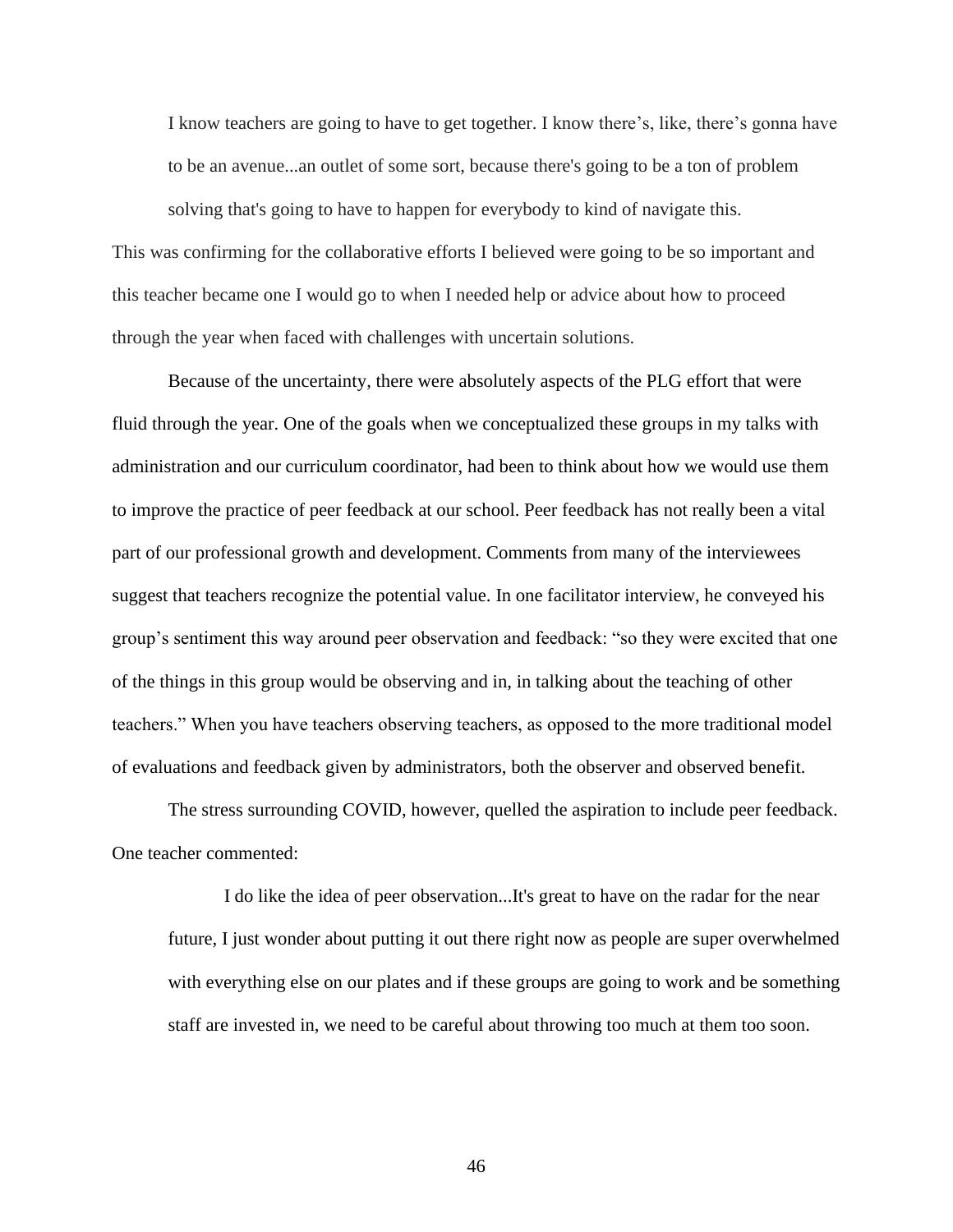I know teachers are going to have to get together. I know there's, like, there's gonna have to be an avenue...an outlet of some sort, because there's going to be a ton of problem

solving that's going to have to happen for everybody to kind of navigate this. This was confirming for the collaborative efforts I believed were going to be so important and this teacher became one I would go to when I needed help or advice about how to proceed through the year when faced with challenges with uncertain solutions.

Because of the uncertainty, there were absolutely aspects of the PLG effort that were fluid through the year. One of the goals when we conceptualized these groups in my talks with administration and our curriculum coordinator, had been to think about how we would use them to improve the practice of peer feedback at our school. Peer feedback has not really been a vital part of our professional growth and development. Comments from many of the interviewees suggest that teachers recognize the potential value. In one facilitator interview, he conveyed his group's sentiment this way around peer observation and feedback: "so they were excited that one of the things in this group would be observing and in, in talking about the teaching of other teachers." When you have teachers observing teachers, as opposed to the more traditional model of evaluations and feedback given by administrators, both the observer and observed benefit.

The stress surrounding COVID, however, quelled the aspiration to include peer feedback. One teacher commented:

I do like the idea of peer observation...It's great to have on the radar for the near future, I just wonder about putting it out there right now as people are super overwhelmed with everything else on our plates and if these groups are going to work and be something staff are invested in, we need to be careful about throwing too much at them too soon.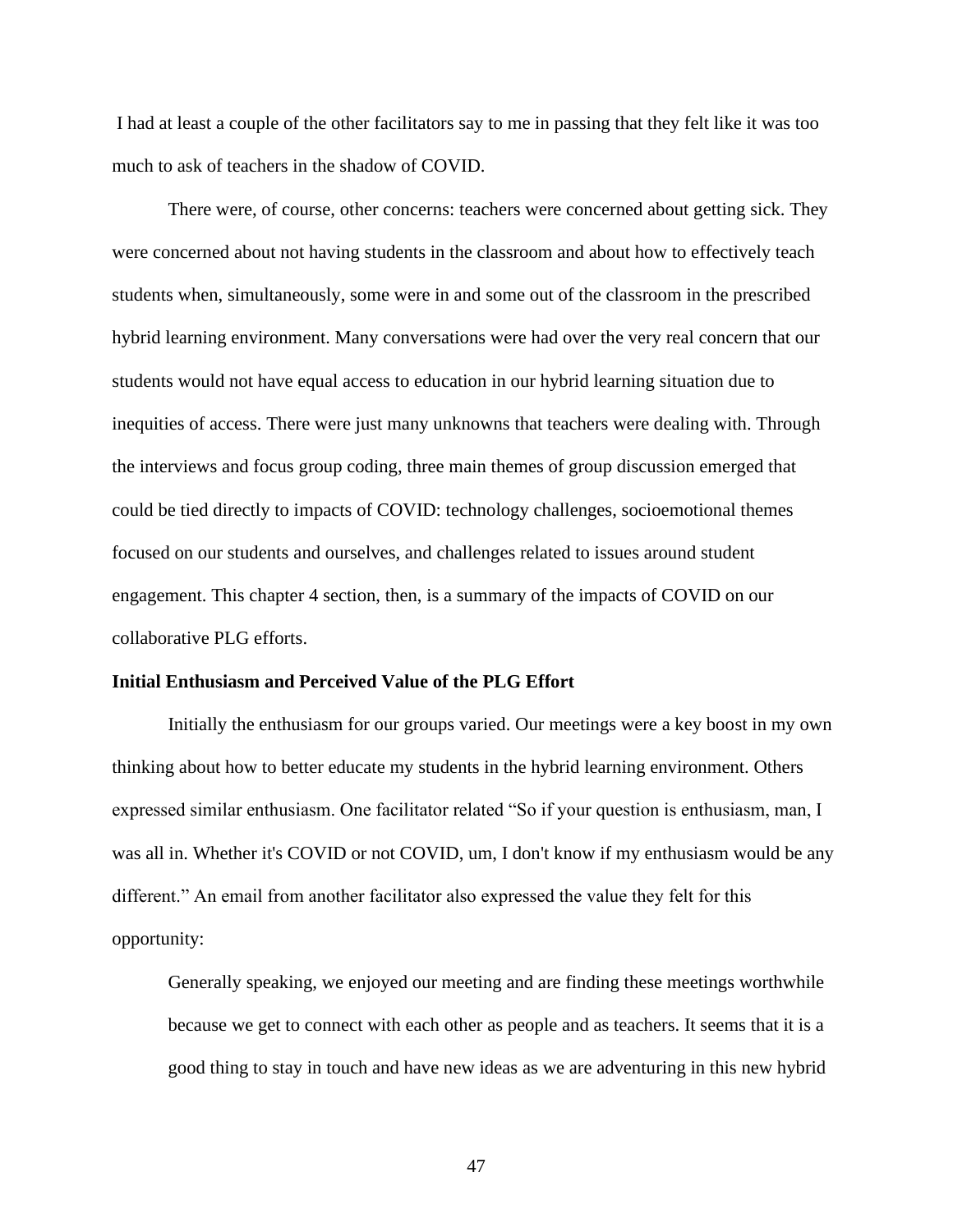I had at least a couple of the other facilitators say to me in passing that they felt like it was too much to ask of teachers in the shadow of COVID.

There were, of course, other concerns: teachers were concerned about getting sick. They were concerned about not having students in the classroom and about how to effectively teach students when, simultaneously, some were in and some out of the classroom in the prescribed hybrid learning environment. Many conversations were had over the very real concern that our students would not have equal access to education in our hybrid learning situation due to inequities of access. There were just many unknowns that teachers were dealing with. Through the interviews and focus group coding, three main themes of group discussion emerged that could be tied directly to impacts of COVID: technology challenges, socioemotional themes focused on our students and ourselves, and challenges related to issues around student engagement. This chapter 4 section, then, is a summary of the impacts of COVID on our collaborative PLG efforts.

#### **Initial Enthusiasm and Perceived Value of the PLG Effort**

Initially the enthusiasm for our groups varied. Our meetings were a key boost in my own thinking about how to better educate my students in the hybrid learning environment. Others expressed similar enthusiasm. One facilitator related "So if your question is enthusiasm, man, I was all in. Whether it's COVID or not COVID, um, I don't know if my enthusiasm would be any different." An email from another facilitator also expressed the value they felt for this opportunity:

Generally speaking, we enjoyed our meeting and are finding these meetings worthwhile because we get to connect with each other as people and as teachers. It seems that it is a good thing to stay in touch and have new ideas as we are adventuring in this new hybrid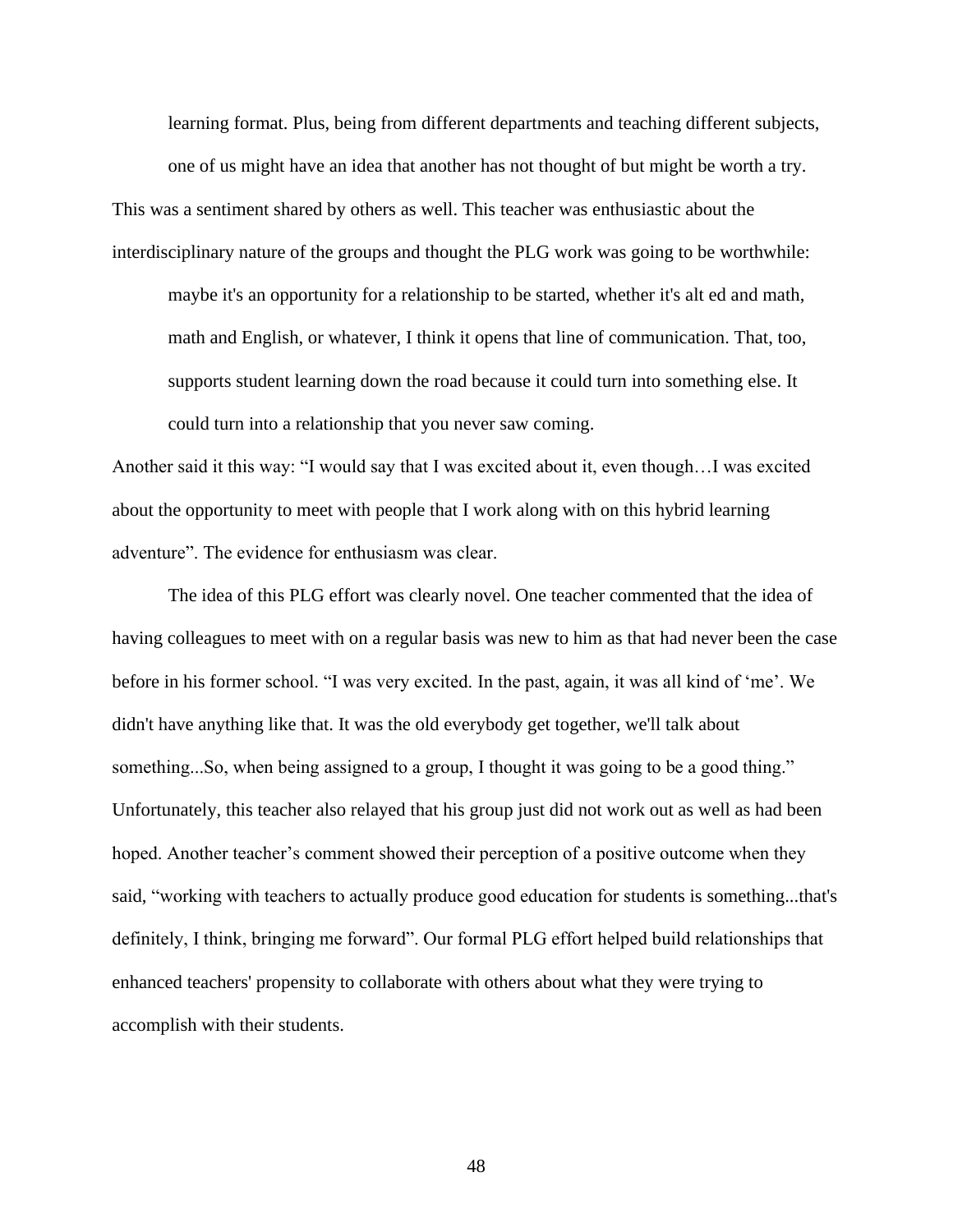learning format. Plus, being from different departments and teaching different subjects, one of us might have an idea that another has not thought of but might be worth a try.

This was a sentiment shared by others as well. This teacher was enthusiastic about the interdisciplinary nature of the groups and thought the PLG work was going to be worthwhile:

maybe it's an opportunity for a relationship to be started, whether it's alt ed and math, math and English, or whatever, I think it opens that line of communication. That, too, supports student learning down the road because it could turn into something else. It could turn into a relationship that you never saw coming.

Another said it this way: "I would say that I was excited about it, even though…I was excited about the opportunity to meet with people that I work along with on this hybrid learning adventure". The evidence for enthusiasm was clear.

The idea of this PLG effort was clearly novel. One teacher commented that the idea of having colleagues to meet with on a regular basis was new to him as that had never been the case before in his former school. "I was very excited. In the past, again, it was all kind of 'me'. We didn't have anything like that. It was the old everybody get together, we'll talk about something...So, when being assigned to a group, I thought it was going to be a good thing." Unfortunately, this teacher also relayed that his group just did not work out as well as had been hoped. Another teacher's comment showed their perception of a positive outcome when they said, "working with teachers to actually produce good education for students is something...that's definitely, I think, bringing me forward". Our formal PLG effort helped build relationships that enhanced teachers' propensity to collaborate with others about what they were trying to accomplish with their students.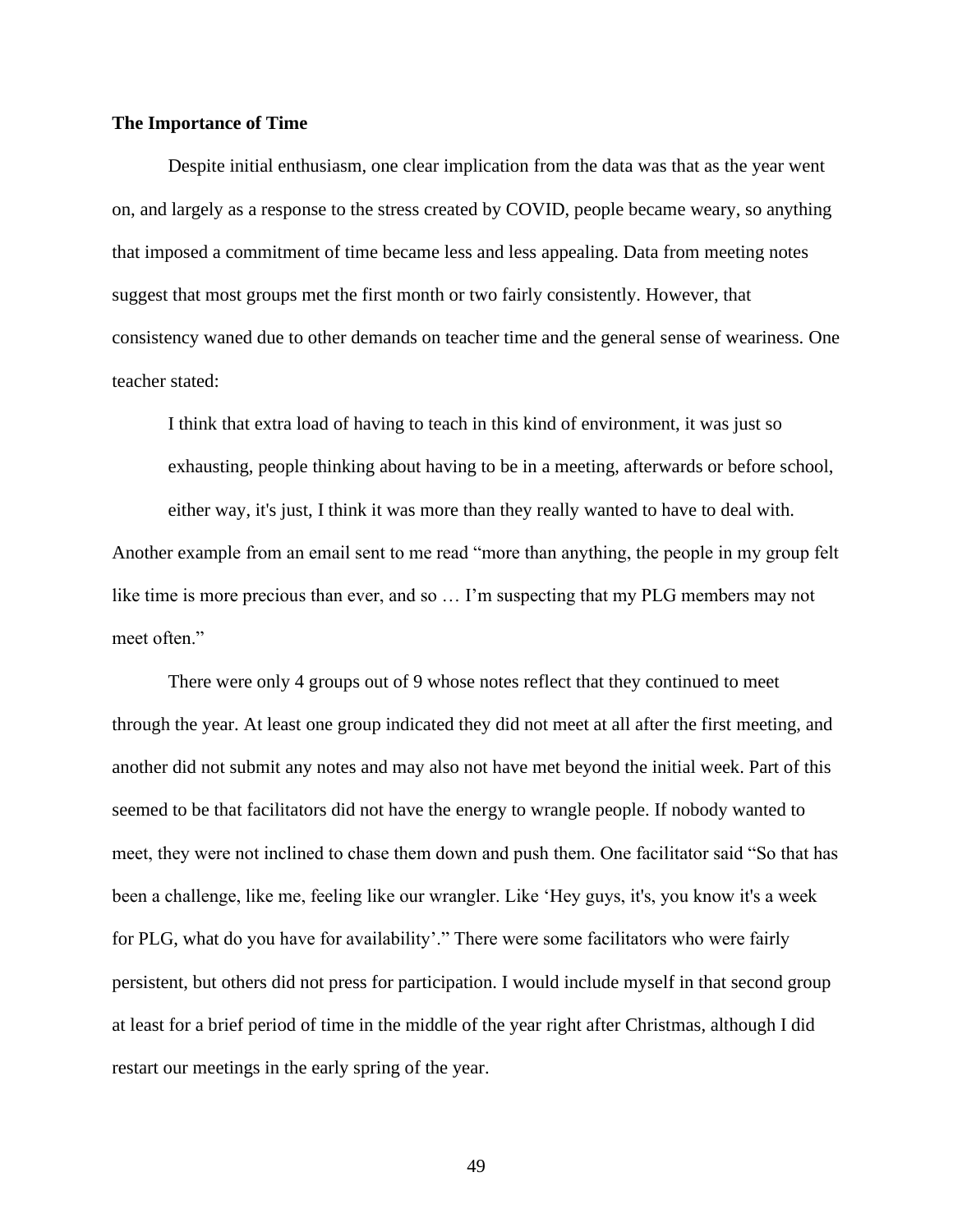# **The Importance of Time**

Despite initial enthusiasm, one clear implication from the data was that as the year went on, and largely as a response to the stress created by COVID, people became weary, so anything that imposed a commitment of time became less and less appealing. Data from meeting notes suggest that most groups met the first month or two fairly consistently. However, that consistency waned due to other demands on teacher time and the general sense of weariness. One teacher stated:

I think that extra load of having to teach in this kind of environment, it was just so exhausting, people thinking about having to be in a meeting, afterwards or before school, either way, it's just, I think it was more than they really wanted to have to deal with.

Another example from an email sent to me read "more than anything, the people in my group felt like time is more precious than ever, and so ... I'm suspecting that my PLG members may not meet often."

There were only 4 groups out of 9 whose notes reflect that they continued to meet through the year. At least one group indicated they did not meet at all after the first meeting, and another did not submit any notes and may also not have met beyond the initial week. Part of this seemed to be that facilitators did not have the energy to wrangle people. If nobody wanted to meet, they were not inclined to chase them down and push them. One facilitator said "So that has been a challenge, like me, feeling like our wrangler. Like 'Hey guys, it's, you know it's a week for PLG, what do you have for availability'." There were some facilitators who were fairly persistent, but others did not press for participation. I would include myself in that second group at least for a brief period of time in the middle of the year right after Christmas, although I did restart our meetings in the early spring of the year.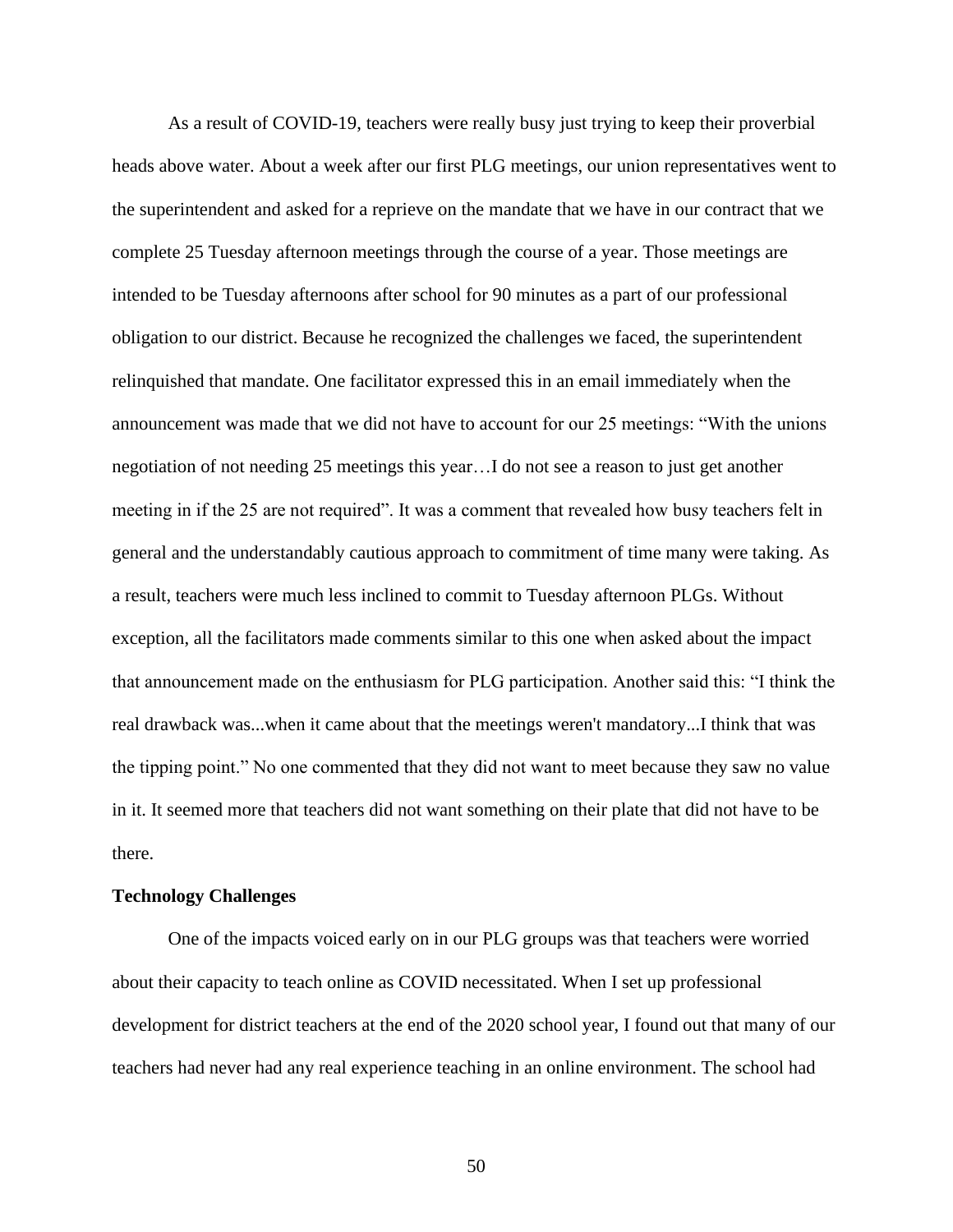As a result of COVID-19, teachers were really busy just trying to keep their proverbial heads above water. About a week after our first PLG meetings, our union representatives went to the superintendent and asked for a reprieve on the mandate that we have in our contract that we complete 25 Tuesday afternoon meetings through the course of a year. Those meetings are intended to be Tuesday afternoons after school for 90 minutes as a part of our professional obligation to our district. Because he recognized the challenges we faced, the superintendent relinquished that mandate. One facilitator expressed this in an email immediately when the announcement was made that we did not have to account for our 25 meetings: "With the unions negotiation of not needing 25 meetings this year…I do not see a reason to just get another meeting in if the 25 are not required". It was a comment that revealed how busy teachers felt in general and the understandably cautious approach to commitment of time many were taking. As a result, teachers were much less inclined to commit to Tuesday afternoon PLGs. Without exception, all the facilitators made comments similar to this one when asked about the impact that announcement made on the enthusiasm for PLG participation. Another said this: "I think the real drawback was...when it came about that the meetings weren't mandatory...I think that was the tipping point." No one commented that they did not want to meet because they saw no value in it. It seemed more that teachers did not want something on their plate that did not have to be there.

# **Technology Challenges**

One of the impacts voiced early on in our PLG groups was that teachers were worried about their capacity to teach online as COVID necessitated. When I set up professional development for district teachers at the end of the 2020 school year, I found out that many of our teachers had never had any real experience teaching in an online environment. The school had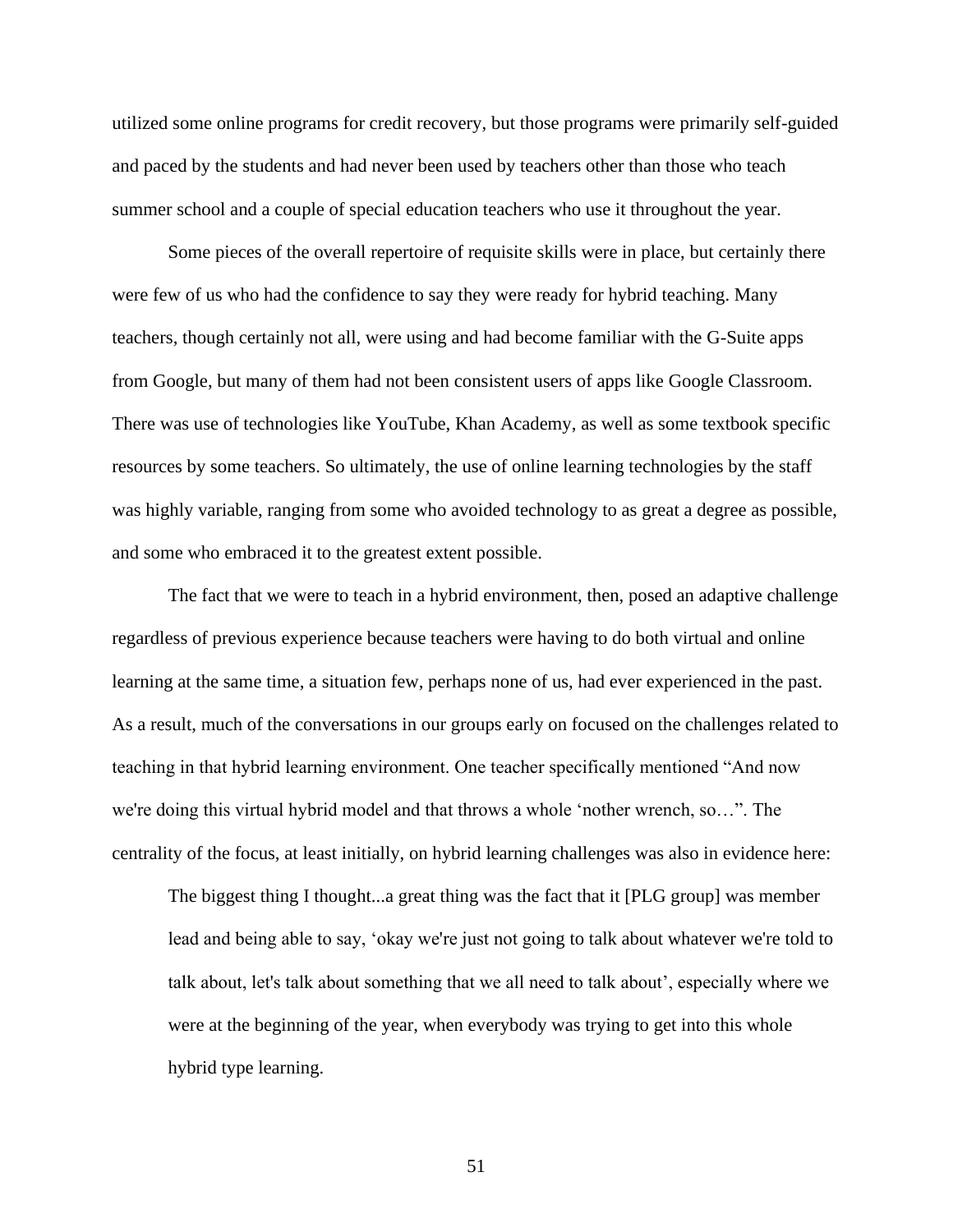utilized some online programs for credit recovery, but those programs were primarily self-guided and paced by the students and had never been used by teachers other than those who teach summer school and a couple of special education teachers who use it throughout the year.

Some pieces of the overall repertoire of requisite skills were in place, but certainly there were few of us who had the confidence to say they were ready for hybrid teaching. Many teachers, though certainly not all, were using and had become familiar with the G-Suite apps from Google, but many of them had not been consistent users of apps like Google Classroom. There was use of technologies like YouTube, Khan Academy, as well as some textbook specific resources by some teachers. So ultimately, the use of online learning technologies by the staff was highly variable, ranging from some who avoided technology to as great a degree as possible, and some who embraced it to the greatest extent possible.

The fact that we were to teach in a hybrid environment, then, posed an adaptive challenge regardless of previous experience because teachers were having to do both virtual and online learning at the same time, a situation few, perhaps none of us, had ever experienced in the past. As a result, much of the conversations in our groups early on focused on the challenges related to teaching in that hybrid learning environment. One teacher specifically mentioned "And now we're doing this virtual hybrid model and that throws a whole 'nother wrench, so…". The centrality of the focus, at least initially, on hybrid learning challenges was also in evidence here:

The biggest thing I thought...a great thing was the fact that it [PLG group] was member lead and being able to say, 'okay we're just not going to talk about whatever we're told to talk about, let's talk about something that we all need to talk about', especially where we were at the beginning of the year, when everybody was trying to get into this whole hybrid type learning.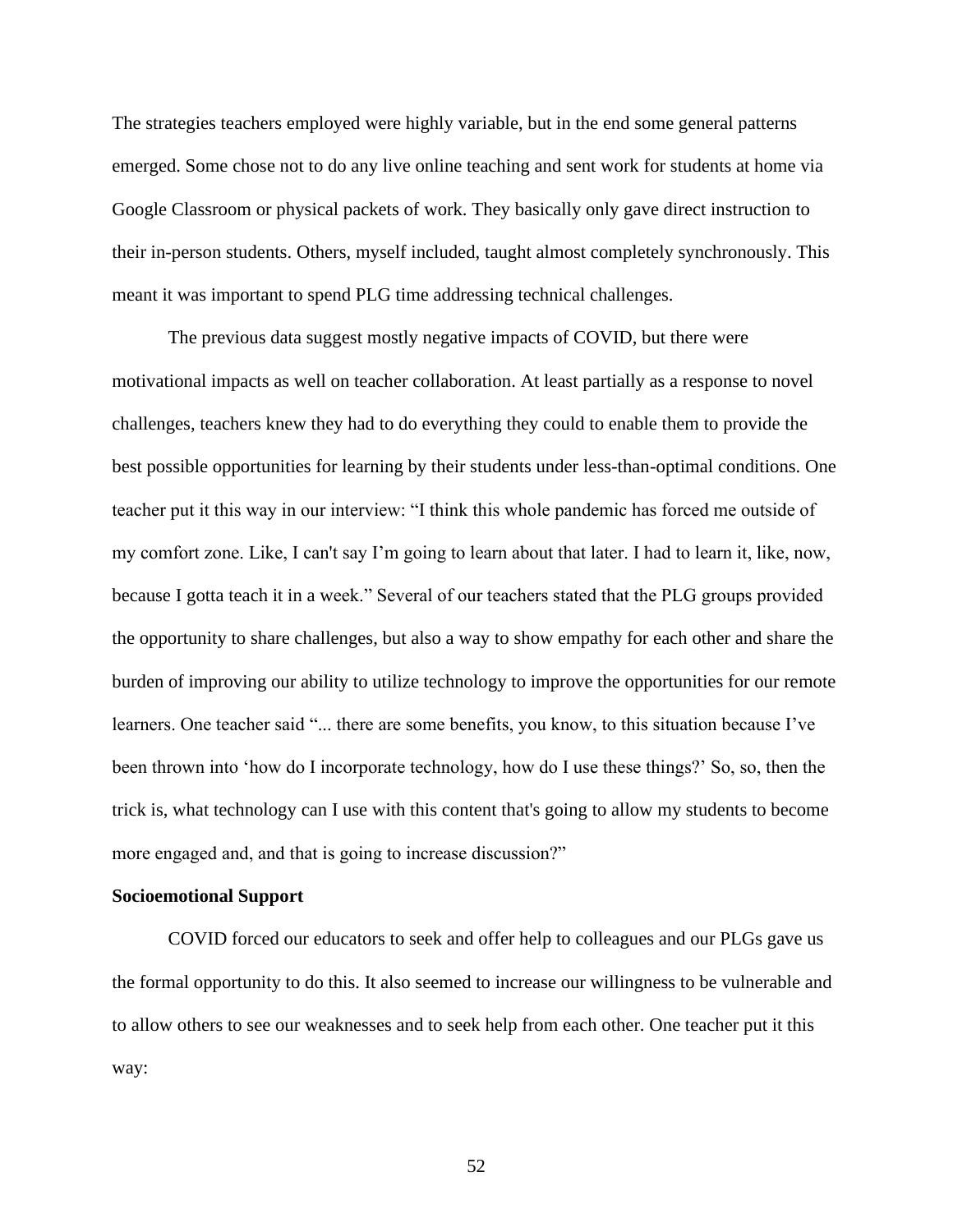The strategies teachers employed were highly variable, but in the end some general patterns emerged. Some chose not to do any live online teaching and sent work for students at home via Google Classroom or physical packets of work. They basically only gave direct instruction to their in-person students. Others, myself included, taught almost completely synchronously. This meant it was important to spend PLG time addressing technical challenges.

The previous data suggest mostly negative impacts of COVID, but there were motivational impacts as well on teacher collaboration. At least partially as a response to novel challenges, teachers knew they had to do everything they could to enable them to provide the best possible opportunities for learning by their students under less-than-optimal conditions. One teacher put it this way in our interview: "I think this whole pandemic has forced me outside of my comfort zone. Like, I can't say I'm going to learn about that later. I had to learn it, like, now, because I gotta teach it in a week." Several of our teachers stated that the PLG groups provided the opportunity to share challenges, but also a way to show empathy for each other and share the burden of improving our ability to utilize technology to improve the opportunities for our remote learners. One teacher said "... there are some benefits, you know, to this situation because I've been thrown into 'how do I incorporate technology, how do I use these things?' So, so, then the trick is, what technology can I use with this content that's going to allow my students to become more engaged and, and that is going to increase discussion?"

#### **Socioemotional Support**

COVID forced our educators to seek and offer help to colleagues and our PLGs gave us the formal opportunity to do this. It also seemed to increase our willingness to be vulnerable and to allow others to see our weaknesses and to seek help from each other. One teacher put it this way: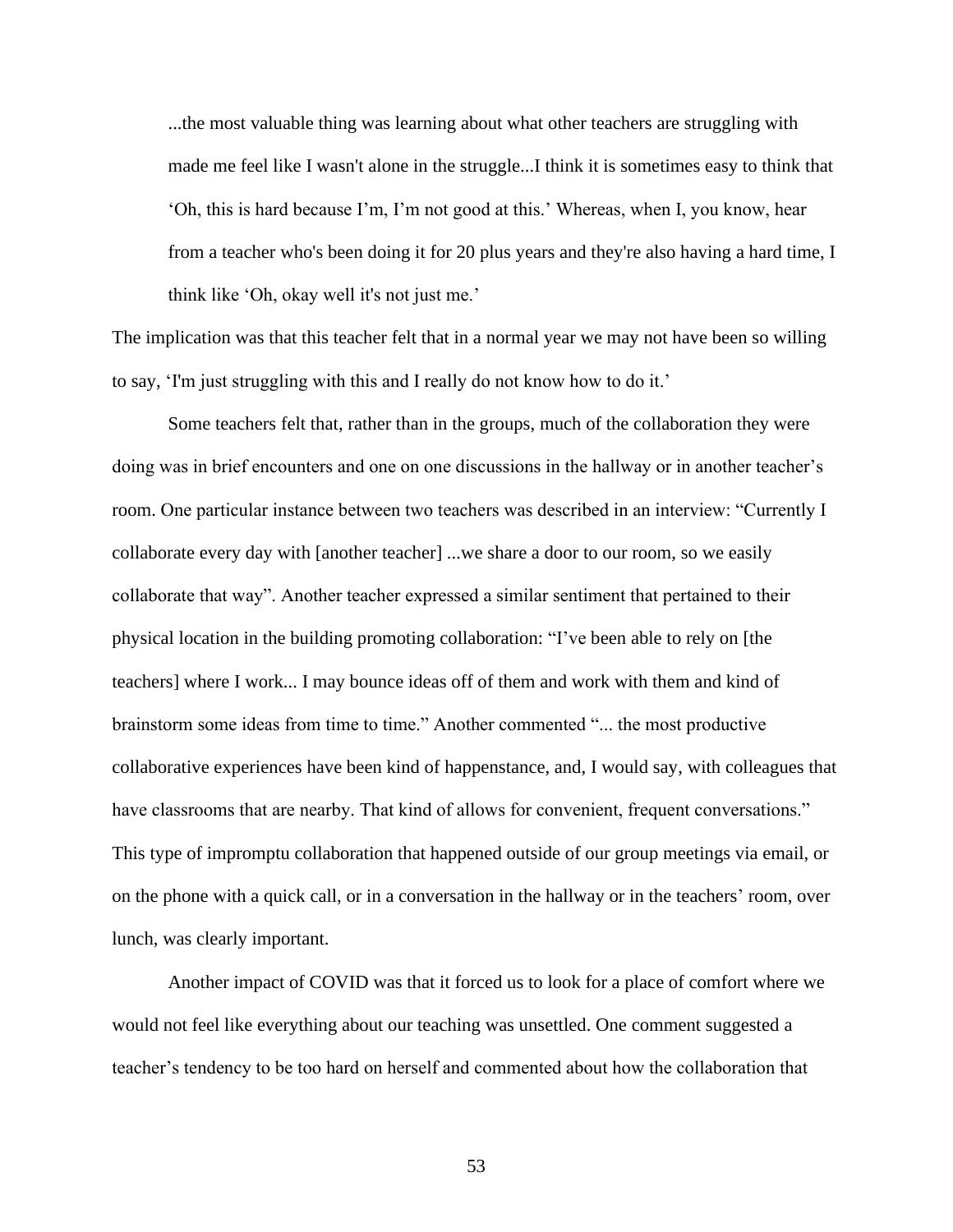...the most valuable thing was learning about what other teachers are struggling with made me feel like I wasn't alone in the struggle...I think it is sometimes easy to think that 'Oh, this is hard because I'm, I'm not good at this.' Whereas, when I, you know, hear from a teacher who's been doing it for 20 plus years and they're also having a hard time, I think like 'Oh, okay well it's not just me.'

The implication was that this teacher felt that in a normal year we may not have been so willing to say, 'I'm just struggling with this and I really do not know how to do it.'

Some teachers felt that, rather than in the groups, much of the collaboration they were doing was in brief encounters and one on one discussions in the hallway or in another teacher's room. One particular instance between two teachers was described in an interview: "Currently I collaborate every day with [another teacher] ...we share a door to our room, so we easily collaborate that way". Another teacher expressed a similar sentiment that pertained to their physical location in the building promoting collaboration: "I've been able to rely on [the teachers] where I work... I may bounce ideas off of them and work with them and kind of brainstorm some ideas from time to time." Another commented "... the most productive collaborative experiences have been kind of happenstance, and, I would say, with colleagues that have classrooms that are nearby. That kind of allows for convenient, frequent conversations." This type of impromptu collaboration that happened outside of our group meetings via email, or on the phone with a quick call, or in a conversation in the hallway or in the teachers' room, over lunch, was clearly important.

Another impact of COVID was that it forced us to look for a place of comfort where we would not feel like everything about our teaching was unsettled. One comment suggested a teacher's tendency to be too hard on herself and commented about how the collaboration that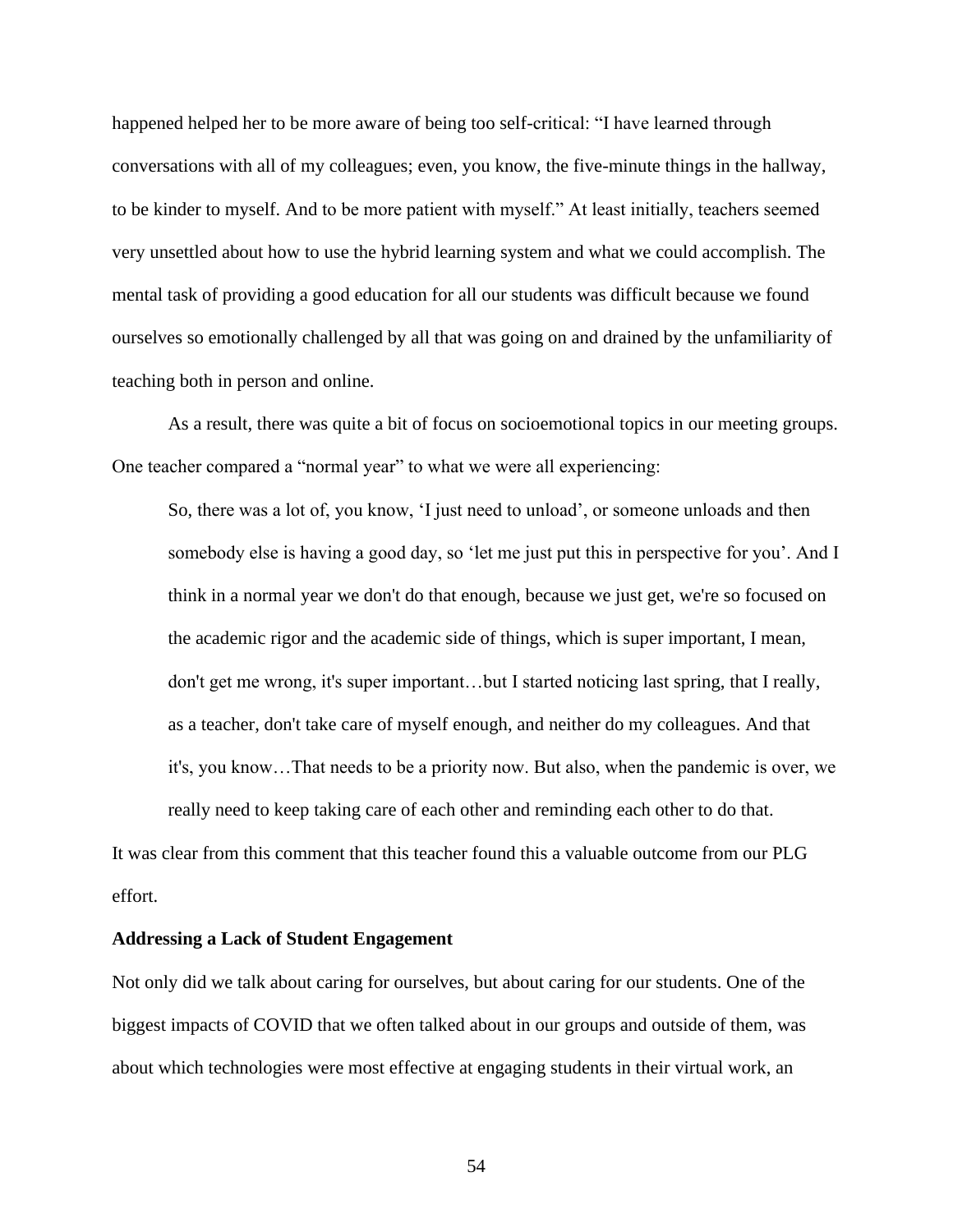happened helped her to be more aware of being too self-critical: "I have learned through conversations with all of my colleagues; even, you know, the five-minute things in the hallway, to be kinder to myself. And to be more patient with myself." At least initially, teachers seemed very unsettled about how to use the hybrid learning system and what we could accomplish. The mental task of providing a good education for all our students was difficult because we found ourselves so emotionally challenged by all that was going on and drained by the unfamiliarity of teaching both in person and online.

As a result, there was quite a bit of focus on socioemotional topics in our meeting groups. One teacher compared a "normal year" to what we were all experiencing:

So, there was a lot of, you know, 'I just need to unload', or someone unloads and then somebody else is having a good day, so 'let me just put this in perspective for you'. And I think in a normal year we don't do that enough, because we just get, we're so focused on the academic rigor and the academic side of things, which is super important, I mean, don't get me wrong, it's super important…but I started noticing last spring, that I really, as a teacher, don't take care of myself enough, and neither do my colleagues. And that it's, you know…That needs to be a priority now. But also, when the pandemic is over, we really need to keep taking care of each other and reminding each other to do that.

It was clear from this comment that this teacher found this a valuable outcome from our PLG effort.

#### **Addressing a Lack of Student Engagement**

Not only did we talk about caring for ourselves, but about caring for our students. One of the biggest impacts of COVID that we often talked about in our groups and outside of them, was about which technologies were most effective at engaging students in their virtual work, an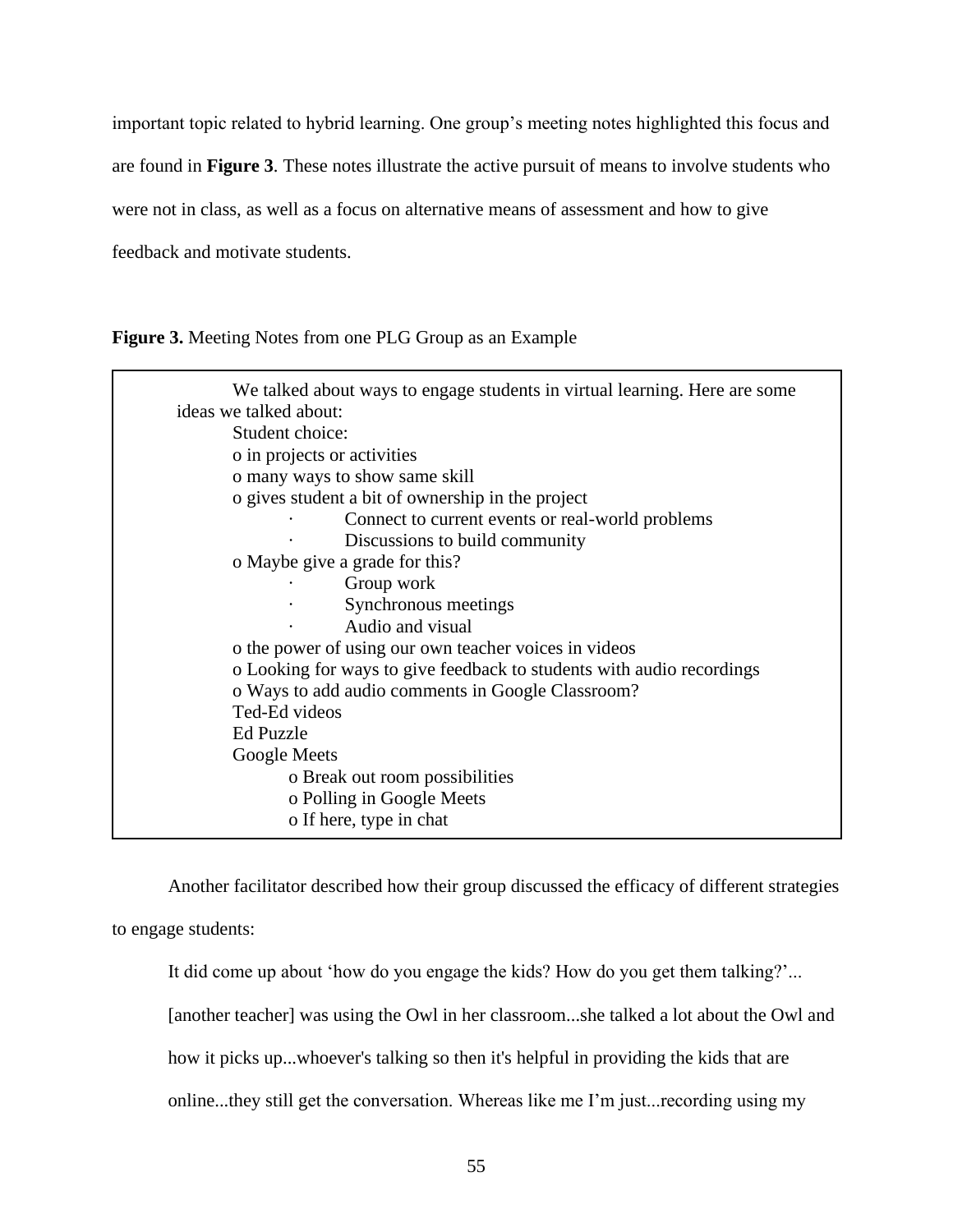important topic related to hybrid learning. One group's meeting notes highlighted this focus and are found in **Figure 3**. These notes illustrate the active pursuit of means to involve students who were not in class, as well as a focus on alternative means of assessment and how to give feedback and motivate students.

**Figure 3.** Meeting Notes from one PLG Group as an Example

| We talked about ways to engage students in virtual learning. Here are some |
|----------------------------------------------------------------------------|
| ideas we talked about:                                                     |
| Student choice:                                                            |
| o in projects or activities                                                |
| o many ways to show same skill                                             |
| o gives student a bit of ownership in the project                          |
| Connect to current events or real-world problems                           |
| Discussions to build community                                             |
| o Maybe give a grade for this?                                             |
| Group work                                                                 |
| Synchronous meetings                                                       |
| Audio and visual                                                           |
| o the power of using our own teacher voices in videos                      |
| o Looking for ways to give feedback to students with audio recordings      |
| o Ways to add audio comments in Google Classroom?                          |
| Ted-Ed videos                                                              |
| <b>Ed Puzzle</b>                                                           |
| Google Meets                                                               |
| o Break out room possibilities                                             |
| o Polling in Google Meets                                                  |
| o If here, type in chat                                                    |

Another facilitator described how their group discussed the efficacy of different strategies to engage students:

It did come up about 'how do you engage the kids? How do you get them talking?'...

[another teacher] was using the Owl in her classroom...she talked a lot about the Owl and

how it picks up...whoever's talking so then it's helpful in providing the kids that are

online...they still get the conversation. Whereas like me I'm just...recording using my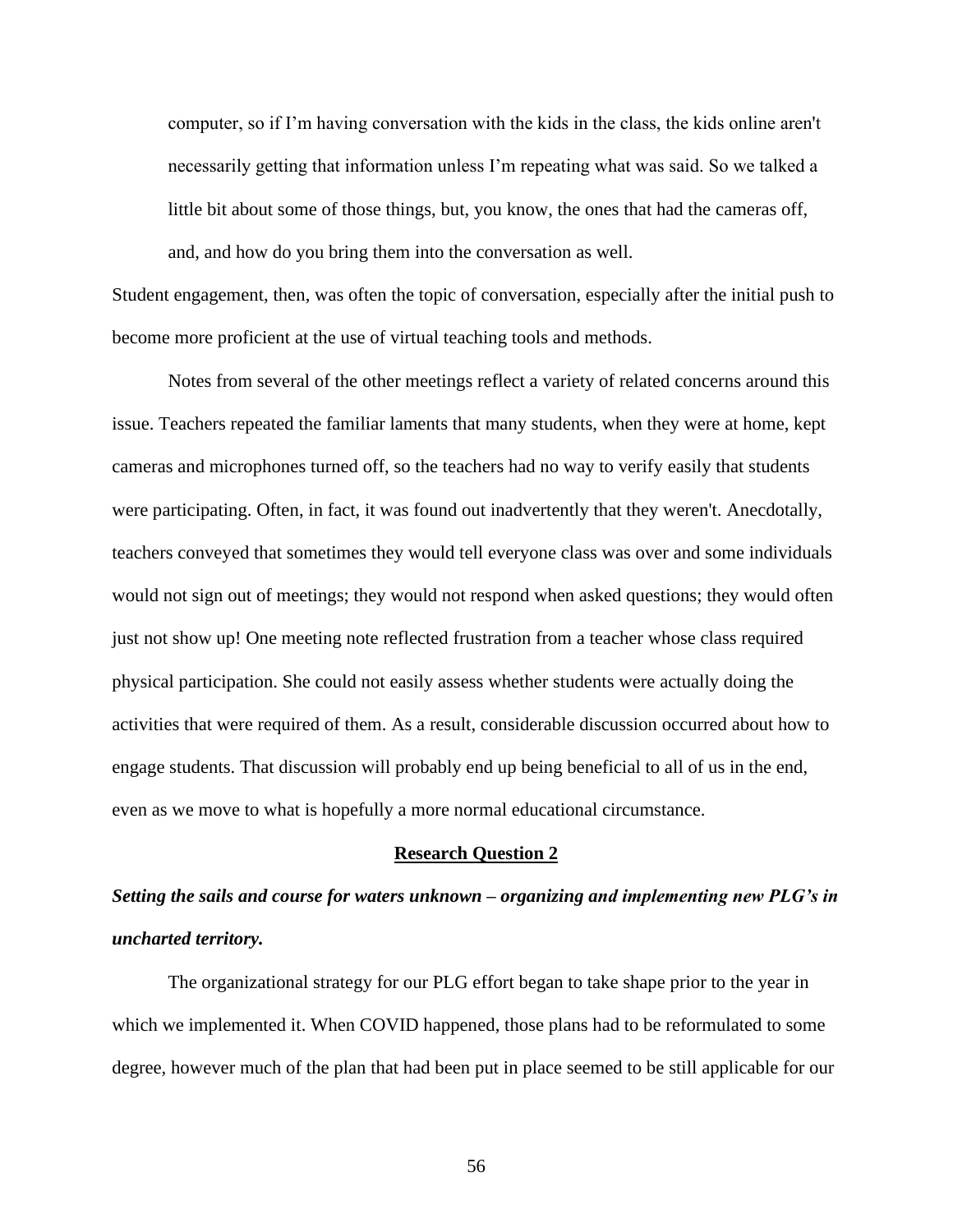computer, so if I'm having conversation with the kids in the class, the kids online aren't necessarily getting that information unless I'm repeating what was said. So we talked a little bit about some of those things, but, you know, the ones that had the cameras off, and, and how do you bring them into the conversation as well.

Student engagement, then, was often the topic of conversation, especially after the initial push to become more proficient at the use of virtual teaching tools and methods.

Notes from several of the other meetings reflect a variety of related concerns around this issue. Teachers repeated the familiar laments that many students, when they were at home, kept cameras and microphones turned off, so the teachers had no way to verify easily that students were participating. Often, in fact, it was found out inadvertently that they weren't. Anecdotally, teachers conveyed that sometimes they would tell everyone class was over and some individuals would not sign out of meetings; they would not respond when asked questions; they would often just not show up! One meeting note reflected frustration from a teacher whose class required physical participation. She could not easily assess whether students were actually doing the activities that were required of them. As a result, considerable discussion occurred about how to engage students. That discussion will probably end up being beneficial to all of us in the end, even as we move to what is hopefully a more normal educational circumstance.

#### **Research Question 2**

# *Setting the sails and course for waters unknown – organizing and implementing new PLG's in uncharted territory.*

The organizational strategy for our PLG effort began to take shape prior to the year in which we implemented it. When COVID happened, those plans had to be reformulated to some degree, however much of the plan that had been put in place seemed to be still applicable for our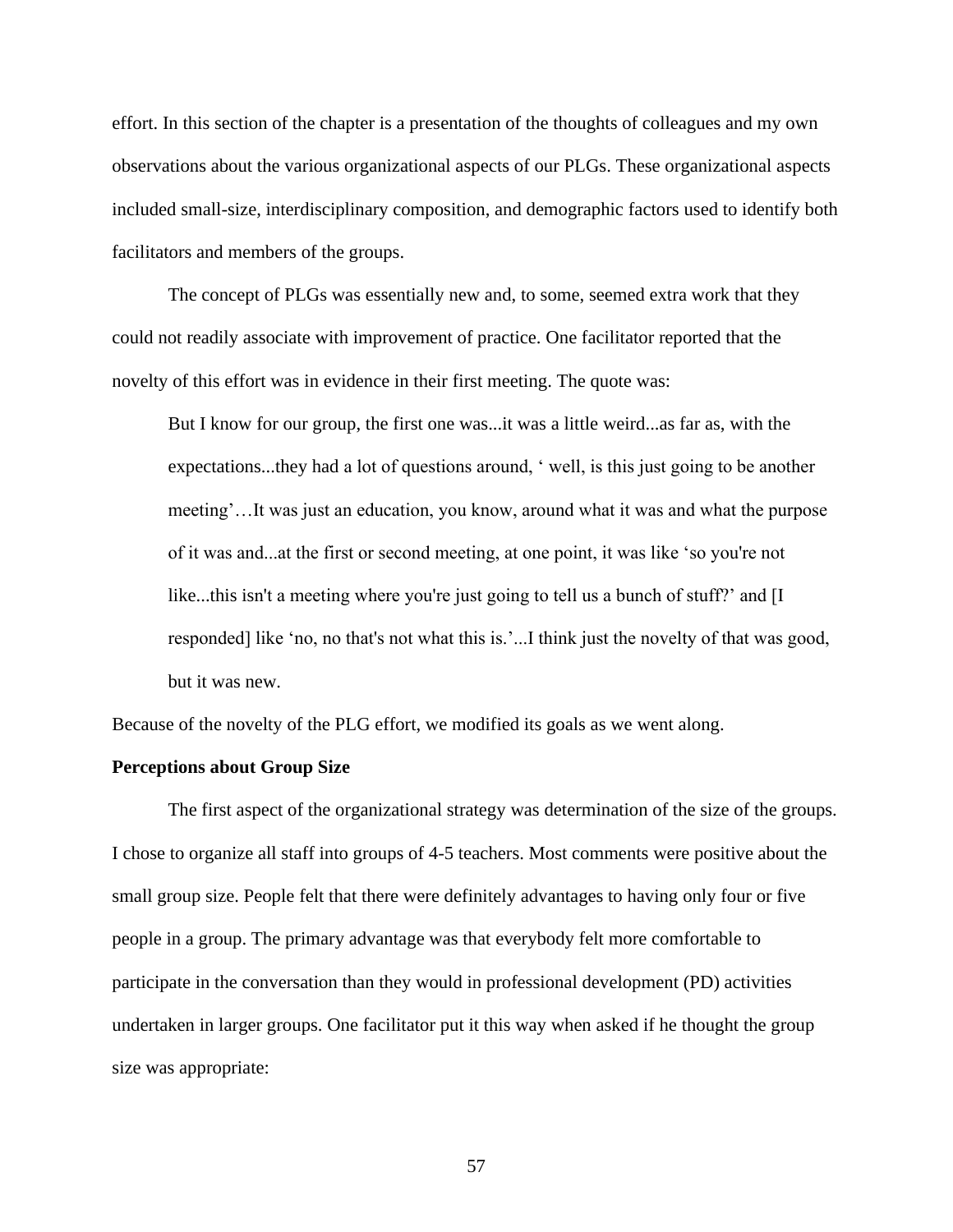effort. In this section of the chapter is a presentation of the thoughts of colleagues and my own observations about the various organizational aspects of our PLGs. These organizational aspects included small-size, interdisciplinary composition, and demographic factors used to identify both facilitators and members of the groups.

The concept of PLGs was essentially new and, to some, seemed extra work that they could not readily associate with improvement of practice. One facilitator reported that the novelty of this effort was in evidence in their first meeting. The quote was:

But I know for our group, the first one was...it was a little weird...as far as, with the expectations...they had a lot of questions around, ' well, is this just going to be another meeting'…It was just an education, you know, around what it was and what the purpose of it was and...at the first or second meeting, at one point, it was like 'so you're not like...this isn't a meeting where you're just going to tell us a bunch of stuff?' and [I] responded] like 'no, no that's not what this is.'...I think just the novelty of that was good, but it was new.

Because of the novelty of the PLG effort, we modified its goals as we went along.

#### **Perceptions about Group Size**

The first aspect of the organizational strategy was determination of the size of the groups. I chose to organize all staff into groups of 4-5 teachers. Most comments were positive about the small group size. People felt that there were definitely advantages to having only four or five people in a group. The primary advantage was that everybody felt more comfortable to participate in the conversation than they would in professional development (PD) activities undertaken in larger groups. One facilitator put it this way when asked if he thought the group size was appropriate: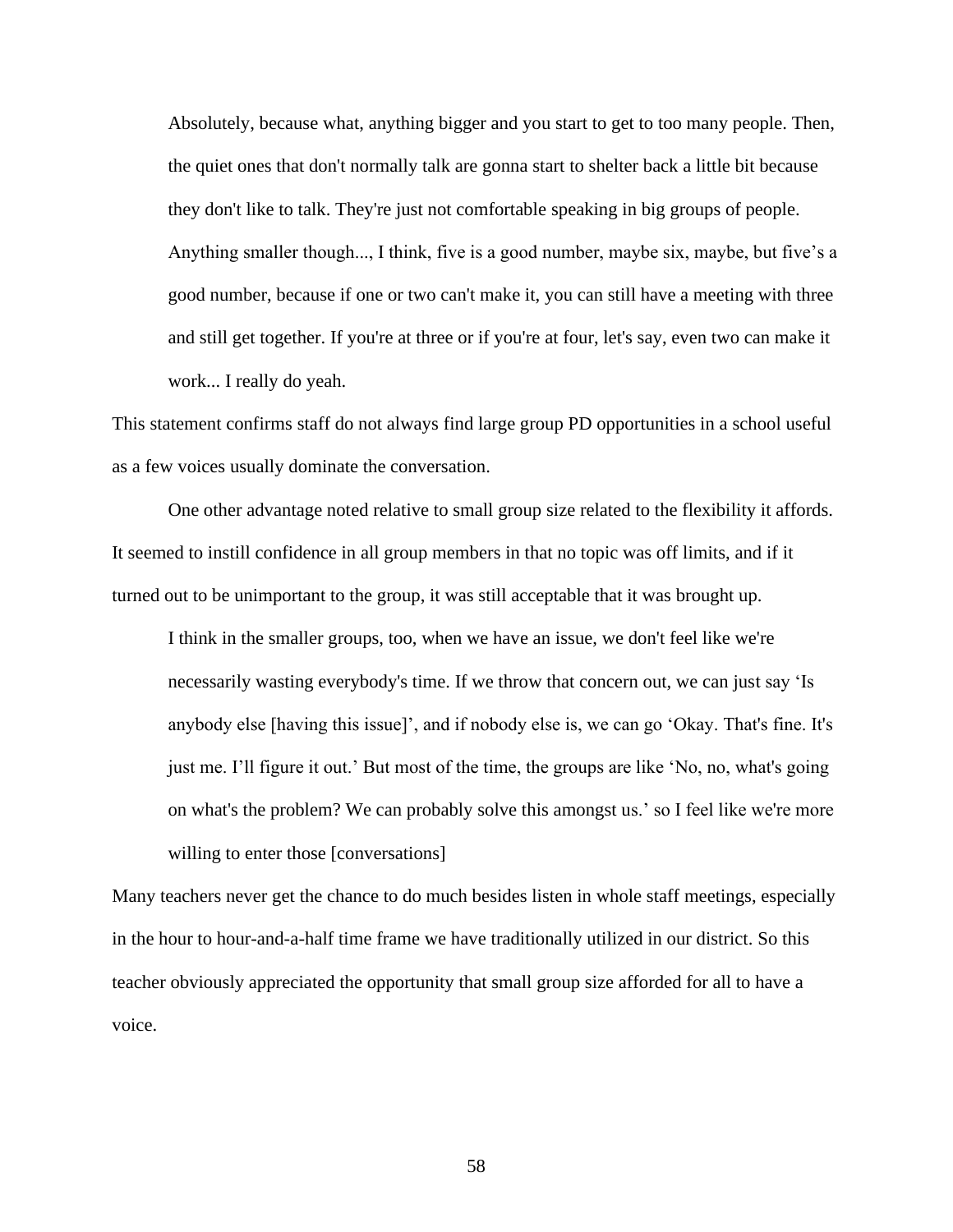Absolutely, because what, anything bigger and you start to get to too many people. Then, the quiet ones that don't normally talk are gonna start to shelter back a little bit because they don't like to talk. They're just not comfortable speaking in big groups of people. Anything smaller though..., I think, five is a good number, maybe six, maybe, but five's a good number, because if one or two can't make it, you can still have a meeting with three and still get together. If you're at three or if you're at four, let's say, even two can make it work... I really do yeah.

This statement confirms staff do not always find large group PD opportunities in a school useful as a few voices usually dominate the conversation.

One other advantage noted relative to small group size related to the flexibility it affords. It seemed to instill confidence in all group members in that no topic was off limits, and if it turned out to be unimportant to the group, it was still acceptable that it was brought up.

I think in the smaller groups, too, when we have an issue, we don't feel like we're necessarily wasting everybody's time. If we throw that concern out, we can just say 'Is anybody else [having this issue]', and if nobody else is, we can go 'Okay. That's fine. It's just me. I'll figure it out.' But most of the time, the groups are like 'No, no, what's going on what's the problem? We can probably solve this amongst us.' so I feel like we're more willing to enter those [conversations]

Many teachers never get the chance to do much besides listen in whole staff meetings, especially in the hour to hour-and-a-half time frame we have traditionally utilized in our district. So this teacher obviously appreciated the opportunity that small group size afforded for all to have a voice.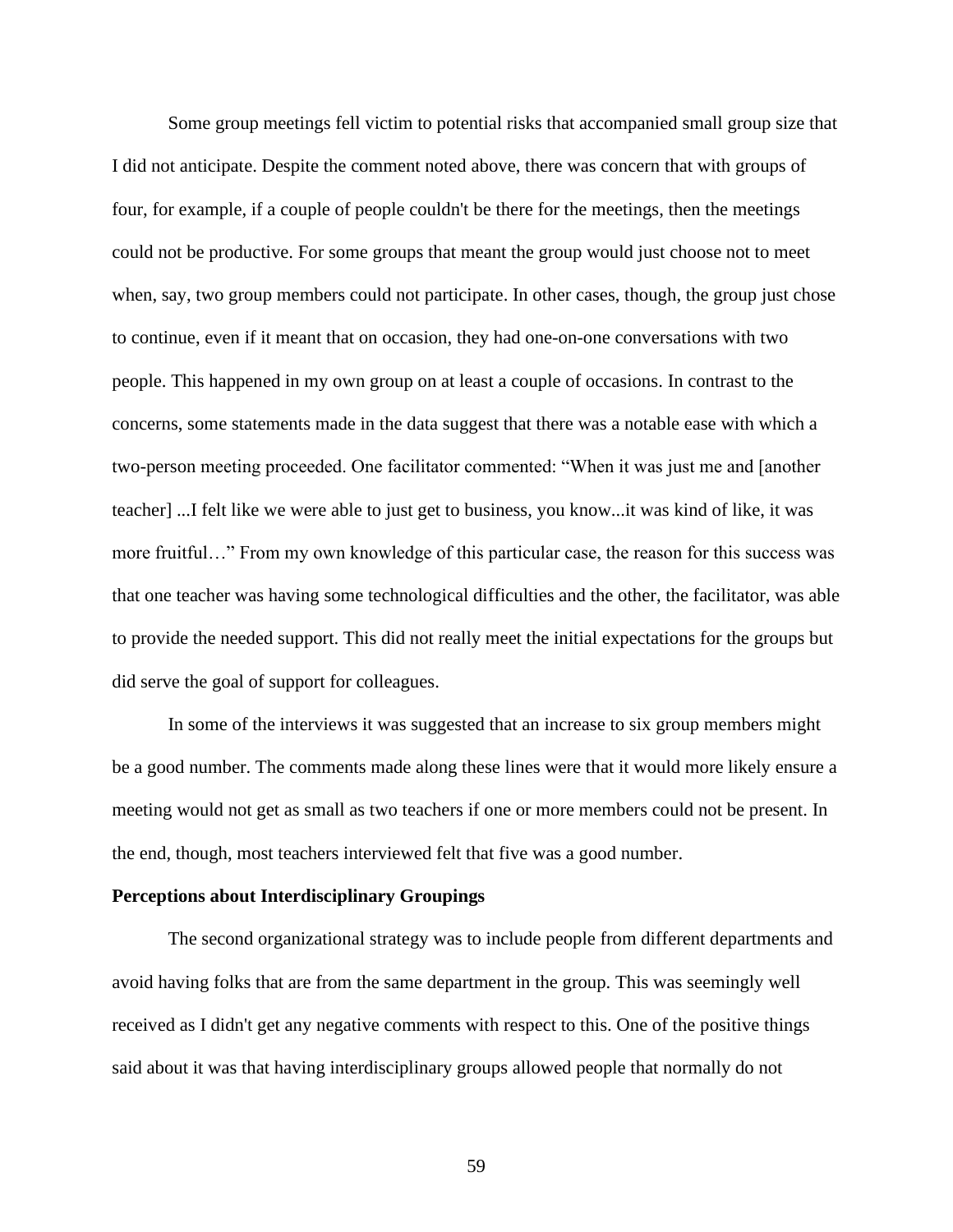Some group meetings fell victim to potential risks that accompanied small group size that I did not anticipate. Despite the comment noted above, there was concern that with groups of four, for example, if a couple of people couldn't be there for the meetings, then the meetings could not be productive. For some groups that meant the group would just choose not to meet when, say, two group members could not participate. In other cases, though, the group just chose to continue, even if it meant that on occasion, they had one-on-one conversations with two people. This happened in my own group on at least a couple of occasions. In contrast to the concerns, some statements made in the data suggest that there was a notable ease with which a two-person meeting proceeded. One facilitator commented: "When it was just me and [another teacher] ...I felt like we were able to just get to business, you know...it was kind of like, it was more fruitful…" From my own knowledge of this particular case, the reason for this success was that one teacher was having some technological difficulties and the other, the facilitator, was able to provide the needed support. This did not really meet the initial expectations for the groups but did serve the goal of support for colleagues.

In some of the interviews it was suggested that an increase to six group members might be a good number. The comments made along these lines were that it would more likely ensure a meeting would not get as small as two teachers if one or more members could not be present. In the end, though, most teachers interviewed felt that five was a good number.

## **Perceptions about Interdisciplinary Groupings**

The second organizational strategy was to include people from different departments and avoid having folks that are from the same department in the group. This was seemingly well received as I didn't get any negative comments with respect to this. One of the positive things said about it was that having interdisciplinary groups allowed people that normally do not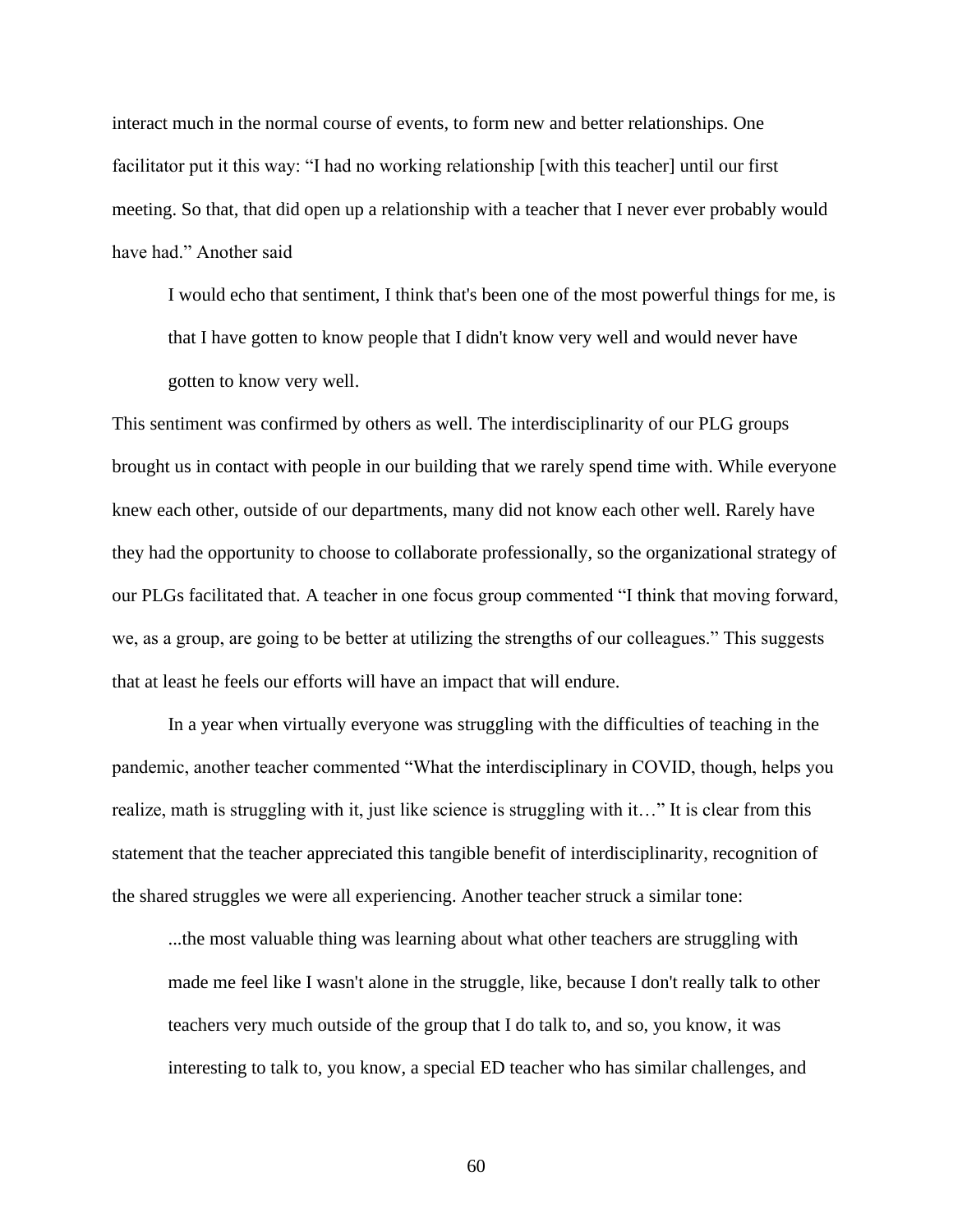interact much in the normal course of events, to form new and better relationships. One facilitator put it this way: "I had no working relationship [with this teacher] until our first meeting. So that, that did open up a relationship with a teacher that I never ever probably would have had." Another said

I would echo that sentiment, I think that's been one of the most powerful things for me, is that I have gotten to know people that I didn't know very well and would never have gotten to know very well.

This sentiment was confirmed by others as well. The interdisciplinarity of our PLG groups brought us in contact with people in our building that we rarely spend time with. While everyone knew each other, outside of our departments, many did not know each other well. Rarely have they had the opportunity to choose to collaborate professionally, so the organizational strategy of our PLGs facilitated that. A teacher in one focus group commented "I think that moving forward, we, as a group, are going to be better at utilizing the strengths of our colleagues." This suggests that at least he feels our efforts will have an impact that will endure.

In a year when virtually everyone was struggling with the difficulties of teaching in the pandemic, another teacher commented "What the interdisciplinary in COVID, though, helps you realize, math is struggling with it, just like science is struggling with it…" It is clear from this statement that the teacher appreciated this tangible benefit of interdisciplinarity, recognition of the shared struggles we were all experiencing. Another teacher struck a similar tone:

...the most valuable thing was learning about what other teachers are struggling with made me feel like I wasn't alone in the struggle, like, because I don't really talk to other teachers very much outside of the group that I do talk to, and so, you know, it was interesting to talk to, you know, a special ED teacher who has similar challenges, and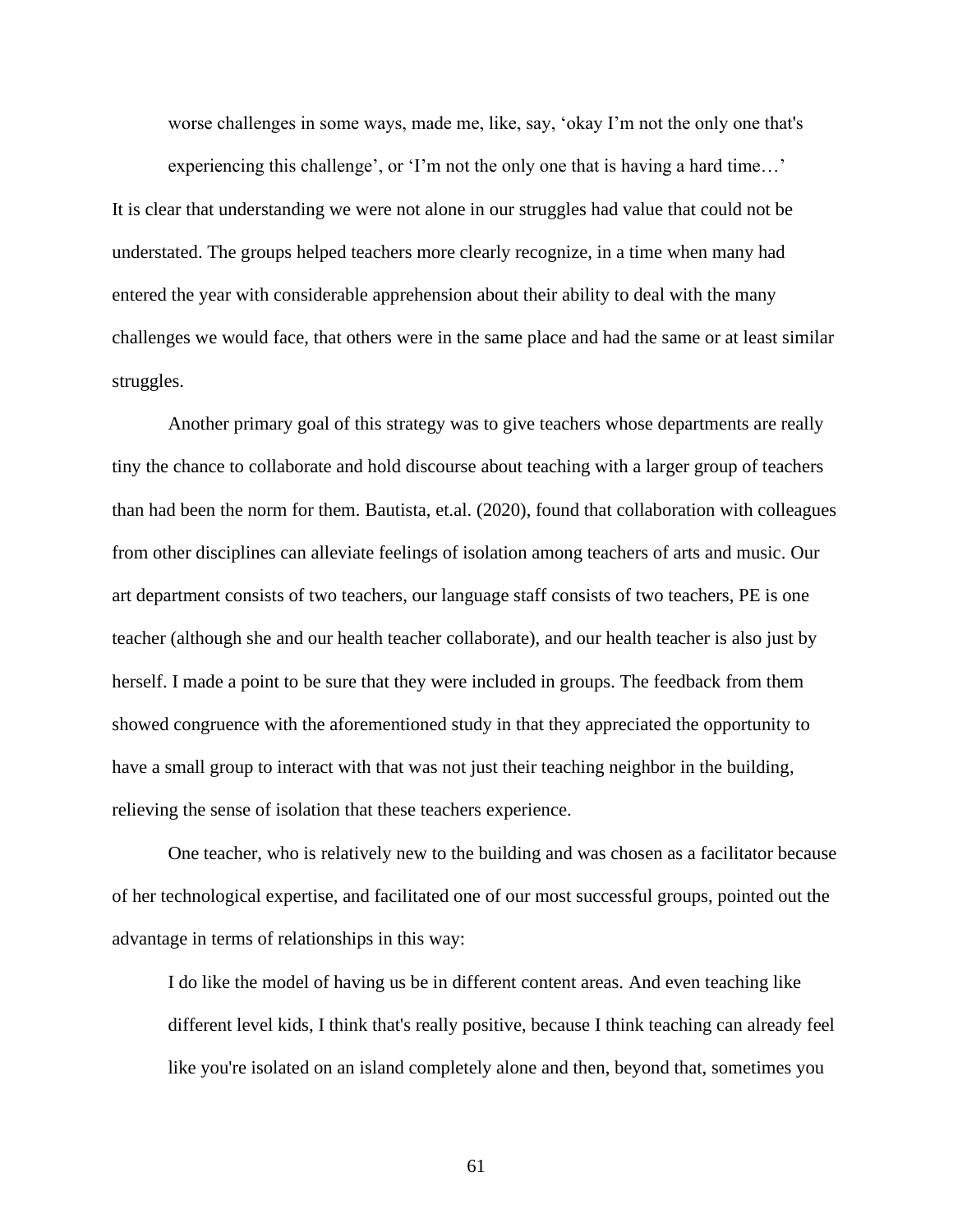worse challenges in some ways, made me, like, say, 'okay I'm not the only one that's

experiencing this challenge', or 'I'm not the only one that is having a hard time…' It is clear that understanding we were not alone in our struggles had value that could not be understated. The groups helped teachers more clearly recognize, in a time when many had entered the year with considerable apprehension about their ability to deal with the many challenges we would face, that others were in the same place and had the same or at least similar struggles.

Another primary goal of this strategy was to give teachers whose departments are really tiny the chance to collaborate and hold discourse about teaching with a larger group of teachers than had been the norm for them. Bautista, et.al. (2020), found that collaboration with colleagues from other disciplines can alleviate feelings of isolation among teachers of arts and music. Our art department consists of two teachers, our language staff consists of two teachers, PE is one teacher (although she and our health teacher collaborate), and our health teacher is also just by herself. I made a point to be sure that they were included in groups. The feedback from them showed congruence with the aforementioned study in that they appreciated the opportunity to have a small group to interact with that was not just their teaching neighbor in the building, relieving the sense of isolation that these teachers experience.

One teacher, who is relatively new to the building and was chosen as a facilitator because of her technological expertise, and facilitated one of our most successful groups, pointed out the advantage in terms of relationships in this way:

I do like the model of having us be in different content areas. And even teaching like different level kids, I think that's really positive, because I think teaching can already feel like you're isolated on an island completely alone and then, beyond that, sometimes you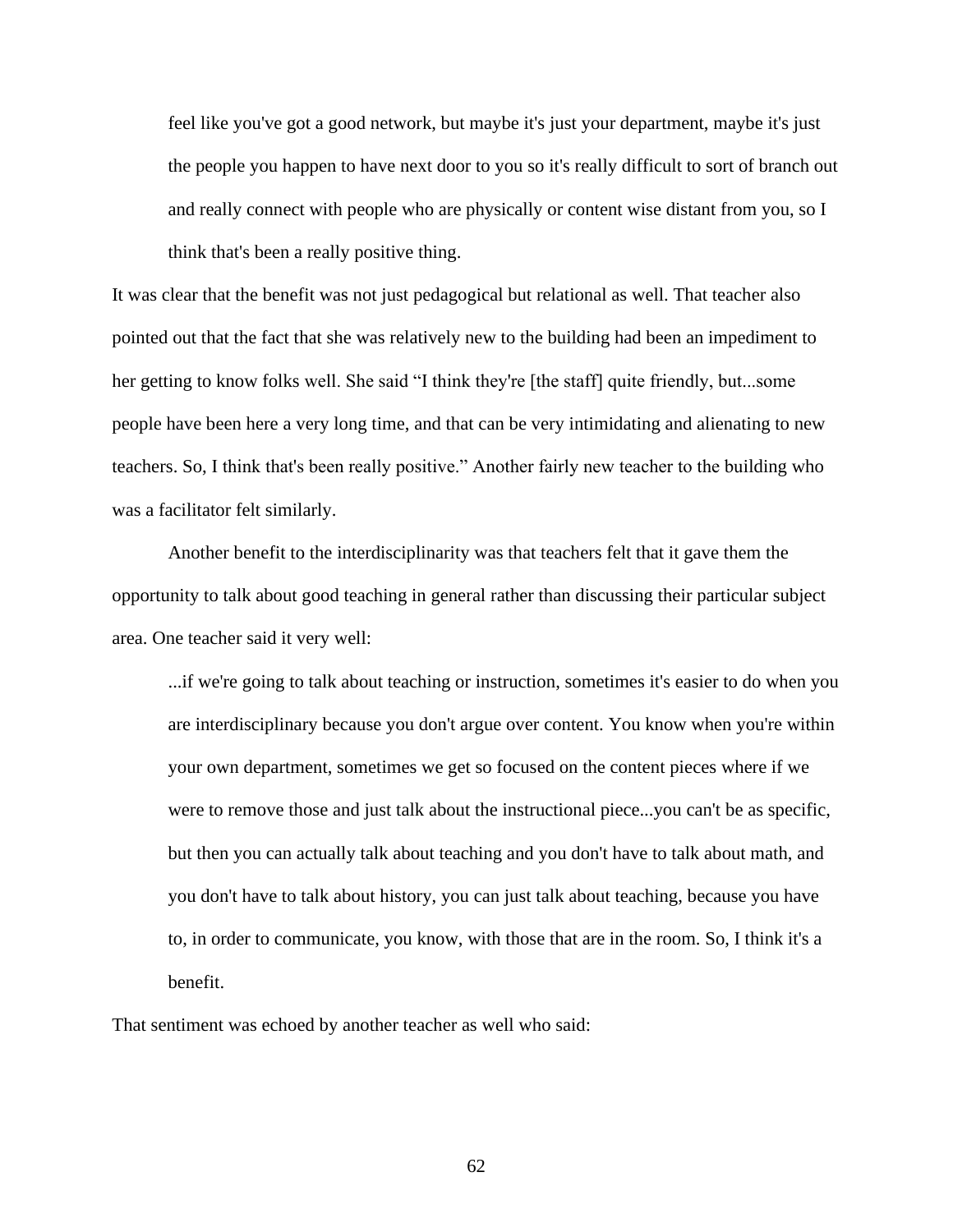feel like you've got a good network, but maybe it's just your department, maybe it's just the people you happen to have next door to you so it's really difficult to sort of branch out and really connect with people who are physically or content wise distant from you, so I think that's been a really positive thing.

It was clear that the benefit was not just pedagogical but relational as well. That teacher also pointed out that the fact that she was relatively new to the building had been an impediment to her getting to know folks well. She said "I think they're [the staff] quite friendly, but...some people have been here a very long time, and that can be very intimidating and alienating to new teachers. So, I think that's been really positive." Another fairly new teacher to the building who was a facilitator felt similarly.

Another benefit to the interdisciplinarity was that teachers felt that it gave them the opportunity to talk about good teaching in general rather than discussing their particular subject area. One teacher said it very well:

...if we're going to talk about teaching or instruction, sometimes it's easier to do when you are interdisciplinary because you don't argue over content. You know when you're within your own department, sometimes we get so focused on the content pieces where if we were to remove those and just talk about the instructional piece...you can't be as specific, but then you can actually talk about teaching and you don't have to talk about math, and you don't have to talk about history, you can just talk about teaching, because you have to, in order to communicate, you know, with those that are in the room. So, I think it's a benefit.

That sentiment was echoed by another teacher as well who said: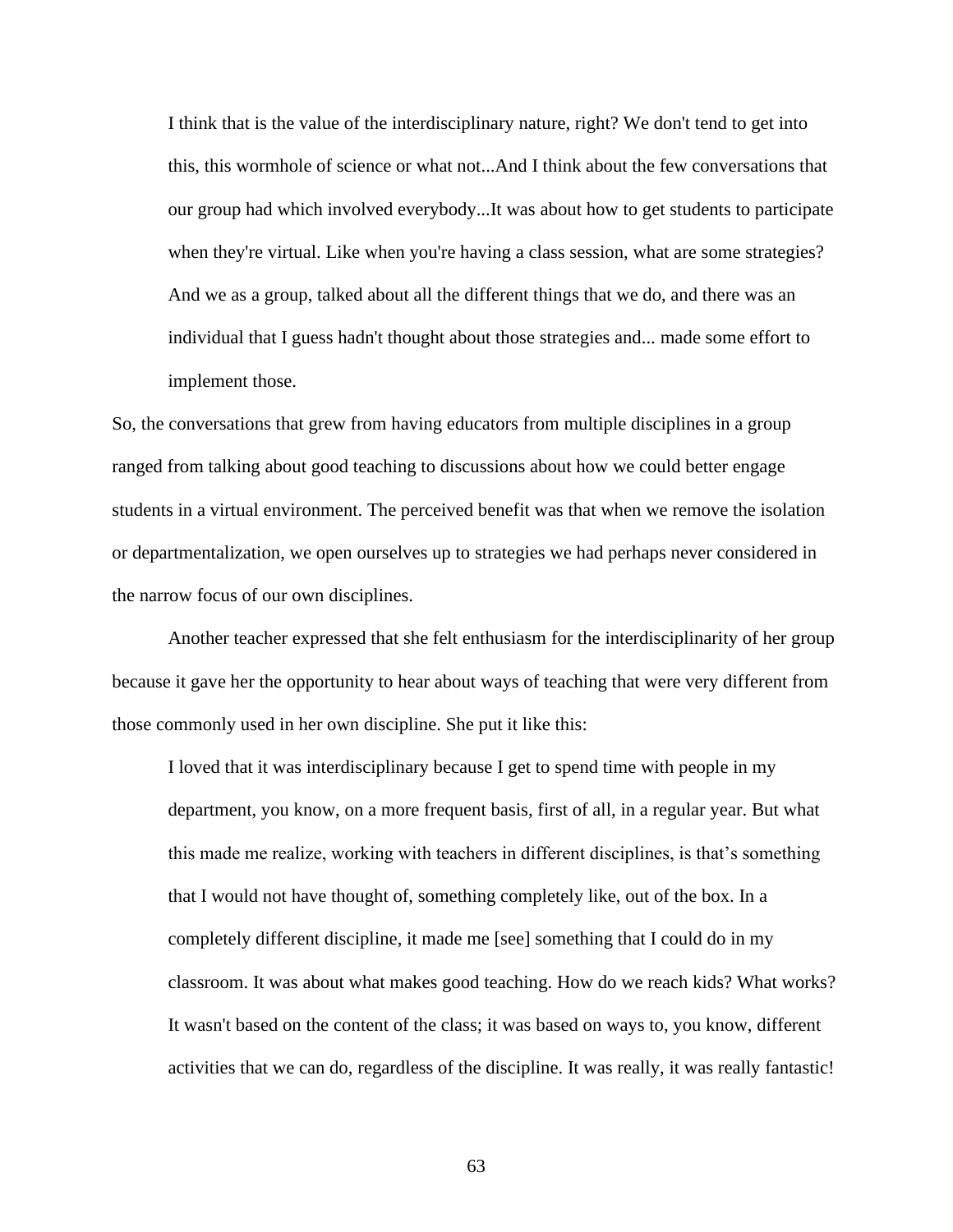I think that is the value of the interdisciplinary nature, right? We don't tend to get into this, this wormhole of science or what not...And I think about the few conversations that our group had which involved everybody...It was about how to get students to participate when they're virtual. Like when you're having a class session, what are some strategies? And we as a group, talked about all the different things that we do, and there was an individual that I guess hadn't thought about those strategies and... made some effort to implement those.

So, the conversations that grew from having educators from multiple disciplines in a group ranged from talking about good teaching to discussions about how we could better engage students in a virtual environment. The perceived benefit was that when we remove the isolation or departmentalization, we open ourselves up to strategies we had perhaps never considered in the narrow focus of our own disciplines.

Another teacher expressed that she felt enthusiasm for the interdisciplinarity of her group because it gave her the opportunity to hear about ways of teaching that were very different from those commonly used in her own discipline. She put it like this:

I loved that it was interdisciplinary because I get to spend time with people in my department, you know, on a more frequent basis, first of all, in a regular year. But what this made me realize, working with teachers in different disciplines, is that's something that I would not have thought of, something completely like, out of the box. In a completely different discipline, it made me [see] something that I could do in my classroom. It was about what makes good teaching. How do we reach kids? What works? It wasn't based on the content of the class; it was based on ways to, you know, different activities that we can do, regardless of the discipline. It was really, it was really fantastic!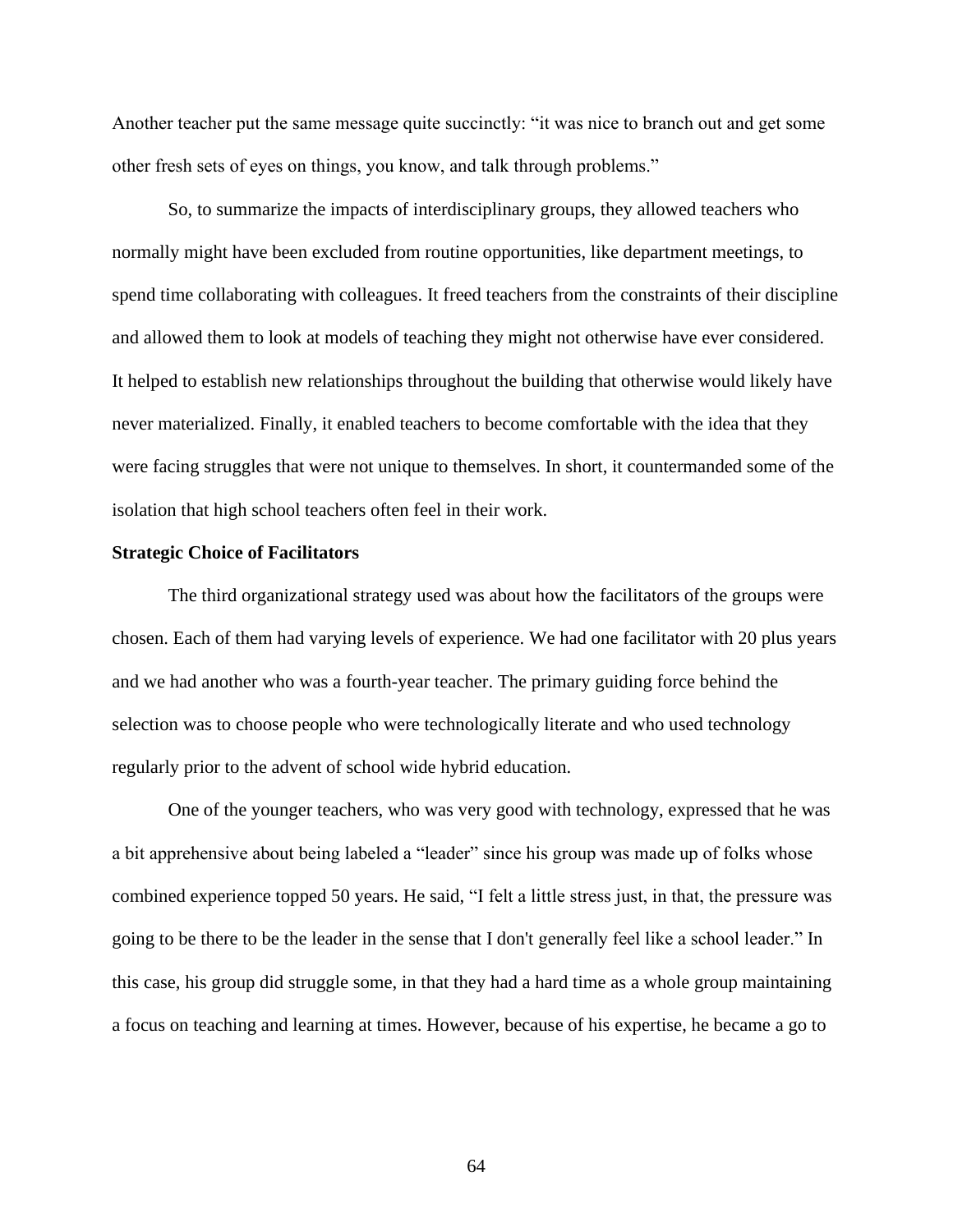Another teacher put the same message quite succinctly: "it was nice to branch out and get some other fresh sets of eyes on things, you know, and talk through problems."

So, to summarize the impacts of interdisciplinary groups, they allowed teachers who normally might have been excluded from routine opportunities, like department meetings, to spend time collaborating with colleagues. It freed teachers from the constraints of their discipline and allowed them to look at models of teaching they might not otherwise have ever considered. It helped to establish new relationships throughout the building that otherwise would likely have never materialized. Finally, it enabled teachers to become comfortable with the idea that they were facing struggles that were not unique to themselves. In short, it countermanded some of the isolation that high school teachers often feel in their work.

## **Strategic Choice of Facilitators**

The third organizational strategy used was about how the facilitators of the groups were chosen. Each of them had varying levels of experience. We had one facilitator with 20 plus years and we had another who was a fourth-year teacher. The primary guiding force behind the selection was to choose people who were technologically literate and who used technology regularly prior to the advent of school wide hybrid education.

One of the younger teachers, who was very good with technology, expressed that he was a bit apprehensive about being labeled a "leader" since his group was made up of folks whose combined experience topped 50 years. He said, "I felt a little stress just, in that, the pressure was going to be there to be the leader in the sense that I don't generally feel like a school leader." In this case, his group did struggle some, in that they had a hard time as a whole group maintaining a focus on teaching and learning at times. However, because of his expertise, he became a go to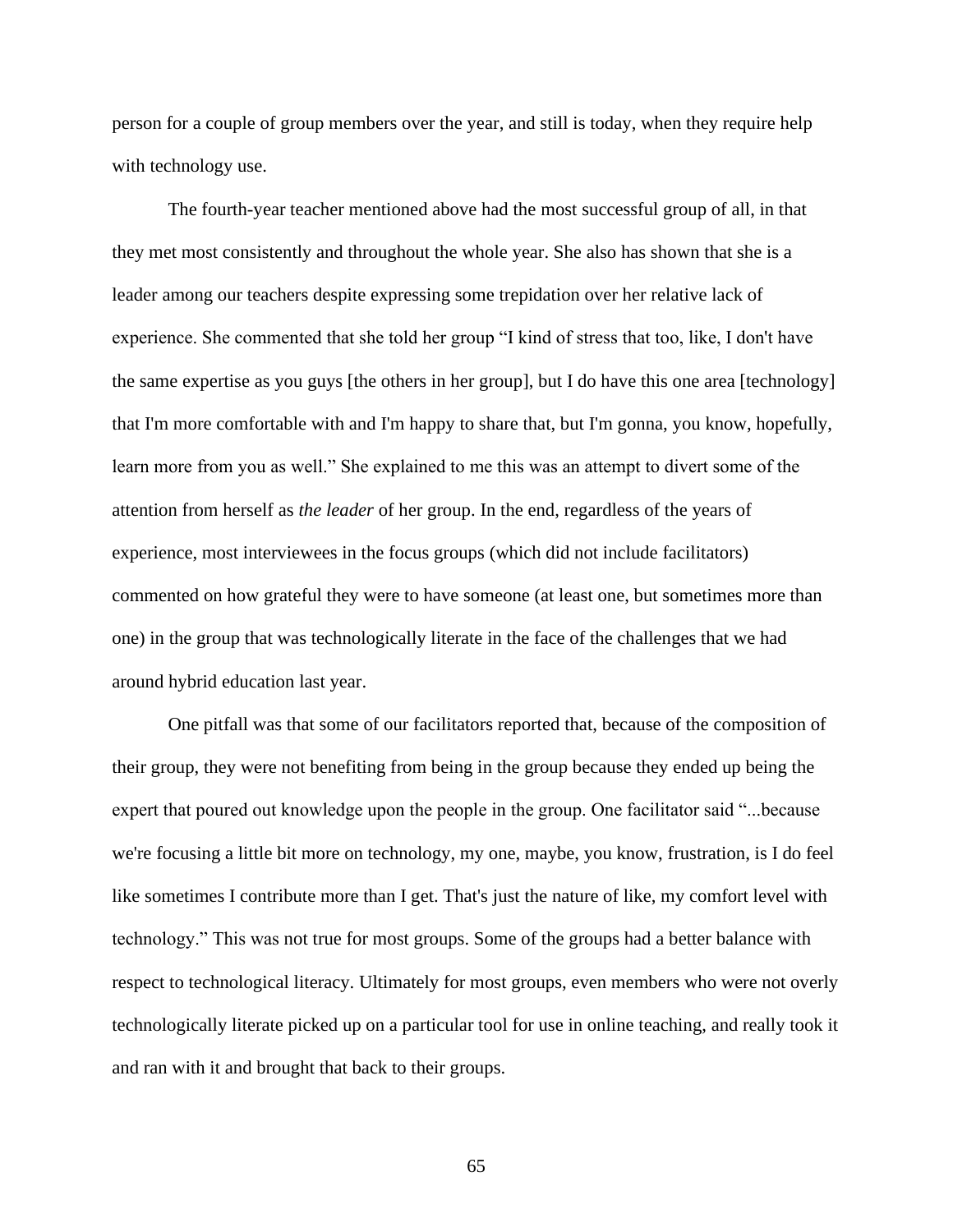person for a couple of group members over the year, and still is today, when they require help with technology use.

The fourth-year teacher mentioned above had the most successful group of all, in that they met most consistently and throughout the whole year. She also has shown that she is a leader among our teachers despite expressing some trepidation over her relative lack of experience. She commented that she told her group "I kind of stress that too, like, I don't have the same expertise as you guys [the others in her group], but I do have this one area [technology] that I'm more comfortable with and I'm happy to share that, but I'm gonna, you know, hopefully, learn more from you as well." She explained to me this was an attempt to divert some of the attention from herself as *the leader* of her group. In the end, regardless of the years of experience, most interviewees in the focus groups (which did not include facilitators) commented on how grateful they were to have someone (at least one, but sometimes more than one) in the group that was technologically literate in the face of the challenges that we had around hybrid education last year.

One pitfall was that some of our facilitators reported that, because of the composition of their group, they were not benefiting from being in the group because they ended up being the expert that poured out knowledge upon the people in the group. One facilitator said "...because we're focusing a little bit more on technology, my one, maybe, you know, frustration, is I do feel like sometimes I contribute more than I get. That's just the nature of like, my comfort level with technology." This was not true for most groups. Some of the groups had a better balance with respect to technological literacy. Ultimately for most groups, even members who were not overly technologically literate picked up on a particular tool for use in online teaching, and really took it and ran with it and brought that back to their groups.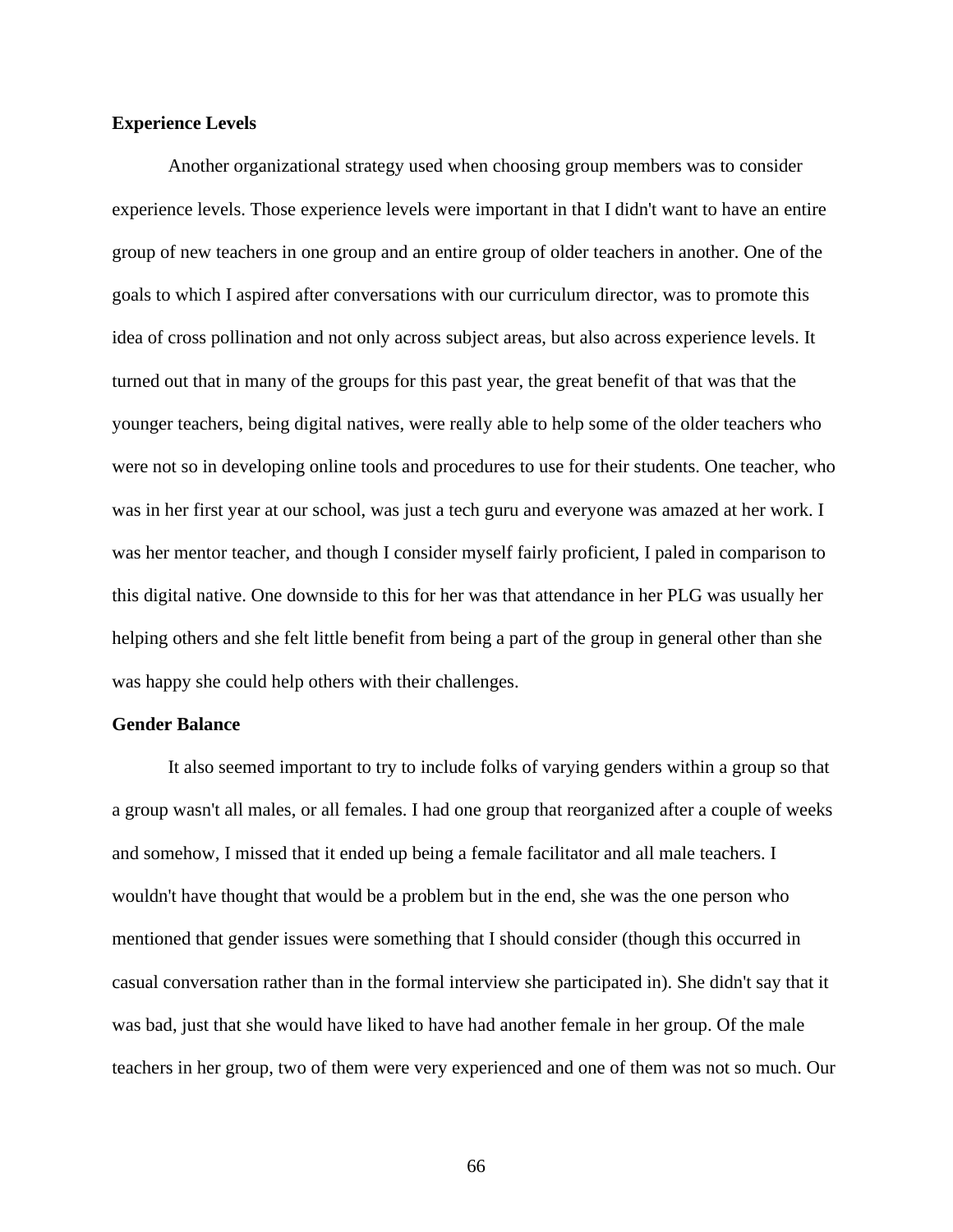# **Experience Levels**

Another organizational strategy used when choosing group members was to consider experience levels. Those experience levels were important in that I didn't want to have an entire group of new teachers in one group and an entire group of older teachers in another. One of the goals to which I aspired after conversations with our curriculum director, was to promote this idea of cross pollination and not only across subject areas, but also across experience levels. It turned out that in many of the groups for this past year, the great benefit of that was that the younger teachers, being digital natives, were really able to help some of the older teachers who were not so in developing online tools and procedures to use for their students. One teacher, who was in her first year at our school, was just a tech guru and everyone was amazed at her work. I was her mentor teacher, and though I consider myself fairly proficient, I paled in comparison to this digital native. One downside to this for her was that attendance in her PLG was usually her helping others and she felt little benefit from being a part of the group in general other than she was happy she could help others with their challenges.

## **Gender Balance**

It also seemed important to try to include folks of varying genders within a group so that a group wasn't all males, or all females. I had one group that reorganized after a couple of weeks and somehow, I missed that it ended up being a female facilitator and all male teachers. I wouldn't have thought that would be a problem but in the end, she was the one person who mentioned that gender issues were something that I should consider (though this occurred in casual conversation rather than in the formal interview she participated in). She didn't say that it was bad, just that she would have liked to have had another female in her group. Of the male teachers in her group, two of them were very experienced and one of them was not so much. Our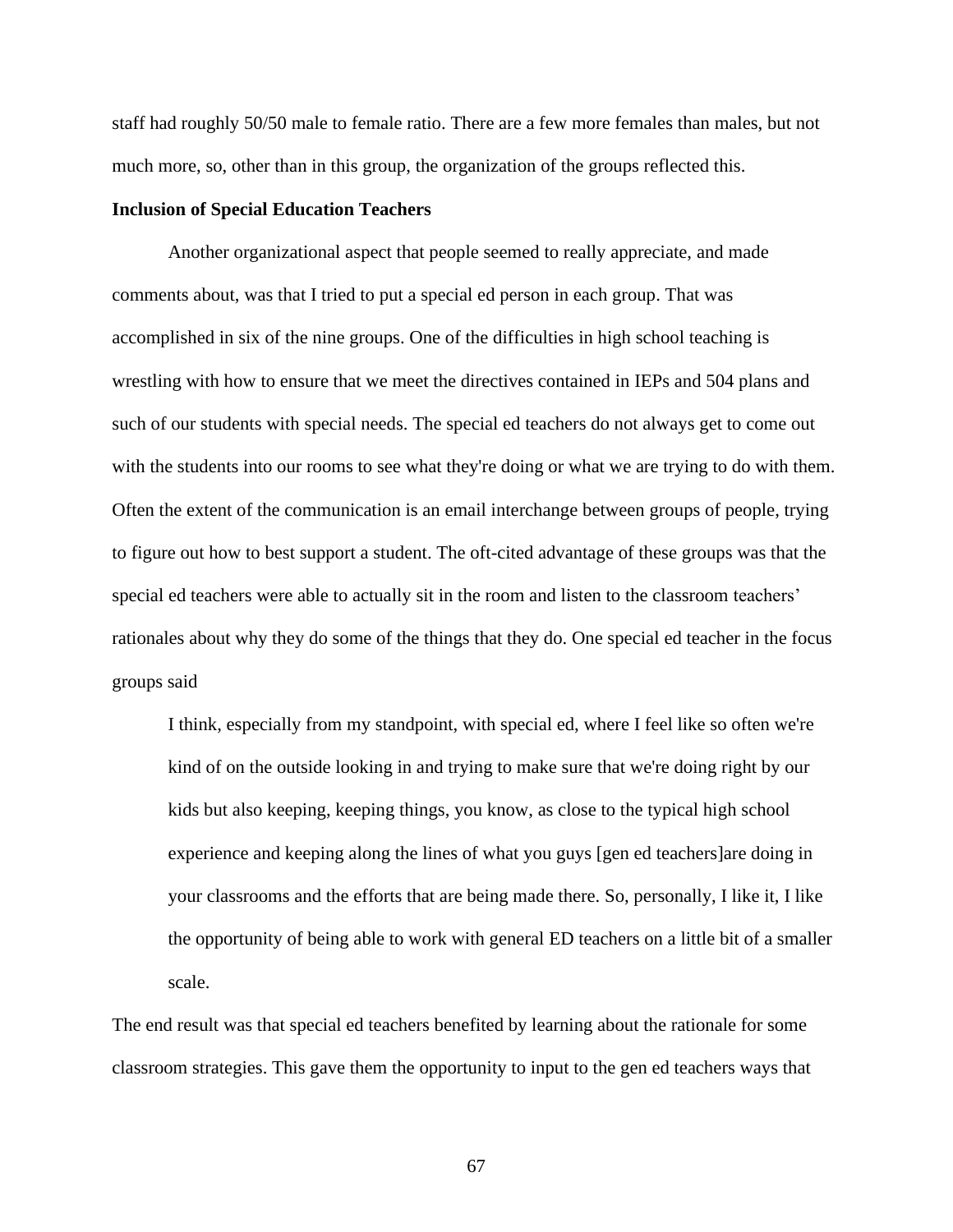staff had roughly 50/50 male to female ratio. There are a few more females than males, but not much more, so, other than in this group, the organization of the groups reflected this.

# **Inclusion of Special Education Teachers**

Another organizational aspect that people seemed to really appreciate, and made comments about, was that I tried to put a special ed person in each group. That was accomplished in six of the nine groups. One of the difficulties in high school teaching is wrestling with how to ensure that we meet the directives contained in IEPs and 504 plans and such of our students with special needs. The special ed teachers do not always get to come out with the students into our rooms to see what they're doing or what we are trying to do with them. Often the extent of the communication is an email interchange between groups of people, trying to figure out how to best support a student. The oft-cited advantage of these groups was that the special ed teachers were able to actually sit in the room and listen to the classroom teachers' rationales about why they do some of the things that they do. One special ed teacher in the focus groups said

I think, especially from my standpoint, with special ed, where I feel like so often we're kind of on the outside looking in and trying to make sure that we're doing right by our kids but also keeping, keeping things, you know, as close to the typical high school experience and keeping along the lines of what you guys [gen ed teachers]are doing in your classrooms and the efforts that are being made there. So, personally, I like it, I like the opportunity of being able to work with general ED teachers on a little bit of a smaller scale.

The end result was that special ed teachers benefited by learning about the rationale for some classroom strategies. This gave them the opportunity to input to the gen ed teachers ways that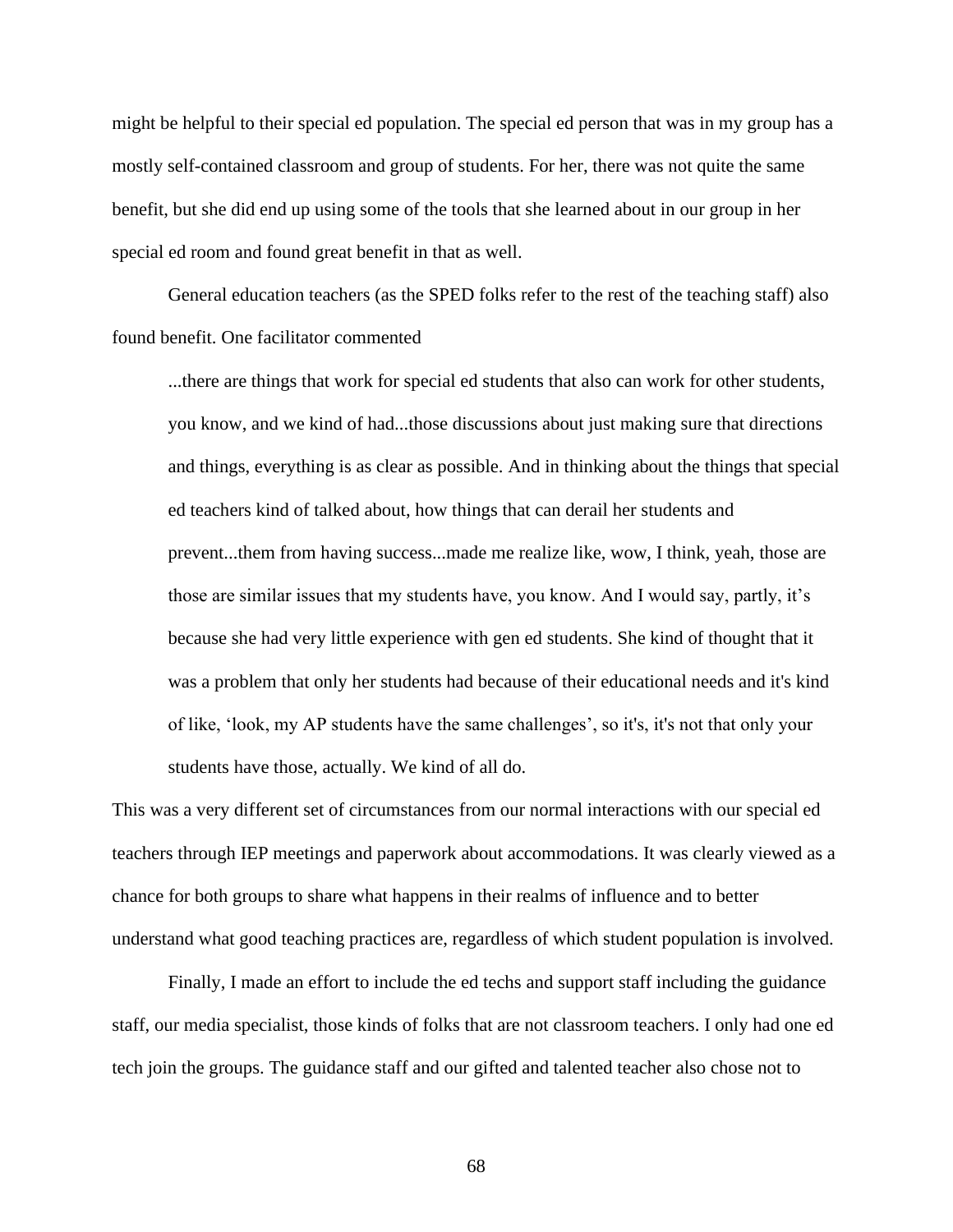might be helpful to their special ed population. The special ed person that was in my group has a mostly self-contained classroom and group of students. For her, there was not quite the same benefit, but she did end up using some of the tools that she learned about in our group in her special ed room and found great benefit in that as well.

General education teachers (as the SPED folks refer to the rest of the teaching staff) also found benefit. One facilitator commented

...there are things that work for special ed students that also can work for other students, you know, and we kind of had...those discussions about just making sure that directions and things, everything is as clear as possible. And in thinking about the things that special ed teachers kind of talked about, how things that can derail her students and prevent...them from having success...made me realize like, wow, I think, yeah, those are those are similar issues that my students have, you know. And I would say, partly, it's because she had very little experience with gen ed students. She kind of thought that it was a problem that only her students had because of their educational needs and it's kind of like, 'look, my AP students have the same challenges', so it's, it's not that only your students have those, actually. We kind of all do.

This was a very different set of circumstances from our normal interactions with our special ed teachers through IEP meetings and paperwork about accommodations. It was clearly viewed as a chance for both groups to share what happens in their realms of influence and to better understand what good teaching practices are, regardless of which student population is involved.

Finally, I made an effort to include the ed techs and support staff including the guidance staff, our media specialist, those kinds of folks that are not classroom teachers. I only had one ed tech join the groups. The guidance staff and our gifted and talented teacher also chose not to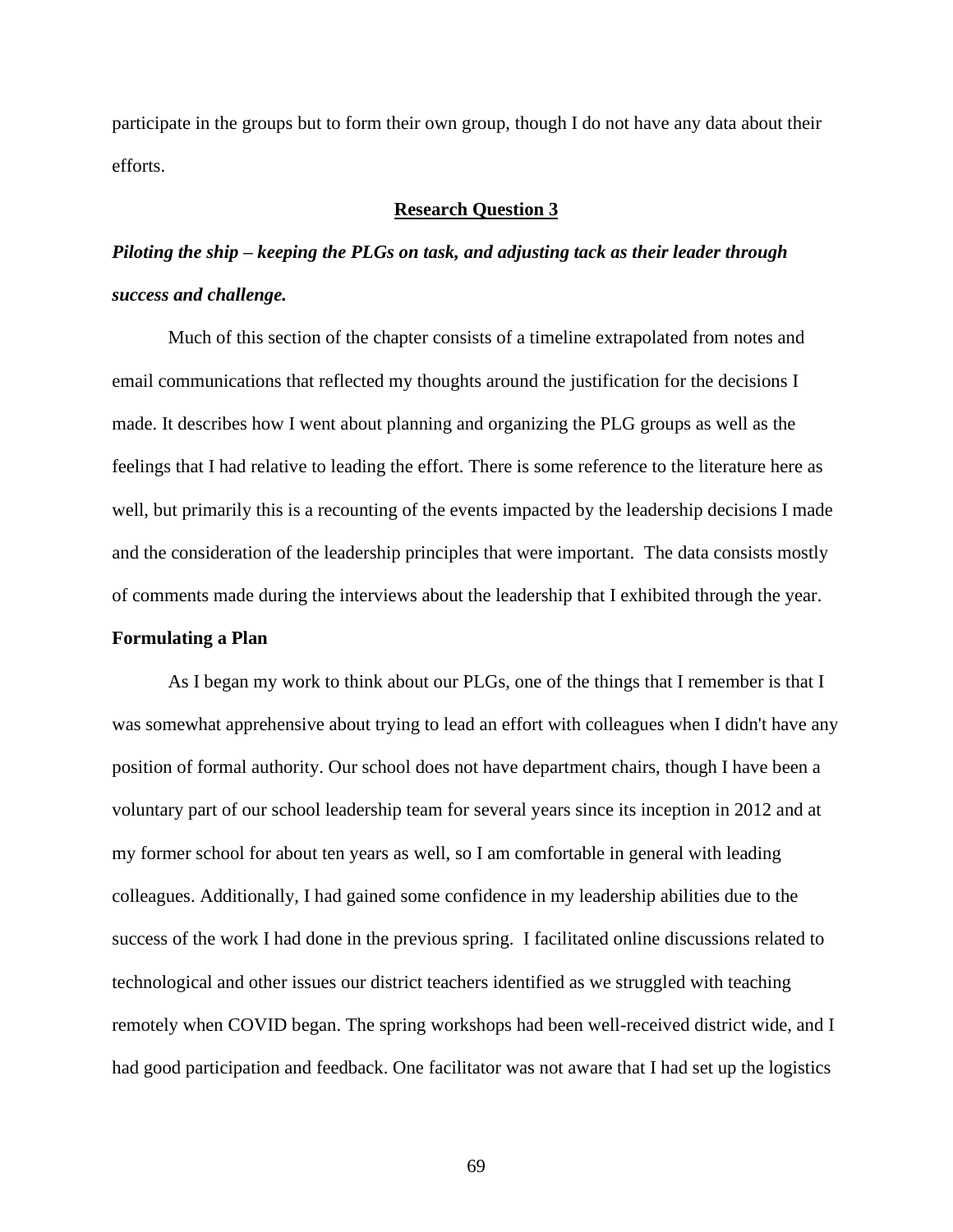participate in the groups but to form their own group, though I do not have any data about their efforts.

# **Research Question 3**

# *Piloting the ship – keeping the PLGs on task, and adjusting tack as their leader through success and challenge.*

Much of this section of the chapter consists of a timeline extrapolated from notes and email communications that reflected my thoughts around the justification for the decisions I made. It describes how I went about planning and organizing the PLG groups as well as the feelings that I had relative to leading the effort. There is some reference to the literature here as well, but primarily this is a recounting of the events impacted by the leadership decisions I made and the consideration of the leadership principles that were important. The data consists mostly of comments made during the interviews about the leadership that I exhibited through the year.

# **Formulating a Plan**

As I began my work to think about our PLGs, one of the things that I remember is that I was somewhat apprehensive about trying to lead an effort with colleagues when I didn't have any position of formal authority. Our school does not have department chairs, though I have been a voluntary part of our school leadership team for several years since its inception in 2012 and at my former school for about ten years as well, so I am comfortable in general with leading colleagues. Additionally, I had gained some confidence in my leadership abilities due to the success of the work I had done in the previous spring. I facilitated online discussions related to technological and other issues our district teachers identified as we struggled with teaching remotely when COVID began. The spring workshops had been well-received district wide, and I had good participation and feedback. One facilitator was not aware that I had set up the logistics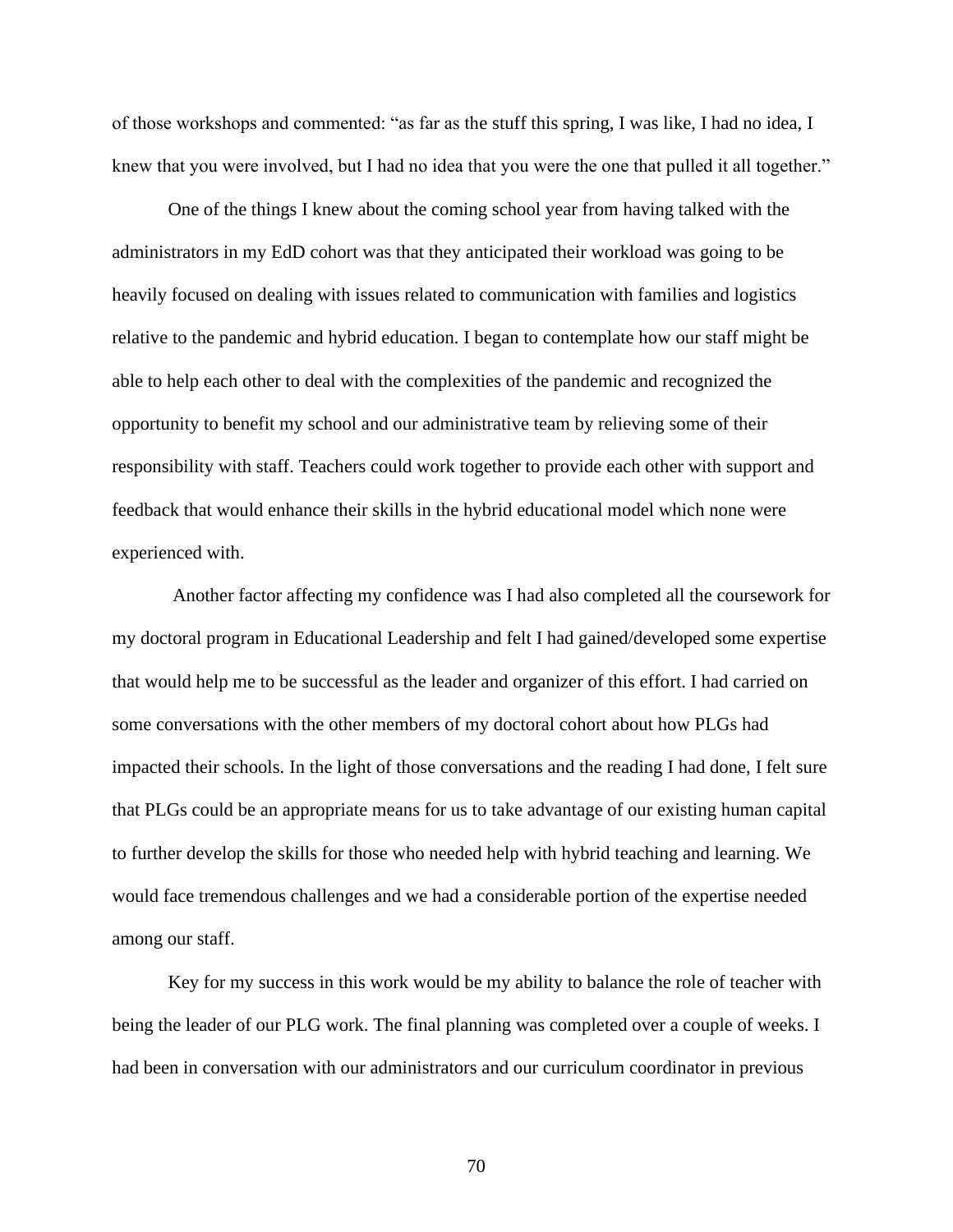of those workshops and commented: "as far as the stuff this spring, I was like, I had no idea, I knew that you were involved, but I had no idea that you were the one that pulled it all together."

One of the things I knew about the coming school year from having talked with the administrators in my EdD cohort was that they anticipated their workload was going to be heavily focused on dealing with issues related to communication with families and logistics relative to the pandemic and hybrid education. I began to contemplate how our staff might be able to help each other to deal with the complexities of the pandemic and recognized the opportunity to benefit my school and our administrative team by relieving some of their responsibility with staff. Teachers could work together to provide each other with support and feedback that would enhance their skills in the hybrid educational model which none were experienced with.

Another factor affecting my confidence was I had also completed all the coursework for my doctoral program in Educational Leadership and felt I had gained/developed some expertise that would help me to be successful as the leader and organizer of this effort. I had carried on some conversations with the other members of my doctoral cohort about how PLGs had impacted their schools. In the light of those conversations and the reading I had done, I felt sure that PLGs could be an appropriate means for us to take advantage of our existing human capital to further develop the skills for those who needed help with hybrid teaching and learning. We would face tremendous challenges and we had a considerable portion of the expertise needed among our staff.

Key for my success in this work would be my ability to balance the role of teacher with being the leader of our PLG work. The final planning was completed over a couple of weeks. I had been in conversation with our administrators and our curriculum coordinator in previous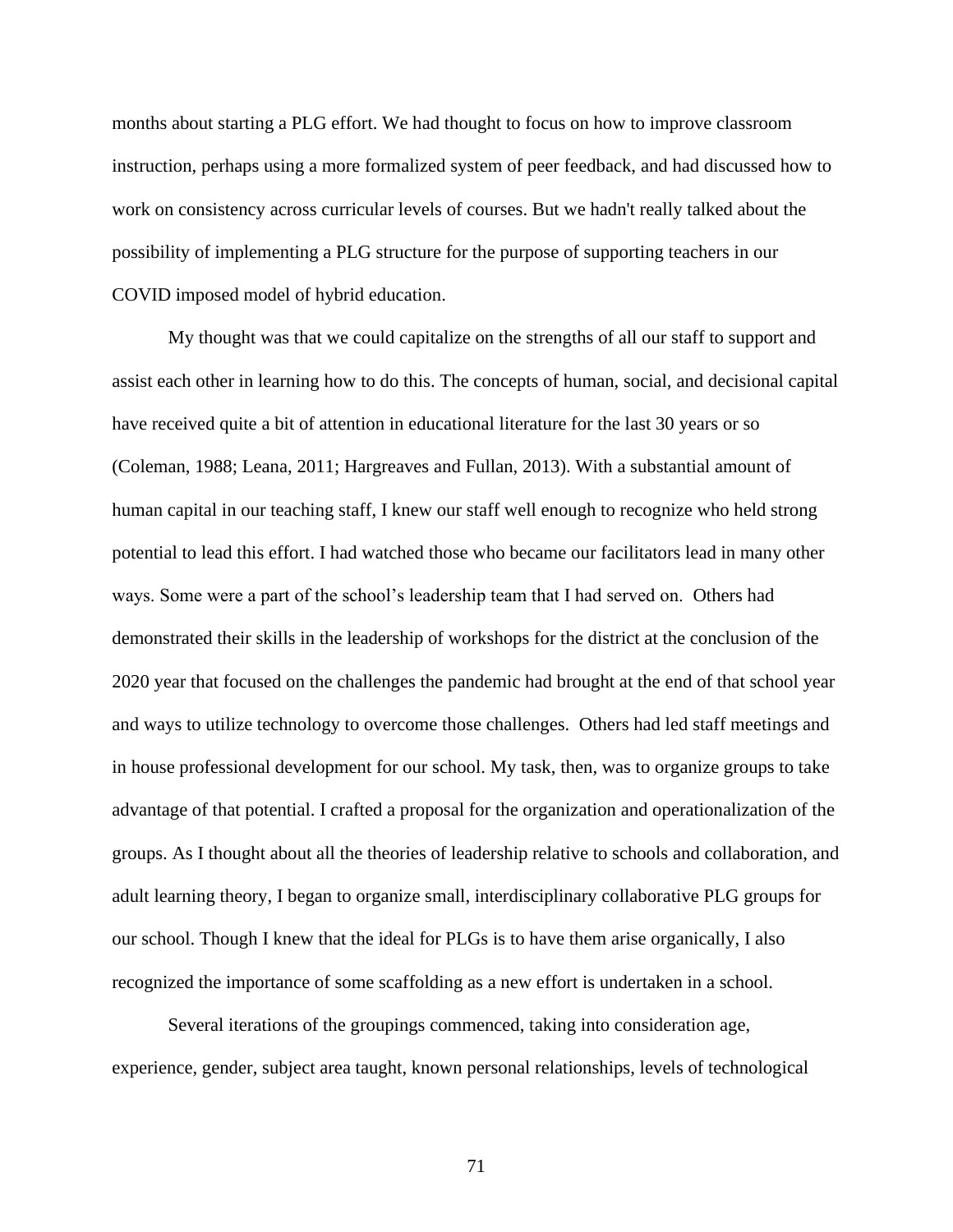months about starting a PLG effort. We had thought to focus on how to improve classroom instruction, perhaps using a more formalized system of peer feedback, and had discussed how to work on consistency across curricular levels of courses. But we hadn't really talked about the possibility of implementing a PLG structure for the purpose of supporting teachers in our COVID imposed model of hybrid education.

My thought was that we could capitalize on the strengths of all our staff to support and assist each other in learning how to do this. The concepts of human, social, and decisional capital have received quite a bit of attention in educational literature for the last 30 years or so (Coleman, 1988; Leana, 2011; Hargreaves and Fullan, 2013). With a substantial amount of human capital in our teaching staff, I knew our staff well enough to recognize who held strong potential to lead this effort. I had watched those who became our facilitators lead in many other ways. Some were a part of the school's leadership team that I had served on. Others had demonstrated their skills in the leadership of workshops for the district at the conclusion of the 2020 year that focused on the challenges the pandemic had brought at the end of that school year and ways to utilize technology to overcome those challenges. Others had led staff meetings and in house professional development for our school. My task, then, was to organize groups to take advantage of that potential. I crafted a proposal for the organization and operationalization of the groups. As I thought about all the theories of leadership relative to schools and collaboration, and adult learning theory, I began to organize small, interdisciplinary collaborative PLG groups for our school. Though I knew that the ideal for PLGs is to have them arise organically, I also recognized the importance of some scaffolding as a new effort is undertaken in a school.

Several iterations of the groupings commenced, taking into consideration age, experience, gender, subject area taught, known personal relationships, levels of technological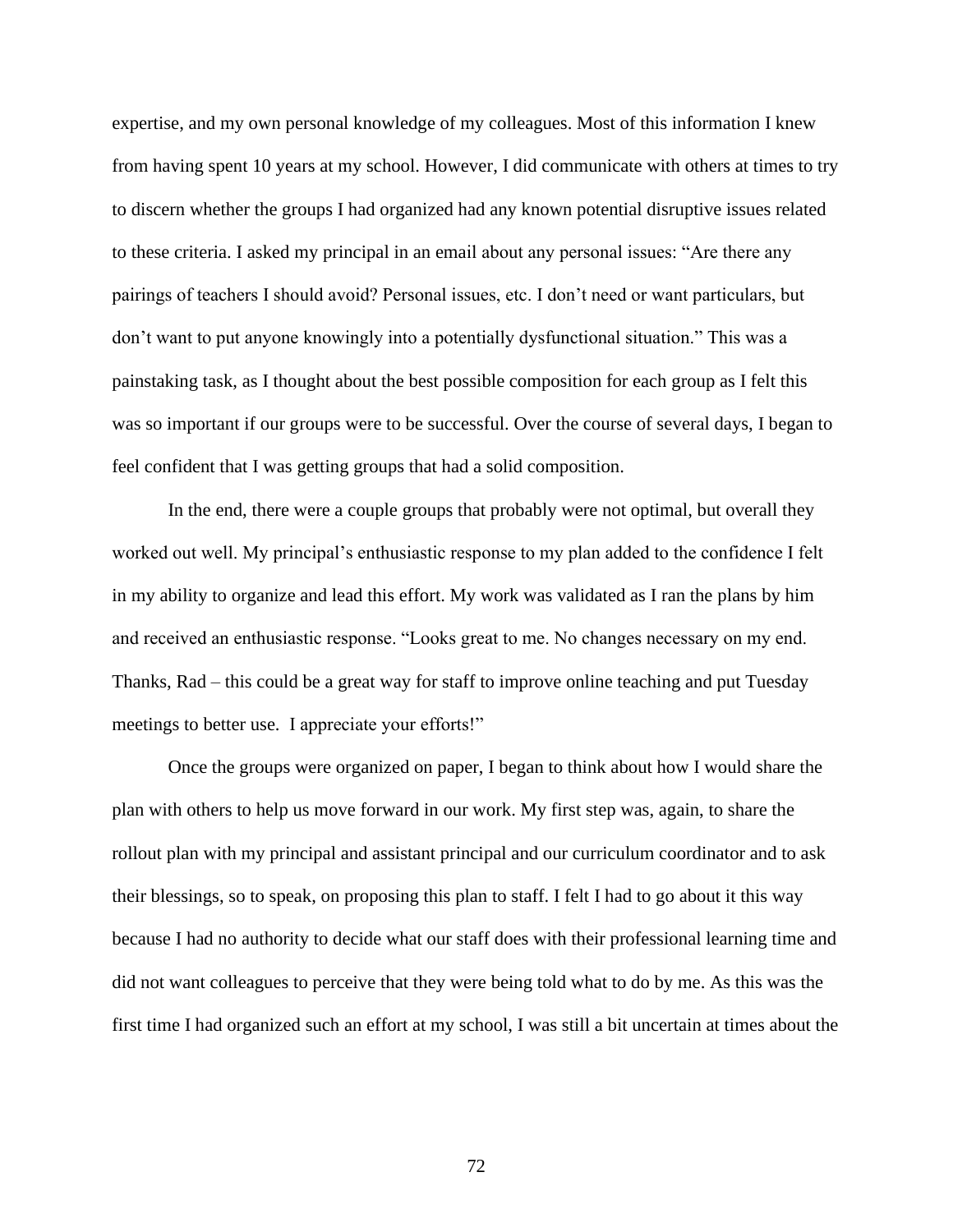expertise, and my own personal knowledge of my colleagues. Most of this information I knew from having spent 10 years at my school. However, I did communicate with others at times to try to discern whether the groups I had organized had any known potential disruptive issues related to these criteria. I asked my principal in an email about any personal issues: "Are there any pairings of teachers I should avoid? Personal issues, etc. I don't need or want particulars, but don't want to put anyone knowingly into a potentially dysfunctional situation." This was a painstaking task, as I thought about the best possible composition for each group as I felt this was so important if our groups were to be successful. Over the course of several days, I began to feel confident that I was getting groups that had a solid composition.

In the end, there were a couple groups that probably were not optimal, but overall they worked out well. My principal's enthusiastic response to my plan added to the confidence I felt in my ability to organize and lead this effort. My work was validated as I ran the plans by him and received an enthusiastic response. "Looks great to me. No changes necessary on my end. Thanks, Rad – this could be a great way for staff to improve online teaching and put Tuesday meetings to better use. I appreciate your efforts!"

Once the groups were organized on paper, I began to think about how I would share the plan with others to help us move forward in our work. My first step was, again, to share the rollout plan with my principal and assistant principal and our curriculum coordinator and to ask their blessings, so to speak, on proposing this plan to staff. I felt I had to go about it this way because I had no authority to decide what our staff does with their professional learning time and did not want colleagues to perceive that they were being told what to do by me. As this was the first time I had organized such an effort at my school, I was still a bit uncertain at times about the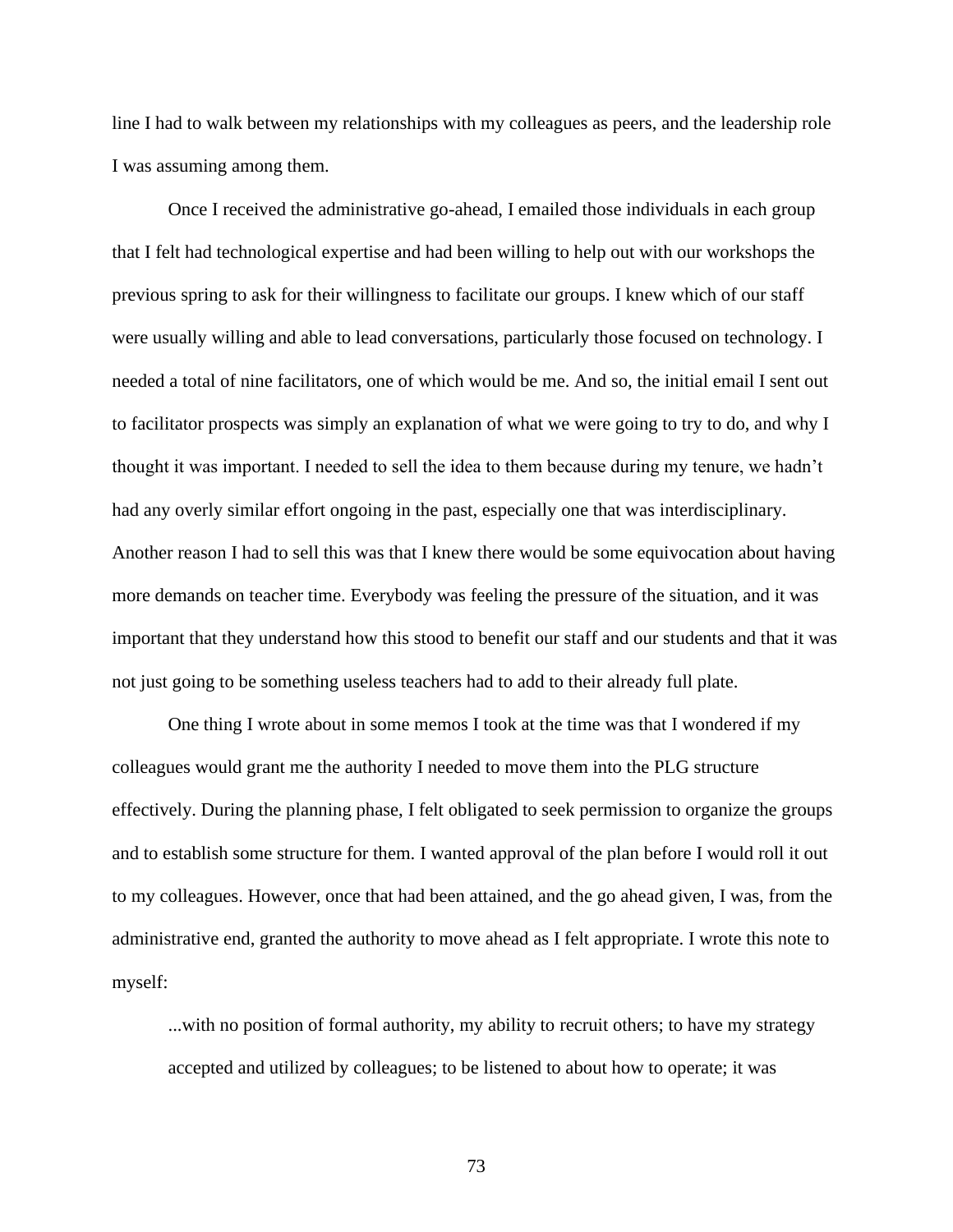line I had to walk between my relationships with my colleagues as peers, and the leadership role I was assuming among them.

Once I received the administrative go-ahead, I emailed those individuals in each group that I felt had technological expertise and had been willing to help out with our workshops the previous spring to ask for their willingness to facilitate our groups. I knew which of our staff were usually willing and able to lead conversations, particularly those focused on technology. I needed a total of nine facilitators, one of which would be me. And so, the initial email I sent out to facilitator prospects was simply an explanation of what we were going to try to do, and why I thought it was important. I needed to sell the idea to them because during my tenure, we hadn't had any overly similar effort ongoing in the past, especially one that was interdisciplinary. Another reason I had to sell this was that I knew there would be some equivocation about having more demands on teacher time. Everybody was feeling the pressure of the situation, and it was important that they understand how this stood to benefit our staff and our students and that it was not just going to be something useless teachers had to add to their already full plate.

One thing I wrote about in some memos I took at the time was that I wondered if my colleagues would grant me the authority I needed to move them into the PLG structure effectively. During the planning phase, I felt obligated to seek permission to organize the groups and to establish some structure for them. I wanted approval of the plan before I would roll it out to my colleagues. However, once that had been attained, and the go ahead given, I was, from the administrative end, granted the authority to move ahead as I felt appropriate. I wrote this note to myself:

...with no position of formal authority, my ability to recruit others; to have my strategy accepted and utilized by colleagues; to be listened to about how to operate; it was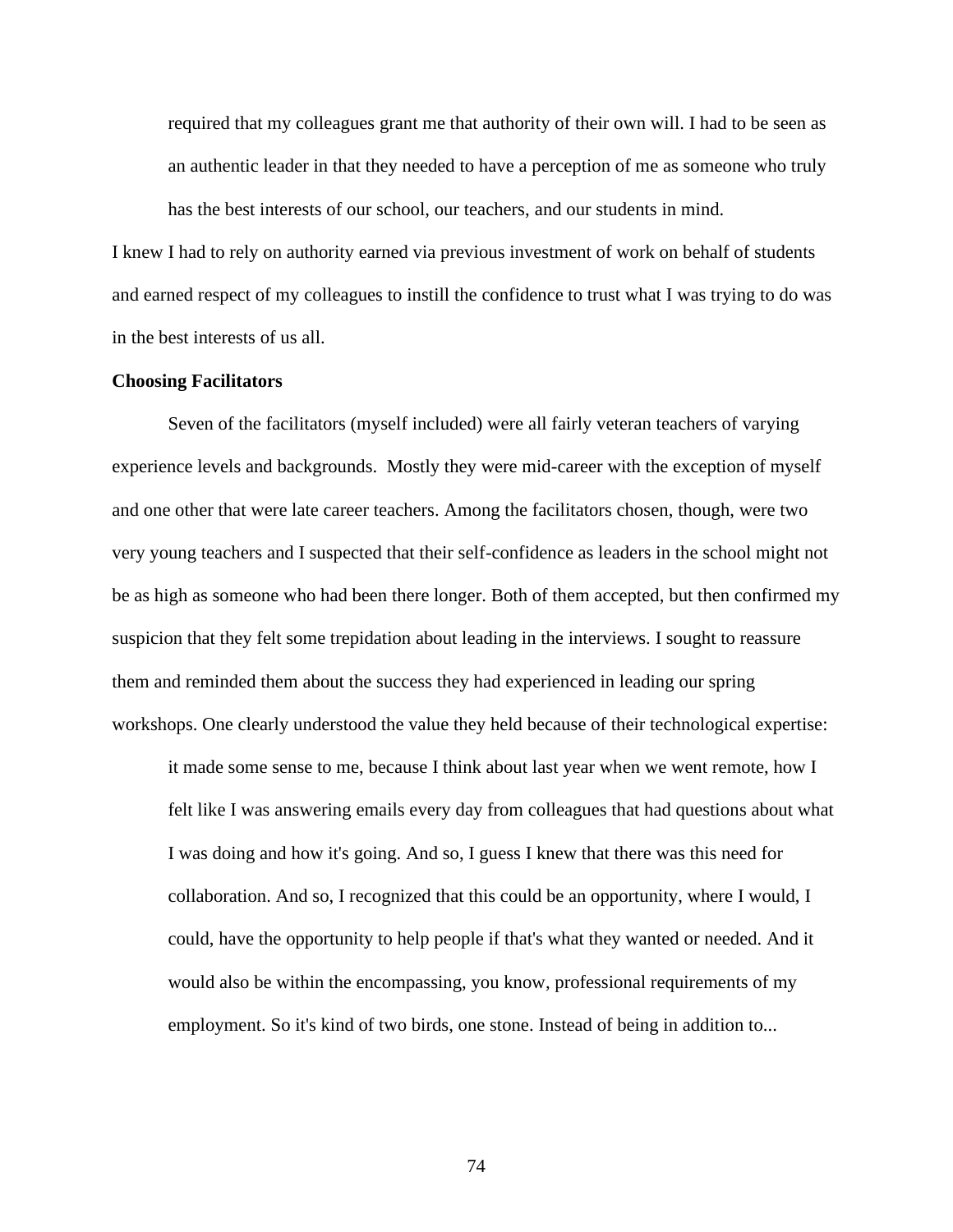required that my colleagues grant me that authority of their own will. I had to be seen as an authentic leader in that they needed to have a perception of me as someone who truly has the best interests of our school, our teachers, and our students in mind.

I knew I had to rely on authority earned via previous investment of work on behalf of students and earned respect of my colleagues to instill the confidence to trust what I was trying to do was in the best interests of us all.

## **Choosing Facilitators**

Seven of the facilitators (myself included) were all fairly veteran teachers of varying experience levels and backgrounds. Mostly they were mid-career with the exception of myself and one other that were late career teachers. Among the facilitators chosen, though, were two very young teachers and I suspected that their self-confidence as leaders in the school might not be as high as someone who had been there longer. Both of them accepted, but then confirmed my suspicion that they felt some trepidation about leading in the interviews. I sought to reassure them and reminded them about the success they had experienced in leading our spring workshops. One clearly understood the value they held because of their technological expertise:

it made some sense to me, because I think about last year when we went remote, how I felt like I was answering emails every day from colleagues that had questions about what I was doing and how it's going. And so, I guess I knew that there was this need for collaboration. And so, I recognized that this could be an opportunity, where I would, I could, have the opportunity to help people if that's what they wanted or needed. And it would also be within the encompassing, you know, professional requirements of my employment. So it's kind of two birds, one stone. Instead of being in addition to...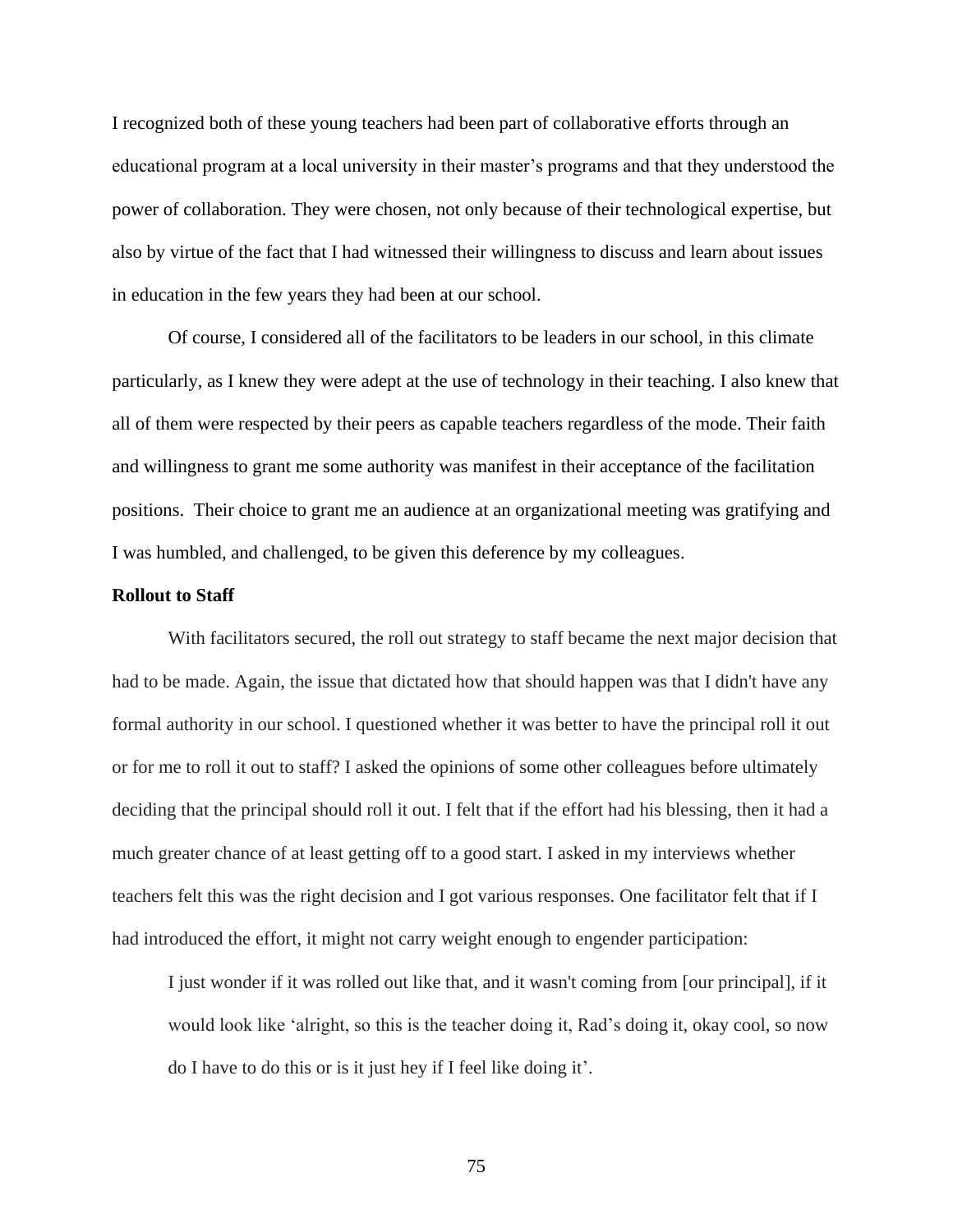I recognized both of these young teachers had been part of collaborative efforts through an educational program at a local university in their master's programs and that they understood the power of collaboration. They were chosen, not only because of their technological expertise, but also by virtue of the fact that I had witnessed their willingness to discuss and learn about issues in education in the few years they had been at our school.

Of course, I considered all of the facilitators to be leaders in our school, in this climate particularly, as I knew they were adept at the use of technology in their teaching. I also knew that all of them were respected by their peers as capable teachers regardless of the mode. Their faith and willingness to grant me some authority was manifest in their acceptance of the facilitation positions. Their choice to grant me an audience at an organizational meeting was gratifying and I was humbled, and challenged, to be given this deference by my colleagues.

## **Rollout to Staff**

With facilitators secured, the roll out strategy to staff became the next major decision that had to be made. Again, the issue that dictated how that should happen was that I didn't have any formal authority in our school. I questioned whether it was better to have the principal roll it out or for me to roll it out to staff? I asked the opinions of some other colleagues before ultimately deciding that the principal should roll it out. I felt that if the effort had his blessing, then it had a much greater chance of at least getting off to a good start. I asked in my interviews whether teachers felt this was the right decision and I got various responses. One facilitator felt that if I had introduced the effort, it might not carry weight enough to engender participation:

I just wonder if it was rolled out like that, and it wasn't coming from [our principal], if it would look like 'alright, so this is the teacher doing it, Rad's doing it, okay cool, so now do I have to do this or is it just hey if I feel like doing it'.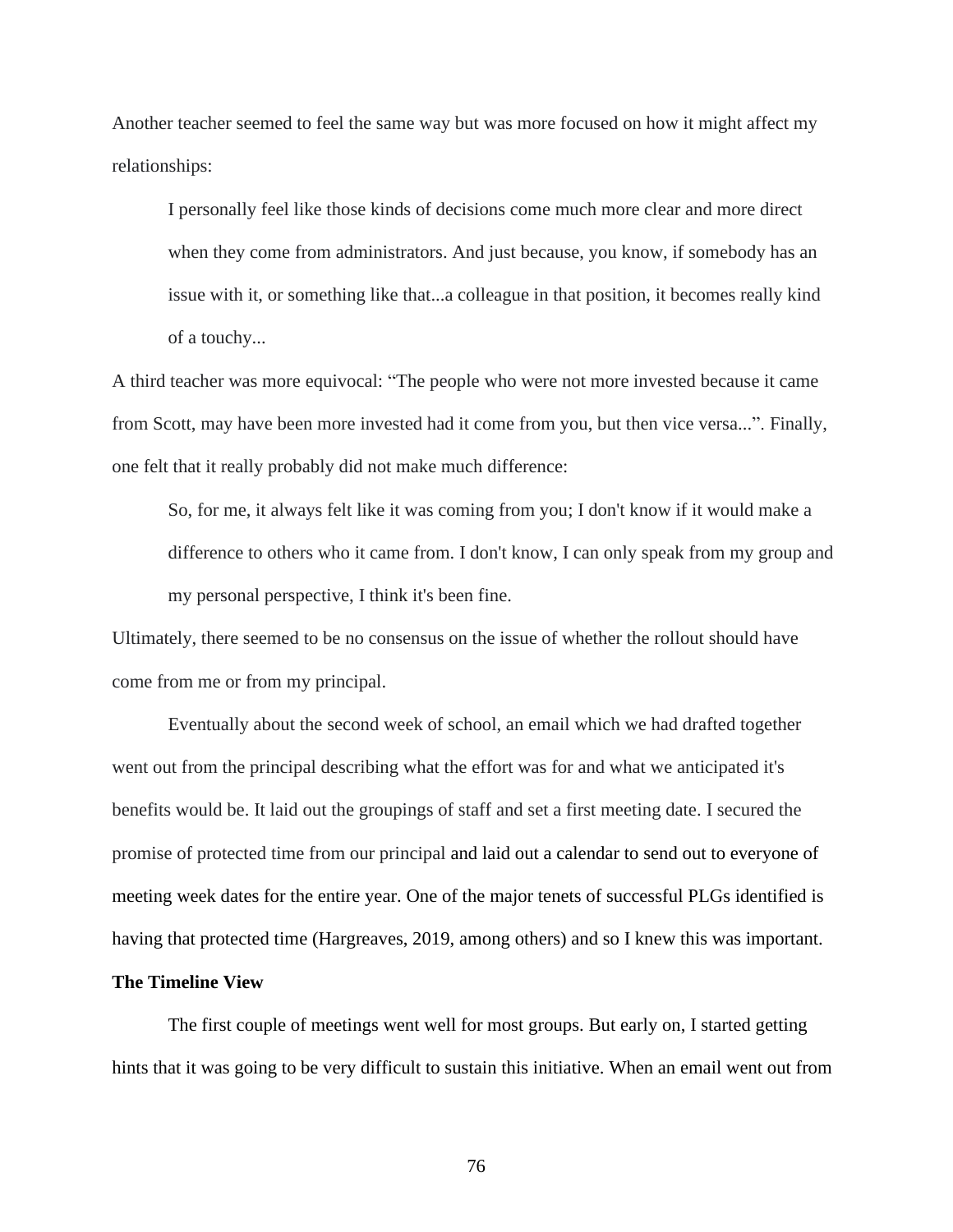Another teacher seemed to feel the same way but was more focused on how it might affect my relationships:

I personally feel like those kinds of decisions come much more clear and more direct when they come from administrators. And just because, you know, if somebody has an issue with it, or something like that...a colleague in that position, it becomes really kind of a touchy...

A third teacher was more equivocal: "The people who were not more invested because it came from Scott, may have been more invested had it come from you, but then vice versa...". Finally, one felt that it really probably did not make much difference:

So, for me, it always felt like it was coming from you; I don't know if it would make a difference to others who it came from. I don't know, I can only speak from my group and my personal perspective, I think it's been fine.

Ultimately, there seemed to be no consensus on the issue of whether the rollout should have come from me or from my principal.

Eventually about the second week of school, an email which we had drafted together went out from the principal describing what the effort was for and what we anticipated it's benefits would be. It laid out the groupings of staff and set a first meeting date. I secured the promise of protected time from our principal and laid out a calendar to send out to everyone of meeting week dates for the entire year. One of the major tenets of successful PLGs identified is having that protected time (Hargreaves, 2019, among others) and so I knew this was important.

# **The Timeline View**

The first couple of meetings went well for most groups. But early on, I started getting hints that it was going to be very difficult to sustain this initiative. When an email went out from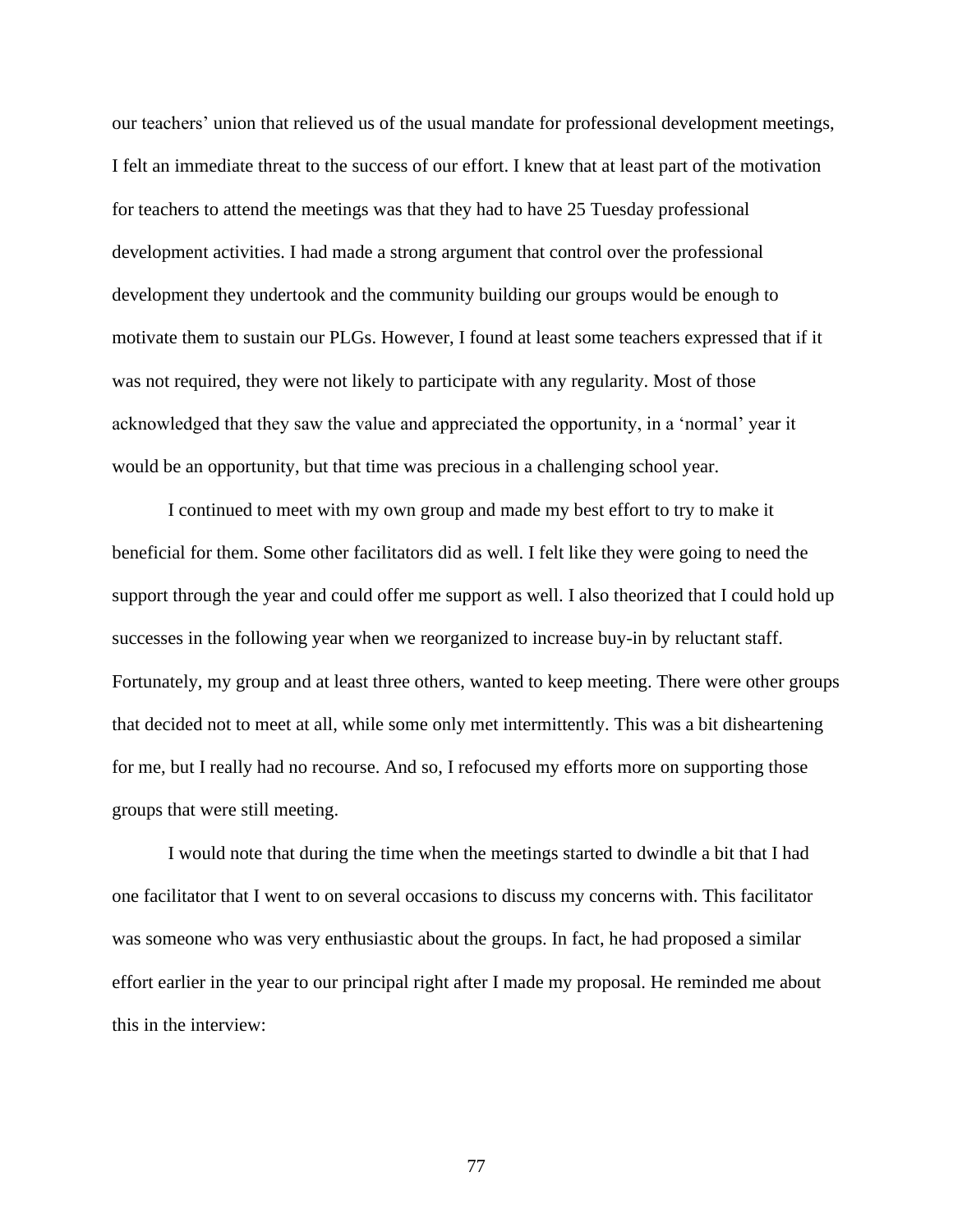our teachers' union that relieved us of the usual mandate for professional development meetings, I felt an immediate threat to the success of our effort. I knew that at least part of the motivation for teachers to attend the meetings was that they had to have 25 Tuesday professional development activities. I had made a strong argument that control over the professional development they undertook and the community building our groups would be enough to motivate them to sustain our PLGs. However, I found at least some teachers expressed that if it was not required, they were not likely to participate with any regularity. Most of those acknowledged that they saw the value and appreciated the opportunity, in a 'normal' year it would be an opportunity, but that time was precious in a challenging school year.

I continued to meet with my own group and made my best effort to try to make it beneficial for them. Some other facilitators did as well. I felt like they were going to need the support through the year and could offer me support as well. I also theorized that I could hold up successes in the following year when we reorganized to increase buy-in by reluctant staff. Fortunately, my group and at least three others, wanted to keep meeting. There were other groups that decided not to meet at all, while some only met intermittently. This was a bit disheartening for me, but I really had no recourse. And so, I refocused my efforts more on supporting those groups that were still meeting.

I would note that during the time when the meetings started to dwindle a bit that I had one facilitator that I went to on several occasions to discuss my concerns with. This facilitator was someone who was very enthusiastic about the groups. In fact, he had proposed a similar effort earlier in the year to our principal right after I made my proposal. He reminded me about this in the interview: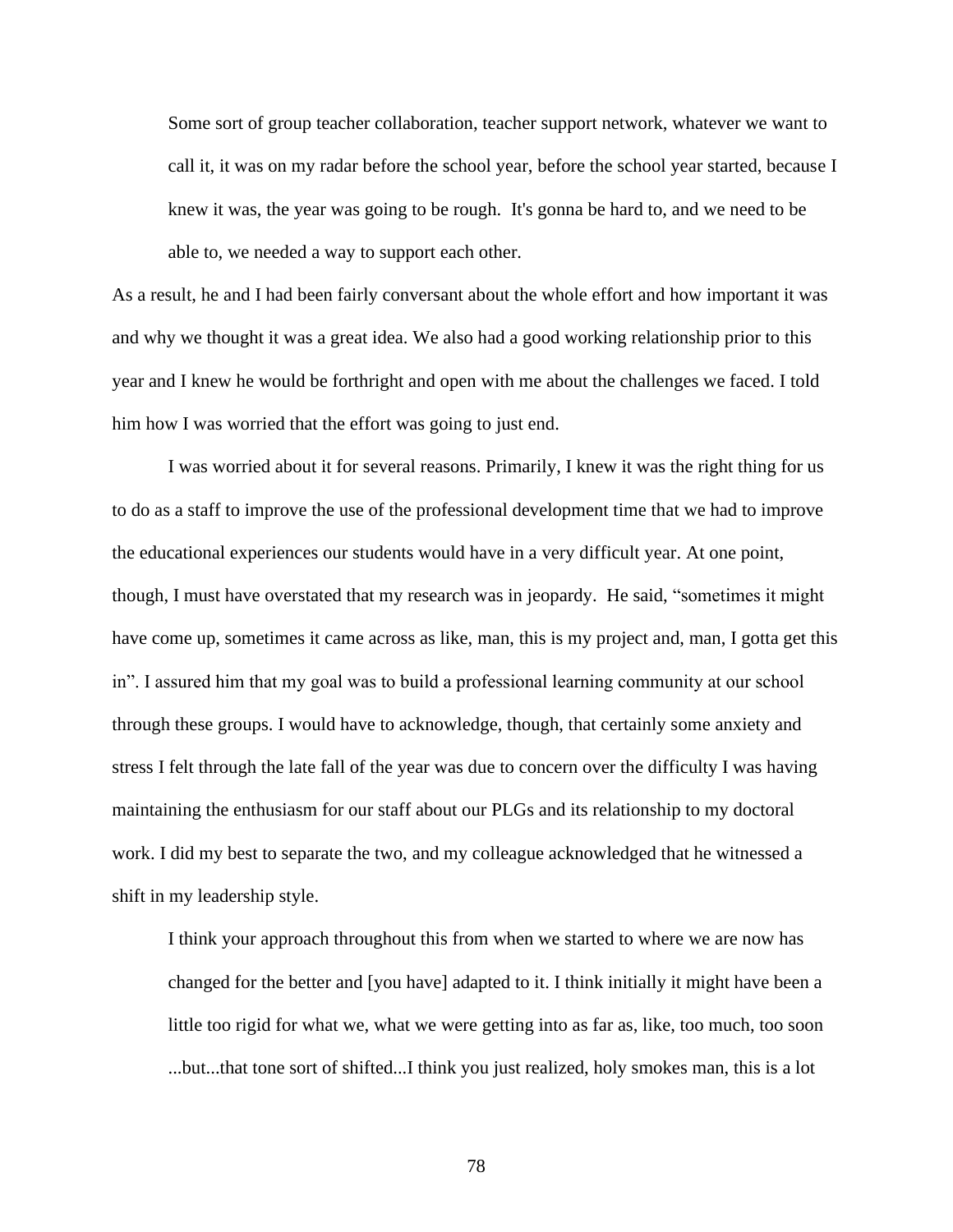Some sort of group teacher collaboration, teacher support network, whatever we want to call it, it was on my radar before the school year, before the school year started, because I knew it was, the year was going to be rough. It's gonna be hard to, and we need to be able to, we needed a way to support each other.

As a result, he and I had been fairly conversant about the whole effort and how important it was and why we thought it was a great idea. We also had a good working relationship prior to this year and I knew he would be forthright and open with me about the challenges we faced. I told him how I was worried that the effort was going to just end.

I was worried about it for several reasons. Primarily, I knew it was the right thing for us to do as a staff to improve the use of the professional development time that we had to improve the educational experiences our students would have in a very difficult year. At one point, though, I must have overstated that my research was in jeopardy. He said, "sometimes it might have come up, sometimes it came across as like, man, this is my project and, man, I gotta get this in". I assured him that my goal was to build a professional learning community at our school through these groups. I would have to acknowledge, though, that certainly some anxiety and stress I felt through the late fall of the year was due to concern over the difficulty I was having maintaining the enthusiasm for our staff about our PLGs and its relationship to my doctoral work. I did my best to separate the two, and my colleague acknowledged that he witnessed a shift in my leadership style.

I think your approach throughout this from when we started to where we are now has changed for the better and [you have] adapted to it. I think initially it might have been a little too rigid for what we, what we were getting into as far as, like, too much, too soon ...but...that tone sort of shifted...I think you just realized, holy smokes man, this is a lot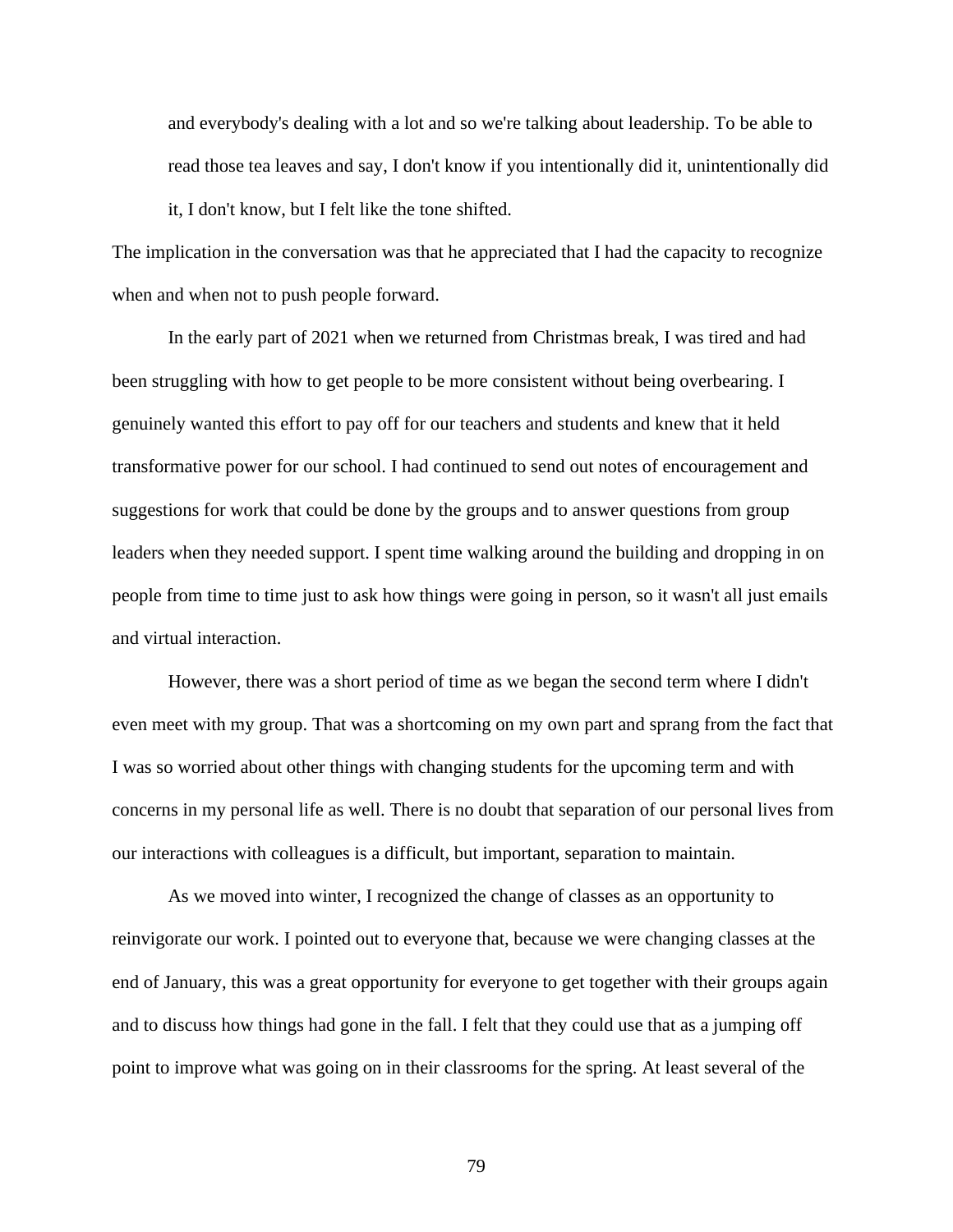and everybody's dealing with a lot and so we're talking about leadership. To be able to read those tea leaves and say, I don't know if you intentionally did it, unintentionally did it, I don't know, but I felt like the tone shifted.

The implication in the conversation was that he appreciated that I had the capacity to recognize when and when not to push people forward.

In the early part of 2021 when we returned from Christmas break, I was tired and had been struggling with how to get people to be more consistent without being overbearing. I genuinely wanted this effort to pay off for our teachers and students and knew that it held transformative power for our school. I had continued to send out notes of encouragement and suggestions for work that could be done by the groups and to answer questions from group leaders when they needed support. I spent time walking around the building and dropping in on people from time to time just to ask how things were going in person, so it wasn't all just emails and virtual interaction.

However, there was a short period of time as we began the second term where I didn't even meet with my group. That was a shortcoming on my own part and sprang from the fact that I was so worried about other things with changing students for the upcoming term and with concerns in my personal life as well. There is no doubt that separation of our personal lives from our interactions with colleagues is a difficult, but important, separation to maintain.

As we moved into winter, I recognized the change of classes as an opportunity to reinvigorate our work. I pointed out to everyone that, because we were changing classes at the end of January, this was a great opportunity for everyone to get together with their groups again and to discuss how things had gone in the fall. I felt that they could use that as a jumping off point to improve what was going on in their classrooms for the spring. At least several of the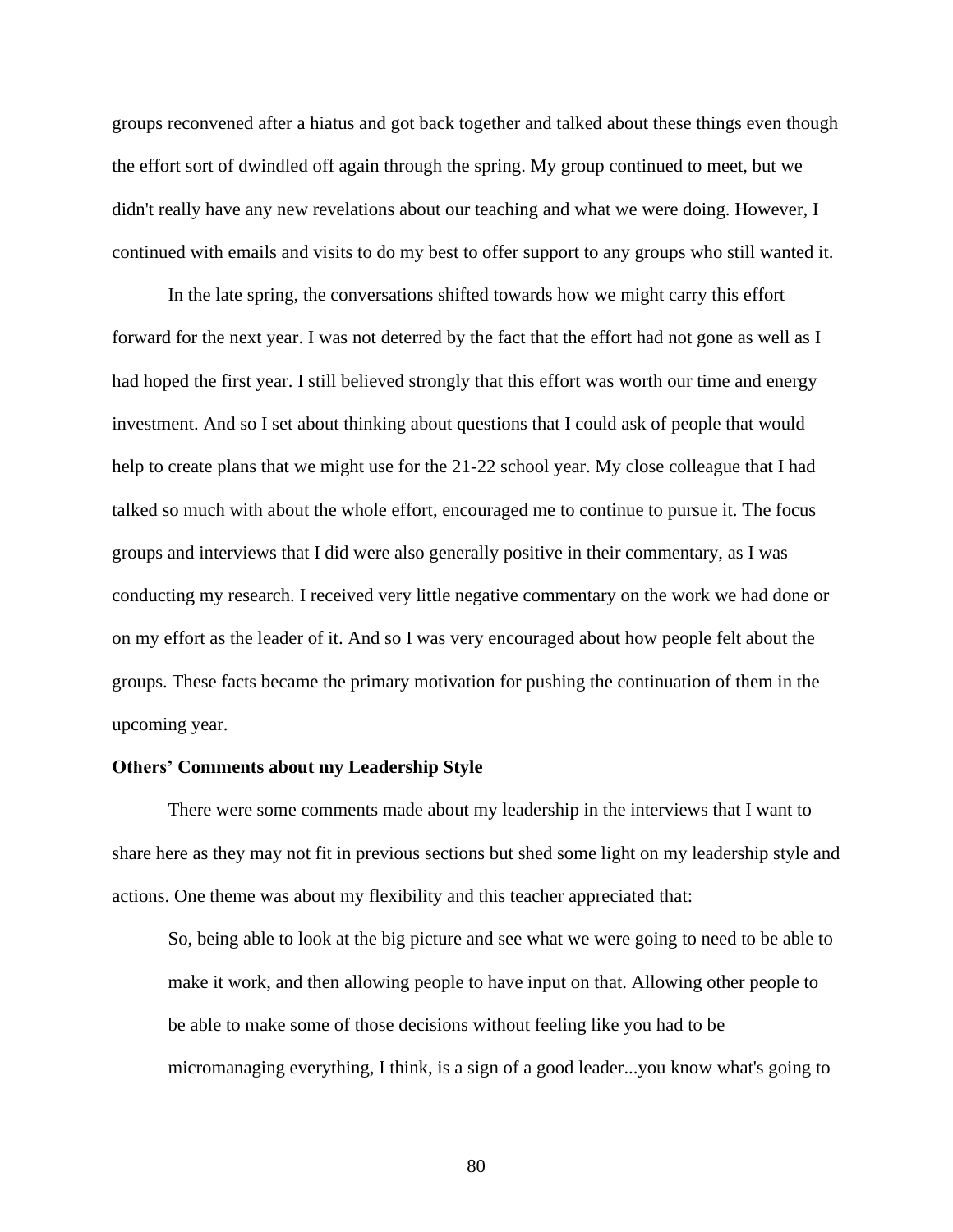groups reconvened after a hiatus and got back together and talked about these things even though the effort sort of dwindled off again through the spring. My group continued to meet, but we didn't really have any new revelations about our teaching and what we were doing. However, I continued with emails and visits to do my best to offer support to any groups who still wanted it.

In the late spring, the conversations shifted towards how we might carry this effort forward for the next year. I was not deterred by the fact that the effort had not gone as well as I had hoped the first year. I still believed strongly that this effort was worth our time and energy investment. And so I set about thinking about questions that I could ask of people that would help to create plans that we might use for the 21-22 school year. My close colleague that I had talked so much with about the whole effort, encouraged me to continue to pursue it. The focus groups and interviews that I did were also generally positive in their commentary, as I was conducting my research. I received very little negative commentary on the work we had done or on my effort as the leader of it. And so I was very encouraged about how people felt about the groups. These facts became the primary motivation for pushing the continuation of them in the upcoming year.

## **Others' Comments about my Leadership Style**

There were some comments made about my leadership in the interviews that I want to share here as they may not fit in previous sections but shed some light on my leadership style and actions. One theme was about my flexibility and this teacher appreciated that:

So, being able to look at the big picture and see what we were going to need to be able to make it work, and then allowing people to have input on that. Allowing other people to be able to make some of those decisions without feeling like you had to be micromanaging everything, I think, is a sign of a good leader...you know what's going to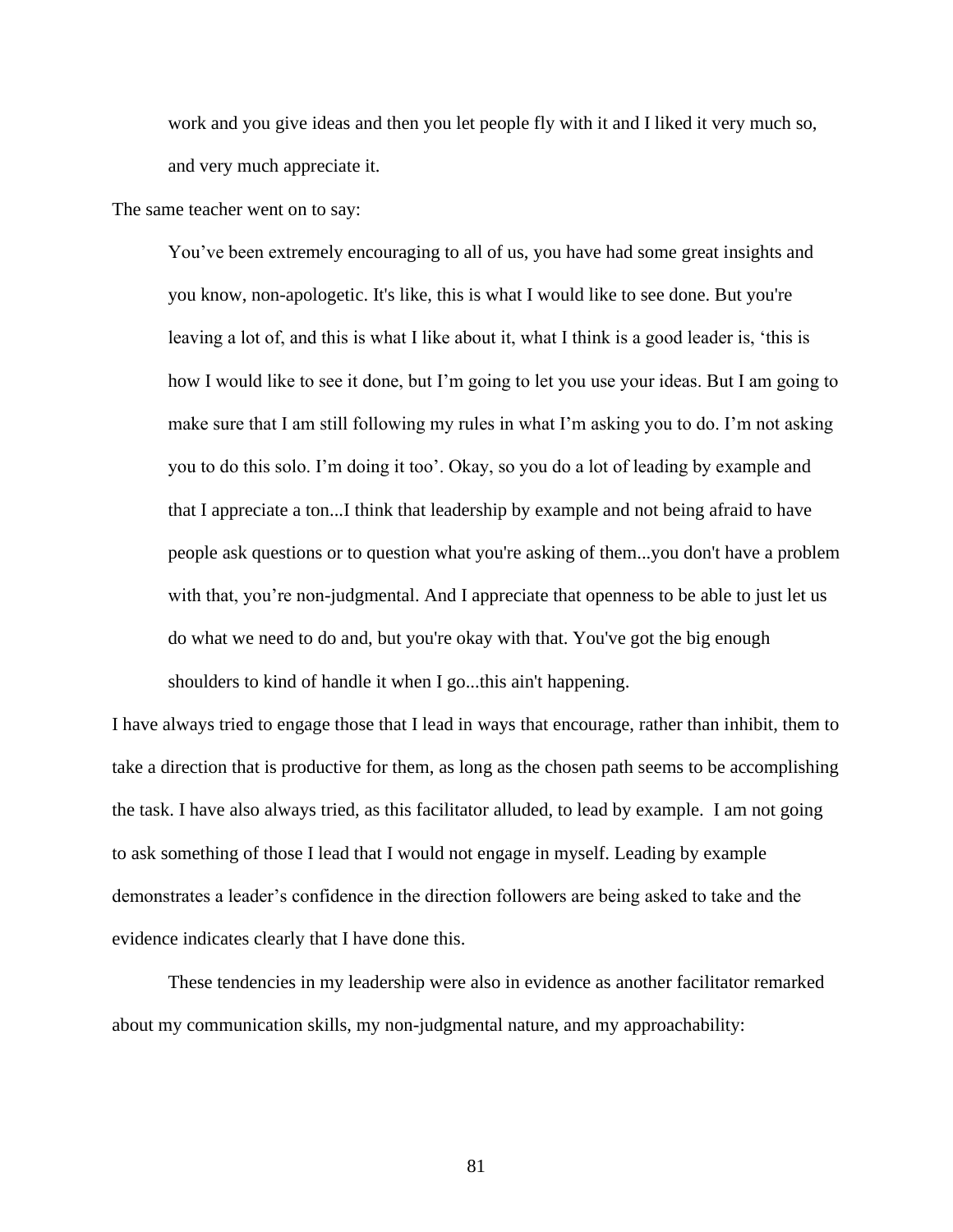work and you give ideas and then you let people fly with it and I liked it very much so, and very much appreciate it.

The same teacher went on to say:

You've been extremely encouraging to all of us, you have had some great insights and you know, non-apologetic. It's like, this is what I would like to see done. But you're leaving a lot of, and this is what I like about it, what I think is a good leader is, 'this is how I would like to see it done, but I'm going to let you use your ideas. But I am going to make sure that I am still following my rules in what I'm asking you to do. I'm not asking you to do this solo. I'm doing it too'. Okay, so you do a lot of leading by example and that I appreciate a ton...I think that leadership by example and not being afraid to have people ask questions or to question what you're asking of them...you don't have a problem with that, you're non-judgmental. And I appreciate that openness to be able to just let us do what we need to do and, but you're okay with that. You've got the big enough shoulders to kind of handle it when I go...this ain't happening.

I have always tried to engage those that I lead in ways that encourage, rather than inhibit, them to take a direction that is productive for them, as long as the chosen path seems to be accomplishing the task. I have also always tried, as this facilitator alluded, to lead by example. I am not going to ask something of those I lead that I would not engage in myself. Leading by example demonstrates a leader's confidence in the direction followers are being asked to take and the evidence indicates clearly that I have done this.

These tendencies in my leadership were also in evidence as another facilitator remarked about my communication skills, my non-judgmental nature, and my approachability: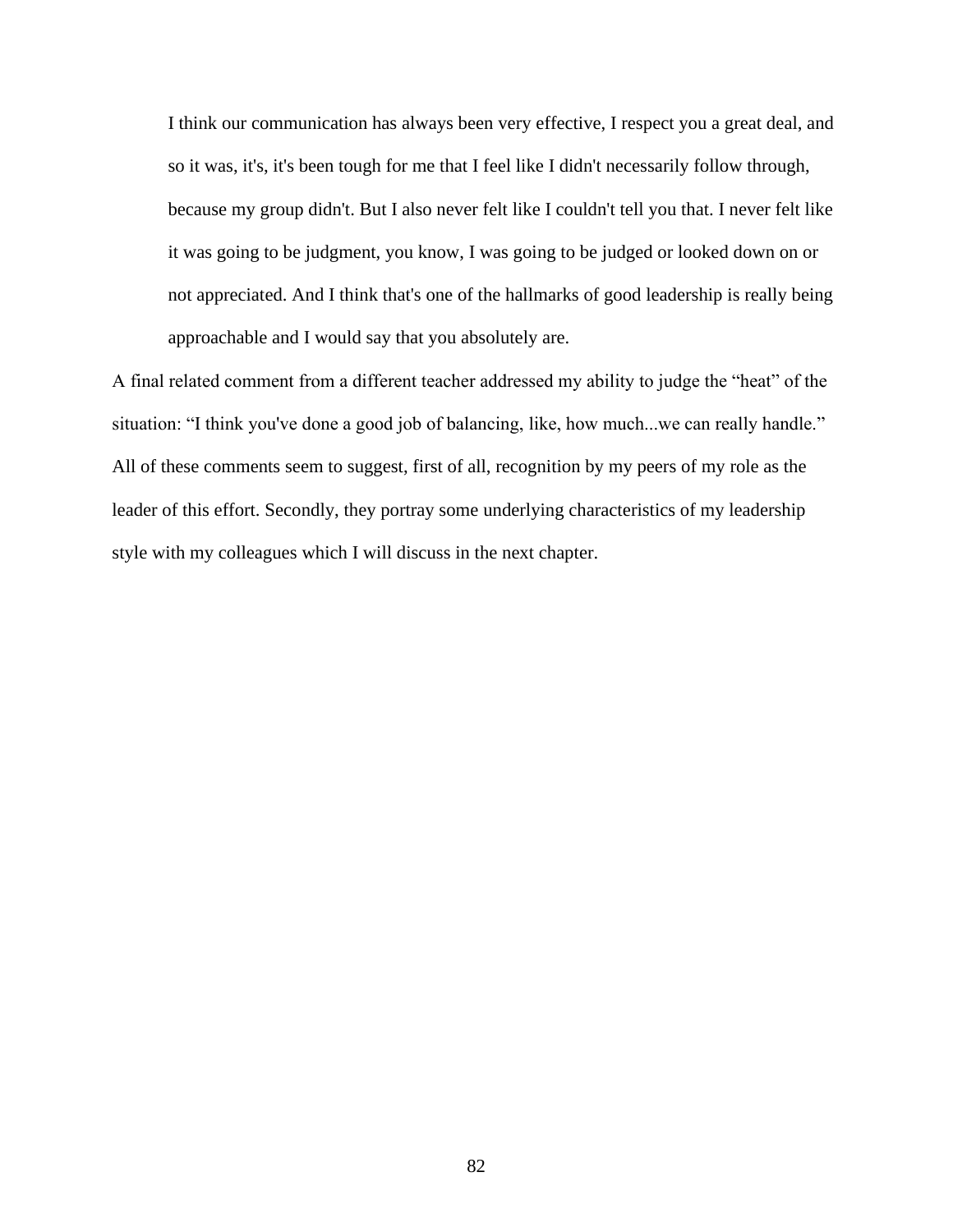I think our communication has always been very effective, I respect you a great deal, and so it was, it's, it's been tough for me that I feel like I didn't necessarily follow through, because my group didn't. But I also never felt like I couldn't tell you that. I never felt like it was going to be judgment, you know, I was going to be judged or looked down on or not appreciated. And I think that's one of the hallmarks of good leadership is really being approachable and I would say that you absolutely are.

A final related comment from a different teacher addressed my ability to judge the "heat" of the situation: "I think you've done a good job of balancing, like, how much...we can really handle." All of these comments seem to suggest, first of all, recognition by my peers of my role as the leader of this effort. Secondly, they portray some underlying characteristics of my leadership style with my colleagues which I will discuss in the next chapter.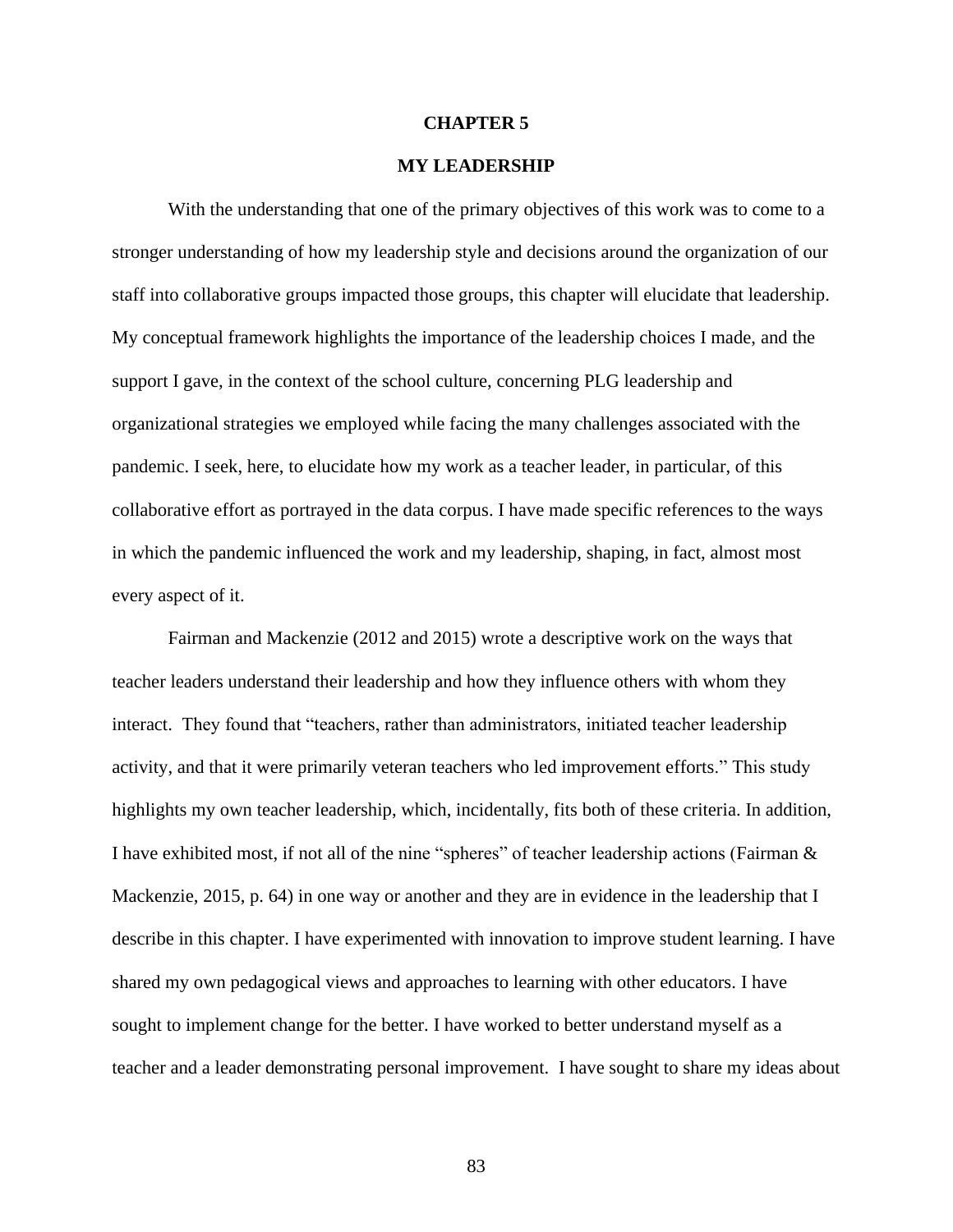## **CHAPTER 5**

# **MY LEADERSHIP**

With the understanding that one of the primary objectives of this work was to come to a stronger understanding of how my leadership style and decisions around the organization of our staff into collaborative groups impacted those groups, this chapter will elucidate that leadership. My conceptual framework highlights the importance of the leadership choices I made, and the support I gave, in the context of the school culture, concerning PLG leadership and organizational strategies we employed while facing the many challenges associated with the pandemic. I seek, here, to elucidate how my work as a teacher leader, in particular, of this collaborative effort as portrayed in the data corpus. I have made specific references to the ways in which the pandemic influenced the work and my leadership, shaping, in fact, almost most every aspect of it.

Fairman and Mackenzie (2012 and 2015) wrote a descriptive work on the ways that teacher leaders understand their leadership and how they influence others with whom they interact. They found that "teachers, rather than administrators, initiated teacher leadership activity, and that it were primarily veteran teachers who led improvement efforts." This study highlights my own teacher leadership, which, incidentally, fits both of these criteria. In addition, I have exhibited most, if not all of the nine "spheres" of teacher leadership actions (Fairman & Mackenzie, 2015, p. 64) in one way or another and they are in evidence in the leadership that I describe in this chapter. I have experimented with innovation to improve student learning. I have shared my own pedagogical views and approaches to learning with other educators. I have sought to implement change for the better. I have worked to better understand myself as a teacher and a leader demonstrating personal improvement. I have sought to share my ideas about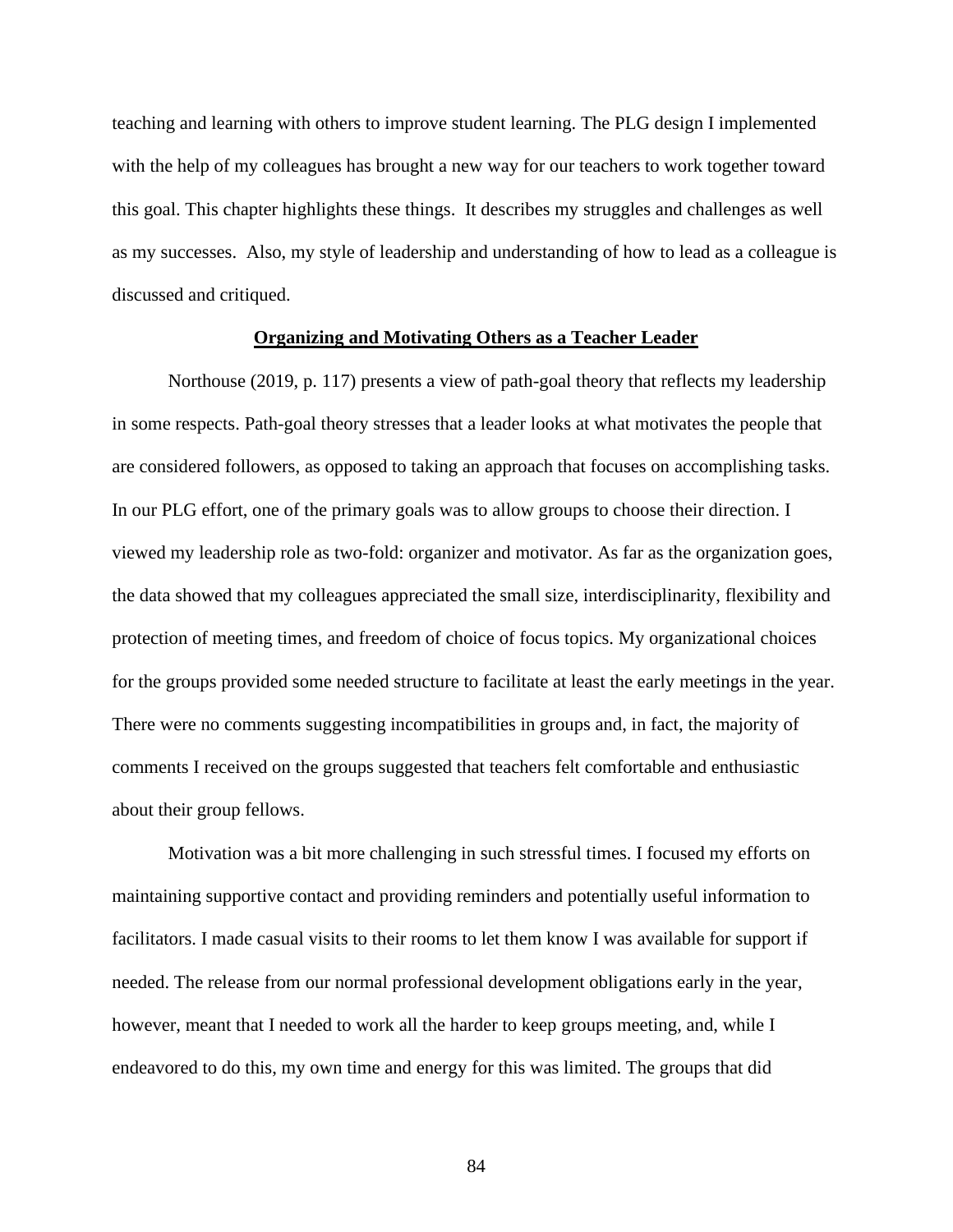teaching and learning with others to improve student learning. The PLG design I implemented with the help of my colleagues has brought a new way for our teachers to work together toward this goal. This chapter highlights these things. It describes my struggles and challenges as well as my successes. Also, my style of leadership and understanding of how to lead as a colleague is discussed and critiqued.

## **Organizing and Motivating Others as a Teacher Leader**

Northouse (2019, p. 117) presents a view of path-goal theory that reflects my leadership in some respects. Path-goal theory stresses that a leader looks at what motivates the people that are considered followers, as opposed to taking an approach that focuses on accomplishing tasks. In our PLG effort, one of the primary goals was to allow groups to choose their direction. I viewed my leadership role as two-fold: organizer and motivator. As far as the organization goes, the data showed that my colleagues appreciated the small size, interdisciplinarity, flexibility and protection of meeting times, and freedom of choice of focus topics. My organizational choices for the groups provided some needed structure to facilitate at least the early meetings in the year. There were no comments suggesting incompatibilities in groups and, in fact, the majority of comments I received on the groups suggested that teachers felt comfortable and enthusiastic about their group fellows.

Motivation was a bit more challenging in such stressful times. I focused my efforts on maintaining supportive contact and providing reminders and potentially useful information to facilitators. I made casual visits to their rooms to let them know I was available for support if needed. The release from our normal professional development obligations early in the year, however, meant that I needed to work all the harder to keep groups meeting, and, while I endeavored to do this, my own time and energy for this was limited. The groups that did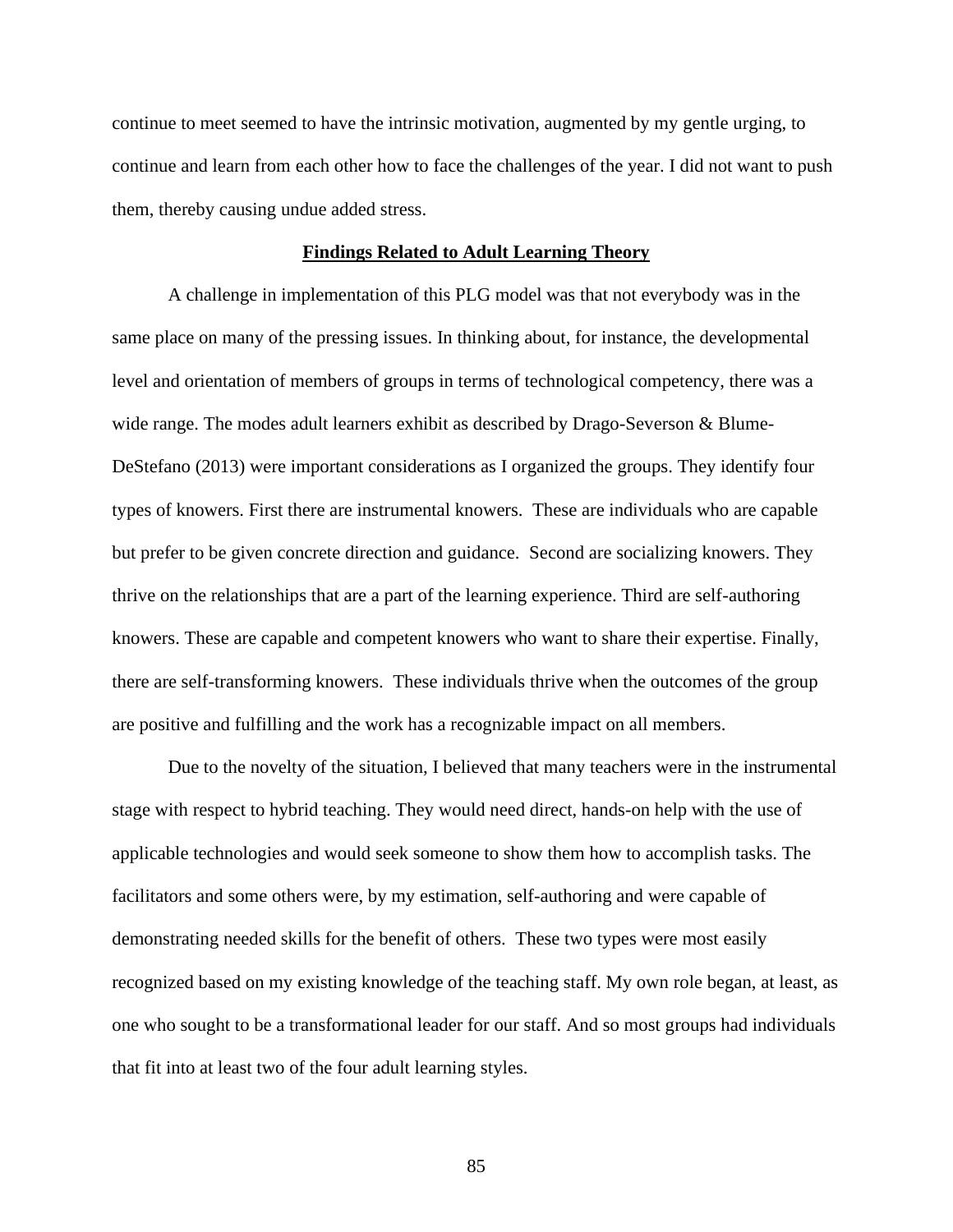continue to meet seemed to have the intrinsic motivation, augmented by my gentle urging, to continue and learn from each other how to face the challenges of the year. I did not want to push them, thereby causing undue added stress.

## **Findings Related to Adult Learning Theory**

A challenge in implementation of this PLG model was that not everybody was in the same place on many of the pressing issues. In thinking about, for instance, the developmental level and orientation of members of groups in terms of technological competency, there was a wide range. The modes adult learners exhibit as described by Drago-Severson & Blume-DeStefano (2013) were important considerations as I organized the groups. They identify four types of knowers. First there are instrumental knowers. These are individuals who are capable but prefer to be given concrete direction and guidance. Second are socializing knowers. They thrive on the relationships that are a part of the learning experience. Third are self-authoring knowers. These are capable and competent knowers who want to share their expertise. Finally, there are self-transforming knowers. These individuals thrive when the outcomes of the group are positive and fulfilling and the work has a recognizable impact on all members.

Due to the novelty of the situation, I believed that many teachers were in the instrumental stage with respect to hybrid teaching. They would need direct, hands-on help with the use of applicable technologies and would seek someone to show them how to accomplish tasks. The facilitators and some others were, by my estimation, self-authoring and were capable of demonstrating needed skills for the benefit of others. These two types were most easily recognized based on my existing knowledge of the teaching staff. My own role began, at least, as one who sought to be a transformational leader for our staff. And so most groups had individuals that fit into at least two of the four adult learning styles.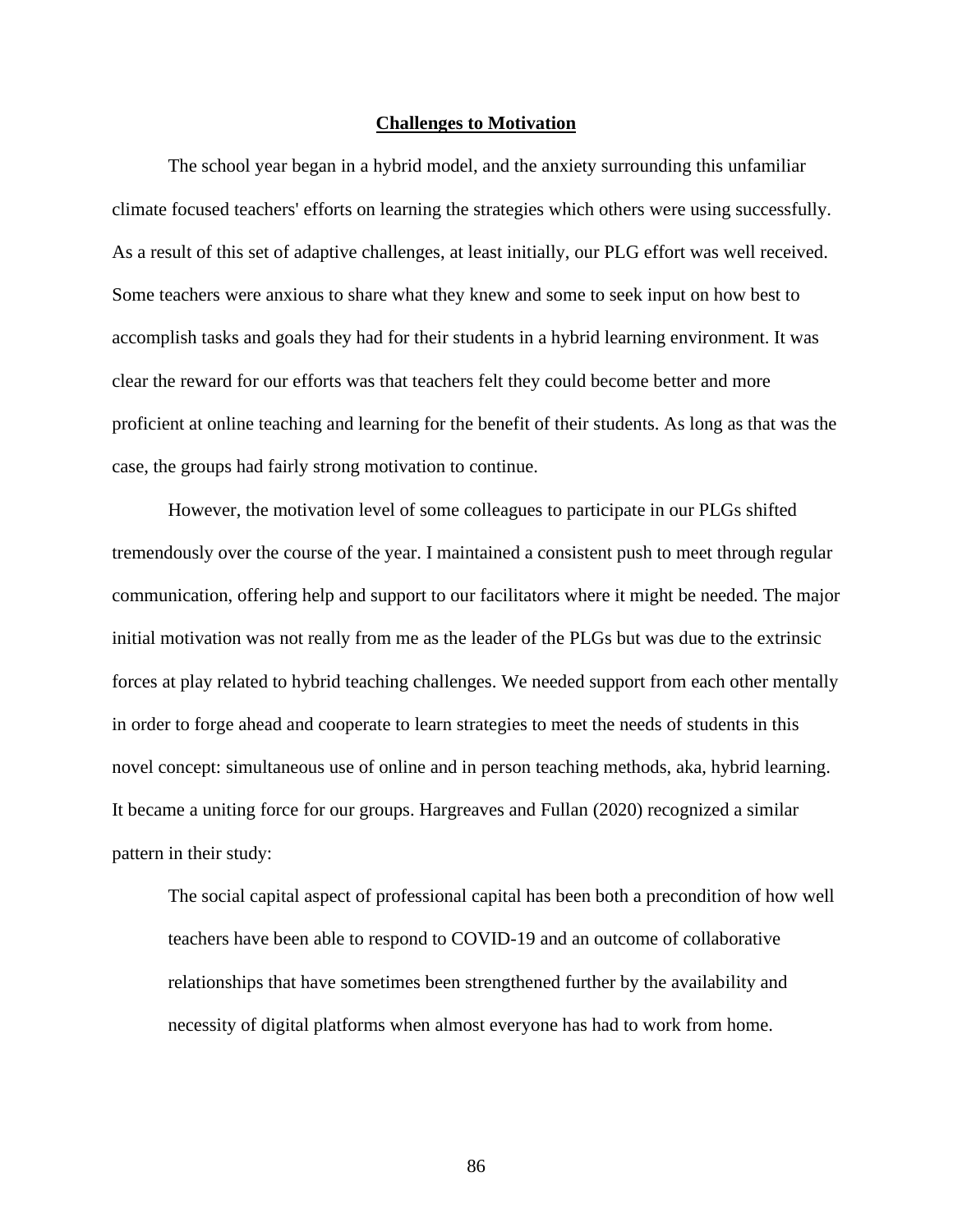## **Challenges to Motivation**

The school year began in a hybrid model, and the anxiety surrounding this unfamiliar climate focused teachers' efforts on learning the strategies which others were using successfully. As a result of this set of adaptive challenges, at least initially, our PLG effort was well received. Some teachers were anxious to share what they knew and some to seek input on how best to accomplish tasks and goals they had for their students in a hybrid learning environment. It was clear the reward for our efforts was that teachers felt they could become better and more proficient at online teaching and learning for the benefit of their students. As long as that was the case, the groups had fairly strong motivation to continue.

However, the motivation level of some colleagues to participate in our PLGs shifted tremendously over the course of the year. I maintained a consistent push to meet through regular communication, offering help and support to our facilitators where it might be needed. The major initial motivation was not really from me as the leader of the PLGs but was due to the extrinsic forces at play related to hybrid teaching challenges. We needed support from each other mentally in order to forge ahead and cooperate to learn strategies to meet the needs of students in this novel concept: simultaneous use of online and in person teaching methods, aka, hybrid learning. It became a uniting force for our groups. Hargreaves and Fullan (2020) recognized a similar pattern in their study:

The social capital aspect of professional capital has been both a precondition of how well teachers have been able to respond to COVID-19 and an outcome of collaborative relationships that have sometimes been strengthened further by the availability and necessity of digital platforms when almost everyone has had to work from home.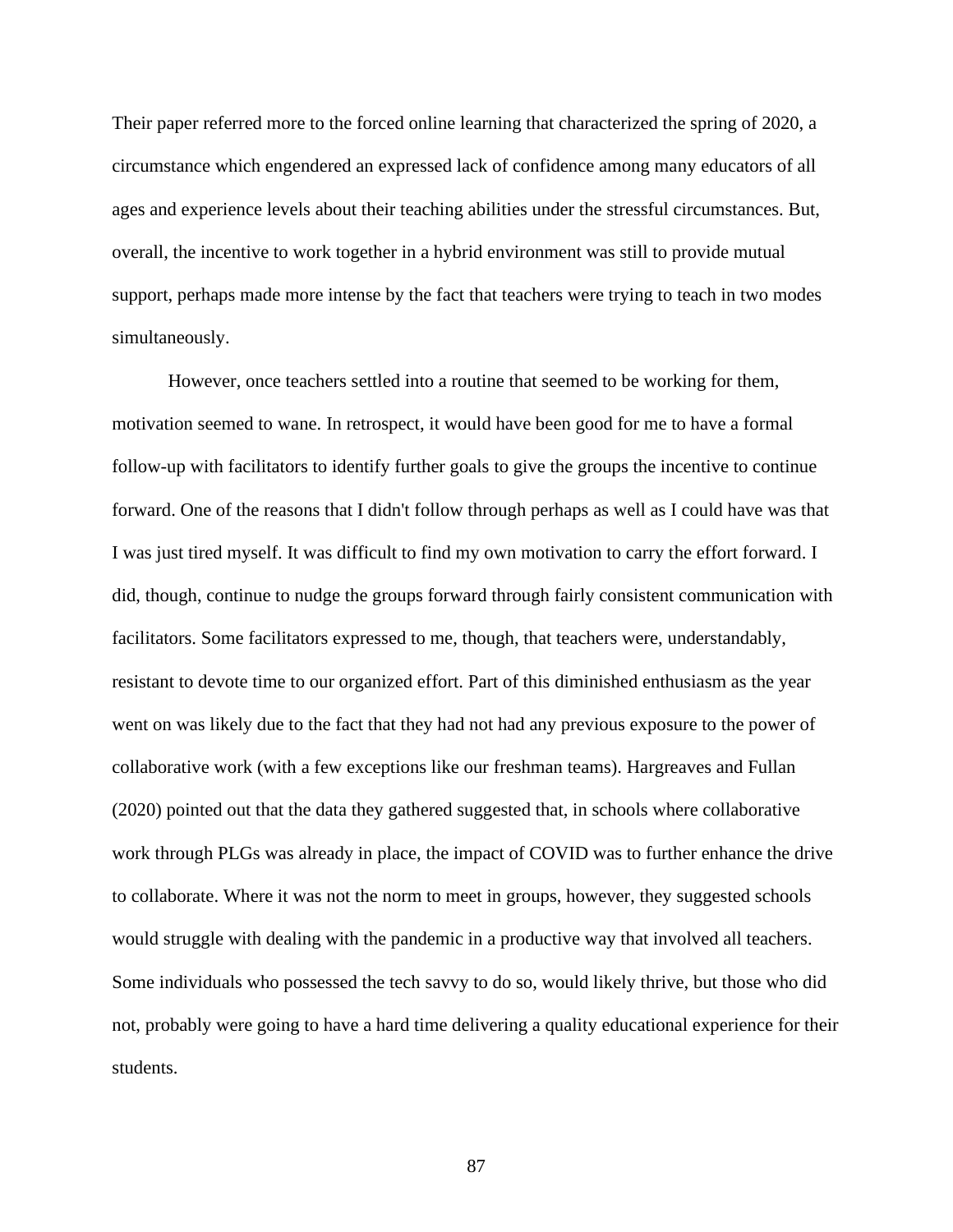Their paper referred more to the forced online learning that characterized the spring of 2020, a circumstance which engendered an expressed lack of confidence among many educators of all ages and experience levels about their teaching abilities under the stressful circumstances. But, overall, the incentive to work together in a hybrid environment was still to provide mutual support, perhaps made more intense by the fact that teachers were trying to teach in two modes simultaneously.

However, once teachers settled into a routine that seemed to be working for them, motivation seemed to wane. In retrospect, it would have been good for me to have a formal follow-up with facilitators to identify further goals to give the groups the incentive to continue forward. One of the reasons that I didn't follow through perhaps as well as I could have was that I was just tired myself. It was difficult to find my own motivation to carry the effort forward. I did, though, continue to nudge the groups forward through fairly consistent communication with facilitators. Some facilitators expressed to me, though, that teachers were, understandably, resistant to devote time to our organized effort. Part of this diminished enthusiasm as the year went on was likely due to the fact that they had not had any previous exposure to the power of collaborative work (with a few exceptions like our freshman teams). Hargreaves and Fullan (2020) pointed out that the data they gathered suggested that, in schools where collaborative work through PLGs was already in place, the impact of COVID was to further enhance the drive to collaborate. Where it was not the norm to meet in groups, however, they suggested schools would struggle with dealing with the pandemic in a productive way that involved all teachers. Some individuals who possessed the tech savvy to do so, would likely thrive, but those who did not, probably were going to have a hard time delivering a quality educational experience for their students.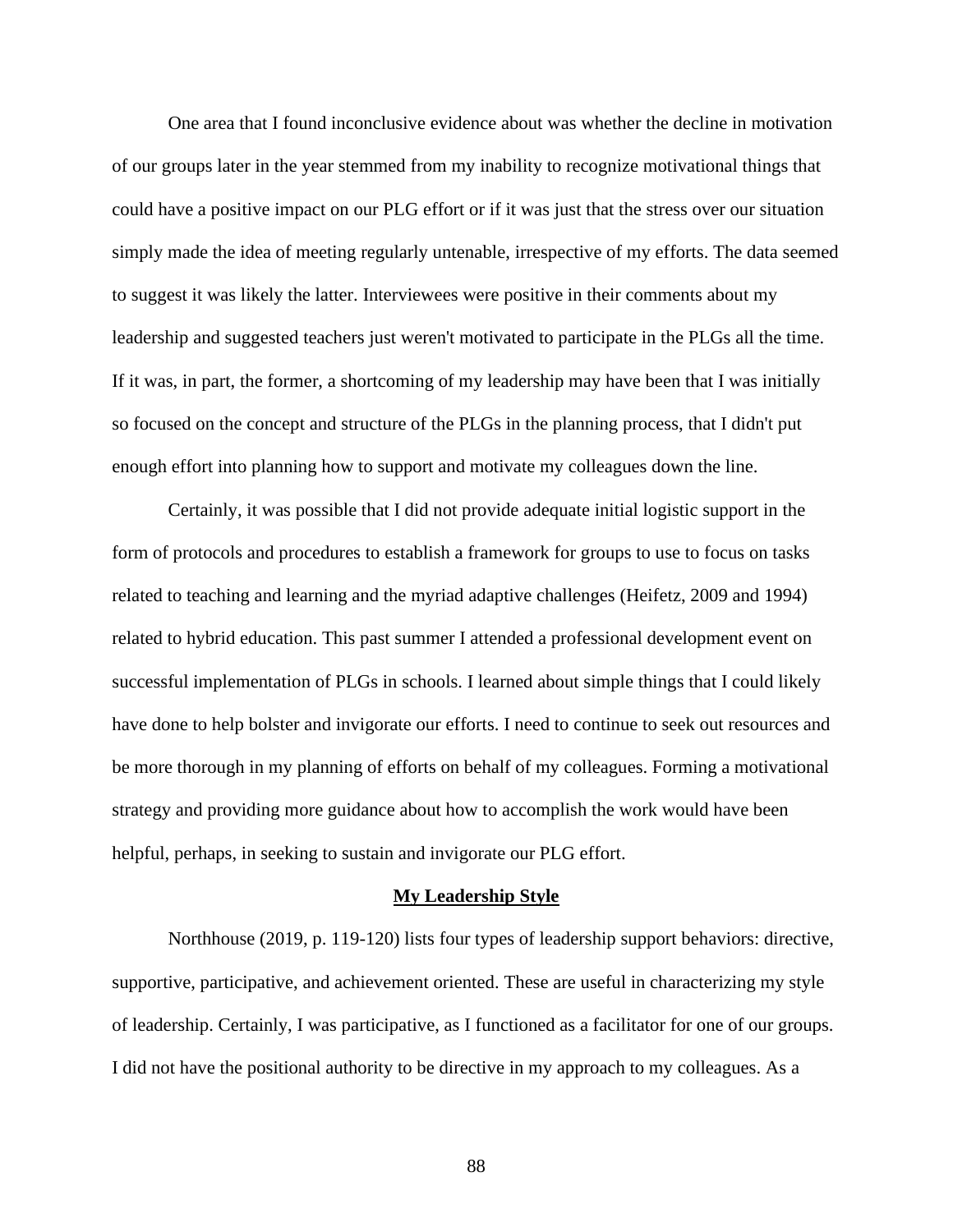One area that I found inconclusive evidence about was whether the decline in motivation of our groups later in the year stemmed from my inability to recognize motivational things that could have a positive impact on our PLG effort or if it was just that the stress over our situation simply made the idea of meeting regularly untenable, irrespective of my efforts. The data seemed to suggest it was likely the latter. Interviewees were positive in their comments about my leadership and suggested teachers just weren't motivated to participate in the PLGs all the time. If it was, in part, the former, a shortcoming of my leadership may have been that I was initially so focused on the concept and structure of the PLGs in the planning process, that I didn't put enough effort into planning how to support and motivate my colleagues down the line.

Certainly, it was possible that I did not provide adequate initial logistic support in the form of protocols and procedures to establish a framework for groups to use to focus on tasks related to teaching and learning and the myriad adaptive challenges (Heifetz, 2009 and 1994) related to hybrid education. This past summer I attended a professional development event on successful implementation of PLGs in schools. I learned about simple things that I could likely have done to help bolster and invigorate our efforts. I need to continue to seek out resources and be more thorough in my planning of efforts on behalf of my colleagues. Forming a motivational strategy and providing more guidance about how to accomplish the work would have been helpful, perhaps, in seeking to sustain and invigorate our PLG effort.

## **My Leadership Style**

Northhouse (2019, p. 119-120) lists four types of leadership support behaviors: directive, supportive, participative, and achievement oriented. These are useful in characterizing my style of leadership. Certainly, I was participative, as I functioned as a facilitator for one of our groups. I did not have the positional authority to be directive in my approach to my colleagues. As a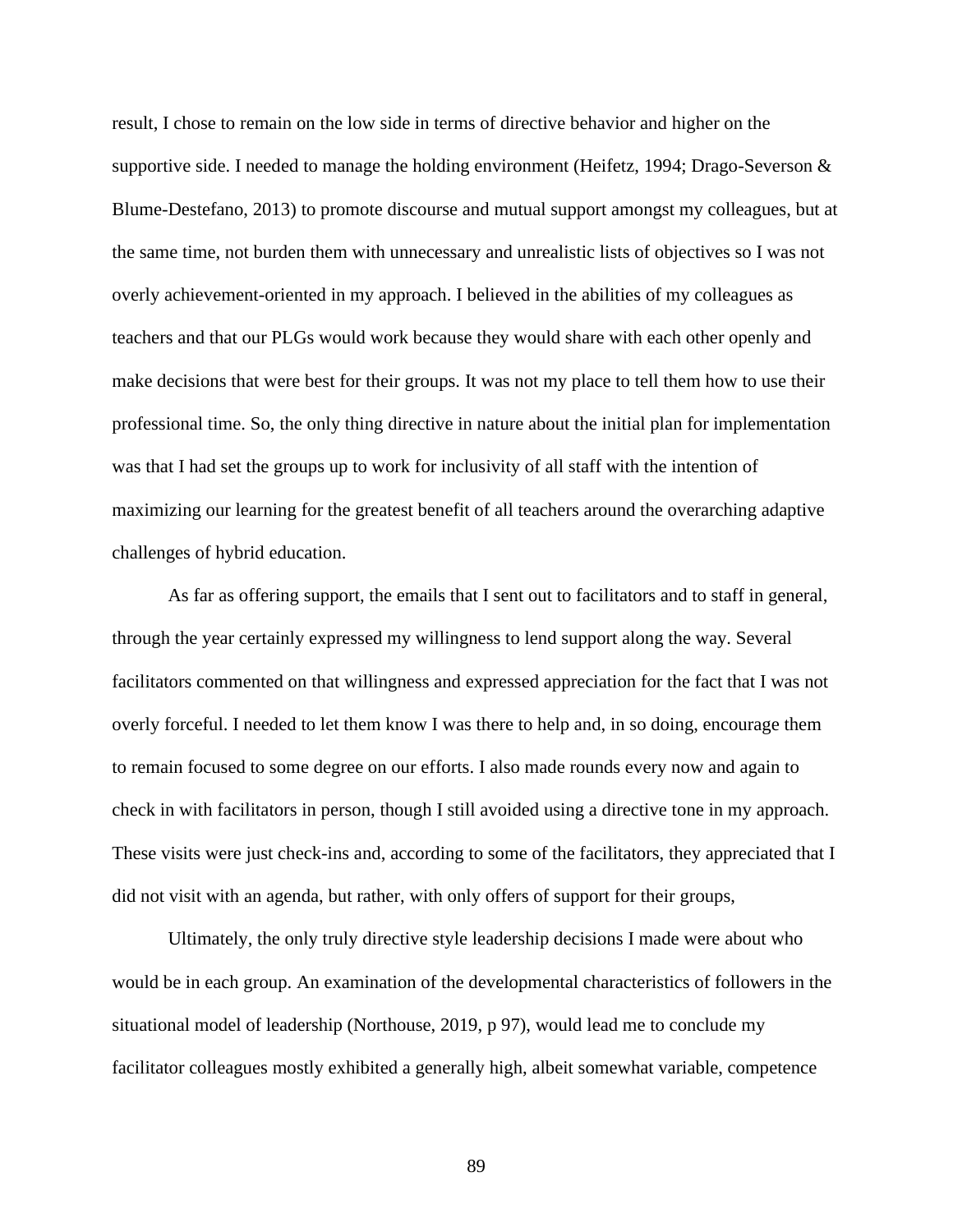result, I chose to remain on the low side in terms of directive behavior and higher on the supportive side. I needed to manage the holding environment (Heifetz, 1994; Drago-Severson  $\&$ Blume-Destefano, 2013) to promote discourse and mutual support amongst my colleagues, but at the same time, not burden them with unnecessary and unrealistic lists of objectives so I was not overly achievement-oriented in my approach. I believed in the abilities of my colleagues as teachers and that our PLGs would work because they would share with each other openly and make decisions that were best for their groups. It was not my place to tell them how to use their professional time. So, the only thing directive in nature about the initial plan for implementation was that I had set the groups up to work for inclusivity of all staff with the intention of maximizing our learning for the greatest benefit of all teachers around the overarching adaptive challenges of hybrid education.

As far as offering support, the emails that I sent out to facilitators and to staff in general, through the year certainly expressed my willingness to lend support along the way. Several facilitators commented on that willingness and expressed appreciation for the fact that I was not overly forceful. I needed to let them know I was there to help and, in so doing, encourage them to remain focused to some degree on our efforts. I also made rounds every now and again to check in with facilitators in person, though I still avoided using a directive tone in my approach. These visits were just check-ins and, according to some of the facilitators, they appreciated that I did not visit with an agenda, but rather, with only offers of support for their groups,

Ultimately, the only truly directive style leadership decisions I made were about who would be in each group. An examination of the developmental characteristics of followers in the situational model of leadership (Northouse, 2019, p 97), would lead me to conclude my facilitator colleagues mostly exhibited a generally high, albeit somewhat variable, competence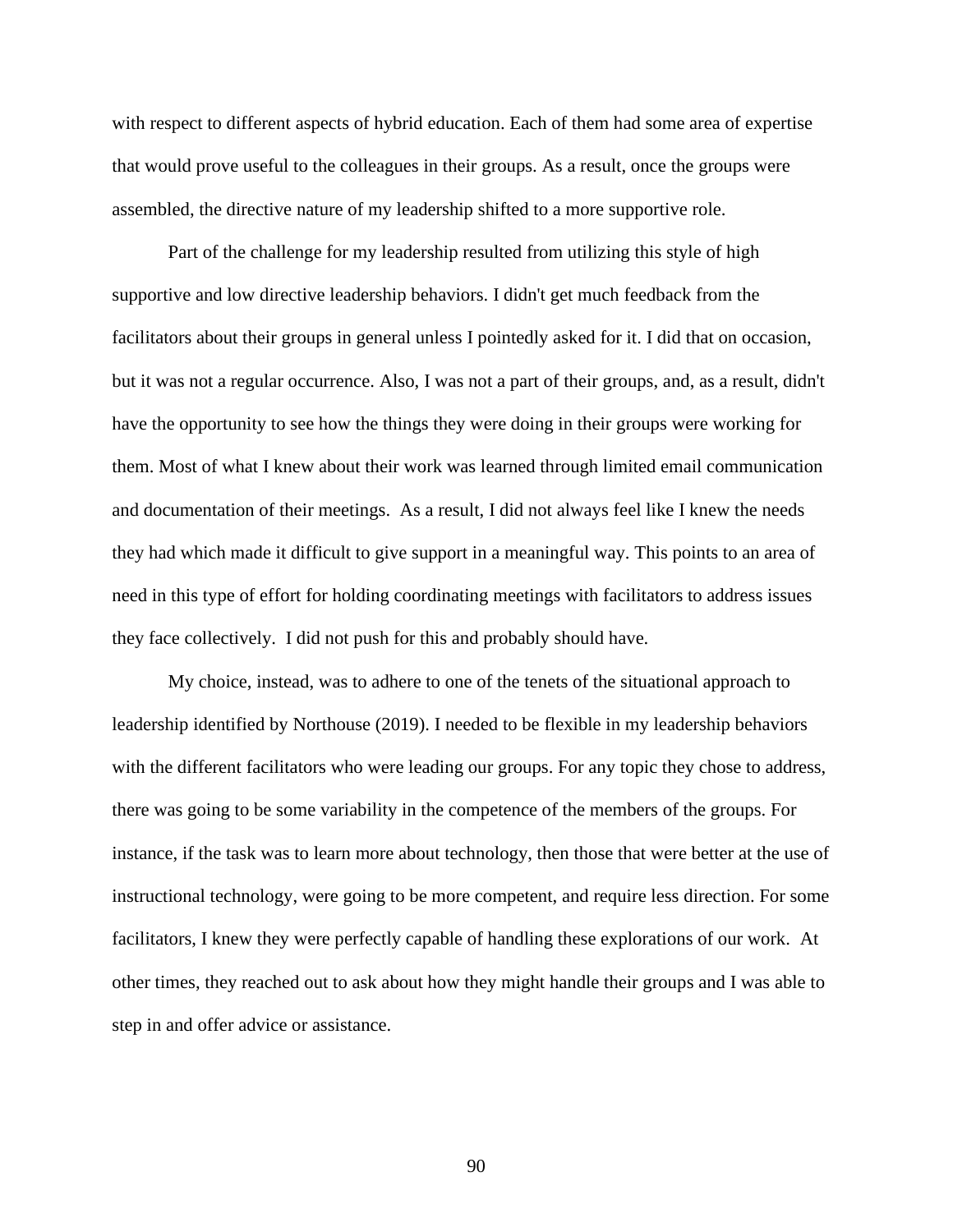with respect to different aspects of hybrid education. Each of them had some area of expertise that would prove useful to the colleagues in their groups. As a result, once the groups were assembled, the directive nature of my leadership shifted to a more supportive role.

Part of the challenge for my leadership resulted from utilizing this style of high supportive and low directive leadership behaviors. I didn't get much feedback from the facilitators about their groups in general unless I pointedly asked for it. I did that on occasion, but it was not a regular occurrence. Also, I was not a part of their groups, and, as a result, didn't have the opportunity to see how the things they were doing in their groups were working for them. Most of what I knew about their work was learned through limited email communication and documentation of their meetings. As a result, I did not always feel like I knew the needs they had which made it difficult to give support in a meaningful way. This points to an area of need in this type of effort for holding coordinating meetings with facilitators to address issues they face collectively. I did not push for this and probably should have.

My choice, instead, was to adhere to one of the tenets of the situational approach to leadership identified by Northouse (2019). I needed to be flexible in my leadership behaviors with the different facilitators who were leading our groups. For any topic they chose to address, there was going to be some variability in the competence of the members of the groups. For instance, if the task was to learn more about technology, then those that were better at the use of instructional technology, were going to be more competent, and require less direction. For some facilitators, I knew they were perfectly capable of handling these explorations of our work. At other times, they reached out to ask about how they might handle their groups and I was able to step in and offer advice or assistance.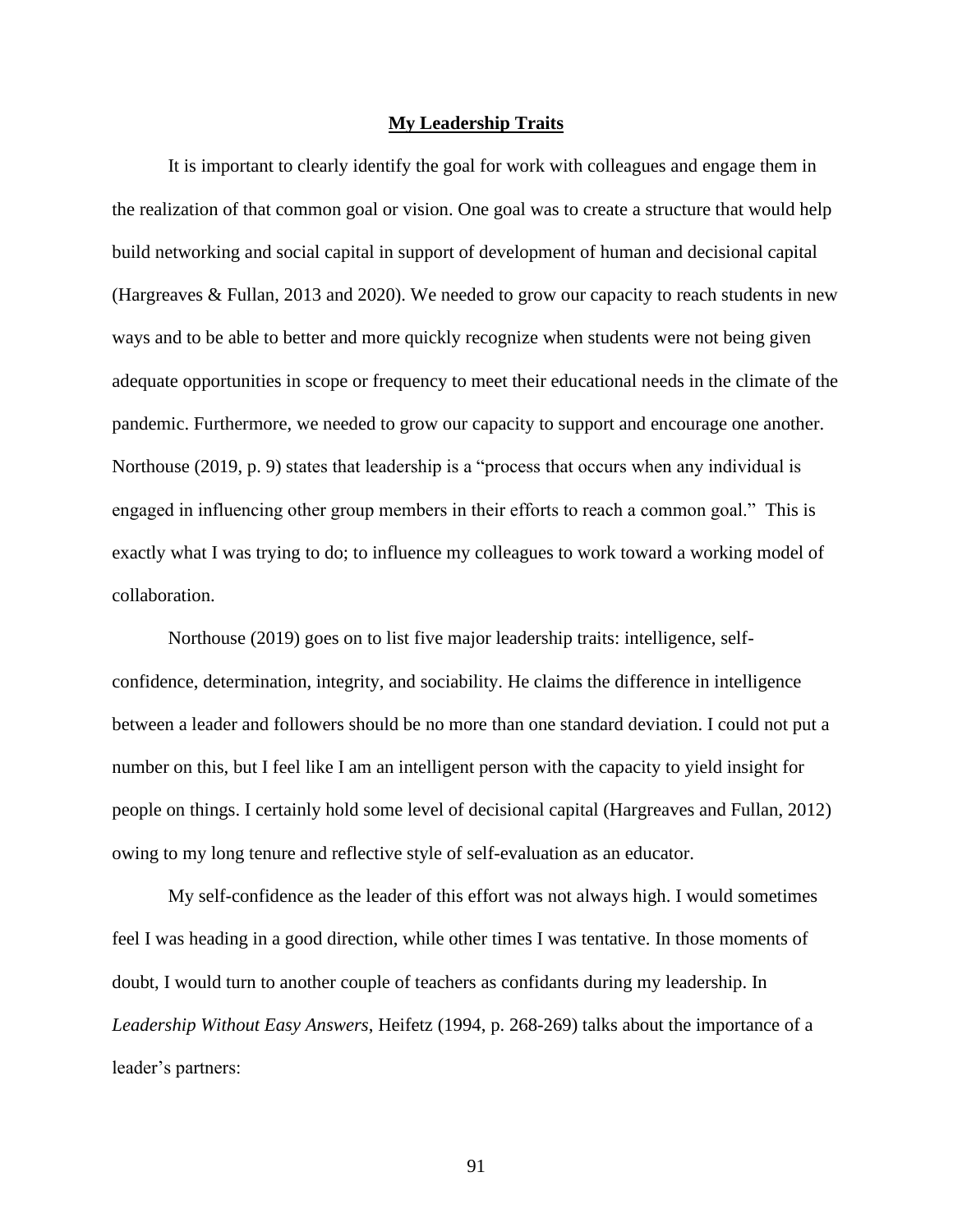## **My Leadership Traits**

It is important to clearly identify the goal for work with colleagues and engage them in the realization of that common goal or vision. One goal was to create a structure that would help build networking and social capital in support of development of human and decisional capital (Hargreaves & Fullan, 2013 and 2020). We needed to grow our capacity to reach students in new ways and to be able to better and more quickly recognize when students were not being given adequate opportunities in scope or frequency to meet their educational needs in the climate of the pandemic. Furthermore, we needed to grow our capacity to support and encourage one another. Northouse (2019, p. 9) states that leadership is a "process that occurs when any individual is engaged in influencing other group members in their efforts to reach a common goal." This is exactly what I was trying to do; to influence my colleagues to work toward a working model of collaboration.

Northouse (2019) goes on to list five major leadership traits: intelligence, selfconfidence, determination, integrity, and sociability. He claims the difference in intelligence between a leader and followers should be no more than one standard deviation. I could not put a number on this, but I feel like I am an intelligent person with the capacity to yield insight for people on things. I certainly hold some level of decisional capital (Hargreaves and Fullan, 2012) owing to my long tenure and reflective style of self-evaluation as an educator.

My self-confidence as the leader of this effort was not always high. I would sometimes feel I was heading in a good direction, while other times I was tentative. In those moments of doubt, I would turn to another couple of teachers as confidants during my leadership. In *Leadership Without Easy Answers*, Heifetz (1994, p. 268-269) talks about the importance of a leader's partners: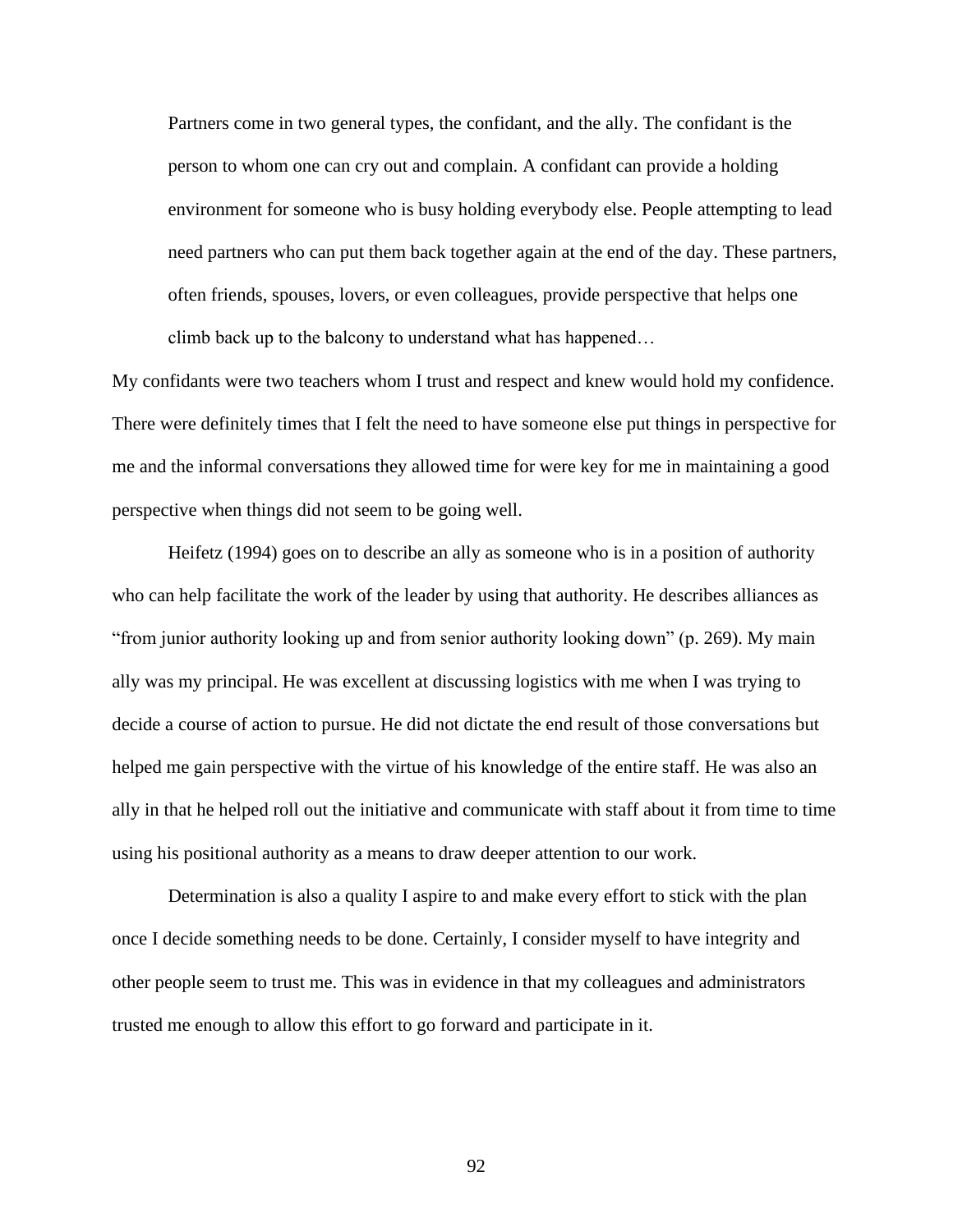Partners come in two general types, the confidant, and the ally. The confidant is the person to whom one can cry out and complain. A confidant can provide a holding environment for someone who is busy holding everybody else. People attempting to lead need partners who can put them back together again at the end of the day. These partners, often friends, spouses, lovers, or even colleagues, provide perspective that helps one climb back up to the balcony to understand what has happened…

My confidants were two teachers whom I trust and respect and knew would hold my confidence. There were definitely times that I felt the need to have someone else put things in perspective for me and the informal conversations they allowed time for were key for me in maintaining a good perspective when things did not seem to be going well.

Heifetz (1994) goes on to describe an ally as someone who is in a position of authority who can help facilitate the work of the leader by using that authority. He describes alliances as "from junior authority looking up and from senior authority looking down" (p. 269). My main ally was my principal. He was excellent at discussing logistics with me when I was trying to decide a course of action to pursue. He did not dictate the end result of those conversations but helped me gain perspective with the virtue of his knowledge of the entire staff. He was also an ally in that he helped roll out the initiative and communicate with staff about it from time to time using his positional authority as a means to draw deeper attention to our work.

Determination is also a quality I aspire to and make every effort to stick with the plan once I decide something needs to be done. Certainly, I consider myself to have integrity and other people seem to trust me. This was in evidence in that my colleagues and administrators trusted me enough to allow this effort to go forward and participate in it.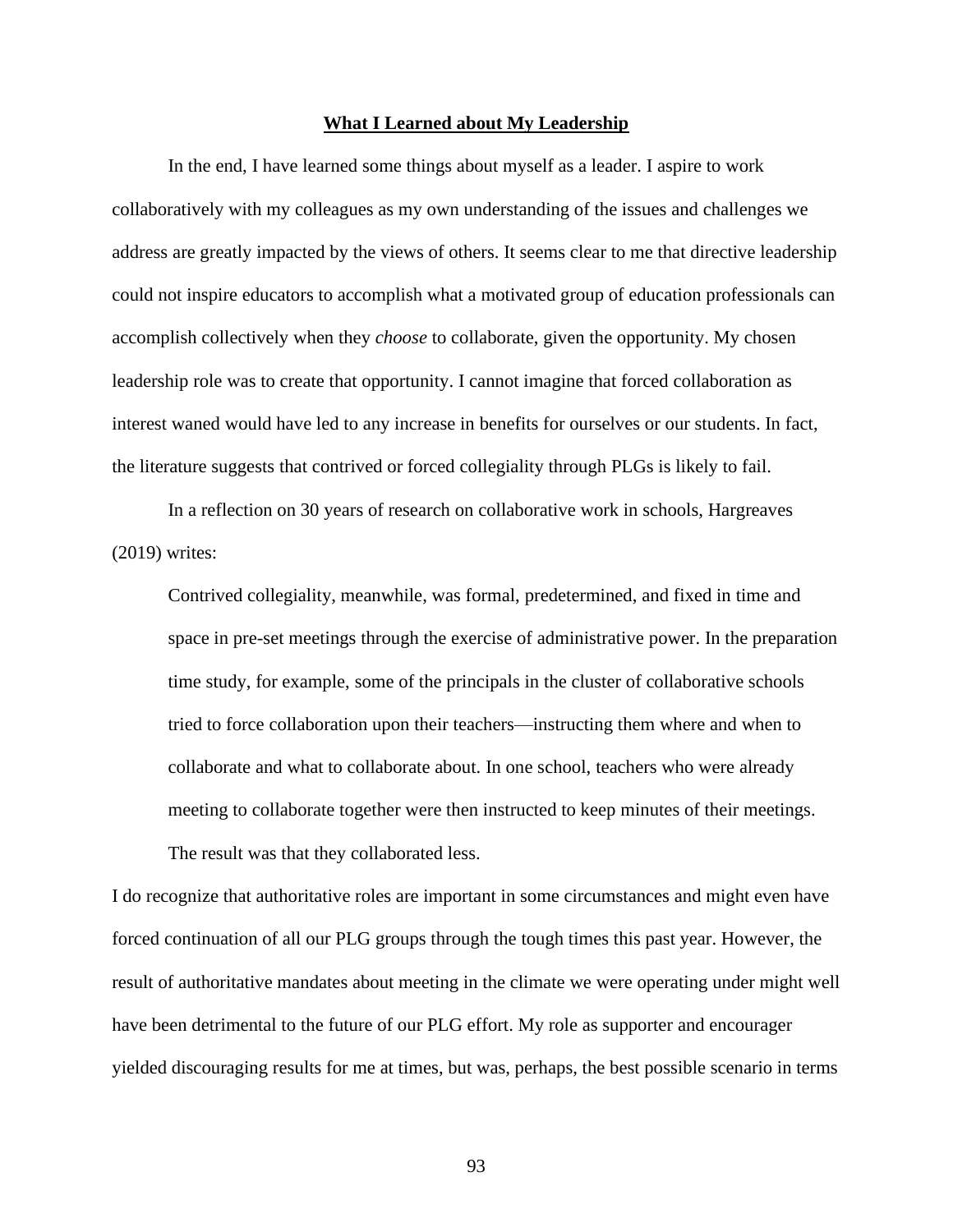## **What I Learned about My Leadership**

In the end, I have learned some things about myself as a leader. I aspire to work collaboratively with my colleagues as my own understanding of the issues and challenges we address are greatly impacted by the views of others. It seems clear to me that directive leadership could not inspire educators to accomplish what a motivated group of education professionals can accomplish collectively when they *choose* to collaborate, given the opportunity. My chosen leadership role was to create that opportunity. I cannot imagine that forced collaboration as interest waned would have led to any increase in benefits for ourselves or our students. In fact, the literature suggests that contrived or forced collegiality through PLGs is likely to fail.

In a reflection on 30 years of research on collaborative work in schools, Hargreaves (2019) writes:

Contrived collegiality, meanwhile, was formal, predetermined, and fixed in time and space in pre-set meetings through the exercise of administrative power. In the preparation time study, for example, some of the principals in the cluster of collaborative schools tried to force collaboration upon their teachers—instructing them where and when to collaborate and what to collaborate about. In one school, teachers who were already meeting to collaborate together were then instructed to keep minutes of their meetings. The result was that they collaborated less.

I do recognize that authoritative roles are important in some circumstances and might even have forced continuation of all our PLG groups through the tough times this past year. However, the result of authoritative mandates about meeting in the climate we were operating under might well have been detrimental to the future of our PLG effort. My role as supporter and encourager yielded discouraging results for me at times, but was, perhaps, the best possible scenario in terms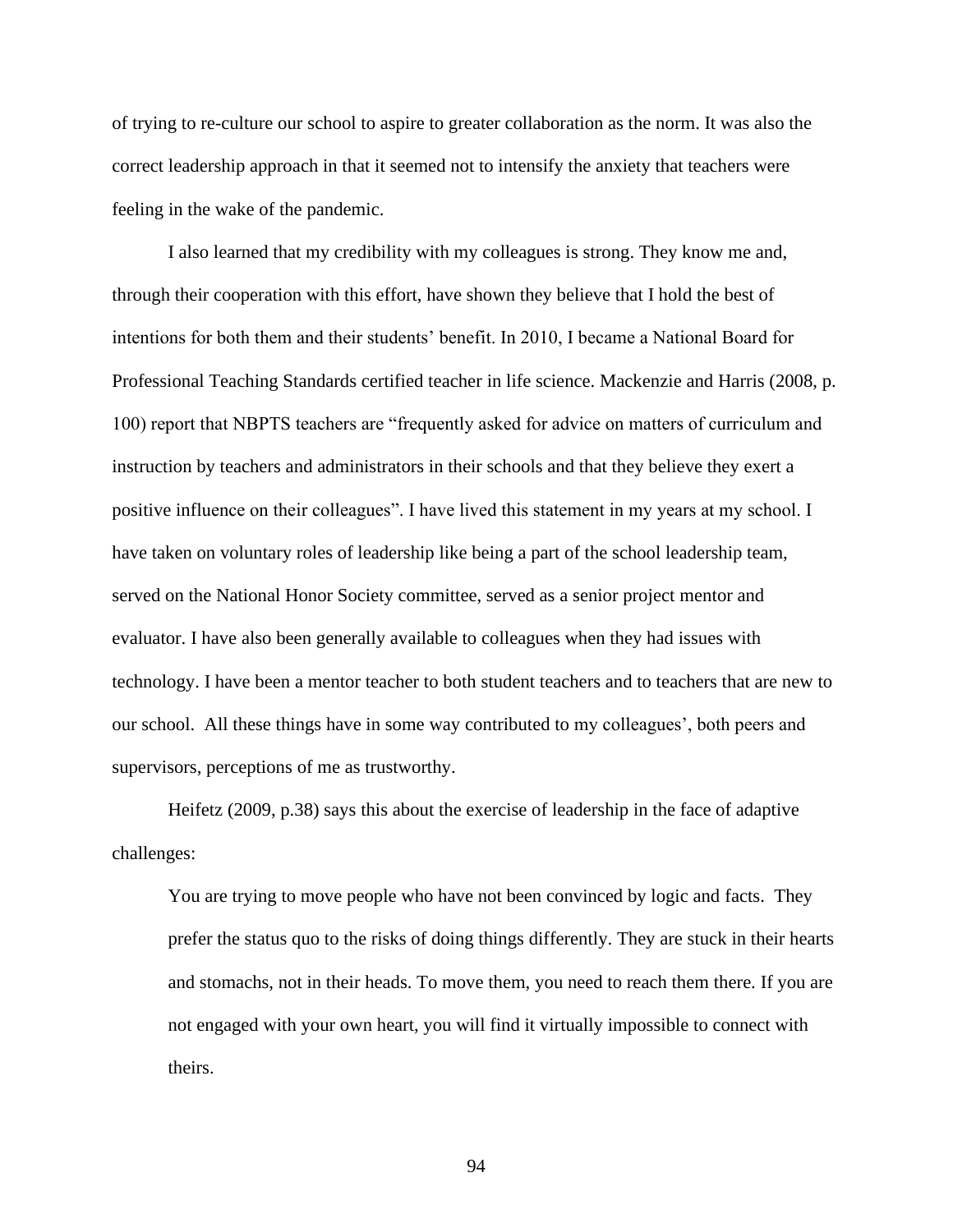of trying to re-culture our school to aspire to greater collaboration as the norm. It was also the correct leadership approach in that it seemed not to intensify the anxiety that teachers were feeling in the wake of the pandemic.

I also learned that my credibility with my colleagues is strong. They know me and, through their cooperation with this effort, have shown they believe that I hold the best of intentions for both them and their students' benefit. In 2010, I became a National Board for Professional Teaching Standards certified teacher in life science. Mackenzie and Harris (2008, p. 100) report that NBPTS teachers are "frequently asked for advice on matters of curriculum and instruction by teachers and administrators in their schools and that they believe they exert a positive influence on their colleagues". I have lived this statement in my years at my school. I have taken on voluntary roles of leadership like being a part of the school leadership team, served on the National Honor Society committee, served as a senior project mentor and evaluator. I have also been generally available to colleagues when they had issues with technology. I have been a mentor teacher to both student teachers and to teachers that are new to our school. All these things have in some way contributed to my colleagues', both peers and supervisors, perceptions of me as trustworthy.

Heifetz (2009, p.38) says this about the exercise of leadership in the face of adaptive challenges:

You are trying to move people who have not been convinced by logic and facts. They prefer the status quo to the risks of doing things differently. They are stuck in their hearts and stomachs, not in their heads. To move them, you need to reach them there. If you are not engaged with your own heart, you will find it virtually impossible to connect with theirs.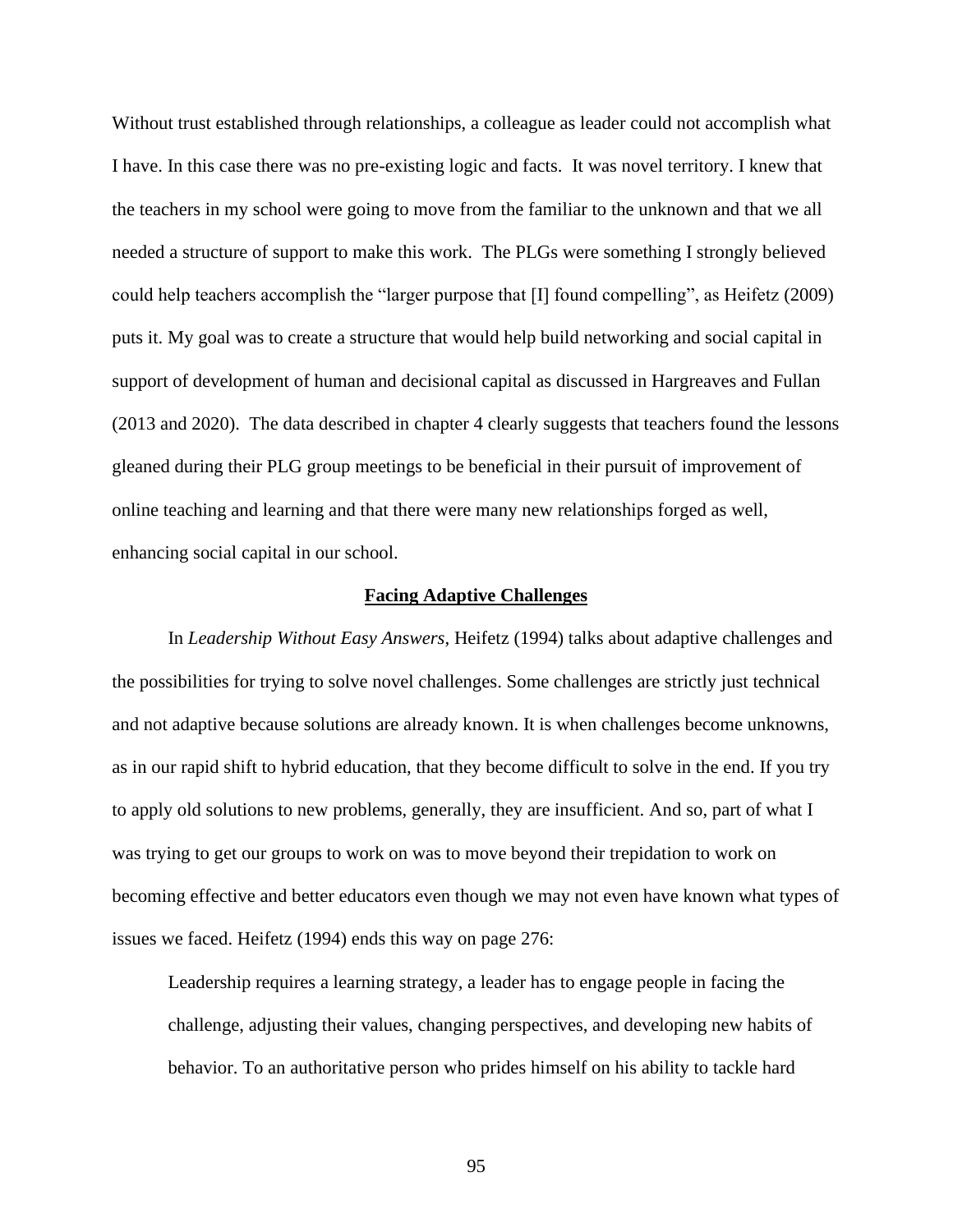Without trust established through relationships, a colleague as leader could not accomplish what I have. In this case there was no pre-existing logic and facts. It was novel territory. I knew that the teachers in my school were going to move from the familiar to the unknown and that we all needed a structure of support to make this work. The PLGs were something I strongly believed could help teachers accomplish the "larger purpose that [I] found compelling", as Heifetz (2009) puts it. My goal was to create a structure that would help build networking and social capital in support of development of human and decisional capital as discussed in Hargreaves and Fullan (2013 and 2020). The data described in chapter 4 clearly suggests that teachers found the lessons gleaned during their PLG group meetings to be beneficial in their pursuit of improvement of online teaching and learning and that there were many new relationships forged as well, enhancing social capital in our school.

#### **Facing Adaptive Challenges**

In *Leadership Without Easy Answers*, Heifetz (1994) talks about adaptive challenges and the possibilities for trying to solve novel challenges. Some challenges are strictly just technical and not adaptive because solutions are already known. It is when challenges become unknowns, as in our rapid shift to hybrid education, that they become difficult to solve in the end. If you try to apply old solutions to new problems, generally, they are insufficient. And so, part of what I was trying to get our groups to work on was to move beyond their trepidation to work on becoming effective and better educators even though we may not even have known what types of issues we faced. Heifetz (1994) ends this way on page 276:

Leadership requires a learning strategy, a leader has to engage people in facing the challenge, adjusting their values, changing perspectives, and developing new habits of behavior. To an authoritative person who prides himself on his ability to tackle hard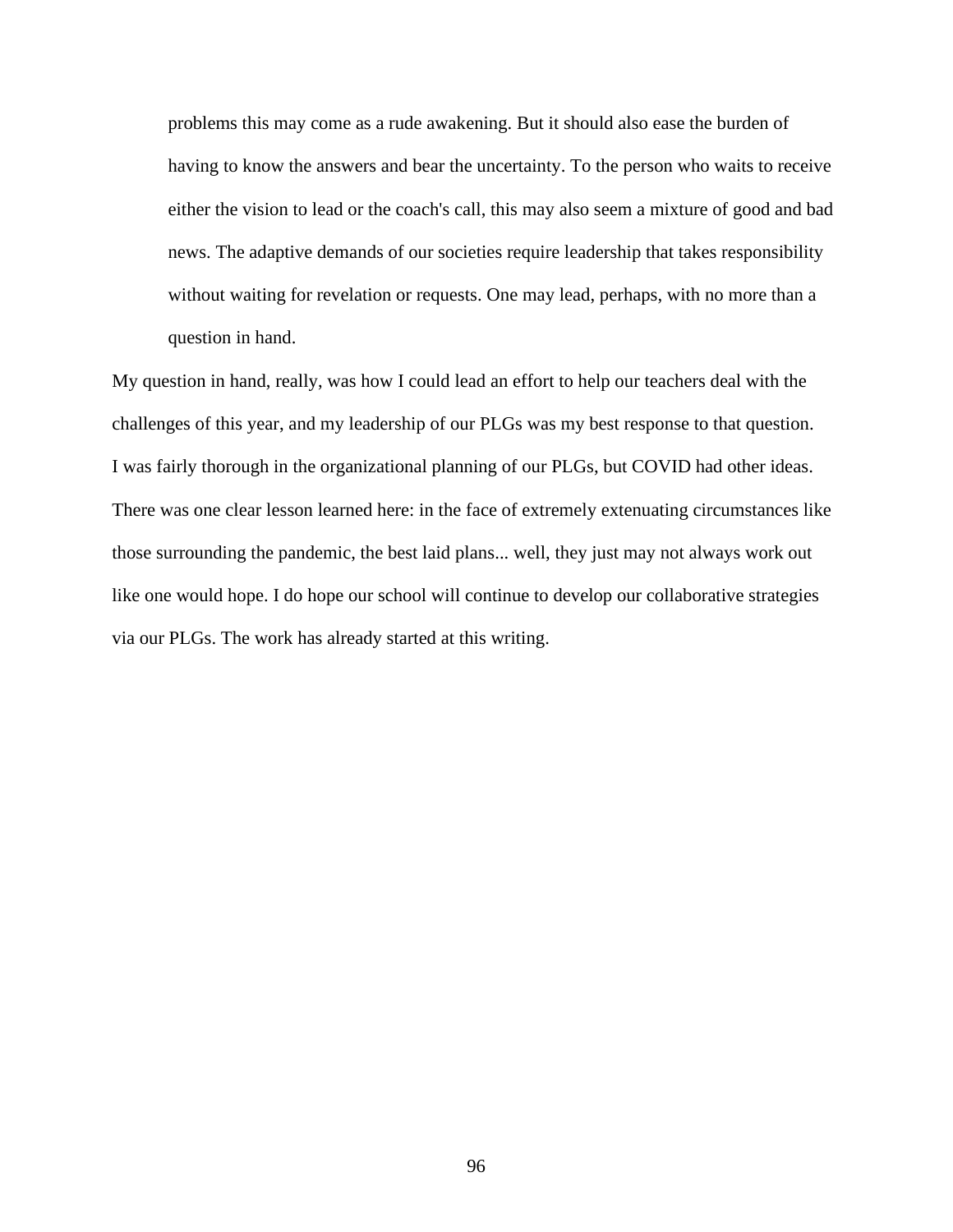problems this may come as a rude awakening. But it should also ease the burden of having to know the answers and bear the uncertainty. To the person who waits to receive either the vision to lead or the coach's call, this may also seem a mixture of good and bad news. The adaptive demands of our societies require leadership that takes responsibility without waiting for revelation or requests. One may lead, perhaps, with no more than a question in hand.

My question in hand, really, was how I could lead an effort to help our teachers deal with the challenges of this year, and my leadership of our PLGs was my best response to that question. I was fairly thorough in the organizational planning of our PLGs, but COVID had other ideas. There was one clear lesson learned here: in the face of extremely extenuating circumstances like those surrounding the pandemic, the best laid plans... well, they just may not always work out like one would hope. I do hope our school will continue to develop our collaborative strategies via our PLGs. The work has already started at this writing.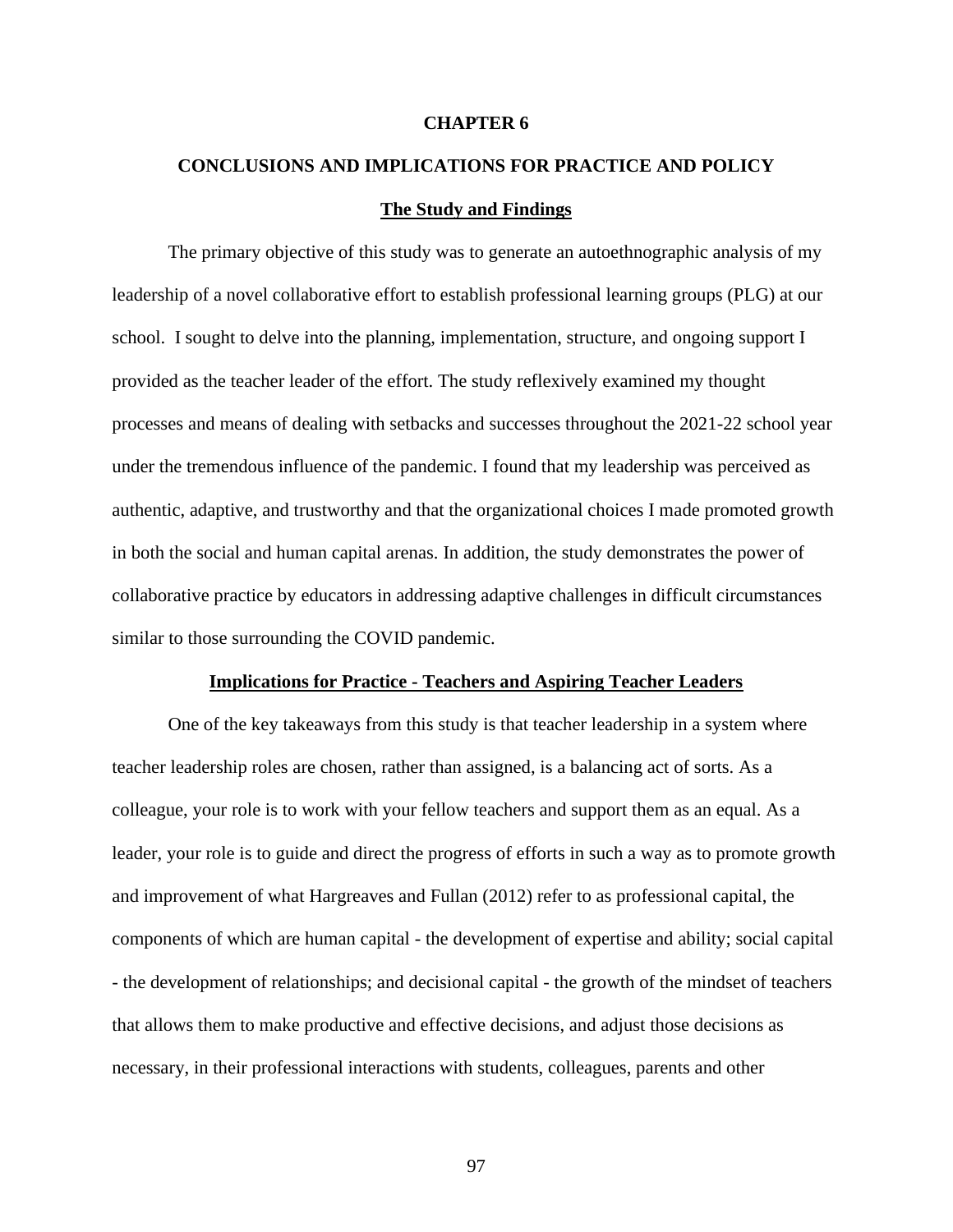#### **CHAPTER 6**

# **CONCLUSIONS AND IMPLICATIONS FOR PRACTICE AND POLICY The Study and Findings**

The primary objective of this study was to generate an autoethnographic analysis of my leadership of a novel collaborative effort to establish professional learning groups (PLG) at our school. I sought to delve into the planning, implementation, structure, and ongoing support I provided as the teacher leader of the effort. The study reflexively examined my thought processes and means of dealing with setbacks and successes throughout the 2021-22 school year under the tremendous influence of the pandemic. I found that my leadership was perceived as authentic, adaptive, and trustworthy and that the organizational choices I made promoted growth in both the social and human capital arenas. In addition, the study demonstrates the power of collaborative practice by educators in addressing adaptive challenges in difficult circumstances similar to those surrounding the COVID pandemic.

#### **Implications for Practice - Teachers and Aspiring Teacher Leaders**

One of the key takeaways from this study is that teacher leadership in a system where teacher leadership roles are chosen, rather than assigned, is a balancing act of sorts. As a colleague, your role is to work with your fellow teachers and support them as an equal. As a leader, your role is to guide and direct the progress of efforts in such a way as to promote growth and improvement of what Hargreaves and Fullan (2012) refer to as professional capital, the components of which are human capital - the development of expertise and ability; social capital - the development of relationships; and decisional capital - the growth of the mindset of teachers that allows them to make productive and effective decisions, and adjust those decisions as necessary, in their professional interactions with students, colleagues, parents and other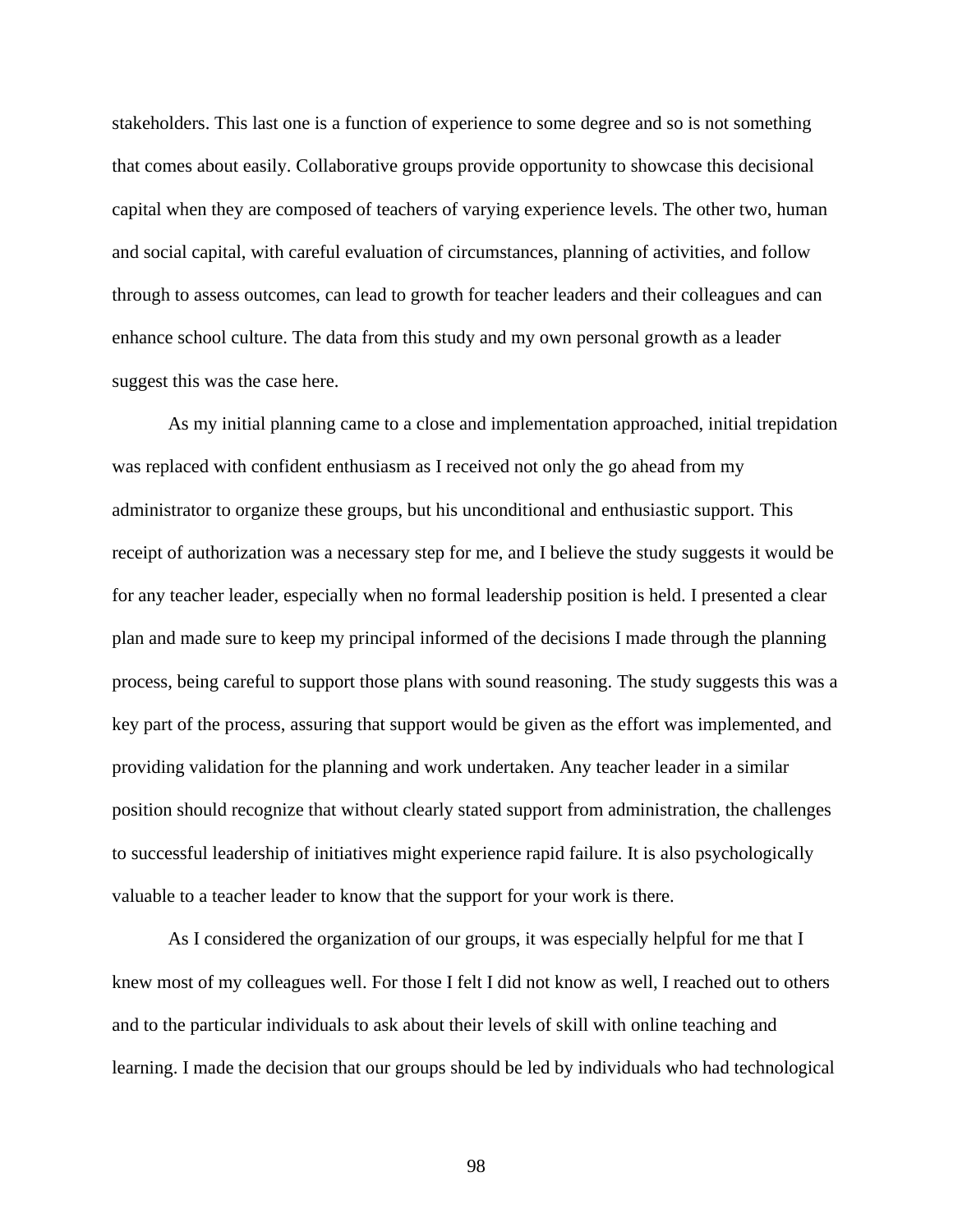stakeholders. This last one is a function of experience to some degree and so is not something that comes about easily. Collaborative groups provide opportunity to showcase this decisional capital when they are composed of teachers of varying experience levels. The other two, human and social capital, with careful evaluation of circumstances, planning of activities, and follow through to assess outcomes, can lead to growth for teacher leaders and their colleagues and can enhance school culture. The data from this study and my own personal growth as a leader suggest this was the case here.

As my initial planning came to a close and implementation approached, initial trepidation was replaced with confident enthusiasm as I received not only the go ahead from my administrator to organize these groups, but his unconditional and enthusiastic support. This receipt of authorization was a necessary step for me, and I believe the study suggests it would be for any teacher leader, especially when no formal leadership position is held. I presented a clear plan and made sure to keep my principal informed of the decisions I made through the planning process, being careful to support those plans with sound reasoning. The study suggests this was a key part of the process, assuring that support would be given as the effort was implemented, and providing validation for the planning and work undertaken. Any teacher leader in a similar position should recognize that without clearly stated support from administration, the challenges to successful leadership of initiatives might experience rapid failure. It is also psychologically valuable to a teacher leader to know that the support for your work is there.

As I considered the organization of our groups, it was especially helpful for me that I knew most of my colleagues well. For those I felt I did not know as well, I reached out to others and to the particular individuals to ask about their levels of skill with online teaching and learning. I made the decision that our groups should be led by individuals who had technological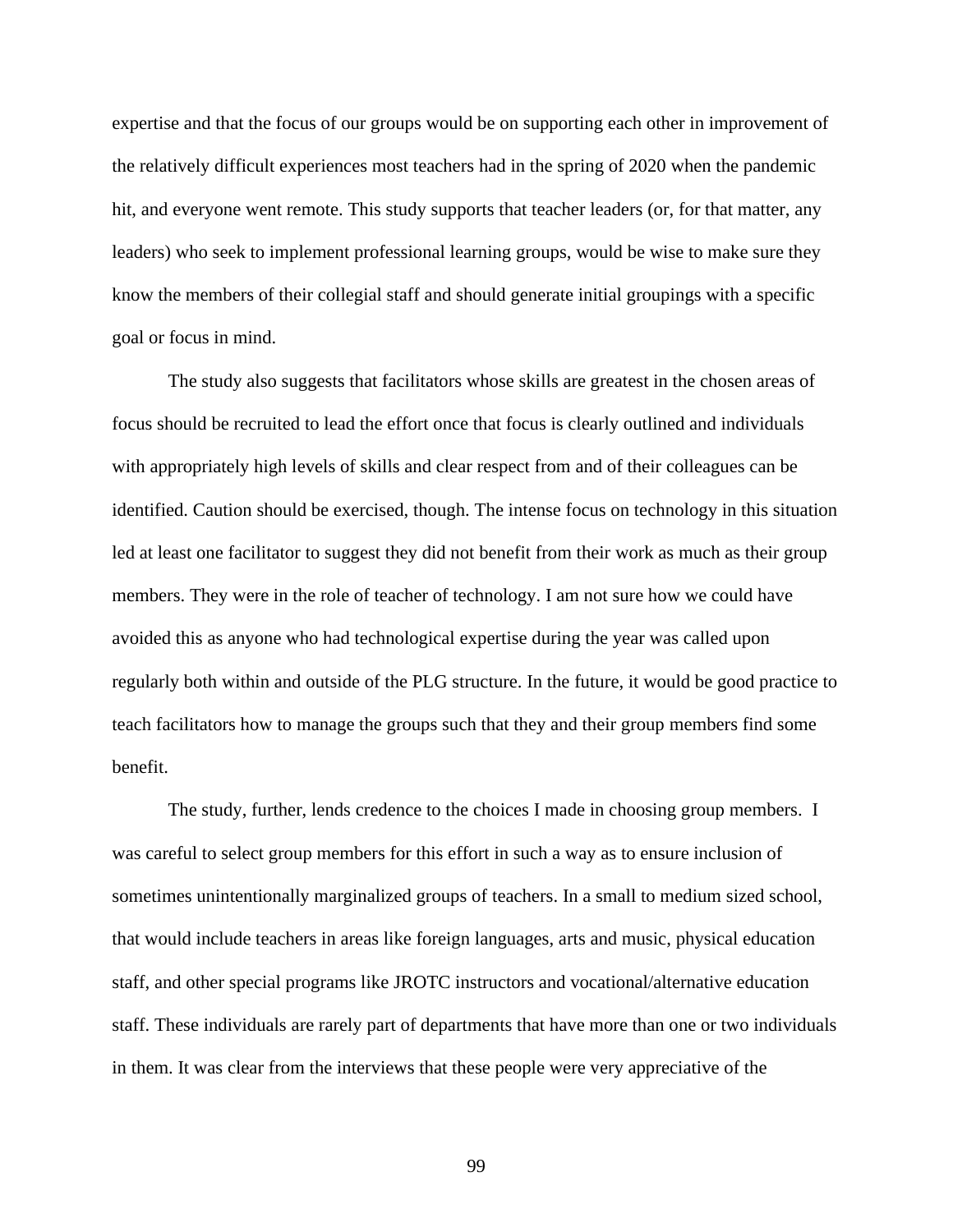expertise and that the focus of our groups would be on supporting each other in improvement of the relatively difficult experiences most teachers had in the spring of 2020 when the pandemic hit, and everyone went remote. This study supports that teacher leaders (or, for that matter, any leaders) who seek to implement professional learning groups, would be wise to make sure they know the members of their collegial staff and should generate initial groupings with a specific goal or focus in mind.

The study also suggests that facilitators whose skills are greatest in the chosen areas of focus should be recruited to lead the effort once that focus is clearly outlined and individuals with appropriately high levels of skills and clear respect from and of their colleagues can be identified. Caution should be exercised, though. The intense focus on technology in this situation led at least one facilitator to suggest they did not benefit from their work as much as their group members. They were in the role of teacher of technology. I am not sure how we could have avoided this as anyone who had technological expertise during the year was called upon regularly both within and outside of the PLG structure. In the future, it would be good practice to teach facilitators how to manage the groups such that they and their group members find some benefit.

The study, further, lends credence to the choices I made in choosing group members. I was careful to select group members for this effort in such a way as to ensure inclusion of sometimes unintentionally marginalized groups of teachers. In a small to medium sized school, that would include teachers in areas like foreign languages, arts and music, physical education staff, and other special programs like JROTC instructors and vocational/alternative education staff. These individuals are rarely part of departments that have more than one or two individuals in them. It was clear from the interviews that these people were very appreciative of the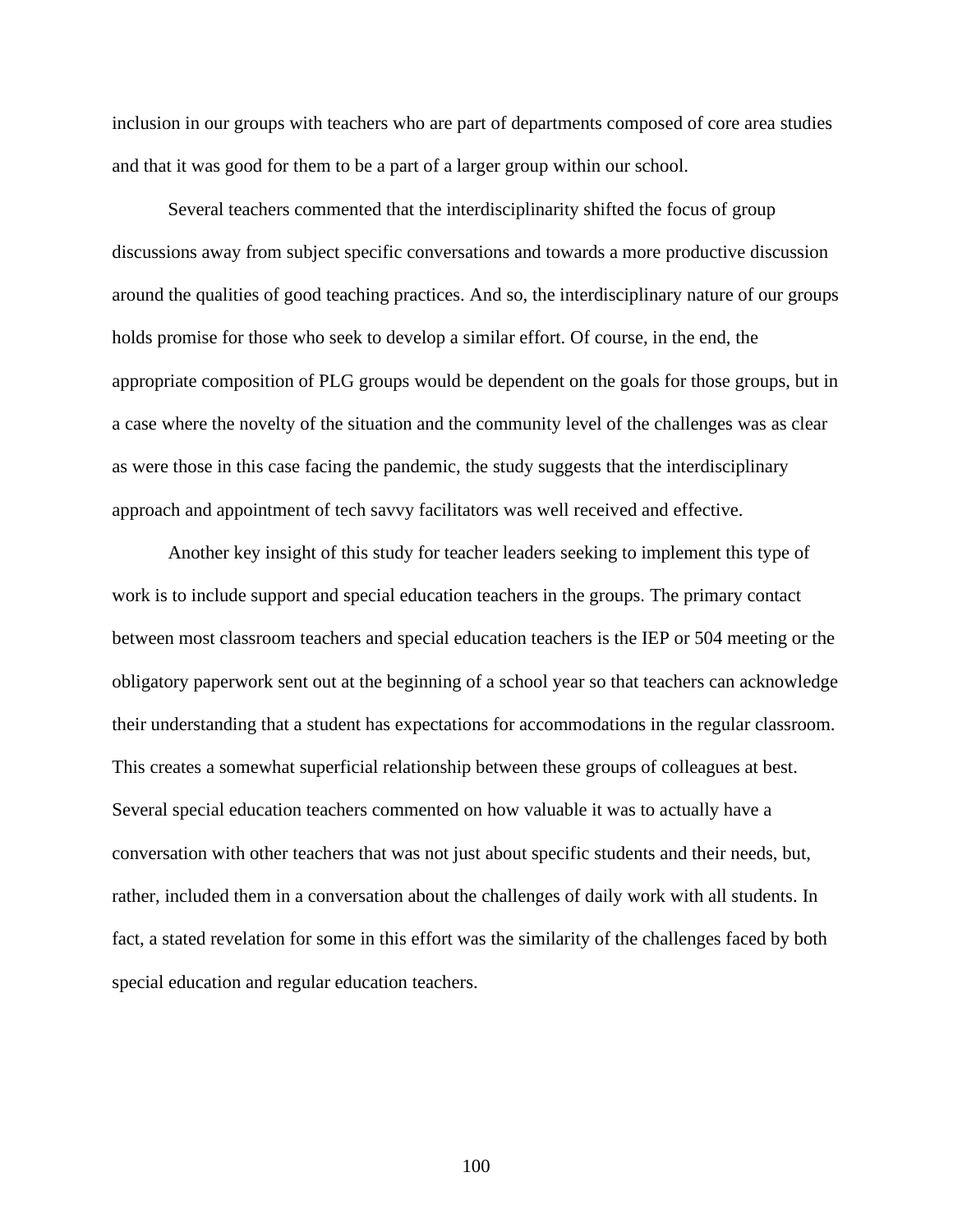inclusion in our groups with teachers who are part of departments composed of core area studies and that it was good for them to be a part of a larger group within our school.

Several teachers commented that the interdisciplinarity shifted the focus of group discussions away from subject specific conversations and towards a more productive discussion around the qualities of good teaching practices. And so, the interdisciplinary nature of our groups holds promise for those who seek to develop a similar effort. Of course, in the end, the appropriate composition of PLG groups would be dependent on the goals for those groups, but in a case where the novelty of the situation and the community level of the challenges was as clear as were those in this case facing the pandemic, the study suggests that the interdisciplinary approach and appointment of tech savvy facilitators was well received and effective.

Another key insight of this study for teacher leaders seeking to implement this type of work is to include support and special education teachers in the groups. The primary contact between most classroom teachers and special education teachers is the IEP or 504 meeting or the obligatory paperwork sent out at the beginning of a school year so that teachers can acknowledge their understanding that a student has expectations for accommodations in the regular classroom. This creates a somewhat superficial relationship between these groups of colleagues at best. Several special education teachers commented on how valuable it was to actually have a conversation with other teachers that was not just about specific students and their needs, but, rather, included them in a conversation about the challenges of daily work with all students. In fact, a stated revelation for some in this effort was the similarity of the challenges faced by both special education and regular education teachers.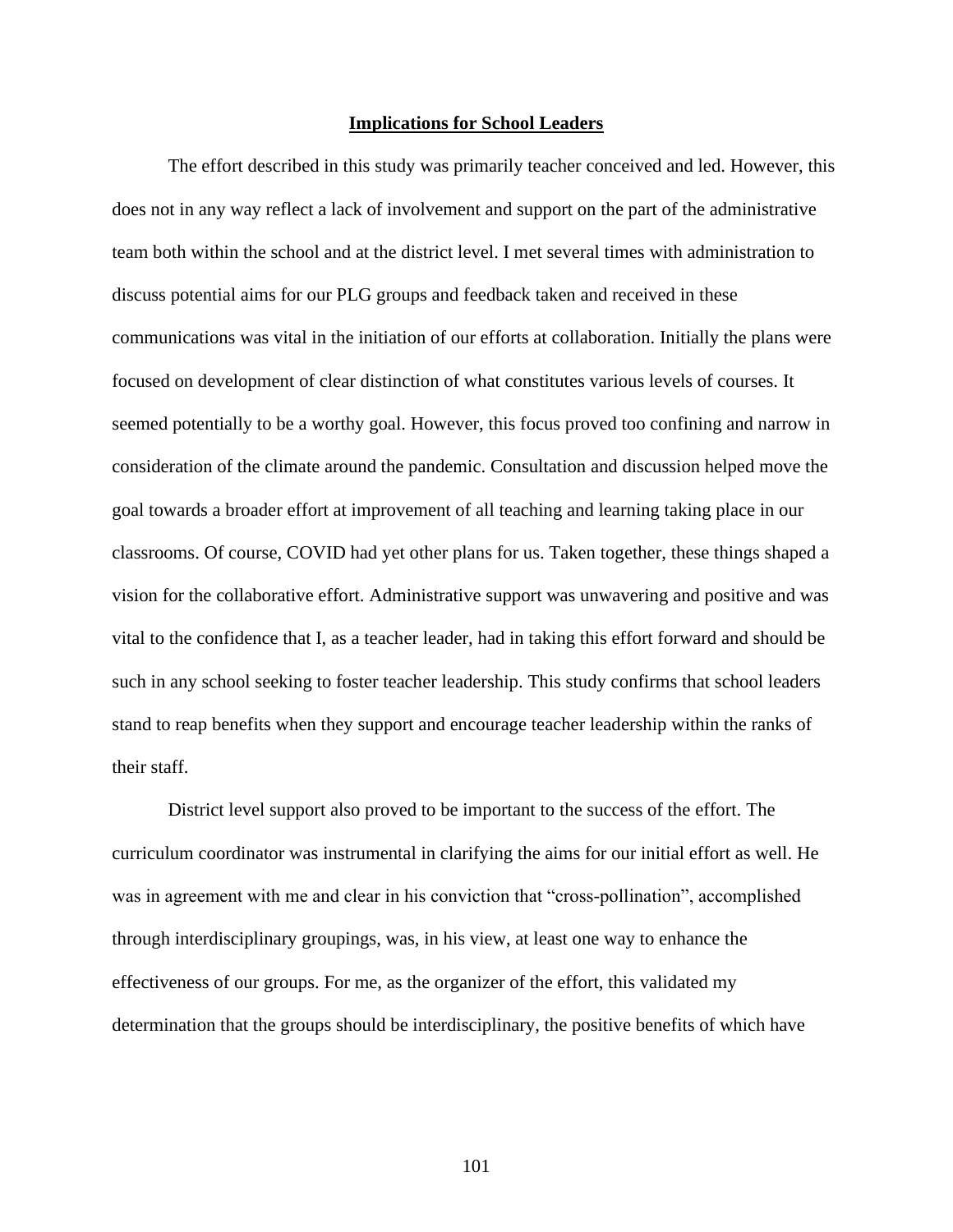#### **Implications for School Leaders**

The effort described in this study was primarily teacher conceived and led. However, this does not in any way reflect a lack of involvement and support on the part of the administrative team both within the school and at the district level. I met several times with administration to discuss potential aims for our PLG groups and feedback taken and received in these communications was vital in the initiation of our efforts at collaboration. Initially the plans were focused on development of clear distinction of what constitutes various levels of courses. It seemed potentially to be a worthy goal. However, this focus proved too confining and narrow in consideration of the climate around the pandemic. Consultation and discussion helped move the goal towards a broader effort at improvement of all teaching and learning taking place in our classrooms. Of course, COVID had yet other plans for us. Taken together, these things shaped a vision for the collaborative effort. Administrative support was unwavering and positive and was vital to the confidence that I, as a teacher leader, had in taking this effort forward and should be such in any school seeking to foster teacher leadership. This study confirms that school leaders stand to reap benefits when they support and encourage teacher leadership within the ranks of their staff.

District level support also proved to be important to the success of the effort. The curriculum coordinator was instrumental in clarifying the aims for our initial effort as well. He was in agreement with me and clear in his conviction that "cross-pollination", accomplished through interdisciplinary groupings, was, in his view, at least one way to enhance the effectiveness of our groups. For me, as the organizer of the effort, this validated my determination that the groups should be interdisciplinary, the positive benefits of which have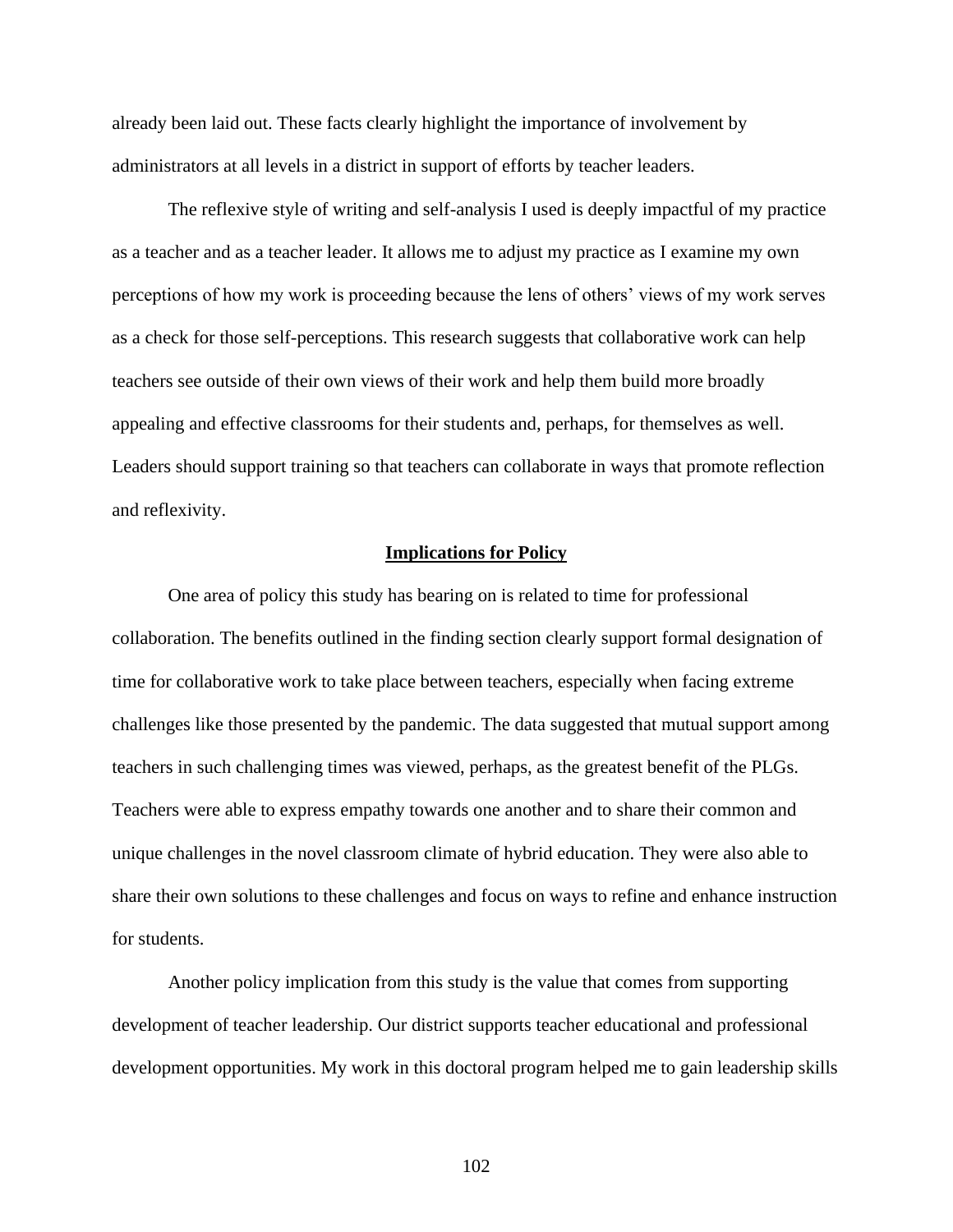already been laid out. These facts clearly highlight the importance of involvement by administrators at all levels in a district in support of efforts by teacher leaders.

The reflexive style of writing and self-analysis I used is deeply impactful of my practice as a teacher and as a teacher leader. It allows me to adjust my practice as I examine my own perceptions of how my work is proceeding because the lens of others' views of my work serves as a check for those self-perceptions. This research suggests that collaborative work can help teachers see outside of their own views of their work and help them build more broadly appealing and effective classrooms for their students and, perhaps, for themselves as well. Leaders should support training so that teachers can collaborate in ways that promote reflection and reflexivity.

#### **Implications for Policy**

One area of policy this study has bearing on is related to time for professional collaboration. The benefits outlined in the finding section clearly support formal designation of time for collaborative work to take place between teachers, especially when facing extreme challenges like those presented by the pandemic. The data suggested that mutual support among teachers in such challenging times was viewed, perhaps, as the greatest benefit of the PLGs. Teachers were able to express empathy towards one another and to share their common and unique challenges in the novel classroom climate of hybrid education. They were also able to share their own solutions to these challenges and focus on ways to refine and enhance instruction for students.

Another policy implication from this study is the value that comes from supporting development of teacher leadership. Our district supports teacher educational and professional development opportunities. My work in this doctoral program helped me to gain leadership skills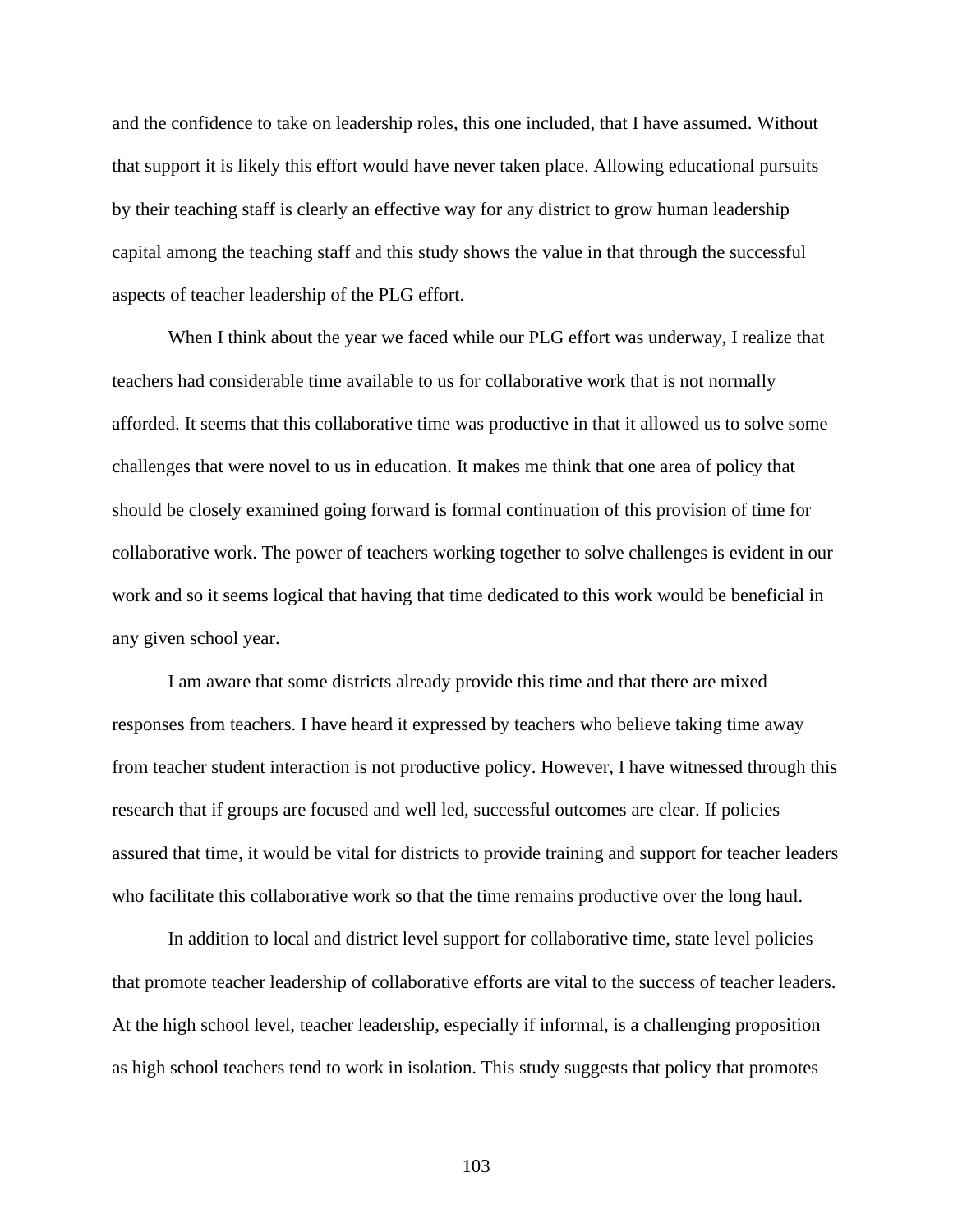and the confidence to take on leadership roles, this one included, that I have assumed. Without that support it is likely this effort would have never taken place. Allowing educational pursuits by their teaching staff is clearly an effective way for any district to grow human leadership capital among the teaching staff and this study shows the value in that through the successful aspects of teacher leadership of the PLG effort.

When I think about the year we faced while our PLG effort was underway, I realize that teachers had considerable time available to us for collaborative work that is not normally afforded. It seems that this collaborative time was productive in that it allowed us to solve some challenges that were novel to us in education. It makes me think that one area of policy that should be closely examined going forward is formal continuation of this provision of time for collaborative work. The power of teachers working together to solve challenges is evident in our work and so it seems logical that having that time dedicated to this work would be beneficial in any given school year.

I am aware that some districts already provide this time and that there are mixed responses from teachers. I have heard it expressed by teachers who believe taking time away from teacher student interaction is not productive policy. However, I have witnessed through this research that if groups are focused and well led, successful outcomes are clear. If policies assured that time, it would be vital for districts to provide training and support for teacher leaders who facilitate this collaborative work so that the time remains productive over the long haul.

In addition to local and district level support for collaborative time, state level policies that promote teacher leadership of collaborative efforts are vital to the success of teacher leaders. At the high school level, teacher leadership, especially if informal, is a challenging proposition as high school teachers tend to work in isolation. This study suggests that policy that promotes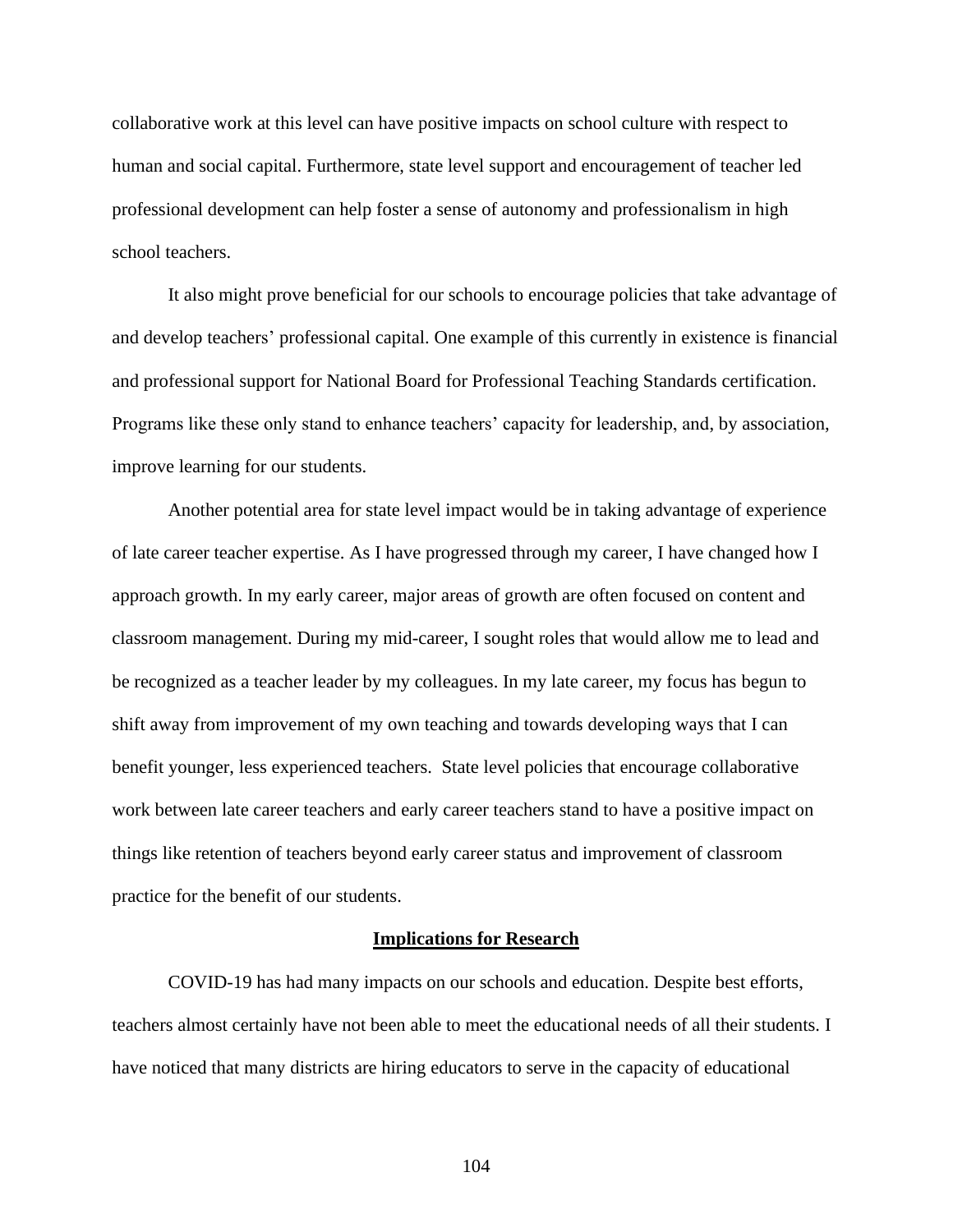collaborative work at this level can have positive impacts on school culture with respect to human and social capital. Furthermore, state level support and encouragement of teacher led professional development can help foster a sense of autonomy and professionalism in high school teachers.

It also might prove beneficial for our schools to encourage policies that take advantage of and develop teachers' professional capital. One example of this currently in existence is financial and professional support for National Board for Professional Teaching Standards certification. Programs like these only stand to enhance teachers' capacity for leadership, and, by association, improve learning for our students.

Another potential area for state level impact would be in taking advantage of experience of late career teacher expertise. As I have progressed through my career, I have changed how I approach growth. In my early career, major areas of growth are often focused on content and classroom management. During my mid-career, I sought roles that would allow me to lead and be recognized as a teacher leader by my colleagues. In my late career, my focus has begun to shift away from improvement of my own teaching and towards developing ways that I can benefit younger, less experienced teachers. State level policies that encourage collaborative work between late career teachers and early career teachers stand to have a positive impact on things like retention of teachers beyond early career status and improvement of classroom practice for the benefit of our students.

#### **Implications for Research**

COVID-19 has had many impacts on our schools and education. Despite best efforts, teachers almost certainly have not been able to meet the educational needs of all their students. I have noticed that many districts are hiring educators to serve in the capacity of educational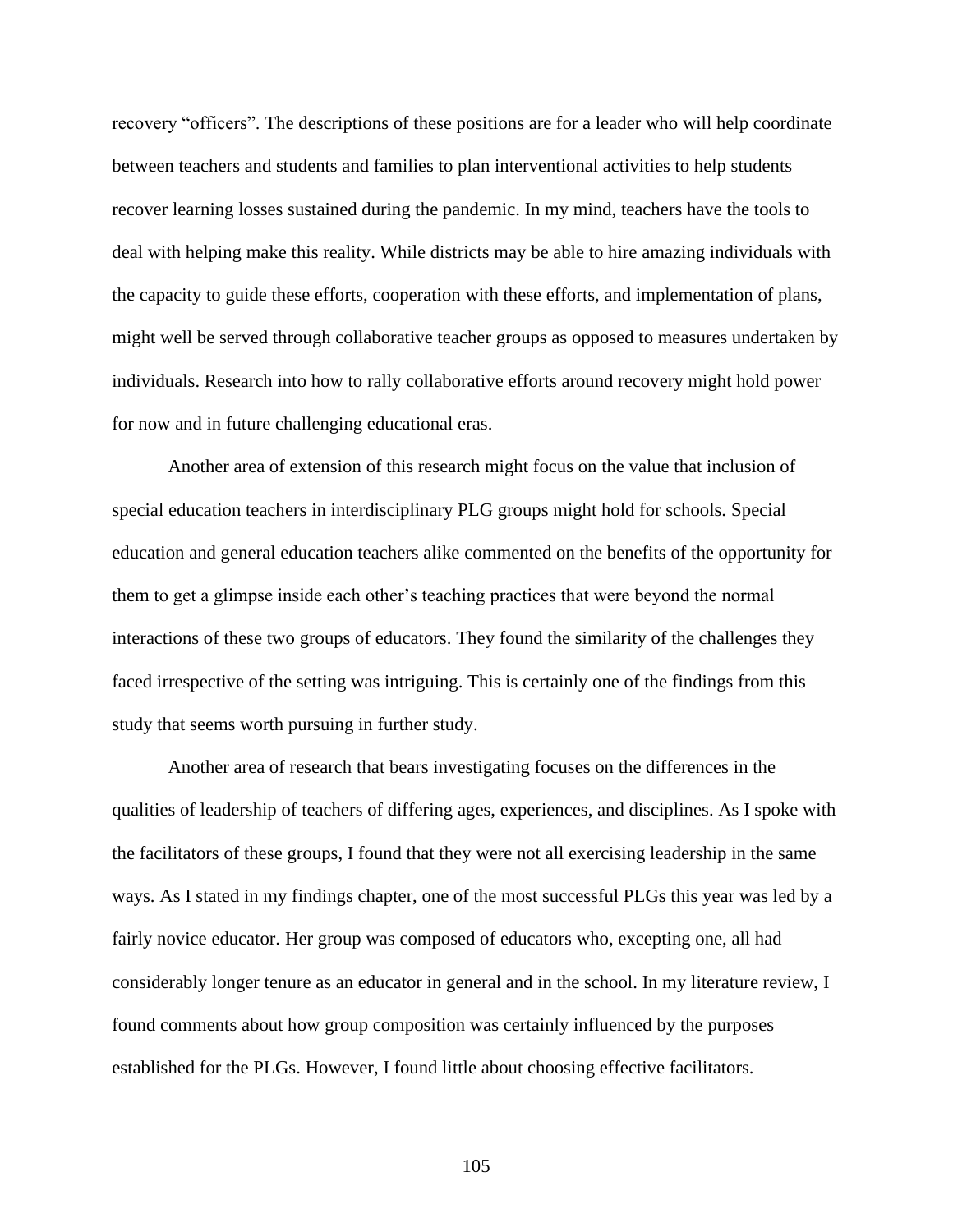recovery "officers". The descriptions of these positions are for a leader who will help coordinate between teachers and students and families to plan interventional activities to help students recover learning losses sustained during the pandemic. In my mind, teachers have the tools to deal with helping make this reality. While districts may be able to hire amazing individuals with the capacity to guide these efforts, cooperation with these efforts, and implementation of plans, might well be served through collaborative teacher groups as opposed to measures undertaken by individuals. Research into how to rally collaborative efforts around recovery might hold power for now and in future challenging educational eras.

Another area of extension of this research might focus on the value that inclusion of special education teachers in interdisciplinary PLG groups might hold for schools. Special education and general education teachers alike commented on the benefits of the opportunity for them to get a glimpse inside each other's teaching practices that were beyond the normal interactions of these two groups of educators. They found the similarity of the challenges they faced irrespective of the setting was intriguing. This is certainly one of the findings from this study that seems worth pursuing in further study.

Another area of research that bears investigating focuses on the differences in the qualities of leadership of teachers of differing ages, experiences, and disciplines. As I spoke with the facilitators of these groups, I found that they were not all exercising leadership in the same ways. As I stated in my findings chapter, one of the most successful PLGs this year was led by a fairly novice educator. Her group was composed of educators who, excepting one, all had considerably longer tenure as an educator in general and in the school. In my literature review, I found comments about how group composition was certainly influenced by the purposes established for the PLGs. However, I found little about choosing effective facilitators.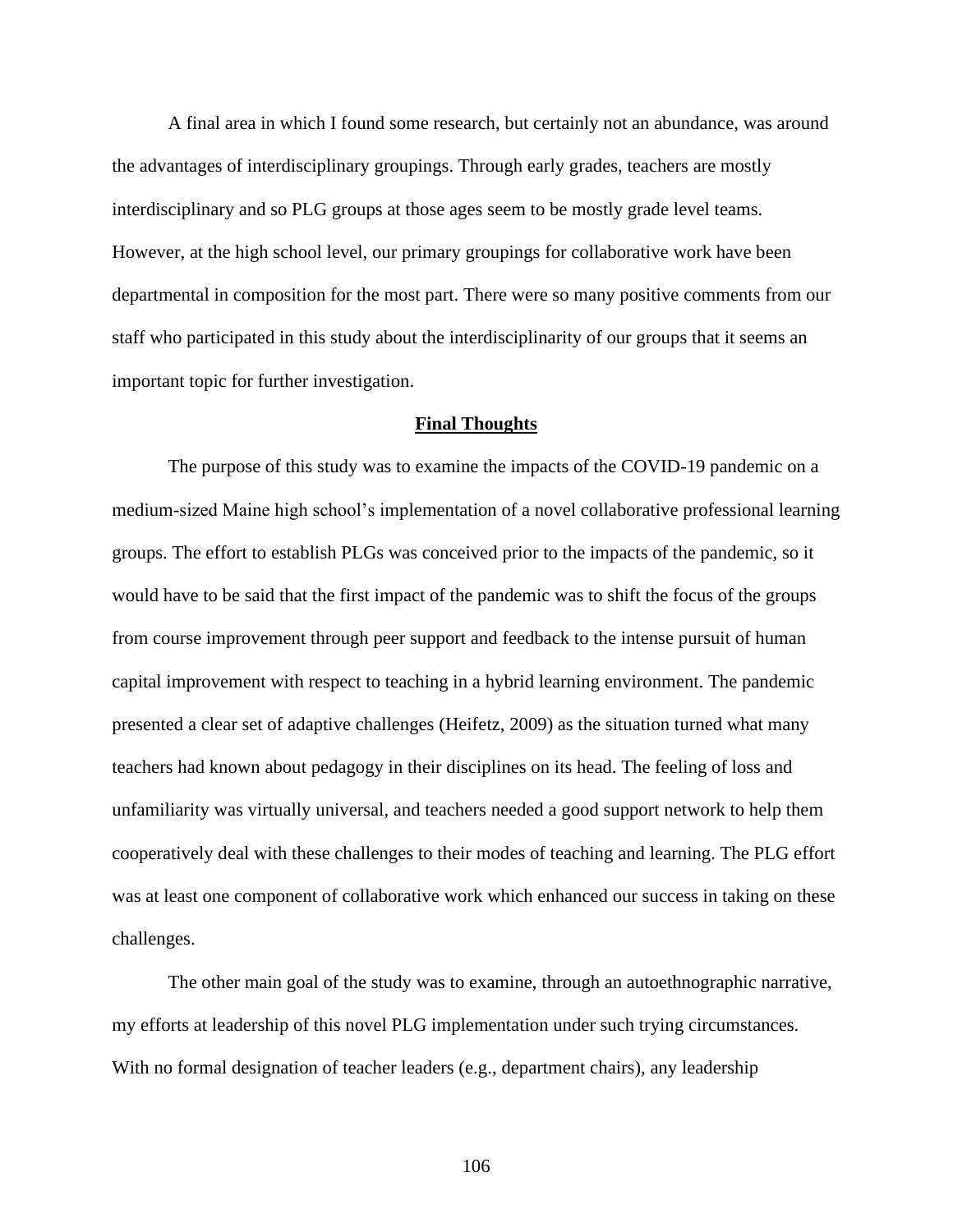A final area in which I found some research, but certainly not an abundance, was around the advantages of interdisciplinary groupings. Through early grades, teachers are mostly interdisciplinary and so PLG groups at those ages seem to be mostly grade level teams. However, at the high school level, our primary groupings for collaborative work have been departmental in composition for the most part. There were so many positive comments from our staff who participated in this study about the interdisciplinarity of our groups that it seems an important topic for further investigation.

#### **Final Thoughts**

The purpose of this study was to examine the impacts of the COVID-19 pandemic on a medium-sized Maine high school's implementation of a novel collaborative professional learning groups. The effort to establish PLGs was conceived prior to the impacts of the pandemic, so it would have to be said that the first impact of the pandemic was to shift the focus of the groups from course improvement through peer support and feedback to the intense pursuit of human capital improvement with respect to teaching in a hybrid learning environment. The pandemic presented a clear set of adaptive challenges (Heifetz, 2009) as the situation turned what many teachers had known about pedagogy in their disciplines on its head. The feeling of loss and unfamiliarity was virtually universal, and teachers needed a good support network to help them cooperatively deal with these challenges to their modes of teaching and learning. The PLG effort was at least one component of collaborative work which enhanced our success in taking on these challenges.

The other main goal of the study was to examine, through an autoethnographic narrative, my efforts at leadership of this novel PLG implementation under such trying circumstances. With no formal designation of teacher leaders (e.g., department chairs), any leadership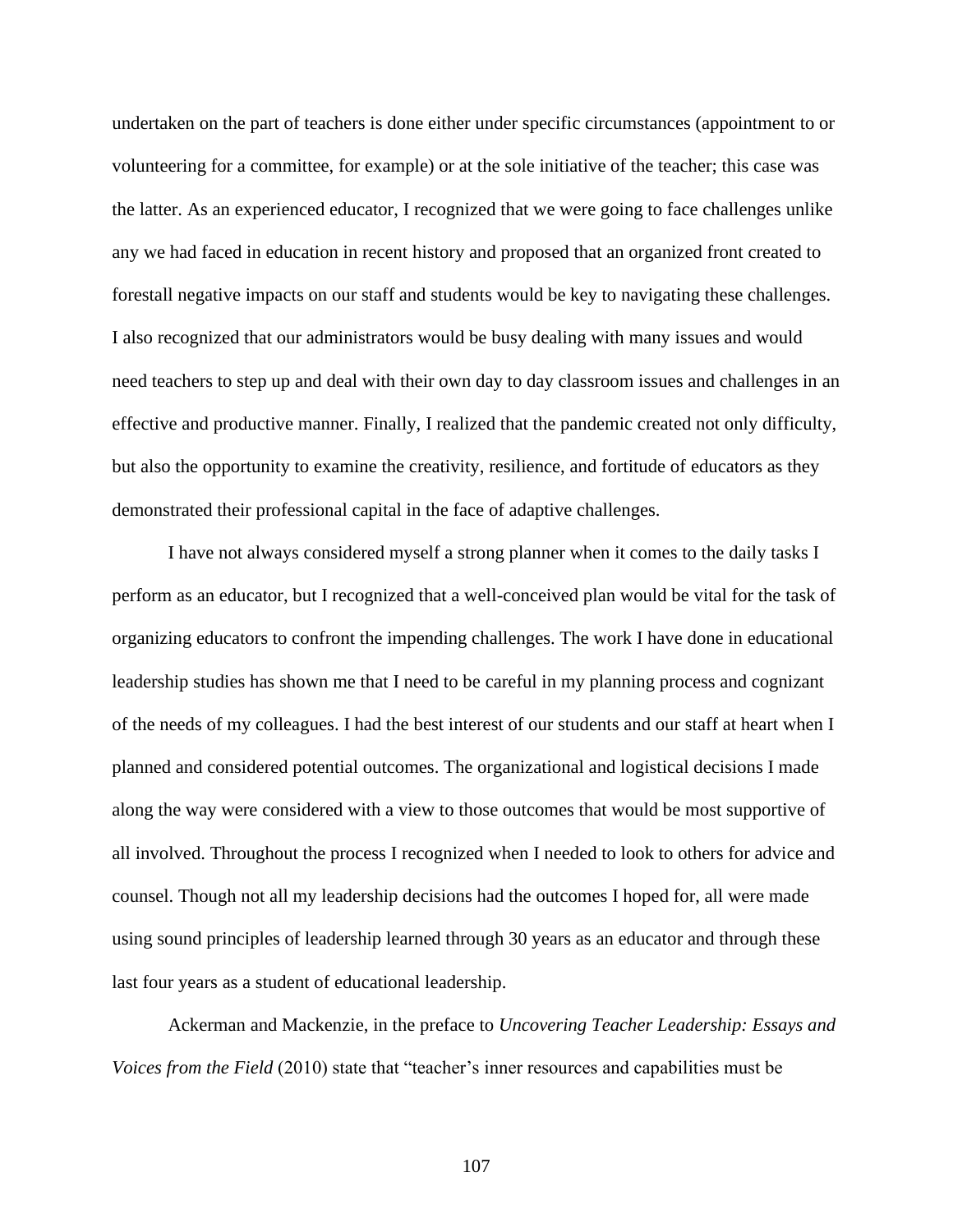undertaken on the part of teachers is done either under specific circumstances (appointment to or volunteering for a committee, for example) or at the sole initiative of the teacher; this case was the latter. As an experienced educator, I recognized that we were going to face challenges unlike any we had faced in education in recent history and proposed that an organized front created to forestall negative impacts on our staff and students would be key to navigating these challenges. I also recognized that our administrators would be busy dealing with many issues and would need teachers to step up and deal with their own day to day classroom issues and challenges in an effective and productive manner. Finally, I realized that the pandemic created not only difficulty, but also the opportunity to examine the creativity, resilience, and fortitude of educators as they demonstrated their professional capital in the face of adaptive challenges.

I have not always considered myself a strong planner when it comes to the daily tasks I perform as an educator, but I recognized that a well-conceived plan would be vital for the task of organizing educators to confront the impending challenges. The work I have done in educational leadership studies has shown me that I need to be careful in my planning process and cognizant of the needs of my colleagues. I had the best interest of our students and our staff at heart when I planned and considered potential outcomes. The organizational and logistical decisions I made along the way were considered with a view to those outcomes that would be most supportive of all involved. Throughout the process I recognized when I needed to look to others for advice and counsel. Though not all my leadership decisions had the outcomes I hoped for, all were made using sound principles of leadership learned through 30 years as an educator and through these last four years as a student of educational leadership.

Ackerman and Mackenzie, in the preface to *Uncovering Teacher Leadership: Essays and Voices from the Field* (2010) state that "teacher's inner resources and capabilities must be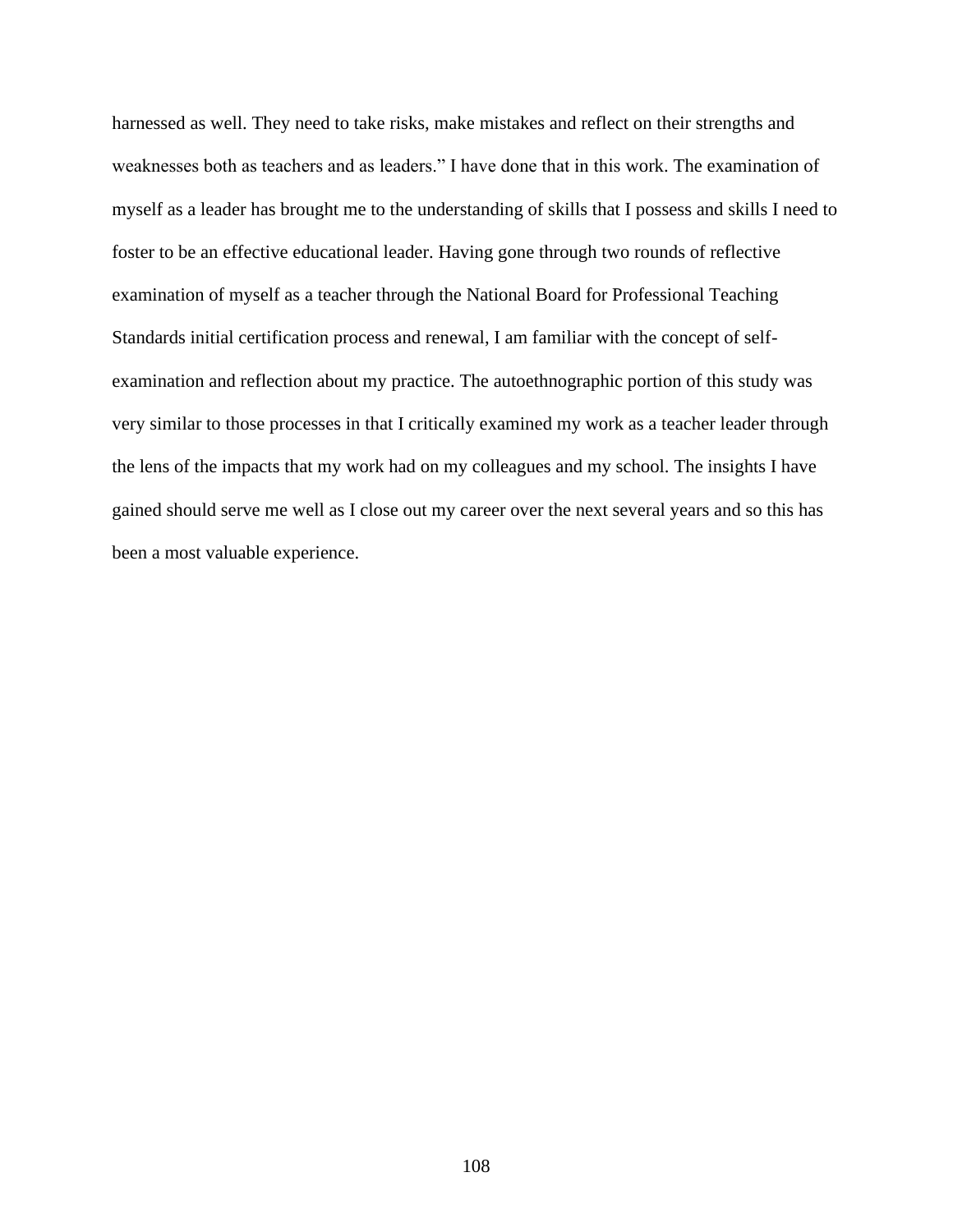harnessed as well. They need to take risks, make mistakes and reflect on their strengths and weaknesses both as teachers and as leaders." I have done that in this work. The examination of myself as a leader has brought me to the understanding of skills that I possess and skills I need to foster to be an effective educational leader. Having gone through two rounds of reflective examination of myself as a teacher through the National Board for Professional Teaching Standards initial certification process and renewal, I am familiar with the concept of selfexamination and reflection about my practice. The autoethnographic portion of this study was very similar to those processes in that I critically examined my work as a teacher leader through the lens of the impacts that my work had on my colleagues and my school. The insights I have gained should serve me well as I close out my career over the next several years and so this has been a most valuable experience.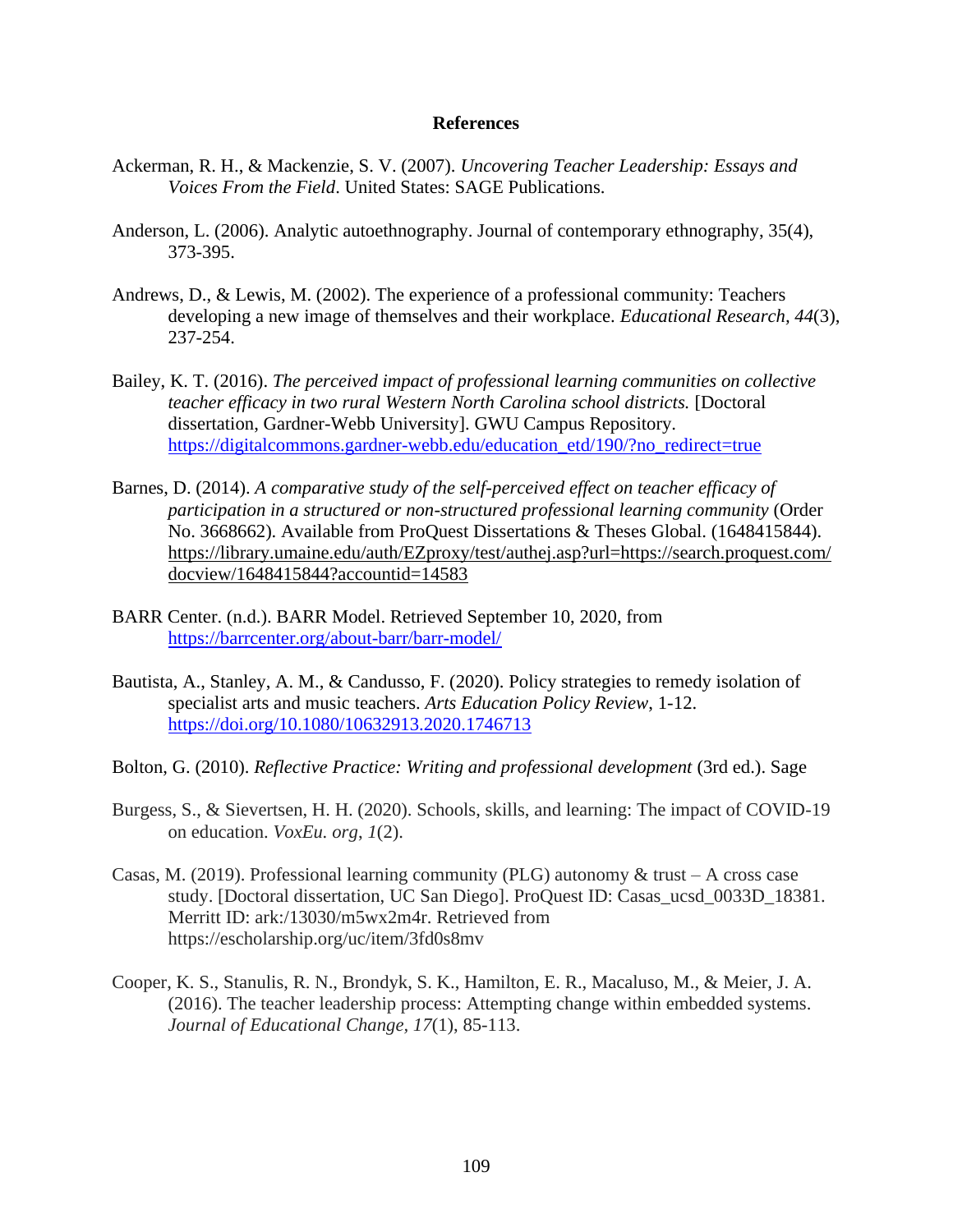#### **References**

- Ackerman, R. H., & Mackenzie, S. V. (2007). *Uncovering Teacher Leadership: Essays and Voices From the Field*. United States: SAGE Publications.
- Anderson, L. (2006). Analytic autoethnography. Journal of contemporary ethnography, 35(4), 373-395.
- Andrews, D., & Lewis, M. (2002). The experience of a professional community: Teachers developing a new image of themselves and their workplace. *Educational Research, 44*(3), 237-254.
- Bailey, K. T. (2016). *The perceived impact of professional learning communities on collective*  teacher efficacy in two rural Western North Carolina school districts. [Doctoral dissertation, Gardner-Webb University]. GWU Campus Repository. [https://digitalcommons.gardner-webb.edu/education\\_etd/190/?no\\_redirect=true](https://digitalcommons.gardner-webb.edu/education_etd/190/?no_redirect=true)
- Barnes, D. (2014). *A comparative study of the self-perceived effect on teacher efficacy of participation in a structured or non-structured professional learning community* (Order No. 3668662). Available from ProQuest Dissertations & Theses Global. (1648415844). [https://library.umaine.edu/auth/EZproxy/test/authej.asp?url=https://search.proquest.com/](https://library.umaine.edu/auth/EZproxy/test/authej.asp?url=https://search.proquest.com/docview/1648415844?accountid=14583) [docview/1648415844?accountid=14583](https://library.umaine.edu/auth/EZproxy/test/authej.asp?url=https://search.proquest.com/docview/1648415844?accountid=14583)
- BARR Center. (n.d.). BARR Model. Retrieved September 10, 2020, from <https://barrcenter.org/about-barr/barr-model/>
- Bautista, A., Stanley, A. M., & Candusso, F. (2020). Policy strategies to remedy isolation of specialist arts and music teachers. *Arts Education Policy Review*, 1-12. <https://doi.org/10.1080/10632913.2020.1746713>
- Bolton, G. (2010). *Reflective Practice: Writing and professional development* (3rd ed.). Sage
- Burgess, S., & Sievertsen, H. H. (2020). Schools, skills, and learning: The impact of COVID-19 on education. *VoxEu. org*, *1*(2).
- Casas, M. (2019). Professional learning community (PLG) autonomy  $&$  trust A cross case study. [Doctoral dissertation, UC San Diego]. ProQuest ID: Casas\_ucsd\_0033D\_18381. Merritt ID: ark:/13030/m5wx2m4r. Retrieved from <https://escholarship.org/uc/item/3fd0s8mv>
- Cooper, K. S., Stanulis, R. N., Brondyk, S. K., Hamilton, E. R., Macaluso, M., & Meier, J. A. (2016). The teacher leadership process: Attempting change within embedded systems. *Journal of Educational Change, 17*(1), 85-113.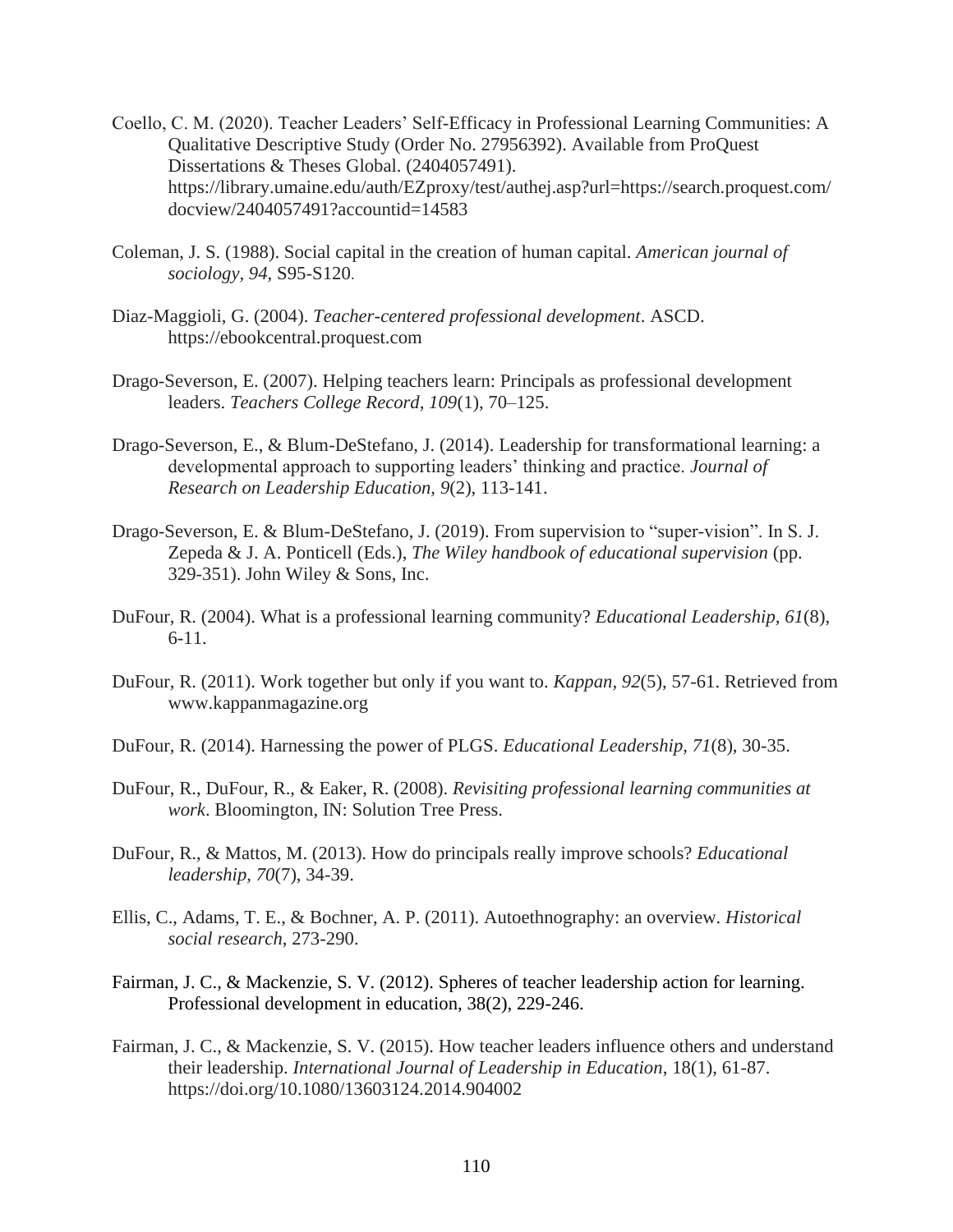- Coello, C. M. (2020). Teacher Leaders' Self-Efficacy in Professional Learning Communities: A Qualitative Descriptive Study (Order No. 27956392). Available from ProQuest Dissertations & Theses Global. (2404057491). [https://library.umaine.edu/auth/EZproxy/test/authej.asp?url=https://search.proquest.com/](https://library.umaine.edu/auth/EZproxy/test/authej.asp?url=https://search.proquest.com/docview/2404057491?accountid=14583) [docview/2404057491?accountid=14583](https://library.umaine.edu/auth/EZproxy/test/authej.asp?url=https://search.proquest.com/docview/2404057491?accountid=14583)
- Coleman, J. S. (1988). Social capital in the creation of human capital. *American journal of sociology, 94*, S95-S120.
- Diaz-Maggioli, G. (2004). *Teacher-centered professional development*. ASCD. [https://ebookcentral.proquest.com](https://ebookcentral.proquest.com/)
- Drago-Severson, E. (2007). Helping teachers learn: Principals as professional development leaders. *Teachers College Record, 109*(1), 70–125.
- Drago-Severson, E., & Blum-DeStefano, J. (2014). Leadership for transformational learning: a developmental approach to supporting leaders' thinking and practice. *Journal of Research on Leadership Education, 9*(2), 113-141.
- Drago-Severson, E. & Blum-DeStefano, J. (2019). From supervision to "super-vision". In S. J. Zepeda & J. A. Ponticell (Eds.), *The Wiley handbook of educational supervision* (pp. 329-351). John Wiley & Sons, Inc.
- DuFour, R. (2004). What is a professional learning community? *Educational Leadership, 61*(8), 6-11.
- DuFour, R. (2011). Work together but only if you want to. *Kappan, 92*(5), 57-61. Retrieved from www.kappanmagazine.org
- DuFour, R. (2014). Harnessing the power of PLGS. *Educational Leadership, 71*(8), 30-35.
- DuFour, R., DuFour, R., & Eaker, R. (2008). *Revisiting professional learning communities at work*. Bloomington, IN: Solution Tree Press.
- DuFour, R., & Mattos, M. (2013). How do principals really improve schools? *Educational leadership, 70*(7), 34-39.
- Ellis, C., Adams, T. E., & Bochner, A. P. (2011). Autoethnography: an overview. *Historical social research*, 273-290.
- Fairman, J. C., & Mackenzie, S. V. (2012). Spheres of teacher leadership action for learning. Professional development in education, 38(2), 229-246.
- Fairman, J. C., & Mackenzie, S. V. (2015). How teacher leaders influence others and understand their leadership. *International Journal of Leadership in Education*, 18(1), 61-87. <https://doi.org/10.1080/13603124.2014.904002>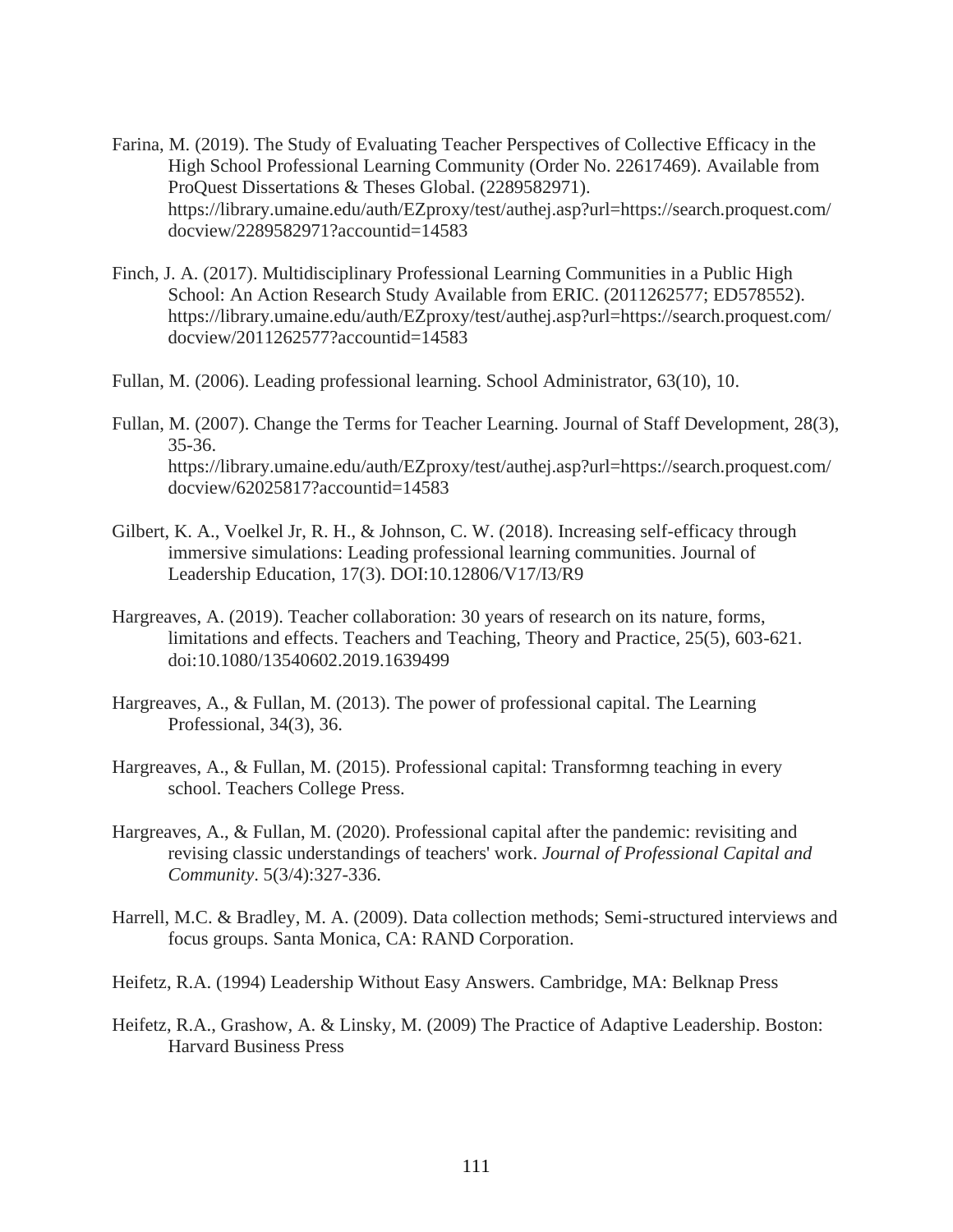- Farina, M. (2019). The Study of Evaluating Teacher Perspectives of Collective Efficacy in the High School Professional Learning Community (Order No. 22617469). Available from ProQuest Dissertations & Theses Global. (2289582971). [https://library.umaine.edu/auth/EZproxy/test/authej.asp?url=https://search.proquest.com/](https://library.umaine.edu/auth/EZproxy/test/authej.asp?url=https://search.proquest.com/docview/2289582971?accountid=14583) [docview/2289582971?accountid=14583](https://library.umaine.edu/auth/EZproxy/test/authej.asp?url=https://search.proquest.com/docview/2289582971?accountid=14583)
- Finch, J. A. (2017). Multidisciplinary Professional Learning Communities in a Public High School: An Action Research Study Available from ERIC. (2011262577; ED578552). [https://library.umaine.edu/auth/EZproxy/test/authej.asp?url=https://search.proquest.com/](https://library.umaine.edu/auth/EZproxy/test/authej.asp?url=https://search.proquest.com/docview/2011262577?accountid=14583) [docview/2011262577?accountid=14583](https://library.umaine.edu/auth/EZproxy/test/authej.asp?url=https://search.proquest.com/docview/2011262577?accountid=14583)
- Fullan, M. (2006). Leading professional learning. School Administrator, 63(10), 10.
- Fullan, M. (2007). Change the Terms for Teacher Learning. Journal of Staff Development, 28(3), 35-36. https://library.umaine.edu/auth/EZproxy/test/authej.asp?url=https://search.proquest.com/ docview/62025817?accountid=14583
- Gilbert, K. A., Voelkel Jr, R. H., & Johnson, C. W. (2018). Increasing self-efficacy through immersive simulations: Leading professional learning communities. Journal of Leadership Education, 17(3). DOI:10.12806/V17/I3/R9
- Hargreaves, A. (2019). Teacher collaboration: 30 years of research on its nature, forms, limitations and effects. Teachers and Teaching, Theory and Practice, 25(5), 603-621. doi:10.1080/13540602.2019.1639499
- Hargreaves, A., & Fullan, M. (2013). The power of professional capital. The Learning Professional, 34(3), 36.
- Hargreaves, A., & Fullan, M. (2015). Professional capital: Transformng teaching in every school. Teachers College Press.
- Hargreaves, A., & Fullan, M. (2020). Professional capital after the pandemic: revisiting and revising classic understandings of teachers' work. *Journal of Professional Capital and Community*. 5(3/4):327-336.
- Harrell, M.C. & Bradley, M. A. (2009). Data collection methods; Semi-structured interviews and focus groups. Santa Monica, CA: RAND Corporation.
- Heifetz, R.A. (1994) Leadership Without Easy Answers. Cambridge, MA: Belknap Press
- Heifetz, R.A., Grashow, A. & Linsky, M. (2009) The Practice of Adaptive Leadership. Boston: Harvard Business Press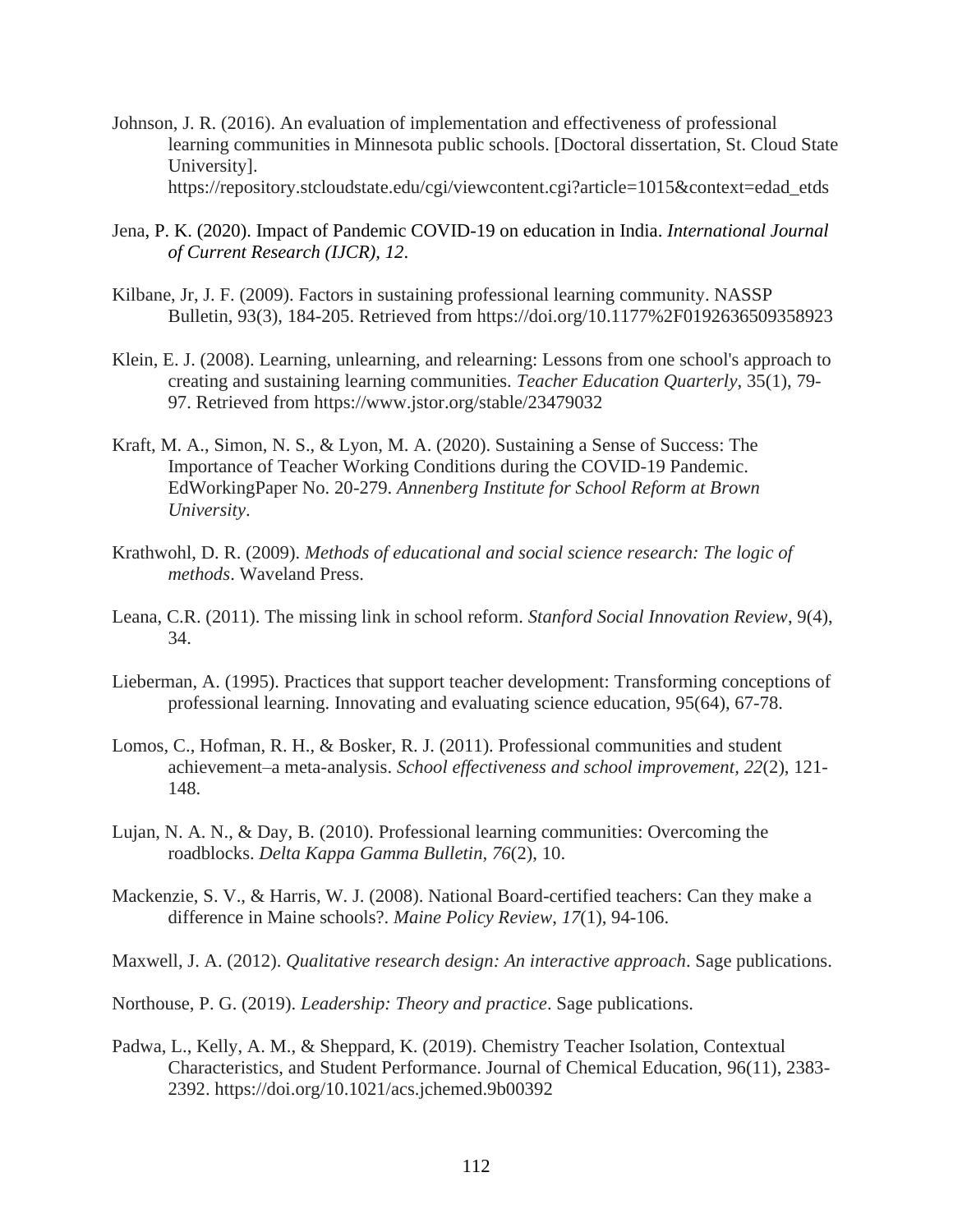- Johnson, J. R. (2016). An evaluation of implementation and effectiveness of professional learning communities in Minnesota public schools. [Doctoral dissertation, St. Cloud State University]. [https://repository.stcloudstate.edu/cgi/viewcontent.cgi?article=1015&context=edad\\_etds](https://repository.stcloudstate.edu/cgi/viewcontent.cgi?article=1015&context=edad_etds)
- Jena, P. K. (2020). Impact of Pandemic COVID-19 on education in India. *International Journal of Current Research (IJCR), 12*.
- Kilbane, Jr, J. F. (2009). Factors in sustaining professional learning community. NASSP Bulletin, 93(3), 184-205. Retrieved from<https://doi.org/10.1177%2F0192636509358923>
- Klein, E. J. (2008). Learning, unlearning, and relearning: Lessons from one school's approach to creating and sustaining learning communities. *Teacher Education Quarterly*, 35(1), 79- 97. Retrieved from<https://www.jstor.org/stable/23479032>
- Kraft, M. A., Simon, N. S., & Lyon, M. A. (2020). Sustaining a Sense of Success: The Importance of Teacher Working Conditions during the COVID-19 Pandemic. EdWorkingPaper No. 20-279. *Annenberg Institute for School Reform at Brown University*.
- Krathwohl, D. R. (2009). *Methods of educational and social science research: The logic of methods*. Waveland Press.
- Leana, C.R. (2011). The missing link in school reform. *Stanford Social Innovation Review*, 9(4), 34.
- Lieberman, A. (1995). Practices that support teacher development: Transforming conceptions of professional learning. Innovating and evaluating science education, 95(64), 67-78.
- Lomos, C., Hofman, R. H., & Bosker, R. J. (2011). Professional communities and student achievement–a meta-analysis. *School effectiveness and school improvement, 22*(2), 121- 148.
- Lujan, N. A. N., & Day, B. (2010). Professional learning communities: Overcoming the roadblocks. *Delta Kappa Gamma Bulletin, 76*(2), 10.
- Mackenzie, S. V., & Harris, W. J. (2008). National Board-certified teachers: Can they make a difference in Maine schools?. *Maine Policy Review*, *17*(1), 94-106.
- Maxwell, J. A. (2012). *Qualitative research design: An interactive approach*. Sage publications.
- Northouse, P. G. (2019). *Leadership: Theory and practice*. Sage publications.
- Padwa, L., Kelly, A. M., & Sheppard, K. (2019). Chemistry Teacher Isolation, Contextual Characteristics, and Student Performance. Journal of Chemical Education, 96(11), 2383- 2392.<https://doi.org/10.1021/acs.jchemed.9b00392>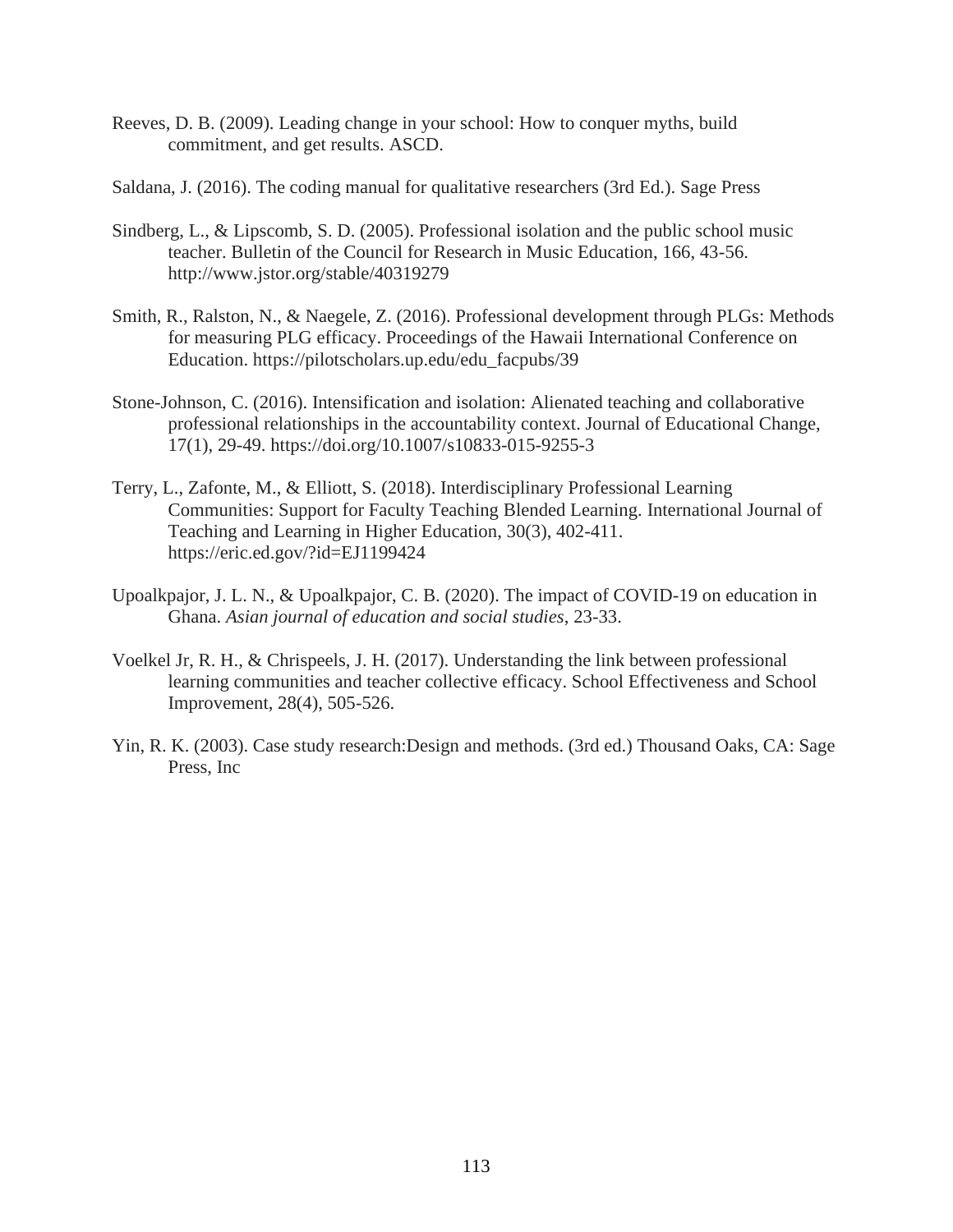- Reeves, D. B. (2009). Leading change in your school: How to conquer myths, build commitment, and get results. ASCD.
- Saldana, J. (2016). The coding manual for qualitative researchers (3rd Ed.). Sage Press
- Sindberg, L., & Lipscomb, S. D. (2005). Professional isolation and the public school music teacher. Bulletin of the Council for Research in Music Education, 166, 43-56. <http://www.jstor.org/stable/40319279>
- Smith, R., Ralston, N., & Naegele, Z. (2016). Professional development through PLGs: Methods for measuring PLG efficacy. Proceedings of the Hawaii International Conference on Education. [https://pilotscholars.up.edu/edu\\_facpubs/39](https://pilotscholars.up.edu/edu_facpubs/39)
- Stone-Johnson, C. (2016). Intensification and isolation: Alienated teaching and collaborative professional relationships in the accountability context. Journal of Educational Change, 17(1), 29-49.<https://doi.org/10.1007/s10833-015-9255-3>
- Terry, L., Zafonte, M., & Elliott, S. (2018). Interdisciplinary Professional Learning Communities: Support for Faculty Teaching Blended Learning. International Journal of Teaching and Learning in Higher Education, 30(3), 402-411. <https://eric.ed.gov/?id=EJ1199424>
- Upoalkpajor, J. L. N., & Upoalkpajor, C. B. (2020). The impact of COVID-19 on education in Ghana. *Asian journal of education and social studies*, 23-33.
- Voelkel Jr, R. H., & Chrispeels, J. H. (2017). Understanding the link between professional learning communities and teacher collective efficacy. School Effectiveness and School Improvement, 28(4), 505-526.
- Yin, R. K. (2003). Case study research:Design and methods. (3rd ed.) Thousand Oaks, CA: Sage Press, Inc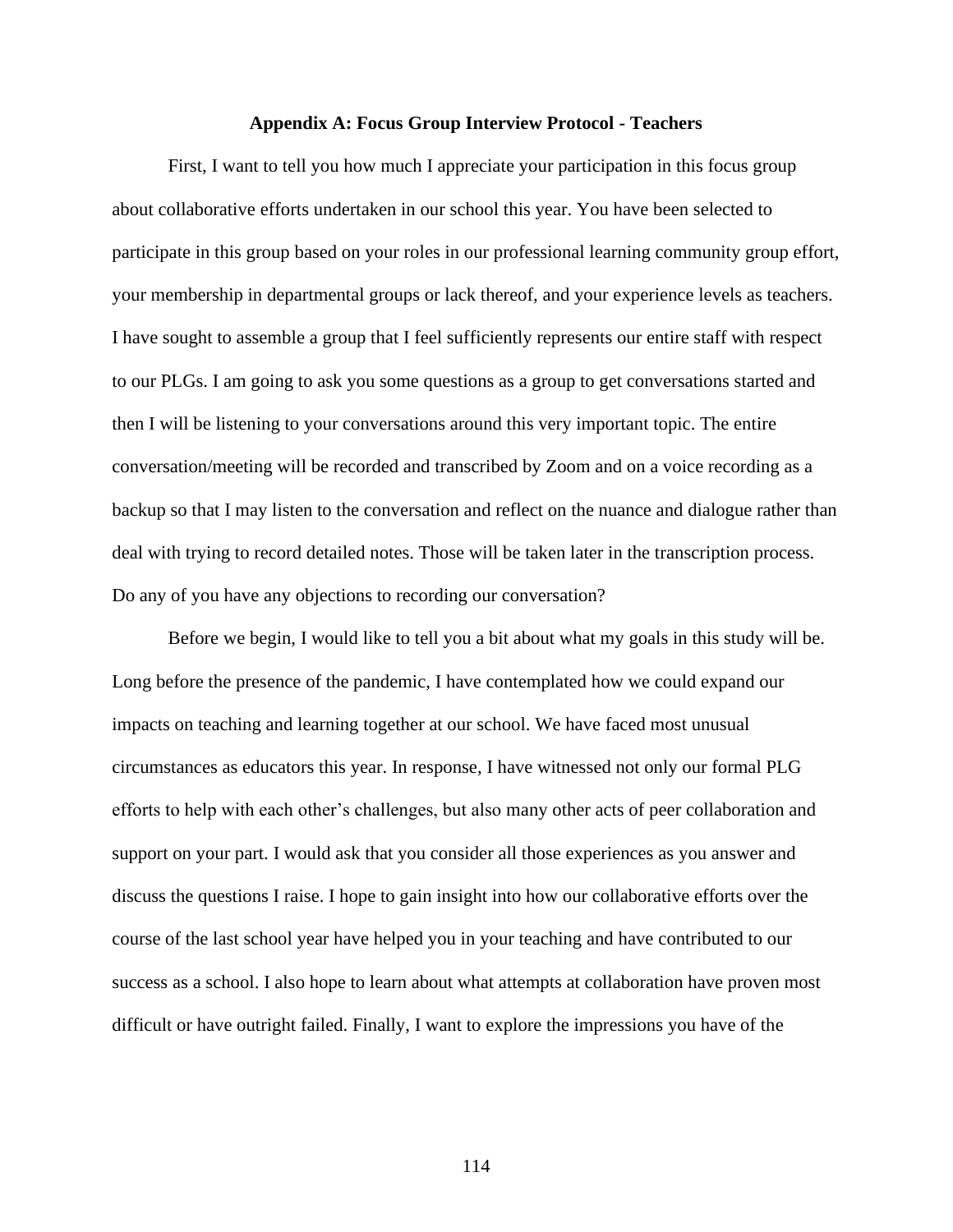#### **Appendix A: Focus Group Interview Protocol - Teachers**

First, I want to tell you how much I appreciate your participation in this focus group about collaborative efforts undertaken in our school this year. You have been selected to participate in this group based on your roles in our professional learning community group effort, your membership in departmental groups or lack thereof, and your experience levels as teachers. I have sought to assemble a group that I feel sufficiently represents our entire staff with respect to our PLGs. I am going to ask you some questions as a group to get conversations started and then I will be listening to your conversations around this very important topic. The entire conversation/meeting will be recorded and transcribed by Zoom and on a voice recording as a backup so that I may listen to the conversation and reflect on the nuance and dialogue rather than deal with trying to record detailed notes. Those will be taken later in the transcription process. Do any of you have any objections to recording our conversation?

Before we begin, I would like to tell you a bit about what my goals in this study will be. Long before the presence of the pandemic, I have contemplated how we could expand our impacts on teaching and learning together at our school. We have faced most unusual circumstances as educators this year. In response, I have witnessed not only our formal PLG efforts to help with each other's challenges, but also many other acts of peer collaboration and support on your part. I would ask that you consider all those experiences as you answer and discuss the questions I raise. I hope to gain insight into how our collaborative efforts over the course of the last school year have helped you in your teaching and have contributed to our success as a school. I also hope to learn about what attempts at collaboration have proven most difficult or have outright failed. Finally, I want to explore the impressions you have of the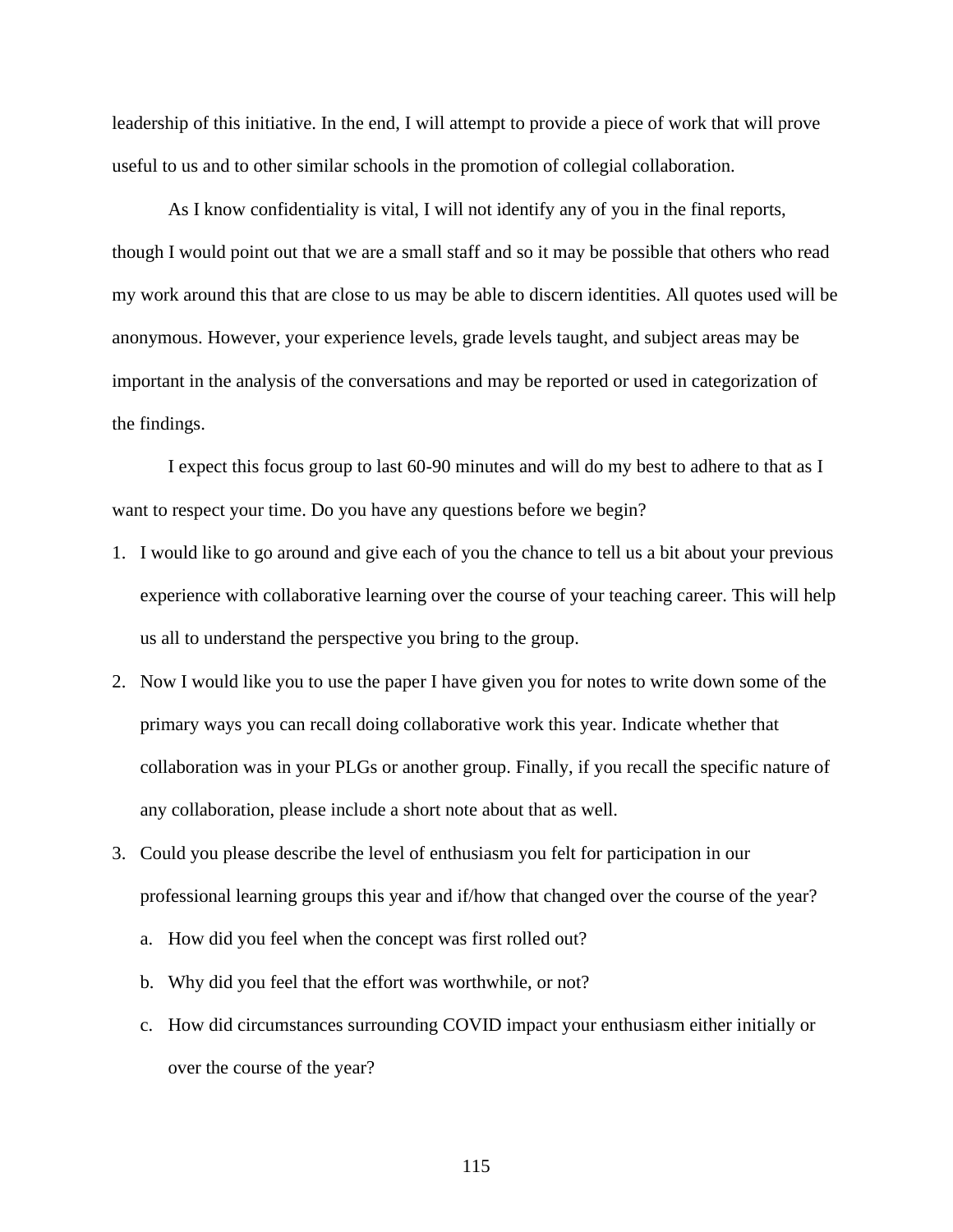leadership of this initiative. In the end, I will attempt to provide a piece of work that will prove useful to us and to other similar schools in the promotion of collegial collaboration.

As I know confidentiality is vital, I will not identify any of you in the final reports, though I would point out that we are a small staff and so it may be possible that others who read my work around this that are close to us may be able to discern identities. All quotes used will be anonymous. However, your experience levels, grade levels taught, and subject areas may be important in the analysis of the conversations and may be reported or used in categorization of the findings.

I expect this focus group to last 60-90 minutes and will do my best to adhere to that as I want to respect your time. Do you have any questions before we begin?

- 1. I would like to go around and give each of you the chance to tell us a bit about your previous experience with collaborative learning over the course of your teaching career. This will help us all to understand the perspective you bring to the group.
- 2. Now I would like you to use the paper I have given you for notes to write down some of the primary ways you can recall doing collaborative work this year. Indicate whether that collaboration was in your PLGs or another group. Finally, if you recall the specific nature of any collaboration, please include a short note about that as well.
- 3. Could you please describe the level of enthusiasm you felt for participation in our professional learning groups this year and if/how that changed over the course of the year?
	- a. How did you feel when the concept was first rolled out?
	- b. Why did you feel that the effort was worthwhile, or not?
	- c. How did circumstances surrounding COVID impact your enthusiasm either initially or over the course of the year?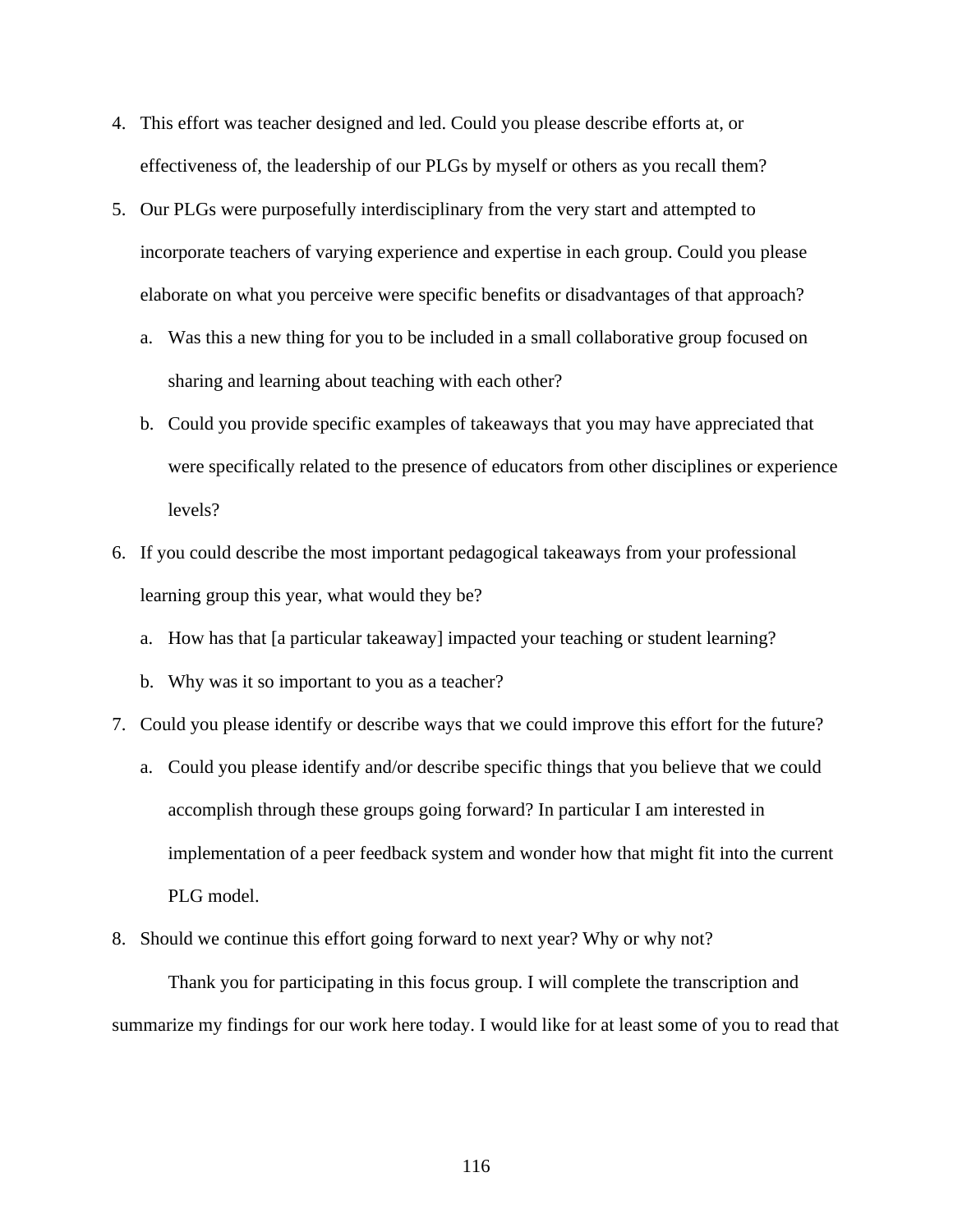- 4. This effort was teacher designed and led. Could you please describe efforts at, or effectiveness of, the leadership of our PLGs by myself or others as you recall them?
- 5. Our PLGs were purposefully interdisciplinary from the very start and attempted to incorporate teachers of varying experience and expertise in each group. Could you please elaborate on what you perceive were specific benefits or disadvantages of that approach?
	- a. Was this a new thing for you to be included in a small collaborative group focused on sharing and learning about teaching with each other?
	- b. Could you provide specific examples of takeaways that you may have appreciated that were specifically related to the presence of educators from other disciplines or experience levels?
- 6. If you could describe the most important pedagogical takeaways from your professional learning group this year, what would they be?
	- a. How has that [a particular takeaway] impacted your teaching or student learning?
	- b. Why was it so important to you as a teacher?
- 7. Could you please identify or describe ways that we could improve this effort for the future?
	- a. Could you please identify and/or describe specific things that you believe that we could accomplish through these groups going forward? In particular I am interested in implementation of a peer feedback system and wonder how that might fit into the current PLG model.
- 8. Should we continue this effort going forward to next year? Why or why not?

Thank you for participating in this focus group. I will complete the transcription and summarize my findings for our work here today. I would like for at least some of you to read that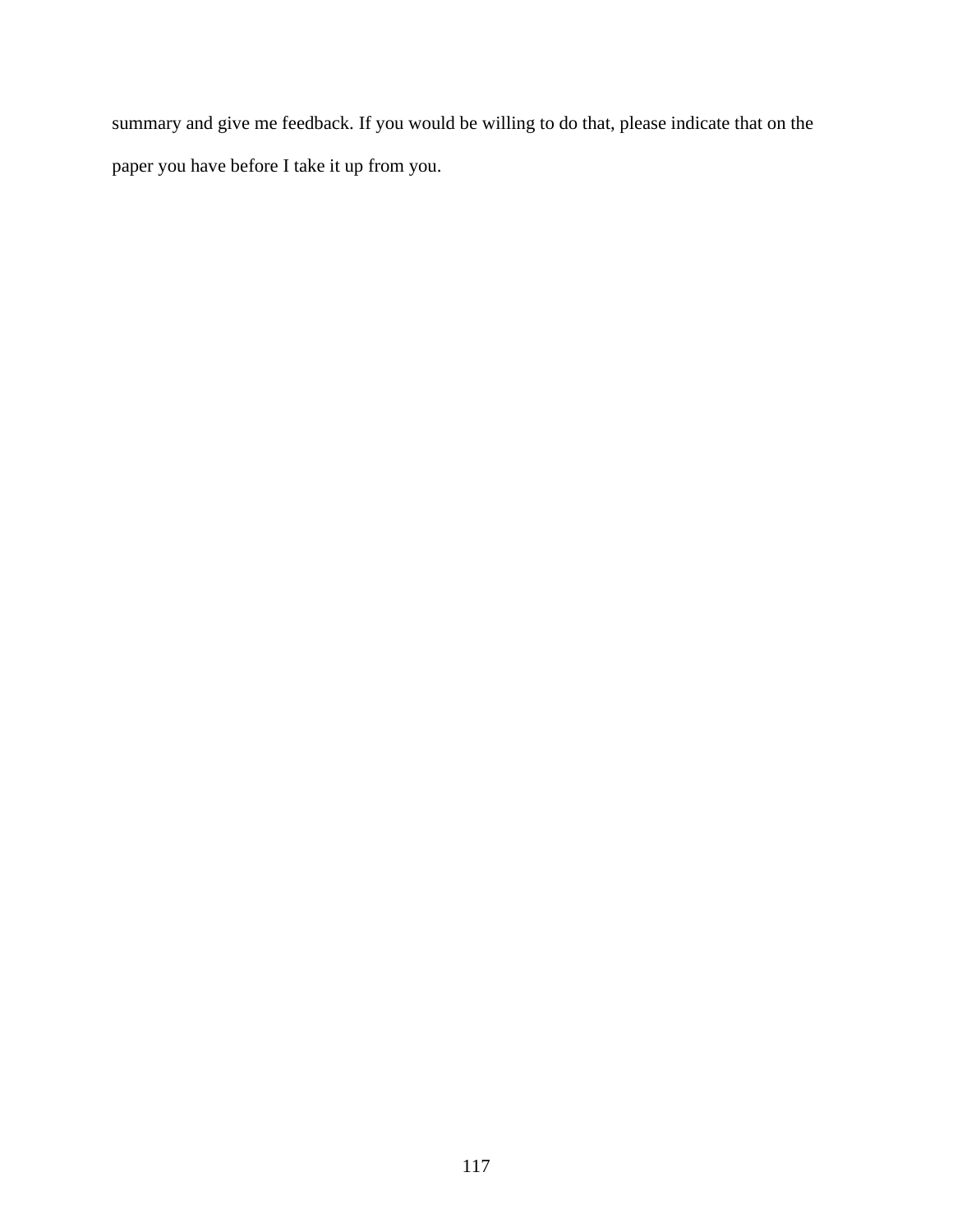summary and give me feedback. If you would be willing to do that, please indicate that on the paper you have before I take it up from you.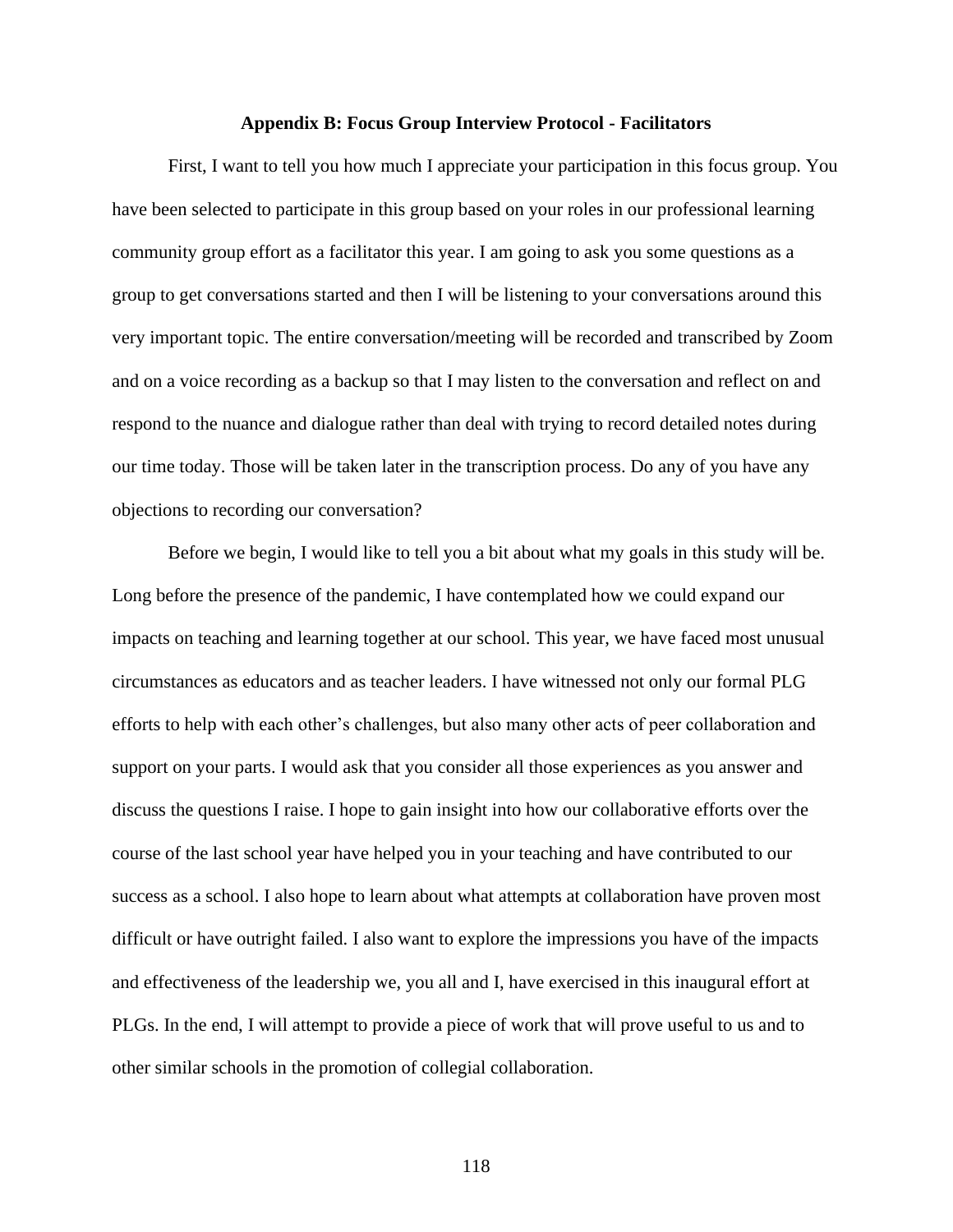#### **Appendix B: Focus Group Interview Protocol - Facilitators**

First, I want to tell you how much I appreciate your participation in this focus group. You have been selected to participate in this group based on your roles in our professional learning community group effort as a facilitator this year. I am going to ask you some questions as a group to get conversations started and then I will be listening to your conversations around this very important topic. The entire conversation/meeting will be recorded and transcribed by Zoom and on a voice recording as a backup so that I may listen to the conversation and reflect on and respond to the nuance and dialogue rather than deal with trying to record detailed notes during our time today. Those will be taken later in the transcription process. Do any of you have any objections to recording our conversation?

Before we begin, I would like to tell you a bit about what my goals in this study will be. Long before the presence of the pandemic, I have contemplated how we could expand our impacts on teaching and learning together at our school. This year, we have faced most unusual circumstances as educators and as teacher leaders. I have witnessed not only our formal PLG efforts to help with each other's challenges, but also many other acts of peer collaboration and support on your parts. I would ask that you consider all those experiences as you answer and discuss the questions I raise. I hope to gain insight into how our collaborative efforts over the course of the last school year have helped you in your teaching and have contributed to our success as a school. I also hope to learn about what attempts at collaboration have proven most difficult or have outright failed. I also want to explore the impressions you have of the impacts and effectiveness of the leadership we, you all and I, have exercised in this inaugural effort at PLGs. In the end, I will attempt to provide a piece of work that will prove useful to us and to other similar schools in the promotion of collegial collaboration.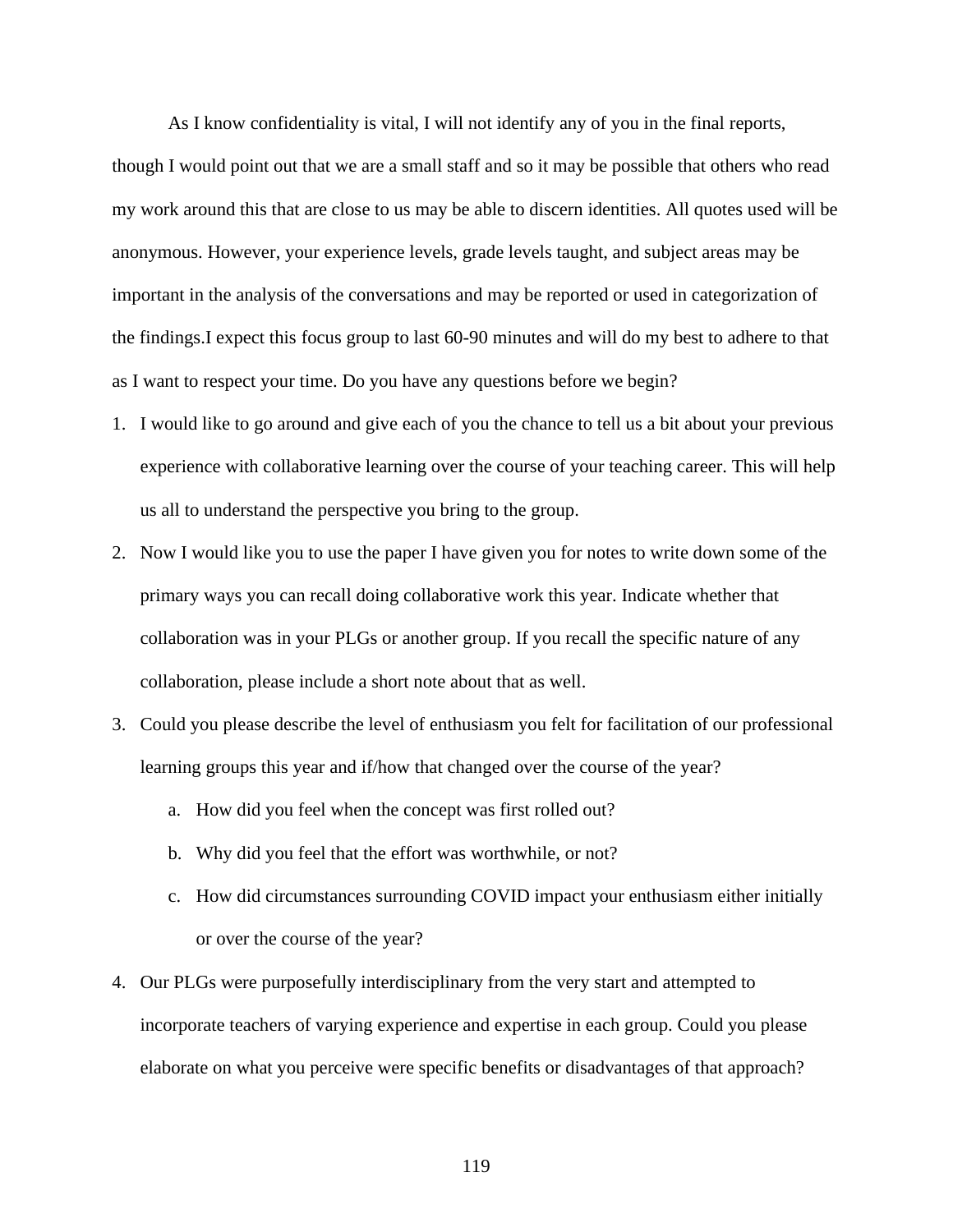As I know confidentiality is vital, I will not identify any of you in the final reports,

though I would point out that we are a small staff and so it may be possible that others who read my work around this that are close to us may be able to discern identities. All quotes used will be anonymous. However, your experience levels, grade levels taught, and subject areas may be important in the analysis of the conversations and may be reported or used in categorization of the findings.I expect this focus group to last 60-90 minutes and will do my best to adhere to that as I want to respect your time. Do you have any questions before we begin?

- 1. I would like to go around and give each of you the chance to tell us a bit about your previous experience with collaborative learning over the course of your teaching career. This will help us all to understand the perspective you bring to the group.
- 2. Now I would like you to use the paper I have given you for notes to write down some of the primary ways you can recall doing collaborative work this year. Indicate whether that collaboration was in your PLGs or another group. If you recall the specific nature of any collaboration, please include a short note about that as well.
- 3. Could you please describe the level of enthusiasm you felt for facilitation of our professional learning groups this year and if/how that changed over the course of the year?
	- a. How did you feel when the concept was first rolled out?
	- b. Why did you feel that the effort was worthwhile, or not?
	- c. How did circumstances surrounding COVID impact your enthusiasm either initially or over the course of the year?
- 4. Our PLGs were purposefully interdisciplinary from the very start and attempted to incorporate teachers of varying experience and expertise in each group. Could you please elaborate on what you perceive were specific benefits or disadvantages of that approach?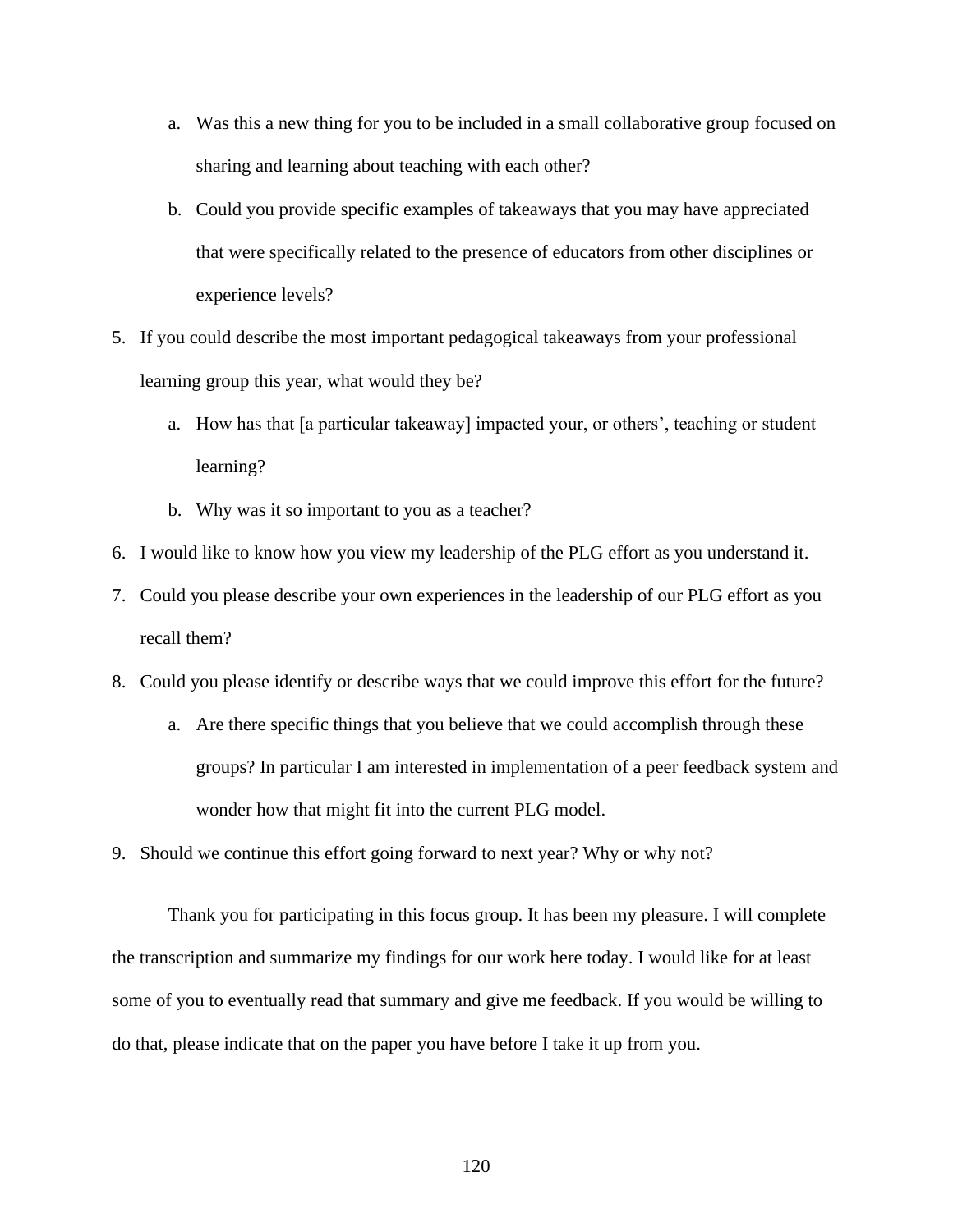- a. Was this a new thing for you to be included in a small collaborative group focused on sharing and learning about teaching with each other?
- b. Could you provide specific examples of takeaways that you may have appreciated that were specifically related to the presence of educators from other disciplines or experience levels?
- 5. If you could describe the most important pedagogical takeaways from your professional learning group this year, what would they be?
	- a. How has that [a particular takeaway] impacted your, or others', teaching or student learning?
	- b. Why was it so important to you as a teacher?
- 6. I would like to know how you view my leadership of the PLG effort as you understand it.
- 7. Could you please describe your own experiences in the leadership of our PLG effort as you recall them?
- 8. Could you please identify or describe ways that we could improve this effort for the future?
	- a. Are there specific things that you believe that we could accomplish through these groups? In particular I am interested in implementation of a peer feedback system and wonder how that might fit into the current PLG model.
- 9. Should we continue this effort going forward to next year? Why or why not?

Thank you for participating in this focus group. It has been my pleasure. I will complete the transcription and summarize my findings for our work here today. I would like for at least some of you to eventually read that summary and give me feedback. If you would be willing to do that, please indicate that on the paper you have before I take it up from you.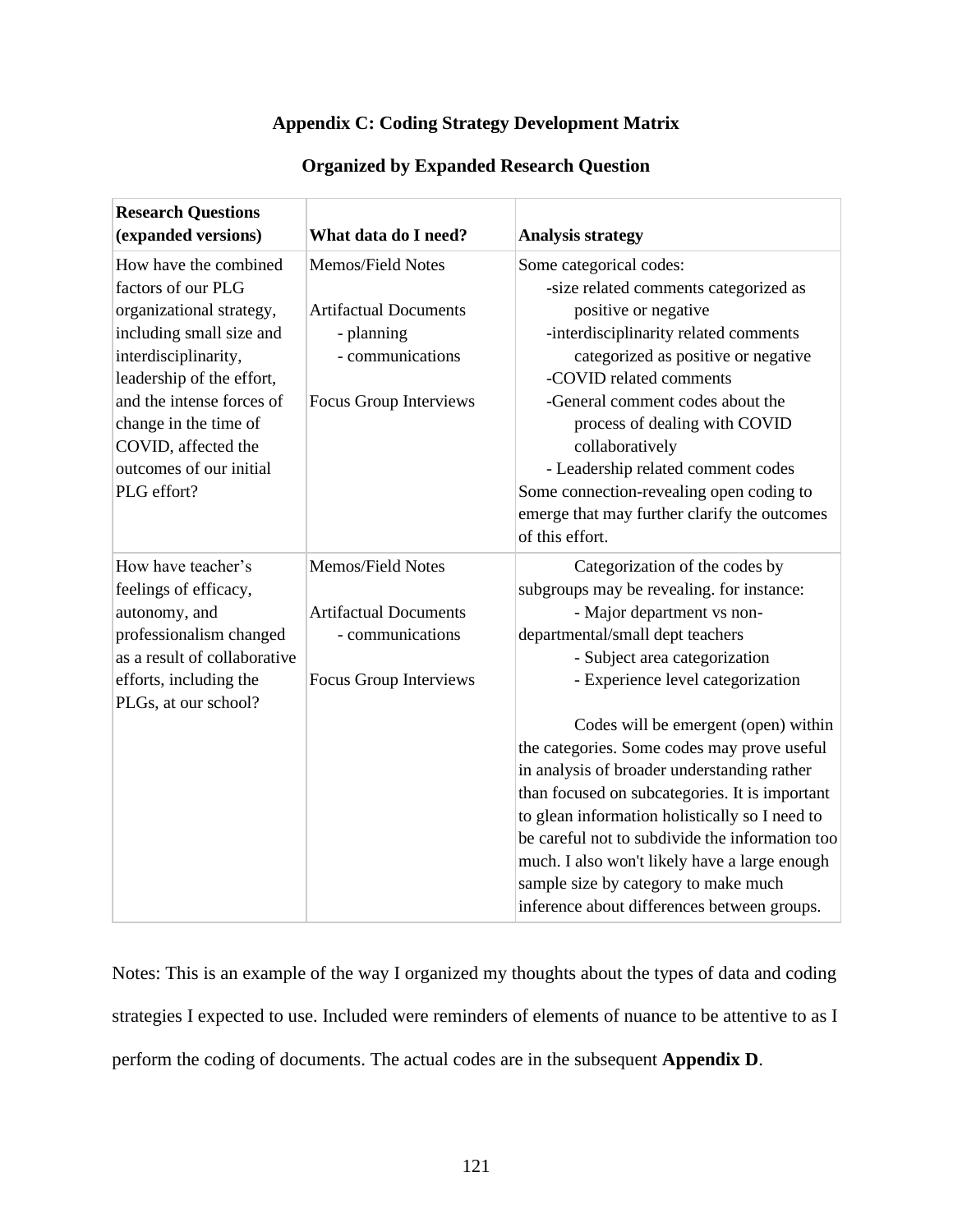## **Appendix C: Coding Strategy Development Matrix**

| <b>Research Questions</b><br>(expanded versions)                                                                                                                                                                                                                                | What data do I need?                                                                                          | <b>Analysis strategy</b>                                                                                                                                                                                                                                                                                                                                                                                                                                                                                                                                                                                                                                 |
|---------------------------------------------------------------------------------------------------------------------------------------------------------------------------------------------------------------------------------------------------------------------------------|---------------------------------------------------------------------------------------------------------------|----------------------------------------------------------------------------------------------------------------------------------------------------------------------------------------------------------------------------------------------------------------------------------------------------------------------------------------------------------------------------------------------------------------------------------------------------------------------------------------------------------------------------------------------------------------------------------------------------------------------------------------------------------|
| How have the combined<br>factors of our PLG<br>organizational strategy,<br>including small size and<br>interdisciplinarity,<br>leadership of the effort,<br>and the intense forces of<br>change in the time of<br>COVID, affected the<br>outcomes of our initial<br>PLG effort? | Memos/Field Notes<br><b>Artifactual Documents</b><br>- planning<br>- communications<br>Focus Group Interviews | Some categorical codes:<br>-size related comments categorized as<br>positive or negative<br>-interdisciplinarity related comments<br>categorized as positive or negative<br>-COVID related comments<br>-General comment codes about the<br>process of dealing with COVID<br>collaboratively<br>- Leadership related comment codes<br>Some connection-revealing open coding to<br>emerge that may further clarify the outcomes<br>of this effort.                                                                                                                                                                                                         |
| How have teacher's<br>feelings of efficacy,<br>autonomy, and<br>professionalism changed<br>as a result of collaborative<br>efforts, including the<br>PLGs, at our school?                                                                                                       | Memos/Field Notes<br><b>Artifactual Documents</b><br>- communications<br>Focus Group Interviews               | Categorization of the codes by<br>subgroups may be revealing. for instance:<br>- Major department vs non-<br>departmental/small dept teachers<br>- Subject area categorization<br>- Experience level categorization<br>Codes will be emergent (open) within<br>the categories. Some codes may prove useful<br>in analysis of broader understanding rather<br>than focused on subcategories. It is important<br>to glean information holistically so I need to<br>be careful not to subdivide the information too<br>much. I also won't likely have a large enough<br>sample size by category to make much<br>inference about differences between groups. |

### **Organized by Expanded Research Question**

Notes: This is an example of the way I organized my thoughts about the types of data and coding strategies I expected to use. Included were reminders of elements of nuance to be attentive to as I perform the coding of documents. The actual codes are in the subsequent **Appendix D**.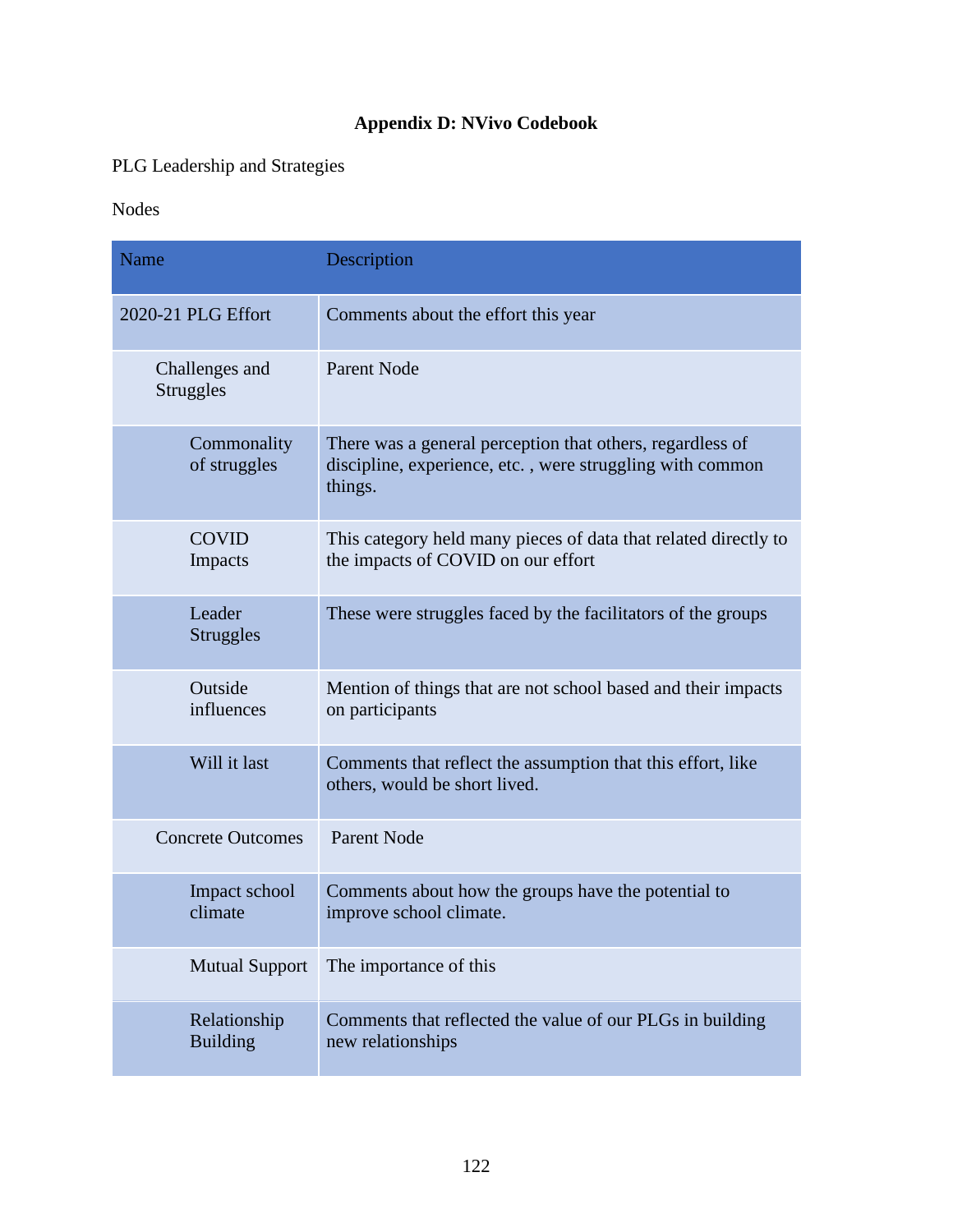# **Appendix D: NVivo Codebook**

# PLG Leadership and Strategies

## Nodes

| Name                               | Description                                                                                                                       |
|------------------------------------|-----------------------------------------------------------------------------------------------------------------------------------|
| 2020-21 PLG Effort                 | Comments about the effort this year                                                                                               |
| Challenges and<br><b>Struggles</b> | Parent Node                                                                                                                       |
| Commonality<br>of struggles        | There was a general perception that others, regardless of<br>discipline, experience, etc., were struggling with common<br>things. |
| <b>COVID</b><br>Impacts            | This category held many pieces of data that related directly to<br>the impacts of COVID on our effort                             |
| Leader<br><b>Struggles</b>         | These were struggles faced by the facilitators of the groups                                                                      |
| Outside<br>influences              | Mention of things that are not school based and their impacts<br>on participants                                                  |
| Will it last                       | Comments that reflect the assumption that this effort, like<br>others, would be short lived.                                      |
| <b>Concrete Outcomes</b>           | <b>Parent Node</b>                                                                                                                |
| Impact school<br>climate           | Comments about how the groups have the potential to<br>improve school climate.                                                    |
| <b>Mutual Support</b>              | The importance of this                                                                                                            |
| Relationship<br><b>Building</b>    | Comments that reflected the value of our PLGs in building<br>new relationships                                                    |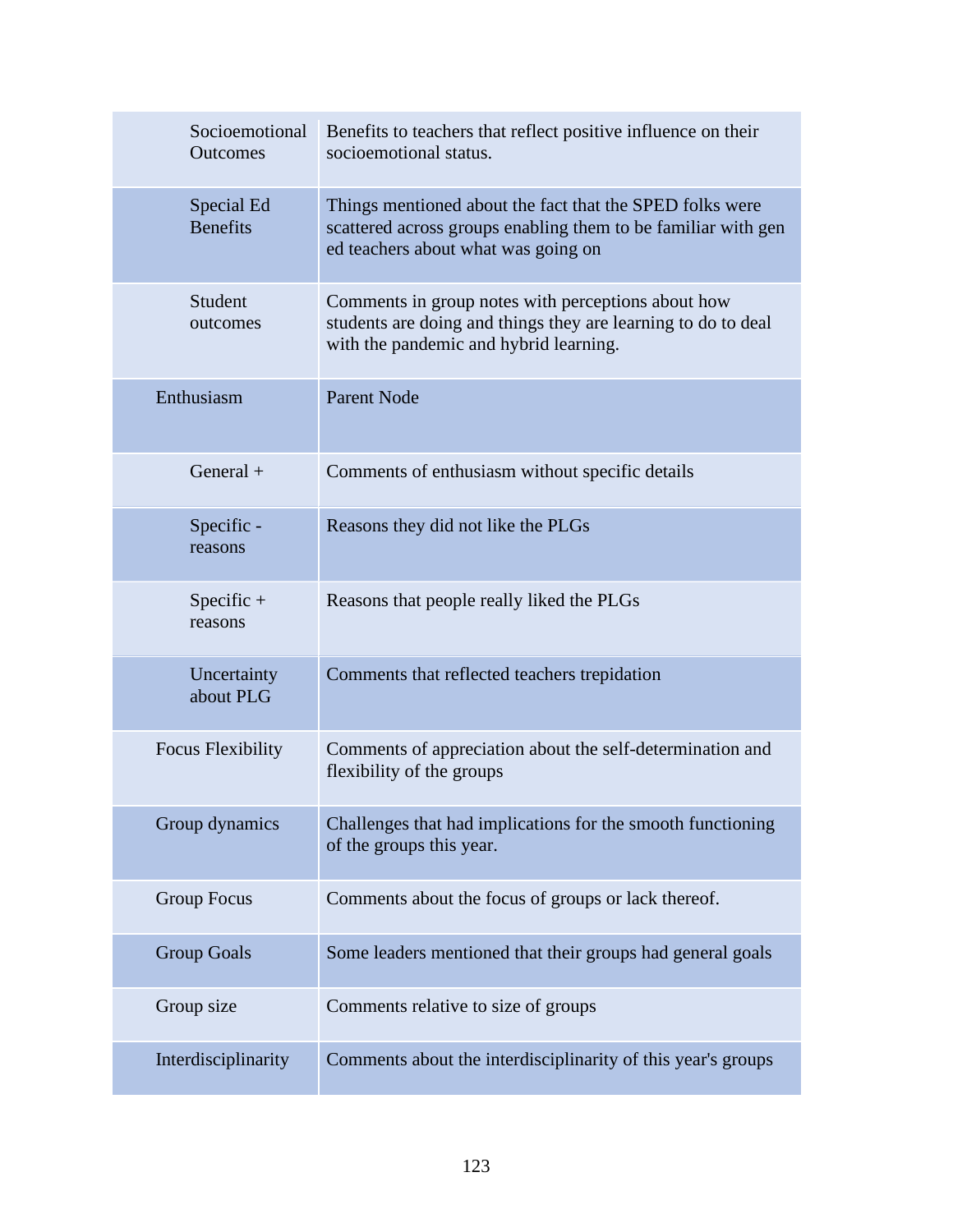| Socioemotional<br>Outcomes    | Benefits to teachers that reflect positive influence on their<br>socioemotional status.                                                                          |
|-------------------------------|------------------------------------------------------------------------------------------------------------------------------------------------------------------|
| Special Ed<br><b>Benefits</b> | Things mentioned about the fact that the SPED folks were<br>scattered across groups enabling them to be familiar with gen<br>ed teachers about what was going on |
| Student<br>outcomes           | Comments in group notes with perceptions about how<br>students are doing and things they are learning to do to deal<br>with the pandemic and hybrid learning.    |
| Enthusiasm                    | <b>Parent Node</b>                                                                                                                                               |
| General $+$                   | Comments of enthusiasm without specific details                                                                                                                  |
| Specific -<br>reasons         | Reasons they did not like the PLGs                                                                                                                               |
| Specific $+$<br>reasons       | Reasons that people really liked the PLGs                                                                                                                        |
| Uncertainty<br>about PLG      | Comments that reflected teachers trepidation                                                                                                                     |
| <b>Focus Flexibility</b>      | Comments of appreciation about the self-determination and<br>flexibility of the groups                                                                           |
| Group dynamics                | Challenges that had implications for the smooth functioning<br>of the groups this year.                                                                          |
| <b>Group Focus</b>            | Comments about the focus of groups or lack thereof.                                                                                                              |
| <b>Group Goals</b>            | Some leaders mentioned that their groups had general goals                                                                                                       |
| Group size                    | Comments relative to size of groups                                                                                                                              |
| Interdisciplinarity           | Comments about the interdisciplinarity of this year's groups                                                                                                     |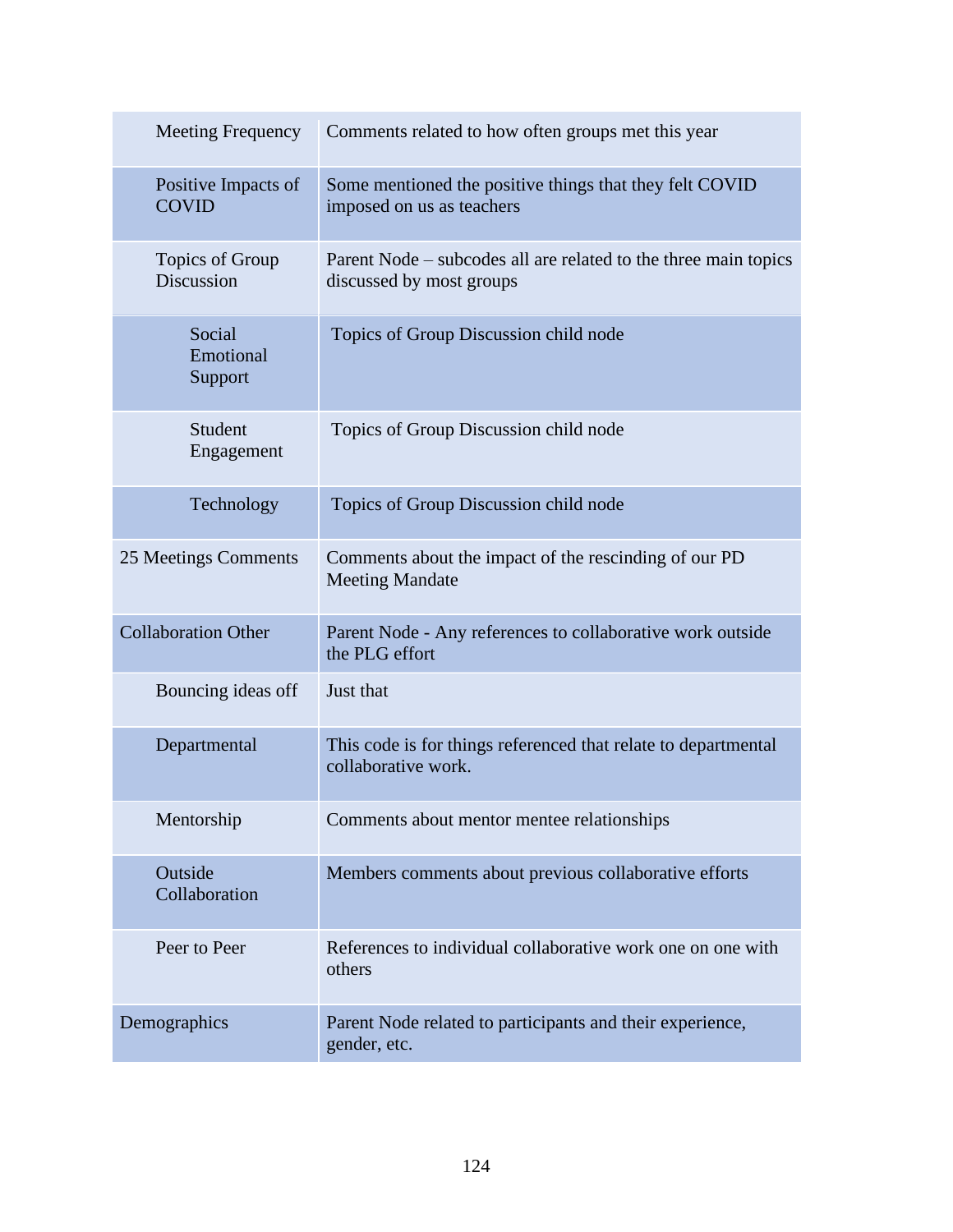|                                     | Meeting Frequency Comments related to how often groups met this year                        |
|-------------------------------------|---------------------------------------------------------------------------------------------|
| Positive Impacts of<br><b>COVID</b> | Some mentioned the positive things that they felt COVID<br>imposed on us as teachers        |
| Topics of Group<br>Discussion       | Parent Node – subcodes all are related to the three main topics<br>discussed by most groups |
| Social<br>Emotional<br>Support      | Topics of Group Discussion child node                                                       |
| Student<br>Engagement               | Topics of Group Discussion child node                                                       |
| Technology                          | Topics of Group Discussion child node                                                       |
| 25 Meetings Comments                | Comments about the impact of the rescinding of our PD<br><b>Meeting Mandate</b>             |
| <b>Collaboration Other</b>          | Parent Node - Any references to collaborative work outside<br>the PLG effort                |
| Bouncing ideas off                  | Just that                                                                                   |
| Departmental                        | This code is for things referenced that relate to departmental<br>collaborative work.       |
| Mentorship                          | Comments about mentor mentee relationships                                                  |
| Outside<br>Collaboration            | Members comments about previous collaborative efforts                                       |
| Peer to Peer                        | References to individual collaborative work one on one with<br>others                       |
| Demographics                        | Parent Node related to participants and their experience,<br>gender, etc.                   |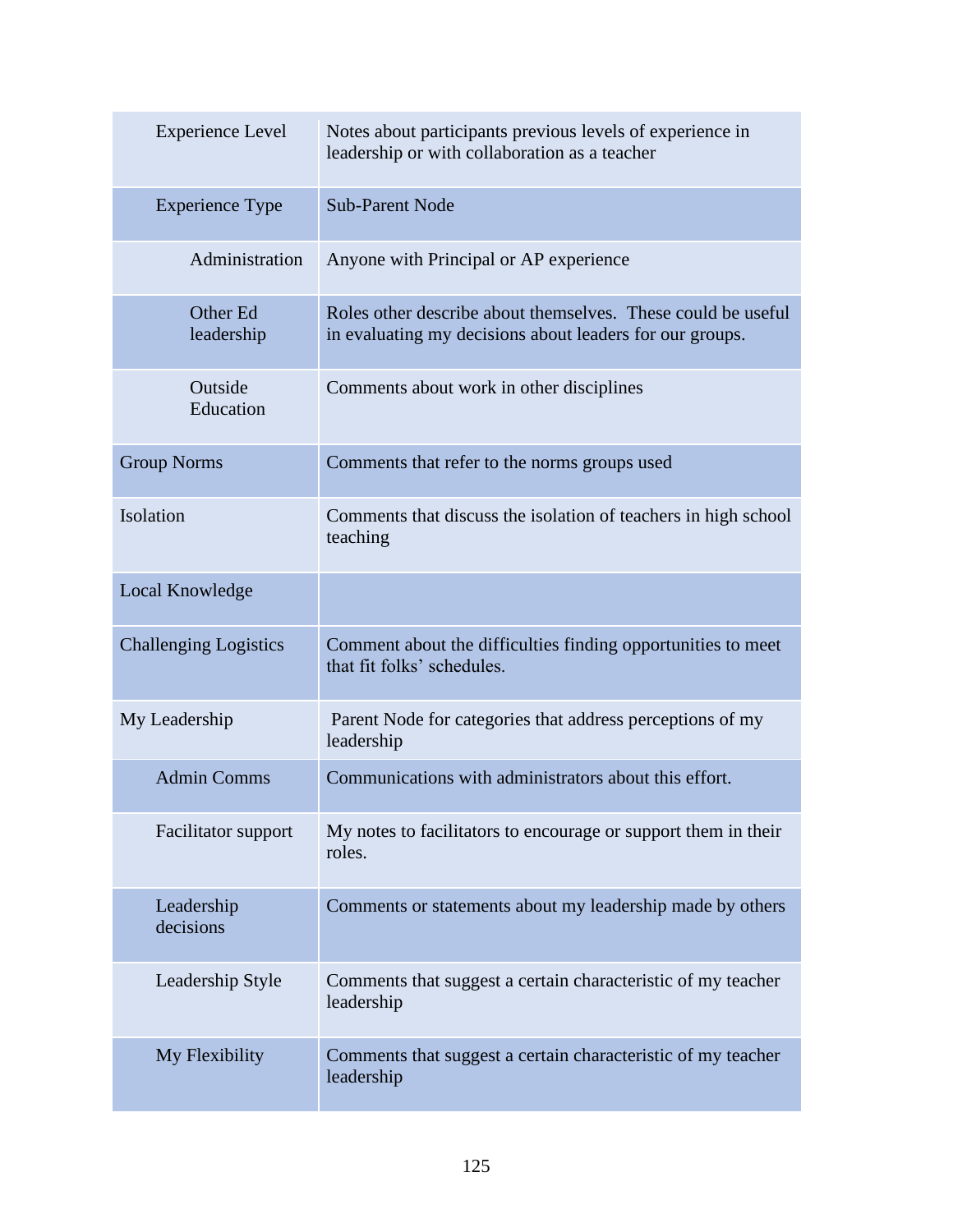| <b>Experience Level</b>      | Notes about participants previous levels of experience in<br>leadership or with collaboration as a teacher               |
|------------------------------|--------------------------------------------------------------------------------------------------------------------------|
| <b>Experience Type</b>       | <b>Sub-Parent Node</b>                                                                                                   |
| Administration               | Anyone with Principal or AP experience                                                                                   |
| Other Ed<br>leadership       | Roles other describe about themselves. These could be useful<br>in evaluating my decisions about leaders for our groups. |
| Outside<br>Education         | Comments about work in other disciplines                                                                                 |
| <b>Group Norms</b>           | Comments that refer to the norms groups used                                                                             |
| Isolation                    | Comments that discuss the isolation of teachers in high school<br>teaching                                               |
| <b>Local Knowledge</b>       |                                                                                                                          |
| <b>Challenging Logistics</b> | Comment about the difficulties finding opportunities to meet<br>that fit folks' schedules.                               |
| My Leadership                | Parent Node for categories that address perceptions of my<br>leadership                                                  |
| <b>Admin Comms</b>           | Communications with administrators about this effort.                                                                    |
| Facilitator support          | My notes to facilitators to encourage or support them in their<br>roles.                                                 |
| Leadership<br>decisions      | Comments or statements about my leadership made by others                                                                |
| Leadership Style             | Comments that suggest a certain characteristic of my teacher<br>leadership                                               |
| My Flexibility               | Comments that suggest a certain characteristic of my teacher<br>leadership                                               |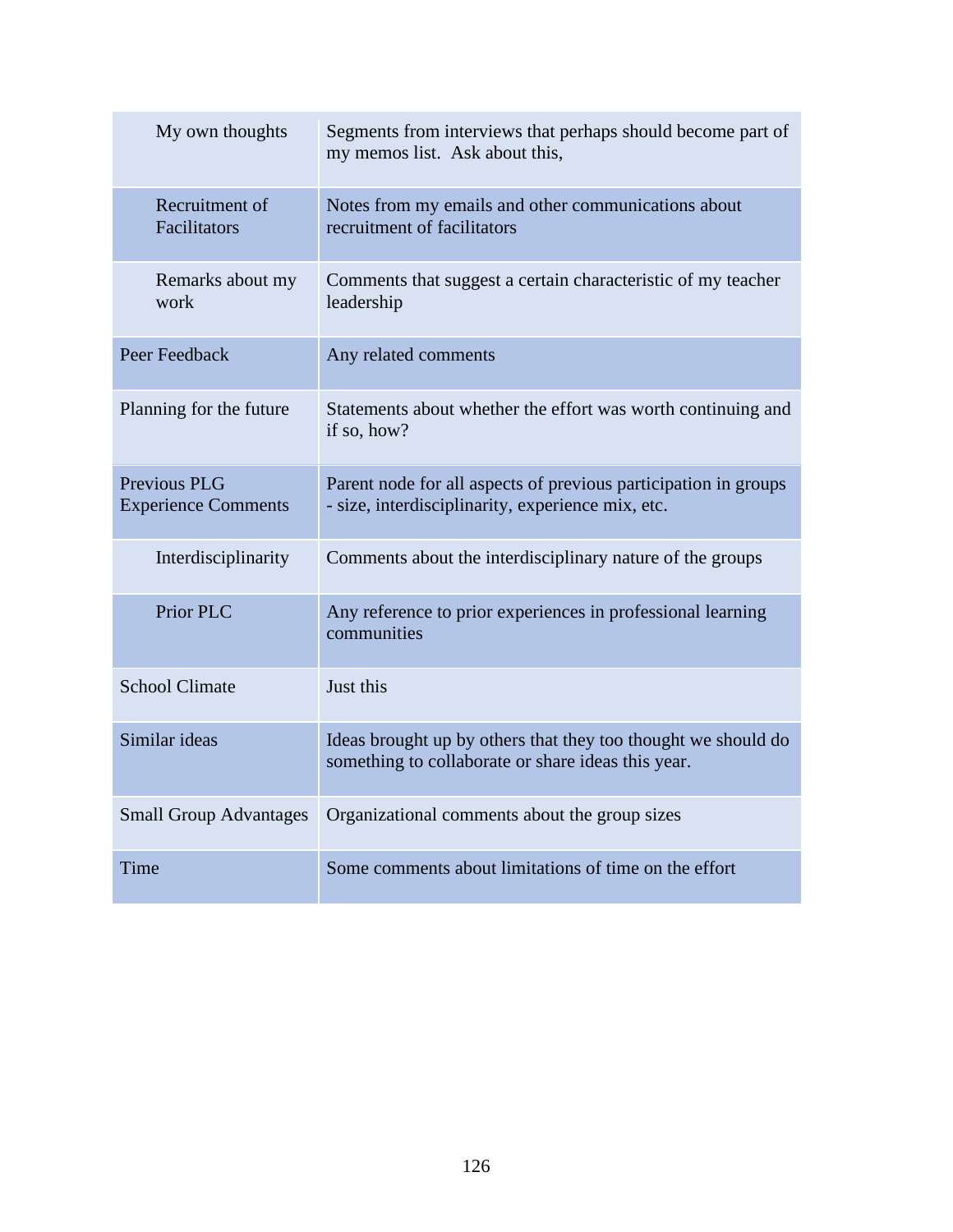| My own thoughts                                   | Segments from interviews that perhaps should become part of<br>my memos list. Ask about this,                        |
|---------------------------------------------------|----------------------------------------------------------------------------------------------------------------------|
| Recruitment of<br>Facilitators                    | Notes from my emails and other communications about<br>recruitment of facilitators                                   |
| Remarks about my<br>work                          | Comments that suggest a certain characteristic of my teacher<br>leadership                                           |
| Peer Feedback                                     | Any related comments                                                                                                 |
| Planning for the future                           | Statements about whether the effort was worth continuing and<br>if so, how?                                          |
| <b>Previous PLG</b><br><b>Experience Comments</b> | Parent node for all aspects of previous participation in groups<br>- size, interdisciplinarity, experience mix, etc. |
| Interdisciplinarity                               | Comments about the interdisciplinary nature of the groups                                                            |
| <b>Prior PLC</b>                                  | Any reference to prior experiences in professional learning<br>communities                                           |
| <b>School Climate</b>                             | Just this                                                                                                            |
| Similar ideas                                     | Ideas brought up by others that they too thought we should do<br>something to collaborate or share ideas this year.  |
| <b>Small Group Advantages</b>                     | Organizational comments about the group sizes                                                                        |
| Time                                              | Some comments about limitations of time on the effort                                                                |